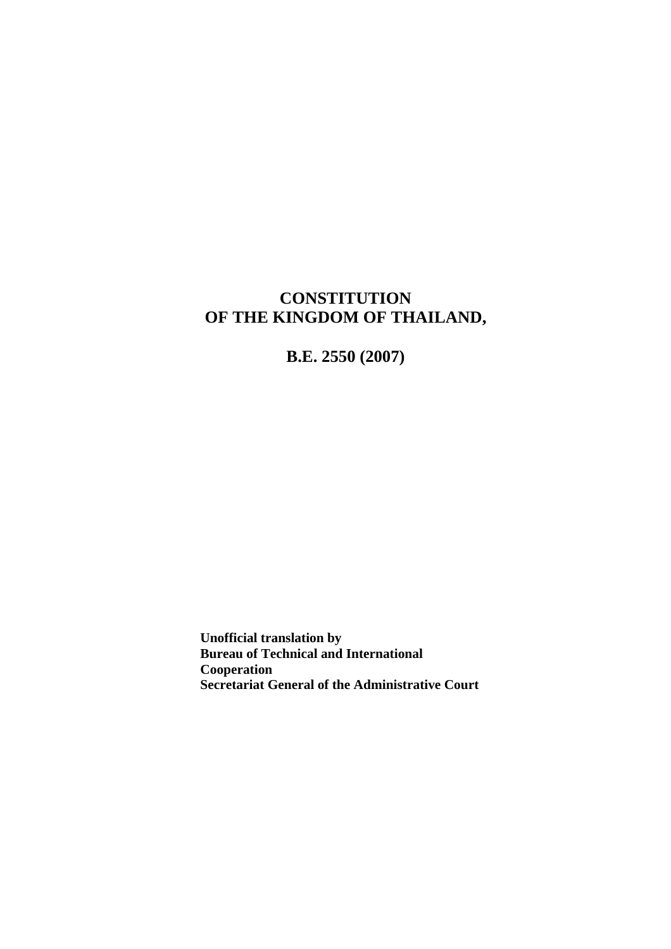## **CONSTITUTION OF THE KINGDOM OF THAILAND,**

**B.E. 2550 (2007)** 

**Unofficial translation by Bureau of Technical and International Cooperation Secretariat General of the Administrative Court**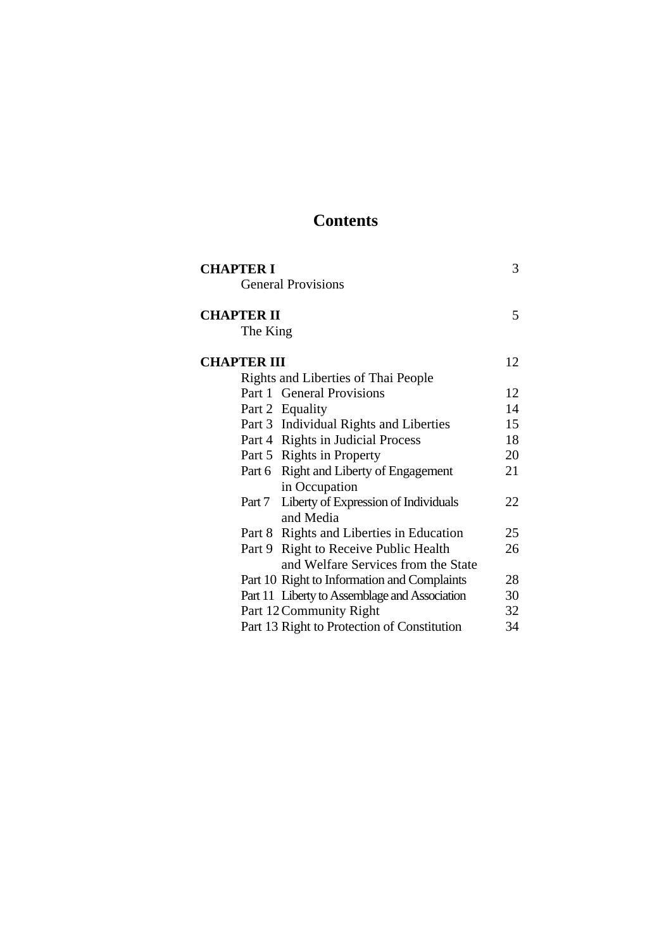# **Contents**

| <b>CHAPTER I</b>                              |    |
|-----------------------------------------------|----|
| <b>General Provisions</b>                     |    |
| <b>CHAPTER II</b>                             | 5  |
| The King                                      |    |
| <b>CHAPTER III</b>                            | 12 |
| Rights and Liberties of Thai People           |    |
| Part 1 General Provisions                     | 12 |
| Part 2 Equality                               | 14 |
| Part 3 Individual Rights and Liberties        | 15 |
| Part 4 Rights in Judicial Process             | 18 |
| Part 5 Rights in Property                     | 20 |
| Part 6 Right and Liberty of Engagement        | 21 |
| in Occupation                                 |    |
| Part 7 Liberty of Expression of Individuals   | 22 |
| and Media                                     |    |
| Part 8 Rights and Liberties in Education      | 25 |
| Part 9 Right to Receive Public Health         | 26 |
| and Welfare Services from the State           |    |
| Part 10 Right to Information and Complaints   | 28 |
| Part 11 Liberty to Assemblage and Association | 30 |
| Part 12 Community Right                       | 32 |
| Part 13 Right to Protection of Constitution   | 34 |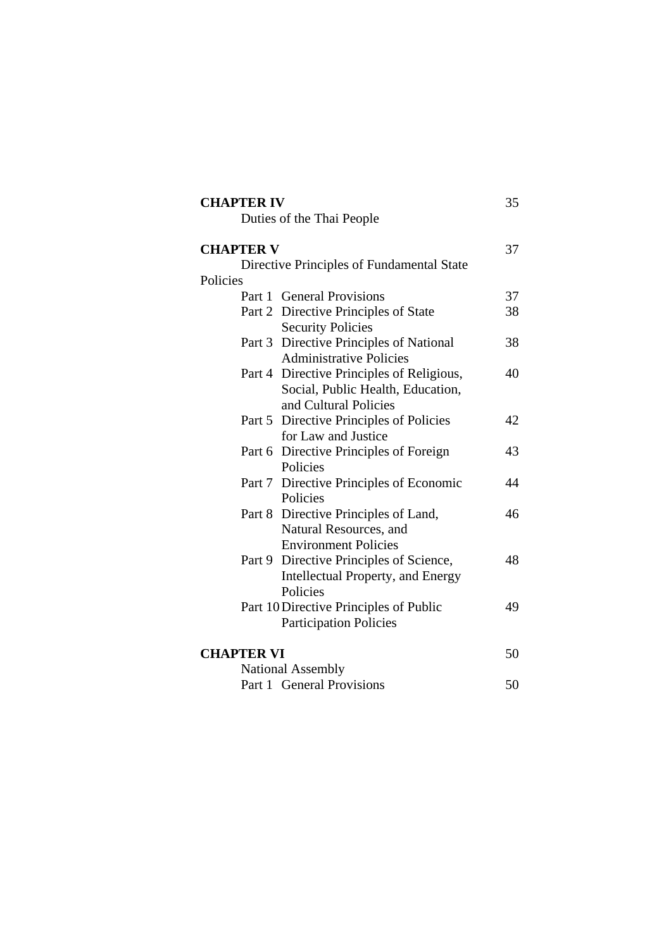| <b>CHAPTER IV</b> |                                           | 35 |
|-------------------|-------------------------------------------|----|
|                   | Duties of the Thai People                 |    |
| <b>CHAPTER V</b>  |                                           | 37 |
|                   | Directive Principles of Fundamental State |    |
| Policies          |                                           |    |
|                   | Part 1 General Provisions                 | 37 |
|                   | Part 2 Directive Principles of State      | 38 |
|                   | <b>Security Policies</b>                  |    |
|                   | Part 3 Directive Principles of National   | 38 |
|                   | <b>Administrative Policies</b>            |    |
|                   | Part 4 Directive Principles of Religious, | 40 |
|                   | Social, Public Health, Education,         |    |
|                   | and Cultural Policies                     |    |
|                   | Part 5 Directive Principles of Policies   | 42 |
|                   | for Law and Justice                       |    |
|                   | Part 6 Directive Principles of Foreign    | 43 |
|                   | Policies                                  |    |
|                   | Part 7 Directive Principles of Economic   | 44 |
|                   | Policies                                  |    |
|                   | Part 8 Directive Principles of Land,      | 46 |
|                   | Natural Resources, and                    |    |
|                   | <b>Environment Policies</b>               |    |
|                   | Part 9 Directive Principles of Science,   | 48 |
|                   | Intellectual Property, and Energy         |    |
|                   | Policies                                  |    |
|                   | Part 10 Directive Principles of Public    | 49 |
|                   | <b>Participation Policies</b>             |    |
| <b>CHAPTER VI</b> |                                           | 50 |
|                   | <b>National Assembly</b>                  |    |
|                   | Part 1 General Provisions                 | 50 |
|                   |                                           |    |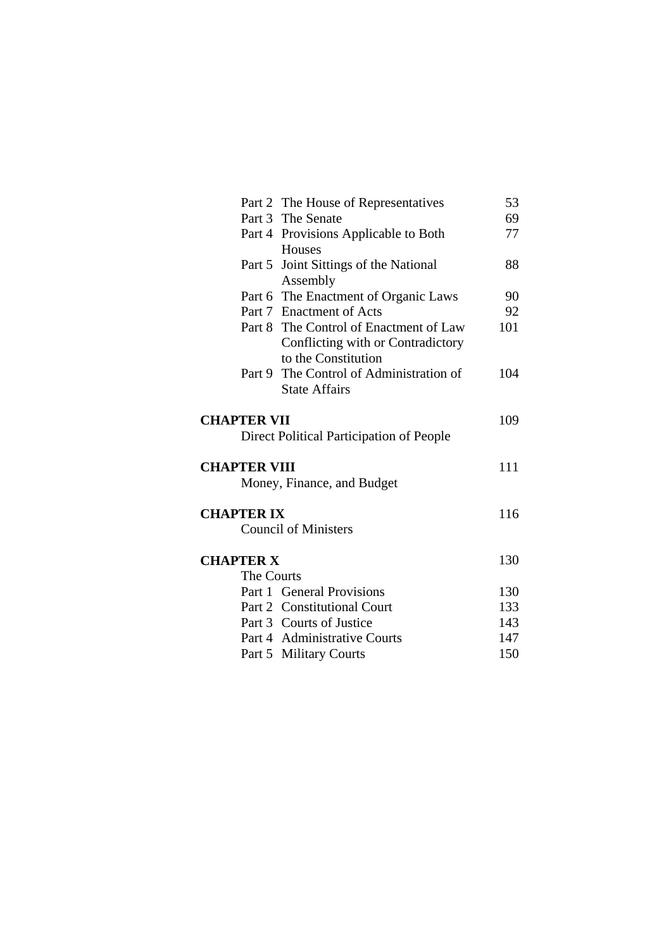|                     | Part 2 The House of Representatives                      | 53  |
|---------------------|----------------------------------------------------------|-----|
|                     | Part 3 The Senate                                        | 69  |
|                     | Part 4 Provisions Applicable to Both                     | 77  |
|                     | Houses                                                   |     |
|                     | Part 5 Joint Sittings of the National<br>Assembly        | 88  |
|                     | Part 6 The Enactment of Organic Laws                     | 90  |
|                     | Part 7 Enactment of Acts                                 | 92  |
|                     | Part 8 The Control of Enactment of Law                   | 101 |
|                     | Conflicting with or Contradictory<br>to the Constitution |     |
|                     | Part 9 The Control of Administration of                  |     |
|                     | <b>State Affairs</b>                                     | 104 |
|                     |                                                          |     |
| <b>CHAPTER VII</b>  |                                                          | 109 |
|                     | Direct Political Participation of People                 |     |
| <b>CHAPTER VIII</b> |                                                          | 111 |
|                     | Money, Finance, and Budget                               |     |
| <b>CHAPTER IX</b>   |                                                          | 116 |
|                     | <b>Council of Ministers</b>                              |     |
| <b>CHAPTER X</b>    |                                                          | 130 |
| The Courts          |                                                          |     |
|                     | Part 1 General Provisions                                | 130 |
|                     | Part 2 Constitutional Court                              | 133 |
|                     | Part 3 Courts of Justice                                 | 143 |
|                     | Part 4 Administrative Courts                             | 147 |
|                     |                                                          |     |
|                     | Part 5 Military Courts                                   | 150 |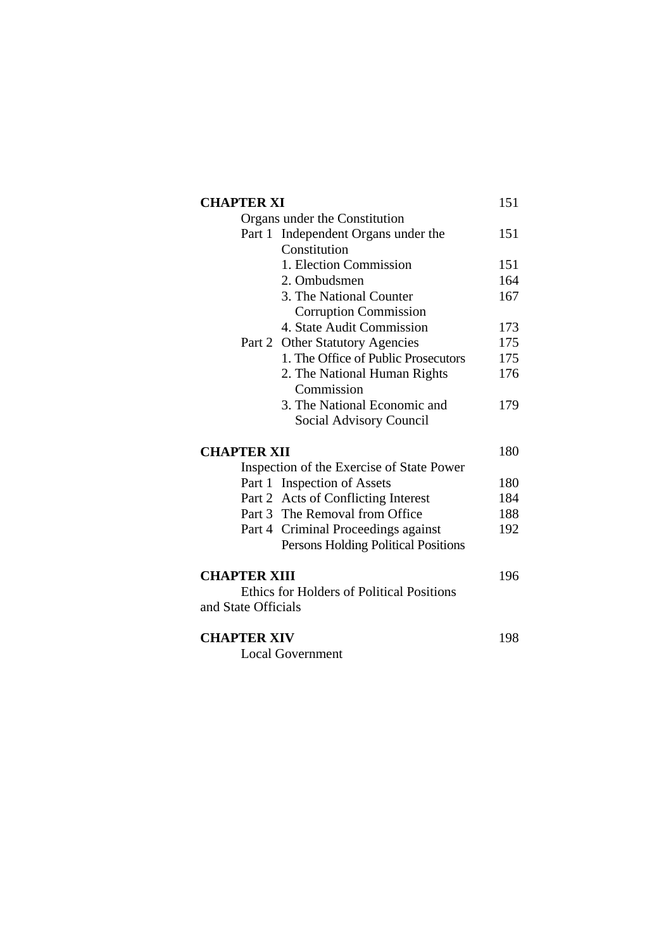|                     | <b>CHAPTER XI</b>                                |     |
|---------------------|--------------------------------------------------|-----|
|                     | Organs under the Constitution                    |     |
|                     | Part 1 Independent Organs under the              | 151 |
|                     | Constitution                                     |     |
|                     | 1. Election Commission                           | 151 |
|                     | 2. Ombudsmen                                     | 164 |
|                     | 3. The National Counter                          | 167 |
|                     | <b>Corruption Commission</b>                     |     |
|                     | 4. State Audit Commission                        | 173 |
|                     | Part 2 Other Statutory Agencies                  | 175 |
|                     | 1. The Office of Public Prosecutors              | 175 |
|                     | 2. The National Human Rights                     | 176 |
|                     | Commission                                       |     |
|                     | 3. The National Economic and                     | 179 |
|                     | Social Advisory Council                          |     |
| <b>CHAPTER XII</b>  |                                                  | 180 |
|                     | Inspection of the Exercise of State Power        |     |
|                     | Part 1 Inspection of Assets                      | 180 |
|                     | Part 2 Acts of Conflicting Interest              | 184 |
|                     | Part 3 The Removal from Office                   | 188 |
|                     | Part 4 Criminal Proceedings against              | 192 |
|                     | Persons Holding Political Positions              |     |
| <b>CHAPTER XIII</b> |                                                  | 196 |
|                     | <b>Ethics for Holders of Political Positions</b> |     |
| and State Officials |                                                  |     |
| <b>CHAPTER XIV</b>  |                                                  | 198 |
|                     | <b>Local Government</b>                          |     |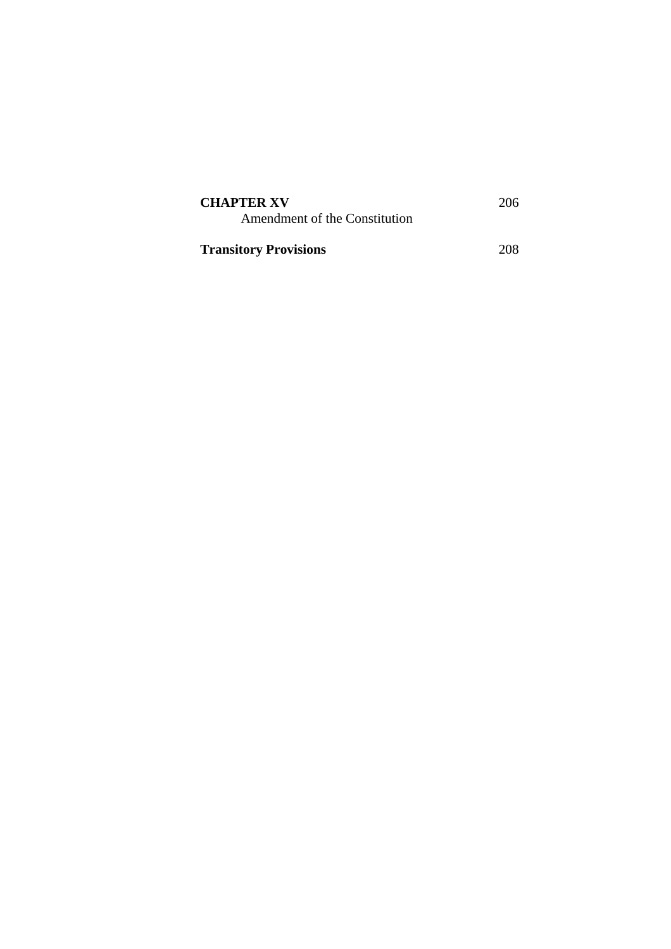| <b>CHAPTER XV</b><br>Amendment of the Constitution | 206 |
|----------------------------------------------------|-----|
| <b>Transitory Provisions</b>                       | 208 |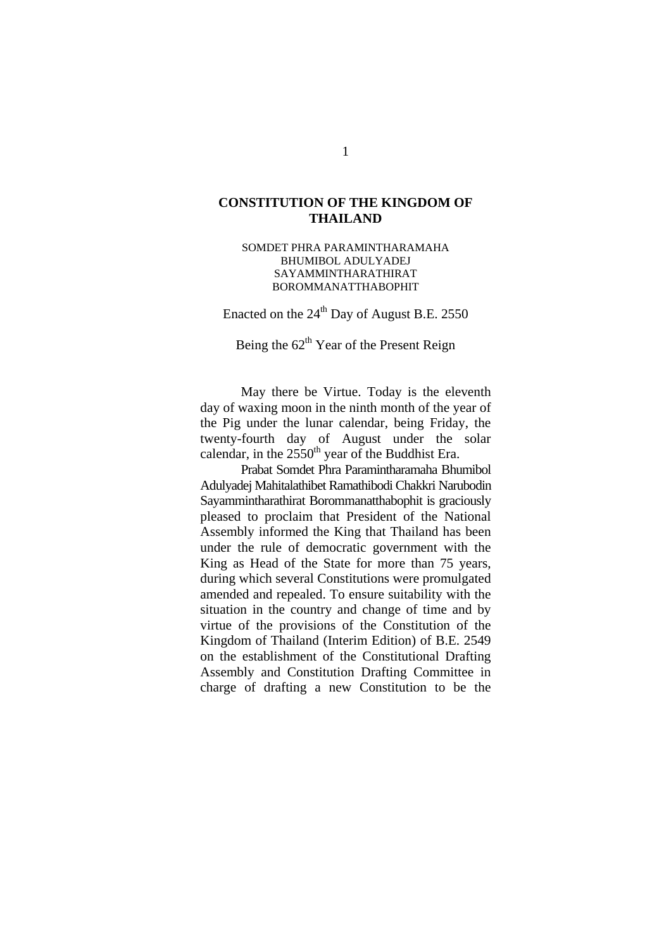## **CONSTITUTION OF THE KINGDOM OF THAILAND**

SOMDET PHRA PARAMINTHARAMAHA BHUMIBOL ADULYADEJ SAYAMMINTHARATHIRAT BOROMMANATTHABOPHIT

Enacted on the  $24<sup>th</sup>$  Day of August B.E. 2550

Being the  $62<sup>th</sup>$  Year of the Present Reign

May there be Virtue. Today is the eleventh day of waxing moon in the ninth month of the year of the Pig under the lunar calendar, being Friday, the twenty-fourth day of August under the solar calendar, in the  $2550<sup>th</sup>$  year of the Buddhist Era.

 Prabat Somdet Phra Paramintharamaha Bhumibol Adulyadej Mahitalathibet Ramathibodi Chakkri Narubodin Sayammintharathirat Borommanatthabophit is graciously pleased to proclaim that President of the National Assembly informed the King that Thailand has been under the rule of democratic government with the King as Head of the State for more than 75 years, during which several Constitutions were promulgated amended and repealed. To ensure suitability with the situation in the country and change of time and by virtue of the provisions of the Constitution of the Kingdom of Thailand (Interim Edition) of B.E. 2549 on the establishment of the Constitutional Drafting Assembly and Constitution Drafting Committee in charge of drafting a new Constitution to be the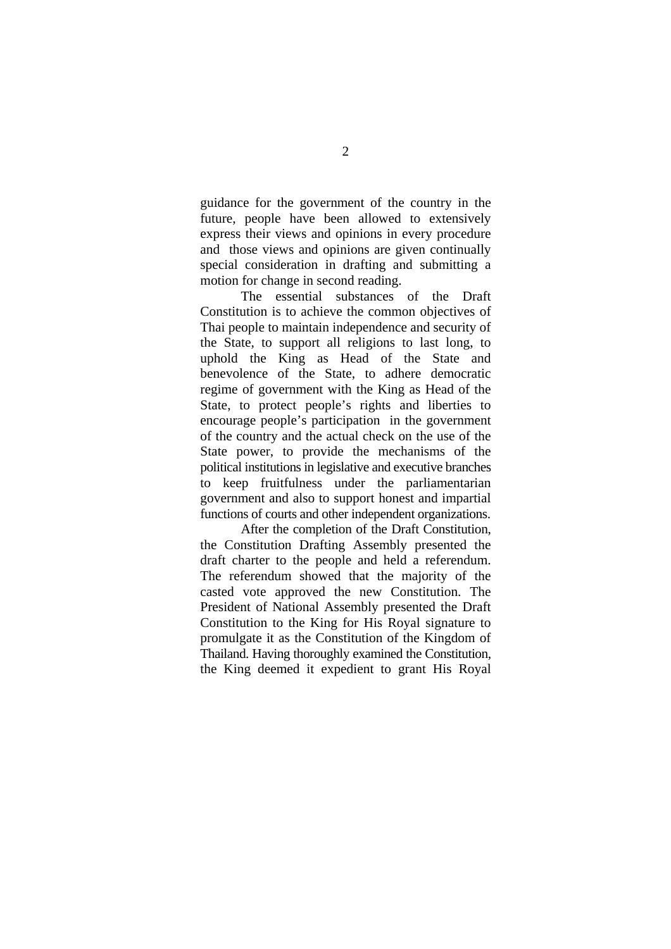guidance for the government of the country in the future, people have been allowed to extensively express their views and opinions in every procedure and those views and opinions are given continually special consideration in drafting and submitting a motion for change in second reading.

The essential substances of the Draft Constitution is to achieve the common objectives of Thai people to maintain independence and security of the State, to support all religions to last long, to uphold the King as Head of the State and benevolence of the State, to adhere democratic regime of government with the King as Head of the State, to protect people's rights and liberties to encourage people's participation in the government of the country and the actual check on the use of the State power, to provide the mechanisms of the political institutions in legislative and executive branches to keep fruitfulness under the parliamentarian government and also to support honest and impartial functions of courts and other independent organizations.

After the completion of the Draft Constitution, the Constitution Drafting Assembly presented the draft charter to the people and held a referendum. The referendum showed that the majority of the casted vote approved the new Constitution. The President of National Assembly presented the Draft Constitution to the King for His Royal signature to promulgate it as the Constitution of the Kingdom of Thailand. Having thoroughly examined the Constitution, the King deemed it expedient to grant His Royal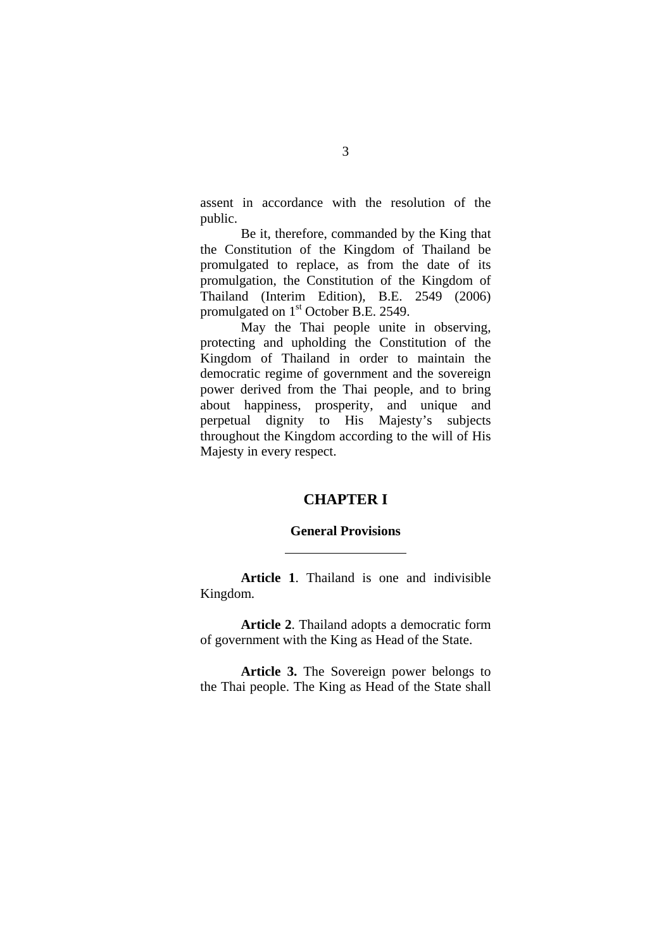assent in accordance with the resolution of the public.

 Be it, therefore, commanded by the King that the Constitution of the Kingdom of Thailand be promulgated to replace, as from the date of its promulgation, the Constitution of the Kingdom of Thailand (Interim Edition), B.E. 2549 (2006) promulgated on 1<sup>st</sup> October B.E. 2549.

 May the Thai people unite in observing, protecting and upholding the Constitution of the Kingdom of Thailand in order to maintain the democratic regime of government and the sovereign power derived from the Thai people, and to bring about happiness, prosperity, and unique and perpetual dignity to His Majesty's subjects throughout the Kingdom according to the will of His Majesty in every respect.

## **CHAPTER I**

#### **General Provisions**

l

**Article 1**. Thailand is one and indivisible Kingdom.

**Article 2**. Thailand adopts a democratic form of government with the King as Head of the State.

**Article 3.** The Sovereign power belongs to the Thai people. The King as Head of the State shall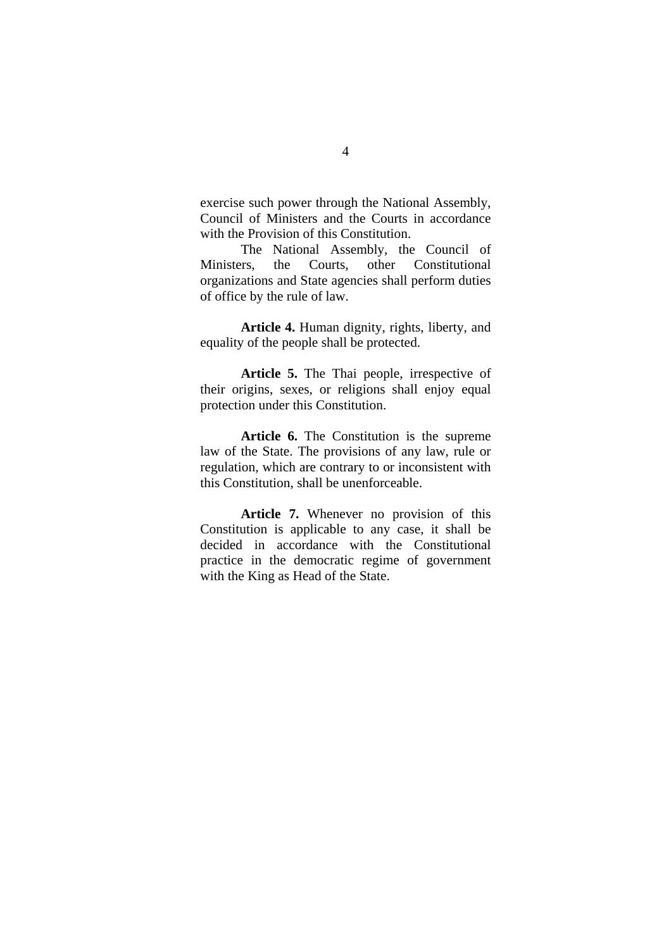exercise such power through the National Assembly, Council of Ministers and the Courts in accordance with the Provision of this Constitution.

The National Assembly, the Council of Ministers, the Courts, other Constitutional organizations and State agencies shall perform duties of office by the rule of law.

**Article 4.** Human dignity, rights, liberty, and equality of the people shall be protected.

**Article 5.** The Thai people, irrespective of their origins, sexes, or religions shall enjoy equal protection under this Constitution.

**Article 6.** The Constitution is the supreme law of the State. The provisions of any law, rule or regulation, which are contrary to or inconsistent with this Constitution, shall be unenforceable.

**Article 7.** Whenever no provision of this Constitution is applicable to any case, it shall be decided in accordance with the Constitutional practice in the democratic regime of government with the King as Head of the State.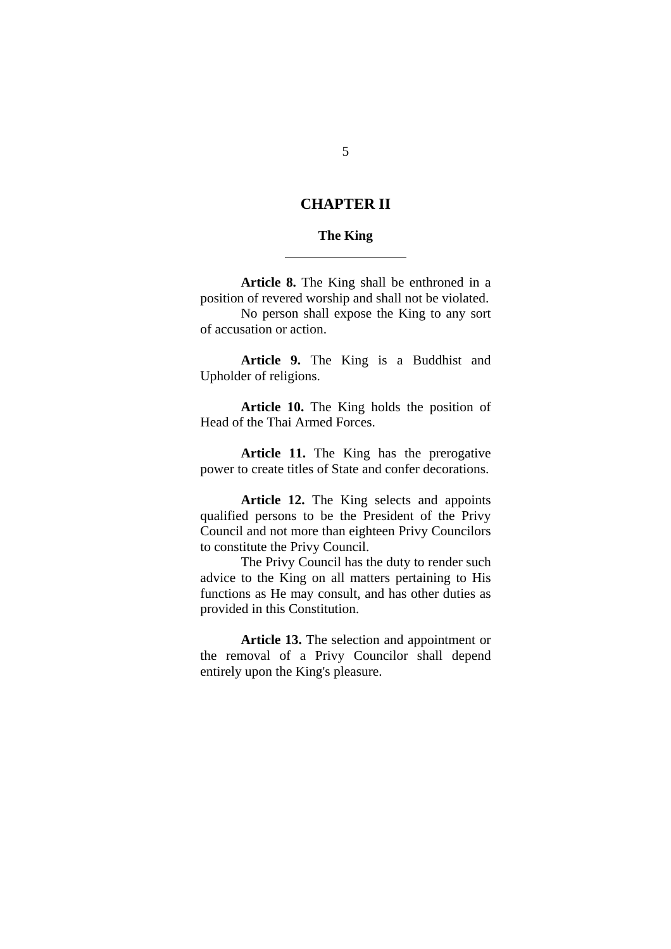## **CHAPTER II**

#### **The King**

l

**Article 8.** The King shall be enthroned in a position of revered worship and shall not be violated. No person shall expose the King to any sort of accusation or action.

**Article 9.** The King is a Buddhist and Upholder of religions.

**Article 10.** The King holds the position of Head of the Thai Armed Forces.

Article 11. The King has the prerogative power to create titles of State and confer decorations.

**Article 12.** The King selects and appoints qualified persons to be the President of the Privy Council and not more than eighteen Privy Councilors to constitute the Privy Council.

The Privy Council has the duty to render such advice to the King on all matters pertaining to His functions as He may consult, and has other duties as provided in this Constitution.

**Article 13.** The selection and appointment or the removal of a Privy Councilor shall depend entirely upon the King's pleasure.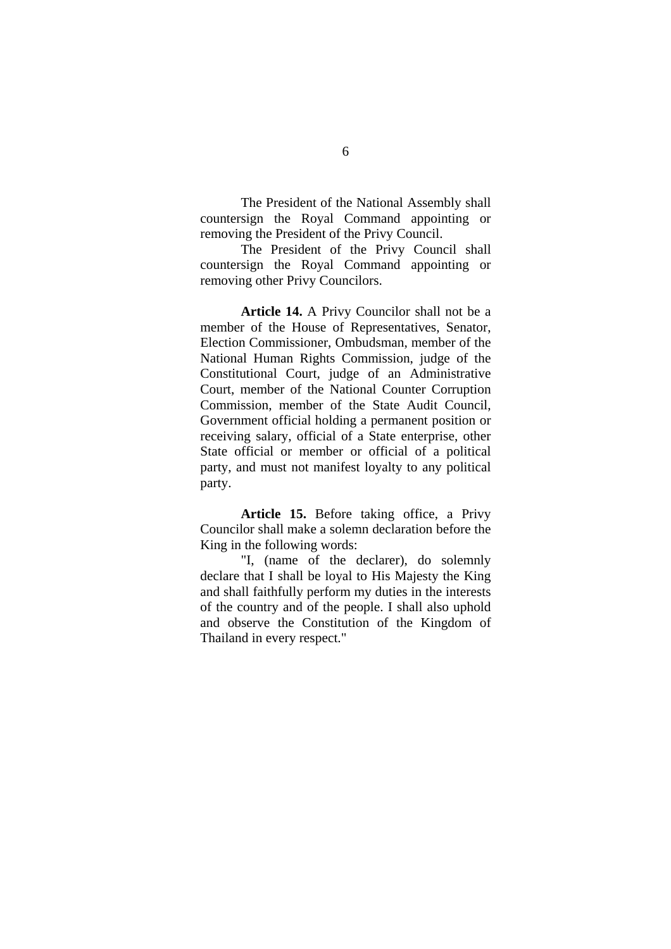The President of the National Assembly shall countersign the Royal Command appointing or removing the President of the Privy Council.

The President of the Privy Council shall countersign the Royal Command appointing or removing other Privy Councilors.

**Article 14.** A Privy Councilor shall not be a member of the House of Representatives, Senator, Election Commissioner, Ombudsman, member of the National Human Rights Commission, judge of the Constitutional Court, judge of an Administrative Court, member of the National Counter Corruption Commission, member of the State Audit Council, Government official holding a permanent position or receiving salary, official of a State enterprise, other State official or member or official of a political party, and must not manifest loyalty to any political party.

**Article 15.** Before taking office, a Privy Councilor shall make a solemn declaration before the King in the following words:

"I, (name of the declarer), do solemnly declare that I shall be loyal to His Majesty the King and shall faithfully perform my duties in the interests of the country and of the people. I shall also uphold and observe the Constitution of the Kingdom of Thailand in every respect."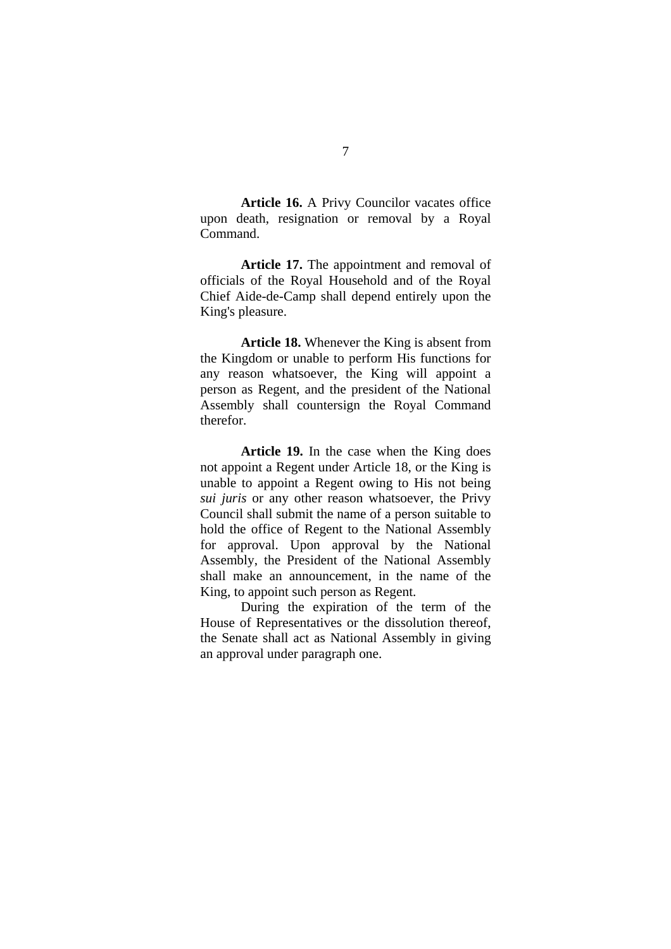**Article 16.** A Privy Councilor vacates office upon death, resignation or removal by a Royal Command.

**Article 17.** The appointment and removal of officials of the Royal Household and of the Royal Chief Aide-de-Camp shall depend entirely upon the King's pleasure.

**Article 18.** Whenever the King is absent from the Kingdom or unable to perform His functions for any reason whatsoever, the King will appoint a person as Regent, and the president of the National Assembly shall countersign the Royal Command therefor.

**Article 19.** In the case when the King does not appoint a Regent under Article 18, or the King is unable to appoint a Regent owing to His not being *sui juris* or any other reason whatsoever, the Privy Council shall submit the name of a person suitable to hold the office of Regent to the National Assembly for approval. Upon approval by the National Assembly, the President of the National Assembly shall make an announcement, in the name of the King, to appoint such person as Regent.

During the expiration of the term of the House of Representatives or the dissolution thereof, the Senate shall act as National Assembly in giving an approval under paragraph one.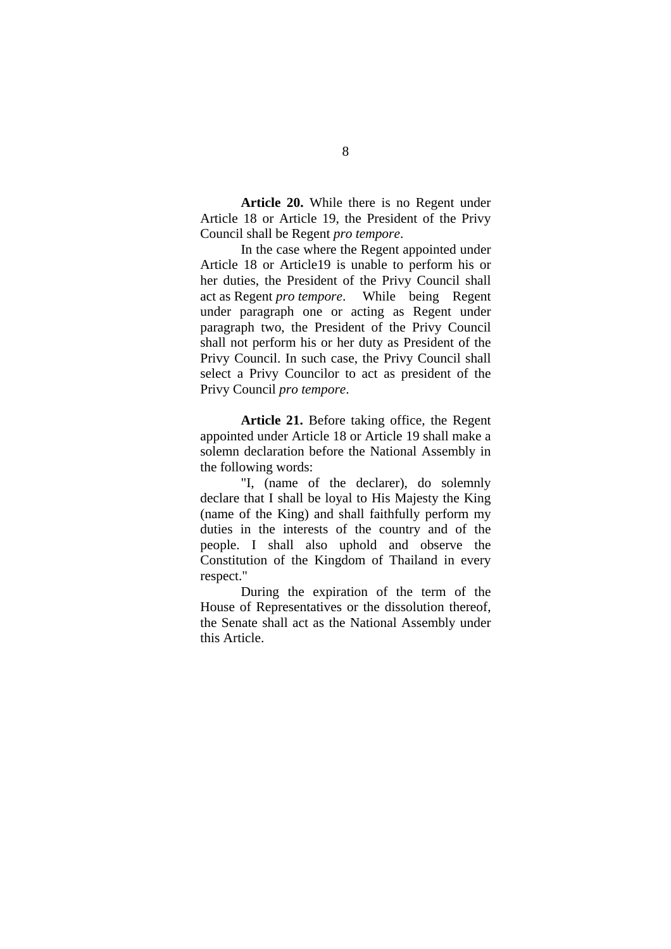**Article 20.** While there is no Regent under Article 18 or Article 19, the President of the Privy Council shall be Regent *pro tempore*.

In the case where the Regent appointed under Article 18 or Article19 is unable to perform his or her duties, the President of the Privy Council shall act as Regent *pro tempore*. While being Regent under paragraph one or acting as Regent under paragraph two, the President of the Privy Council shall not perform his or her duty as President of the Privy Council. In such case, the Privy Council shall select a Privy Councilor to act as president of the Privy Council *pro tempore*.

**Article 21.** Before taking office, the Regent appointed under Article 18 or Article 19 shall make a solemn declaration before the National Assembly in the following words:

"I, (name of the declarer), do solemnly declare that I shall be loyal to His Majesty the King (name of the King) and shall faithfully perform my duties in the interests of the country and of the people. I shall also uphold and observe the Constitution of the Kingdom of Thailand in every respect."

During the expiration of the term of the House of Representatives or the dissolution thereof, the Senate shall act as the National Assembly under this Article.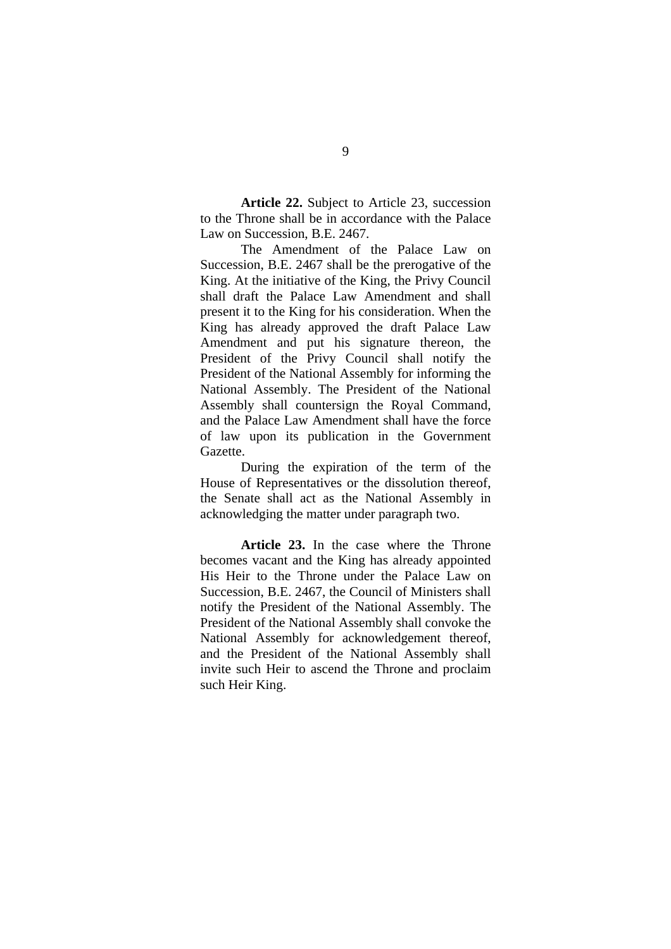**Article 22.** Subject to Article 23, succession to the Throne shall be in accordance with the Palace Law on Succession, B.E. 2467.

The Amendment of the Palace Law on Succession, B.E. 2467 shall be the prerogative of the King. At the initiative of the King, the Privy Council shall draft the Palace Law Amendment and shall present it to the King for his consideration. When the King has already approved the draft Palace Law Amendment and put his signature thereon, the President of the Privy Council shall notify the President of the National Assembly for informing the National Assembly. The President of the National Assembly shall countersign the Royal Command, and the Palace Law Amendment shall have the force of law upon its publication in the Government Gazette.

During the expiration of the term of the House of Representatives or the dissolution thereof, the Senate shall act as the National Assembly in acknowledging the matter under paragraph two.

**Article 23.** In the case where the Throne becomes vacant and the King has already appointed His Heir to the Throne under the Palace Law on Succession, B.E. 2467, the Council of Ministers shall notify the President of the National Assembly. The President of the National Assembly shall convoke the National Assembly for acknowledgement thereof, and the President of the National Assembly shall invite such Heir to ascend the Throne and proclaim such Heir King.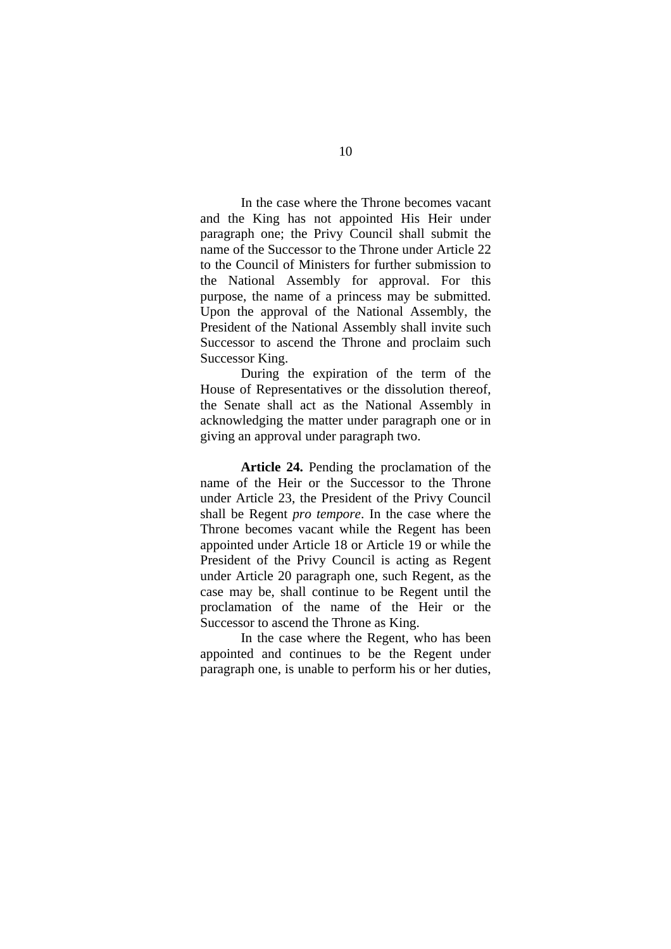In the case where the Throne becomes vacant and the King has not appointed His Heir under paragraph one; the Privy Council shall submit the name of the Successor to the Throne under Article 22 to the Council of Ministers for further submission to the National Assembly for approval. For this purpose, the name of a princess may be submitted. Upon the approval of the National Assembly, the President of the National Assembly shall invite such Successor to ascend the Throne and proclaim such Successor King.

During the expiration of the term of the House of Representatives or the dissolution thereof, the Senate shall act as the National Assembly in acknowledging the matter under paragraph one or in giving an approval under paragraph two.

**Article 24.** Pending the proclamation of the name of the Heir or the Successor to the Throne under Article 23, the President of the Privy Council shall be Regent *pro tempore*. In the case where the Throne becomes vacant while the Regent has been appointed under Article 18 or Article 19 or while the President of the Privy Council is acting as Regent under Article 20 paragraph one, such Regent, as the case may be, shall continue to be Regent until the proclamation of the name of the Heir or the Successor to ascend the Throne as King.

In the case where the Regent, who has been appointed and continues to be the Regent under paragraph one, is unable to perform his or her duties,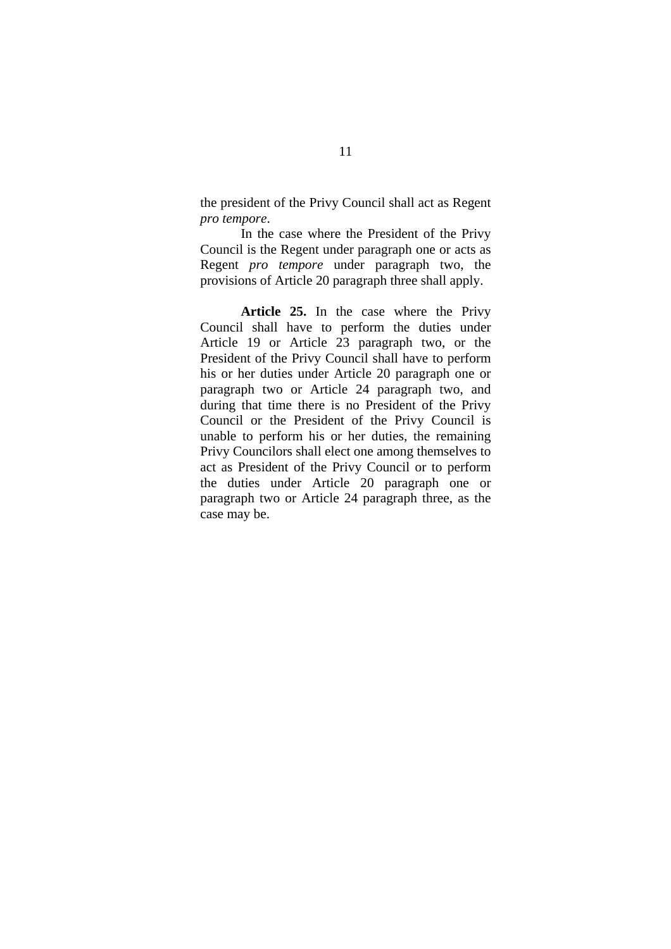the president of the Privy Council shall act as Regent *pro tempore*.

In the case where the President of the Privy Council is the Regent under paragraph one or acts as Regent *pro tempore* under paragraph two, the provisions of Article 20 paragraph three shall apply.

**Article 25.** In the case where the Privy Council shall have to perform the duties under Article 19 or Article 23 paragraph two, or the President of the Privy Council shall have to perform his or her duties under Article 20 paragraph one or paragraph two or Article 24 paragraph two, and during that time there is no President of the Privy Council or the President of the Privy Council is unable to perform his or her duties, the remaining Privy Councilors shall elect one among themselves to act as President of the Privy Council or to perform the duties under Article 20 paragraph one or paragraph two or Article 24 paragraph three, as the case may be.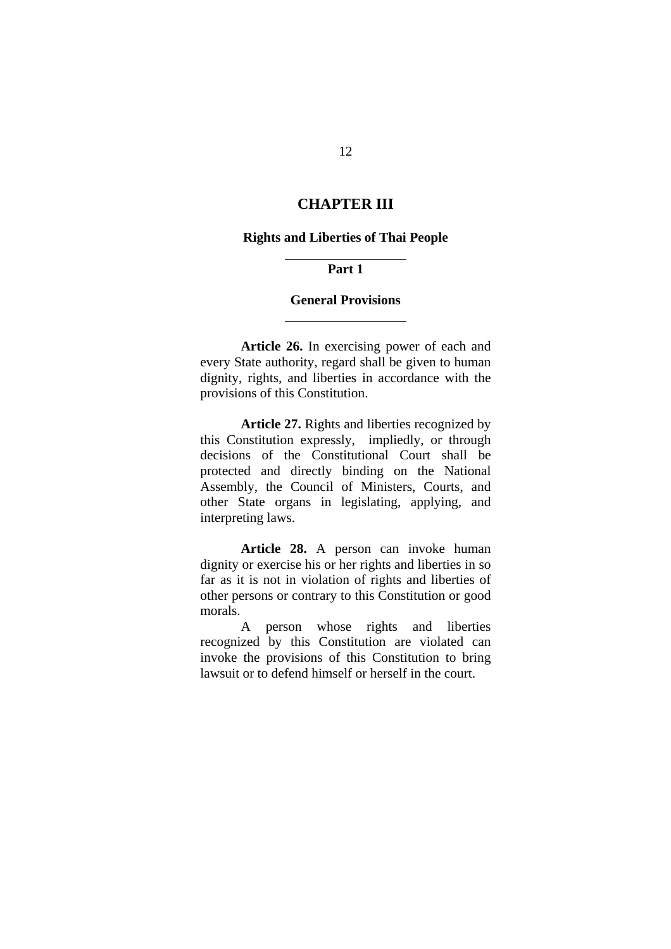## **CHAPTER III**

#### **Rights and Liberties of Thai People**

#### **Part 1**

 $\overline{a}$ 

l

#### **General Provisions**

**Article 26.** In exercising power of each and every State authority, regard shall be given to human dignity, rights, and liberties in accordance with the provisions of this Constitution.

**Article 27.** Rights and liberties recognized by this Constitution expressly, impliedly, or through decisions of the Constitutional Court shall be protected and directly binding on the National Assembly, the Council of Ministers, Courts, and other State organs in legislating, applying, and interpreting laws.

**Article 28.** A person can invoke human dignity or exercise his or her rights and liberties in so far as it is not in violation of rights and liberties of other persons or contrary to this Constitution or good morals.

A person whose rights and liberties recognized by this Constitution are violated can invoke the provisions of this Constitution to bring lawsuit or to defend himself or herself in the court.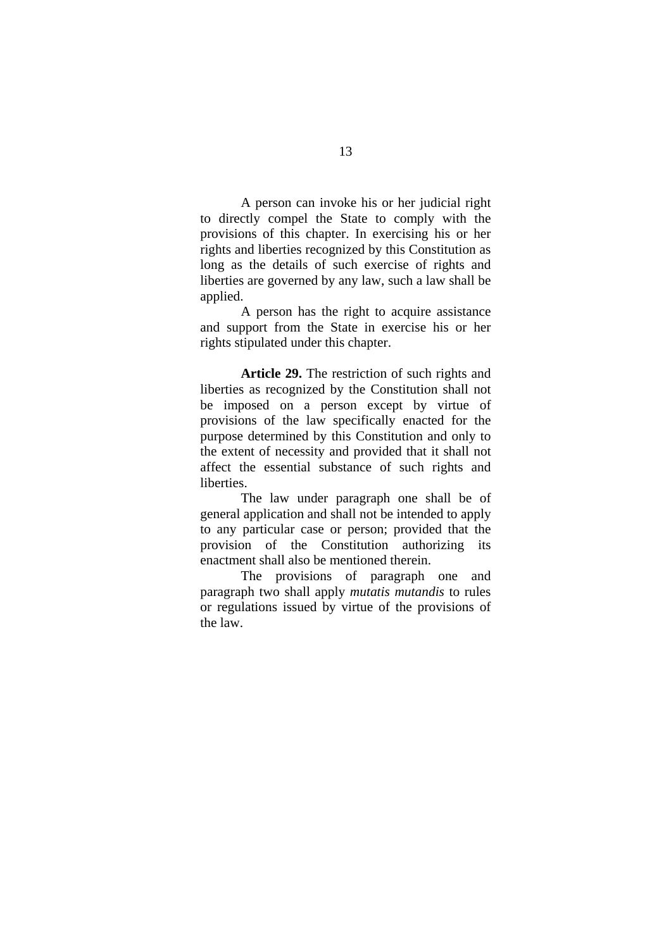A person can invoke his or her judicial right to directly compel the State to comply with the provisions of this chapter. In exercising his or her rights and liberties recognized by this Constitution as long as the details of such exercise of rights and liberties are governed by any law, such a law shall be applied.

A person has the right to acquire assistance and support from the State in exercise his or her rights stipulated under this chapter.

**Article 29.** The restriction of such rights and liberties as recognized by the Constitution shall not be imposed on a person except by virtue of provisions of the law specifically enacted for the purpose determined by this Constitution and only to the extent of necessity and provided that it shall not affect the essential substance of such rights and liberties.

The law under paragraph one shall be of general application and shall not be intended to apply to any particular case or person; provided that the provision of the Constitution authorizing its enactment shall also be mentioned therein.

The provisions of paragraph one and paragraph two shall apply *mutatis mutandis* to rules or regulations issued by virtue of the provisions of the law.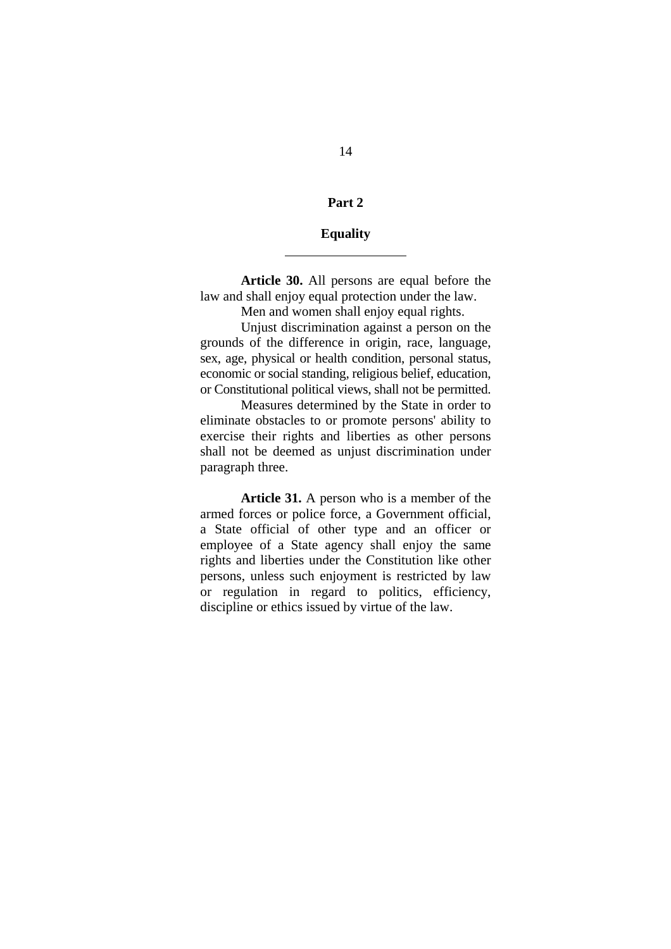#### **Part 2**

#### **Equality**

 $\overline{a}$ 

**Article 30.** All persons are equal before the law and shall enjoy equal protection under the law.

Men and women shall enjoy equal rights.

Unjust discrimination against a person on the grounds of the difference in origin, race, language, sex, age, physical or health condition, personal status, economic or social standing, religious belief, education, or Constitutional political views, shall not be permitted.

Measures determined by the State in order to eliminate obstacles to or promote persons' ability to exercise their rights and liberties as other persons shall not be deemed as unjust discrimination under paragraph three.

**Article 31.** A person who is a member of the armed forces or police force, a Government official, a State official of other type and an officer or employee of a State agency shall enjoy the same rights and liberties under the Constitution like other persons, unless such enjoyment is restricted by law or regulation in regard to politics, efficiency, discipline or ethics issued by virtue of the law.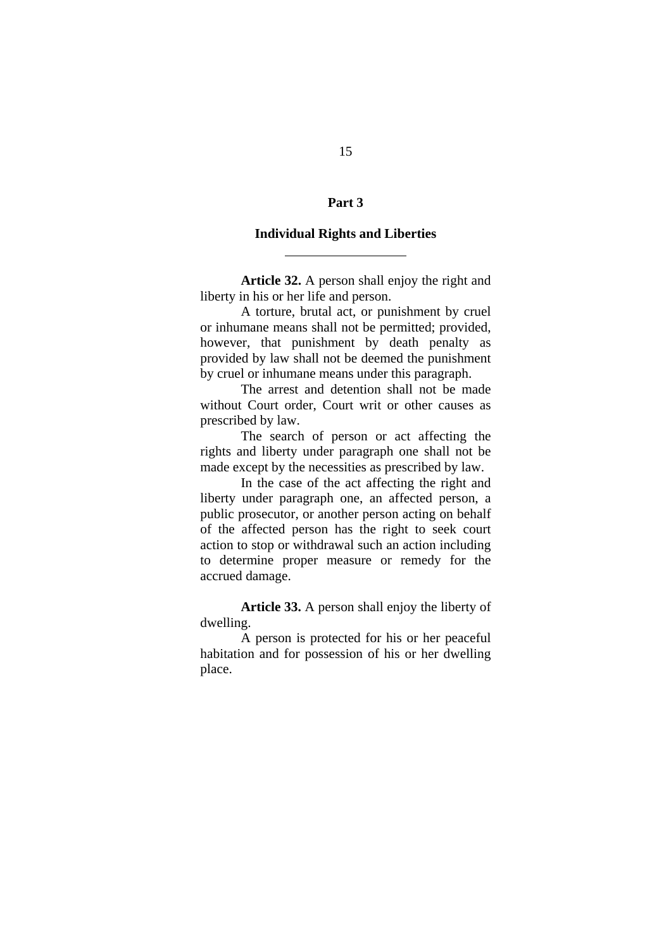#### **Part 3**

#### **Individual Rights and Liberties**

 $\overline{a}$ 

**Article 32.** A person shall enjoy the right and liberty in his or her life and person.

A torture, brutal act, or punishment by cruel or inhumane means shall not be permitted; provided, however, that punishment by death penalty as provided by law shall not be deemed the punishment by cruel or inhumane means under this paragraph.

The arrest and detention shall not be made without Court order, Court writ or other causes as prescribed by law.

The search of person or act affecting the rights and liberty under paragraph one shall not be made except by the necessities as prescribed by law.

In the case of the act affecting the right and liberty under paragraph one, an affected person, a public prosecutor, or another person acting on behalf of the affected person has the right to seek court action to stop or withdrawal such an action including to determine proper measure or remedy for the accrued damage.

**Article 33.** A person shall enjoy the liberty of dwelling.

A person is protected for his or her peaceful habitation and for possession of his or her dwelling place.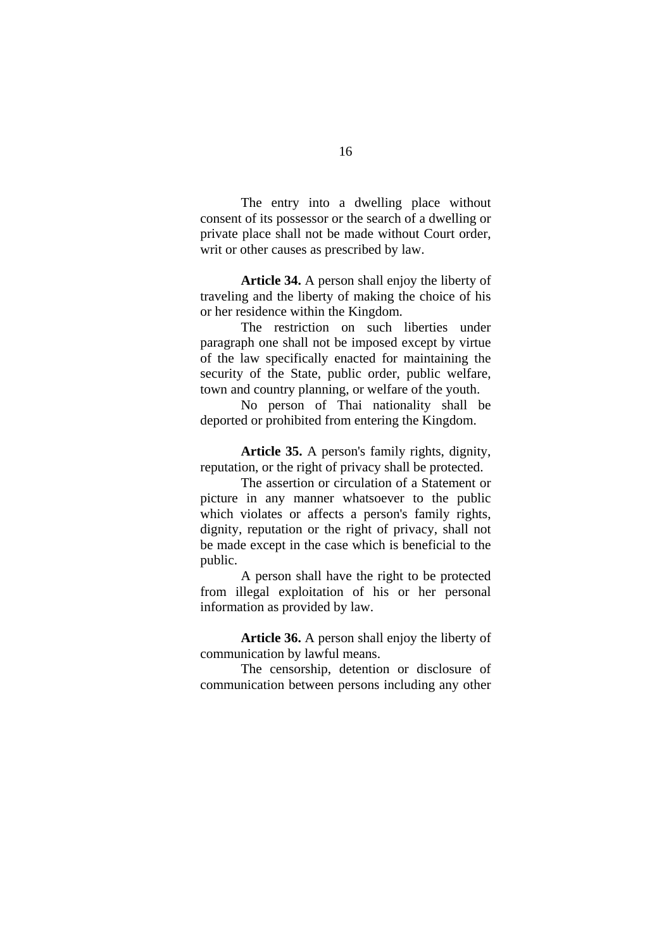The entry into a dwelling place without consent of its possessor or the search of a dwelling or private place shall not be made without Court order, writ or other causes as prescribed by law.

**Article 34.** A person shall enjoy the liberty of traveling and the liberty of making the choice of his or her residence within the Kingdom.

The restriction on such liberties under paragraph one shall not be imposed except by virtue of the law specifically enacted for maintaining the security of the State, public order, public welfare, town and country planning, or welfare of the youth.

No person of Thai nationality shall be deported or prohibited from entering the Kingdom.

**Article 35.** A person's family rights, dignity, reputation, or the right of privacy shall be protected.

The assertion or circulation of a Statement or picture in any manner whatsoever to the public which violates or affects a person's family rights, dignity, reputation or the right of privacy, shall not be made except in the case which is beneficial to the public.

A person shall have the right to be protected from illegal exploitation of his or her personal information as provided by law.

**Article 36.** A person shall enjoy the liberty of communication by lawful means.

The censorship, detention or disclosure of communication between persons including any other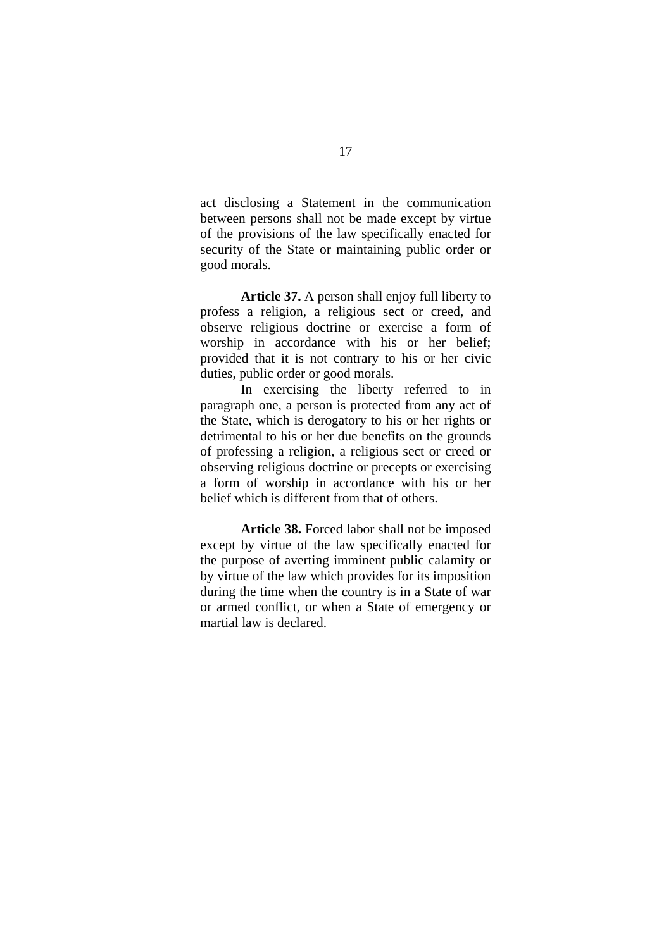act disclosing a Statement in the communication between persons shall not be made except by virtue of the provisions of the law specifically enacted for security of the State or maintaining public order or good morals.

**Article 37.** A person shall enjoy full liberty to profess a religion, a religious sect or creed, and observe religious doctrine or exercise a form of worship in accordance with his or her belief; provided that it is not contrary to his or her civic duties, public order or good morals.

In exercising the liberty referred to in paragraph one, a person is protected from any act of the State, which is derogatory to his or her rights or detrimental to his or her due benefits on the grounds of professing a religion, a religious sect or creed or observing religious doctrine or precepts or exercising a form of worship in accordance with his or her belief which is different from that of others.

**Article 38.** Forced labor shall not be imposed except by virtue of the law specifically enacted for the purpose of averting imminent public calamity or by virtue of the law which provides for its imposition during the time when the country is in a State of war or armed conflict, or when a State of emergency or martial law is declared.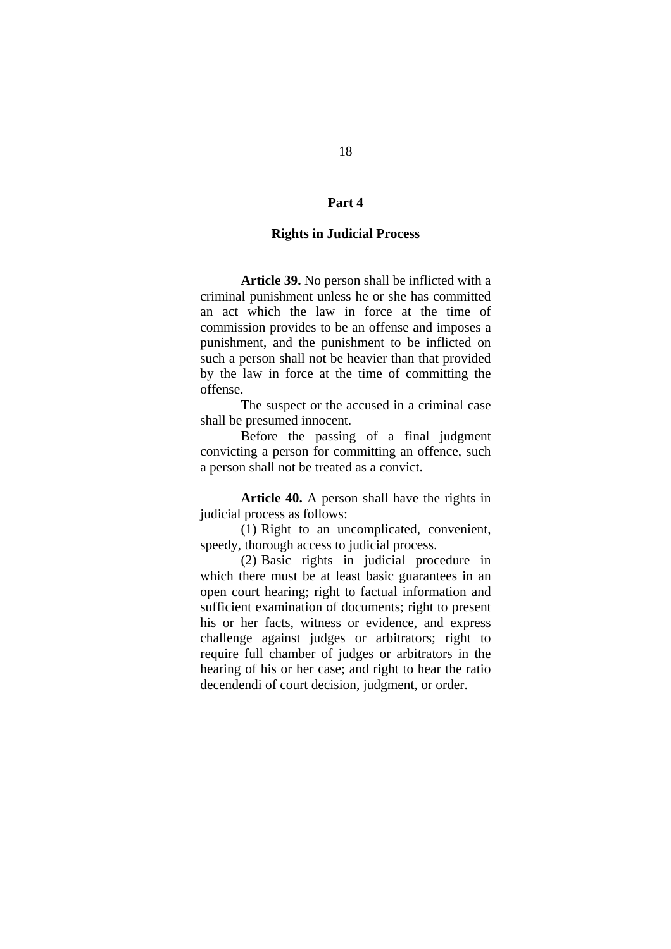#### **Part 4**

#### **Rights in Judicial Process**

 $\overline{a}$ 

**Article 39.** No person shall be inflicted with a criminal punishment unless he or she has committed an act which the law in force at the time of commission provides to be an offense and imposes a punishment, and the punishment to be inflicted on such a person shall not be heavier than that provided by the law in force at the time of committing the offense.

The suspect or the accused in a criminal case shall be presumed innocent.

Before the passing of a final judgment convicting a person for committing an offence, such a person shall not be treated as a convict.

**Article 40.** A person shall have the rights in judicial process as follows:

(1) Right to an uncomplicated, convenient, speedy, thorough access to judicial process.

(2) Basic rights in judicial procedure in which there must be at least basic guarantees in an open court hearing; right to factual information and sufficient examination of documents; right to present his or her facts, witness or evidence, and express challenge against judges or arbitrators; right to require full chamber of judges or arbitrators in the hearing of his or her case; and right to hear the ratio decendendi of court decision, judgment, or order.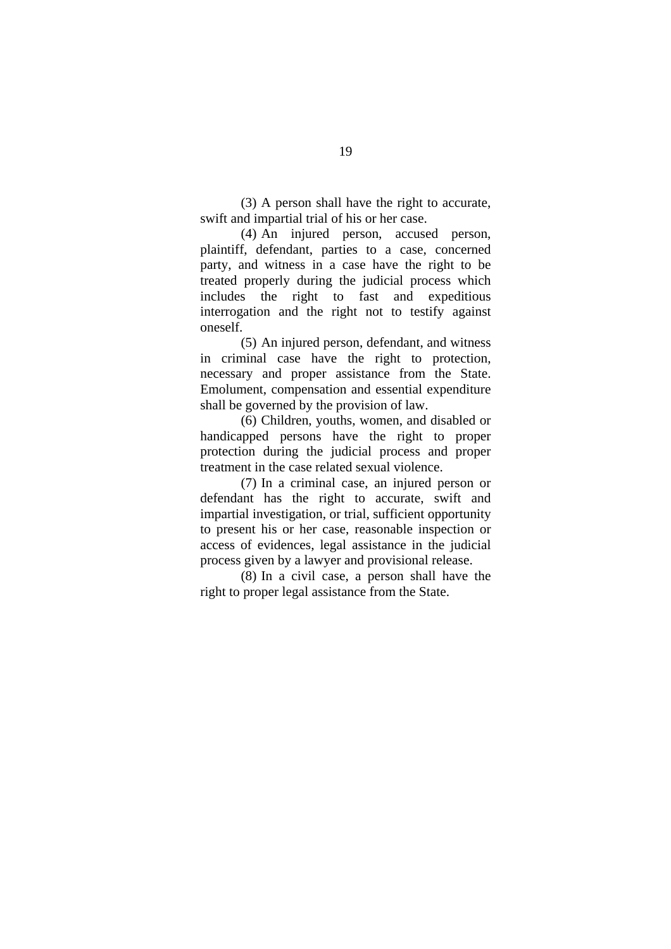(3) A person shall have the right to accurate, swift and impartial trial of his or her case.

(4) An injured person, accused person, plaintiff, defendant, parties to a case, concerned party, and witness in a case have the right to be treated properly during the judicial process which includes the right to fast and expeditious interrogation and the right not to testify against oneself.

(5) An injured person, defendant, and witness in criminal case have the right to protection, necessary and proper assistance from the State. Emolument, compensation and essential expenditure shall be governed by the provision of law.

(6) Children, youths, women, and disabled or handicapped persons have the right to proper protection during the judicial process and proper treatment in the case related sexual violence.

(7) In a criminal case, an injured person or defendant has the right to accurate, swift and impartial investigation, or trial, sufficient opportunity to present his or her case, reasonable inspection or access of evidences, legal assistance in the judicial process given by a lawyer and provisional release.

(8) In a civil case, a person shall have the right to proper legal assistance from the State.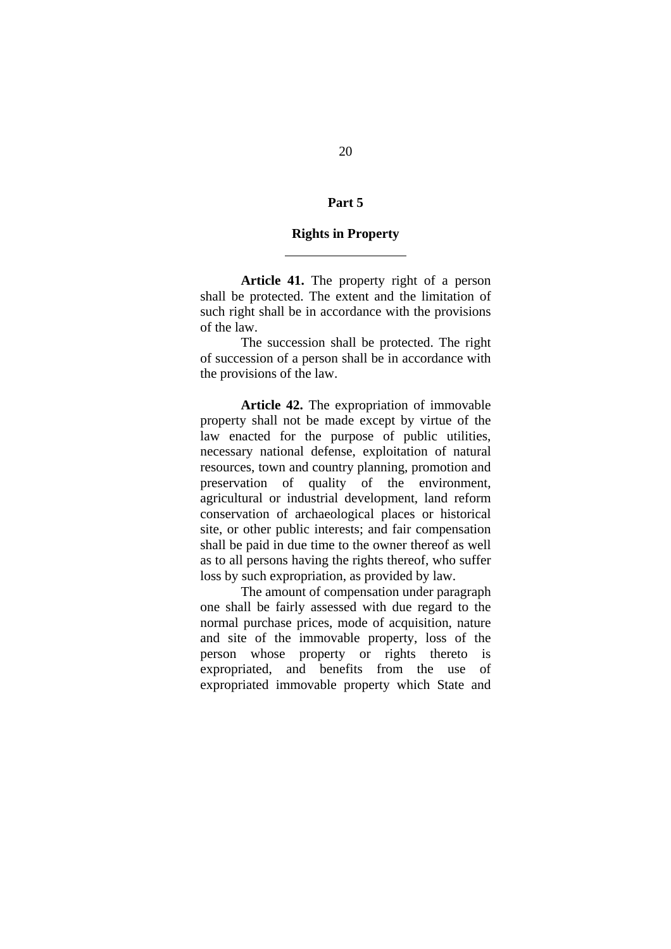#### **Part 5**

#### **Rights in Property**

 $\overline{a}$ 

**Article 41.** The property right of a person shall be protected. The extent and the limitation of such right shall be in accordance with the provisions of the law.

The succession shall be protected. The right of succession of a person shall be in accordance with the provisions of the law.

**Article 42.** The expropriation of immovable property shall not be made except by virtue of the law enacted for the purpose of public utilities, necessary national defense, exploitation of natural resources, town and country planning, promotion and preservation of quality of the environment, agricultural or industrial development, land reform conservation of archaeological places or historical site, or other public interests; and fair compensation shall be paid in due time to the owner thereof as well as to all persons having the rights thereof, who suffer loss by such expropriation, as provided by law.

The amount of compensation under paragraph one shall be fairly assessed with due regard to the normal purchase prices, mode of acquisition, nature and site of the immovable property, loss of the person whose property or rights thereto is expropriated, and benefits from the use of expropriated immovable property which State and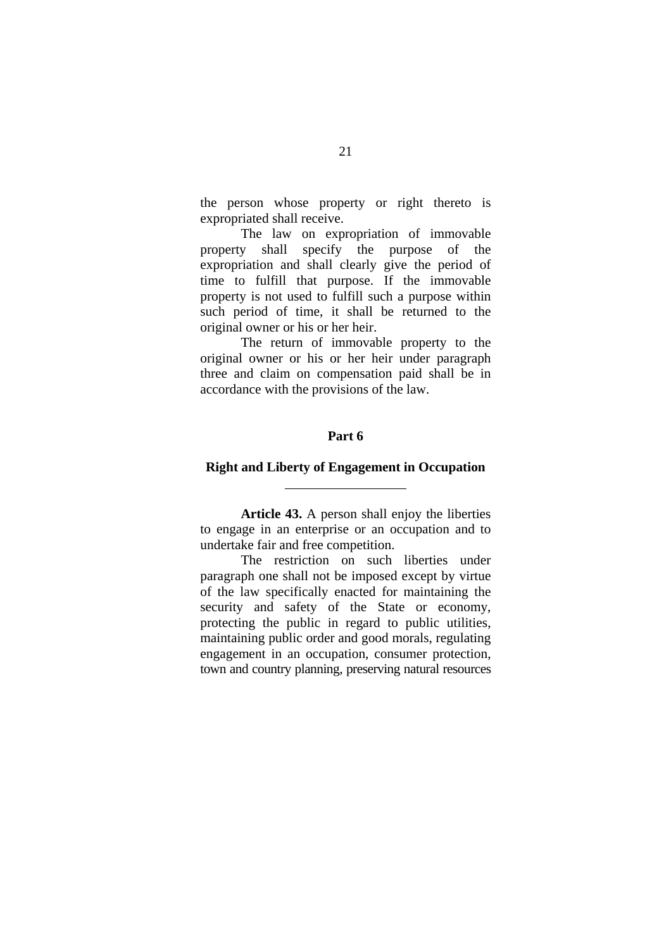the person whose property or right thereto is expropriated shall receive.

The law on expropriation of immovable property shall specify the purpose of the expropriation and shall clearly give the period of time to fulfill that purpose. If the immovable property is not used to fulfill such a purpose within such period of time, it shall be returned to the original owner or his or her heir.

The return of immovable property to the original owner or his or her heir under paragraph three and claim on compensation paid shall be in accordance with the provisions of the law.

#### **Part 6**

#### **Right and Liberty of Engagement in Occupation**

 $\overline{a}$ 

**Article 43.** A person shall enjoy the liberties to engage in an enterprise or an occupation and to undertake fair and free competition.

The restriction on such liberties under paragraph one shall not be imposed except by virtue of the law specifically enacted for maintaining the security and safety of the State or economy, protecting the public in regard to public utilities, maintaining public order and good morals, regulating engagement in an occupation, consumer protection, town and country planning, preserving natural resources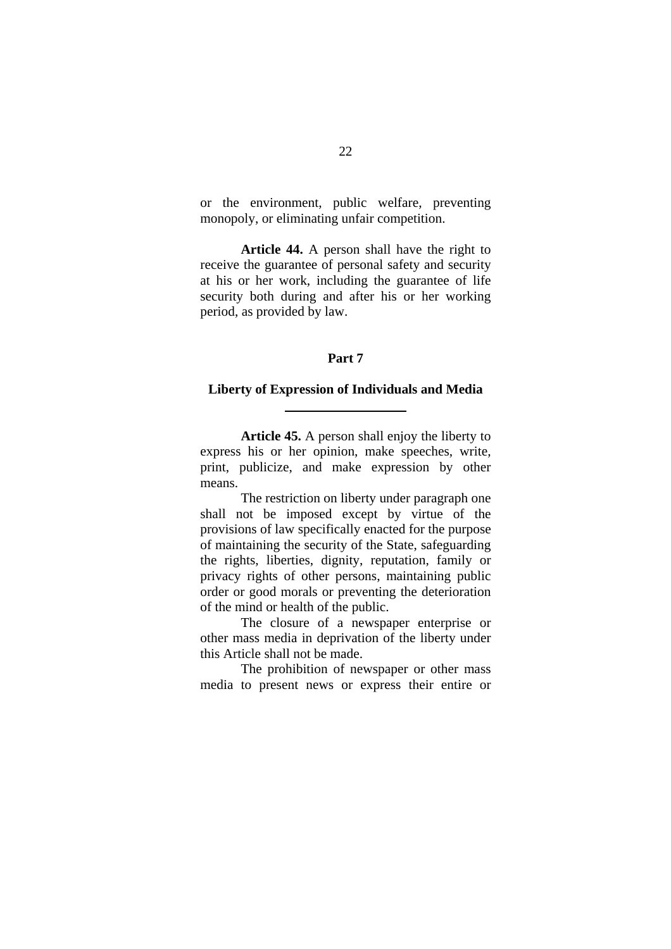or the environment, public welfare, preventing monopoly, or eliminating unfair competition.

**Article 44.** A person shall have the right to receive the guarantee of personal safety and security at his or her work, including the guarantee of life security both during and after his or her working period, as provided by law.

## **Part 7**

#### **Liberty of Expression of Individuals and Media**

 $\overline{a}$ 

**Article 45.** A person shall enjoy the liberty to express his or her opinion, make speeches, write, print, publicize, and make expression by other means.

The restriction on liberty under paragraph one shall not be imposed except by virtue of the provisions of law specifically enacted for the purpose of maintaining the security of the State, safeguarding the rights, liberties, dignity, reputation, family or privacy rights of other persons, maintaining public order or good morals or preventing the deterioration of the mind or health of the public.

The closure of a newspaper enterprise or other mass media in deprivation of the liberty under this Article shall not be made.

The prohibition of newspaper or other mass media to present news or express their entire or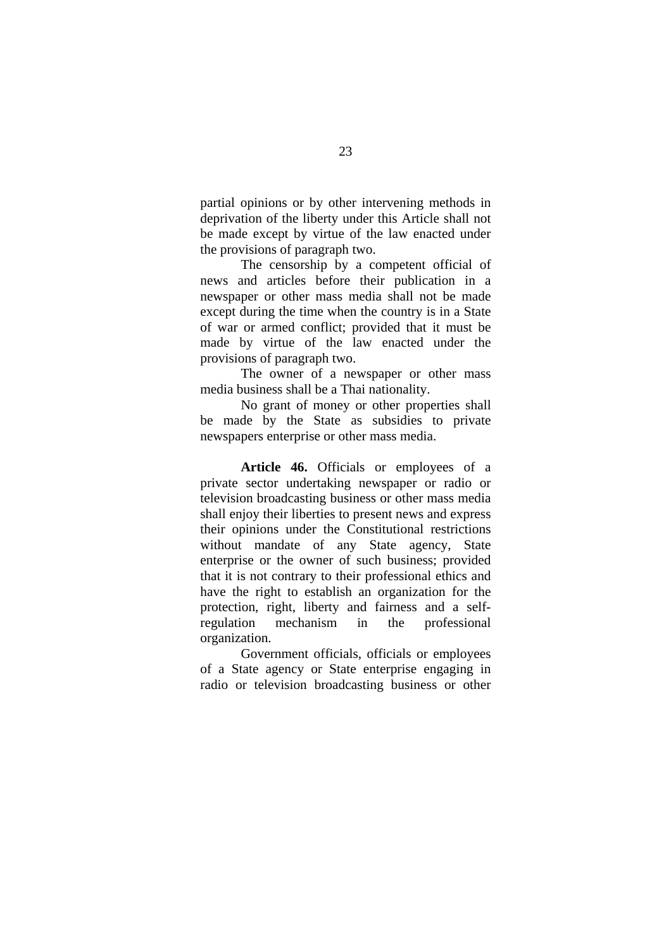partial opinions or by other intervening methods in deprivation of the liberty under this Article shall not be made except by virtue of the law enacted under the provisions of paragraph two.

The censorship by a competent official of news and articles before their publication in a newspaper or other mass media shall not be made except during the time when the country is in a State of war or armed conflict; provided that it must be made by virtue of the law enacted under the provisions of paragraph two.

The owner of a newspaper or other mass media business shall be a Thai nationality.

No grant of money or other properties shall be made by the State as subsidies to private newspapers enterprise or other mass media.

**Article 46.** Officials or employees of a private sector undertaking newspaper or radio or television broadcasting business or other mass media shall enjoy their liberties to present news and express their opinions under the Constitutional restrictions without mandate of any State agency, State enterprise or the owner of such business; provided that it is not contrary to their professional ethics and have the right to establish an organization for the protection, right, liberty and fairness and a selfregulation mechanism in the professional organization.

Government officials, officials or employees of a State agency or State enterprise engaging in radio or television broadcasting business or other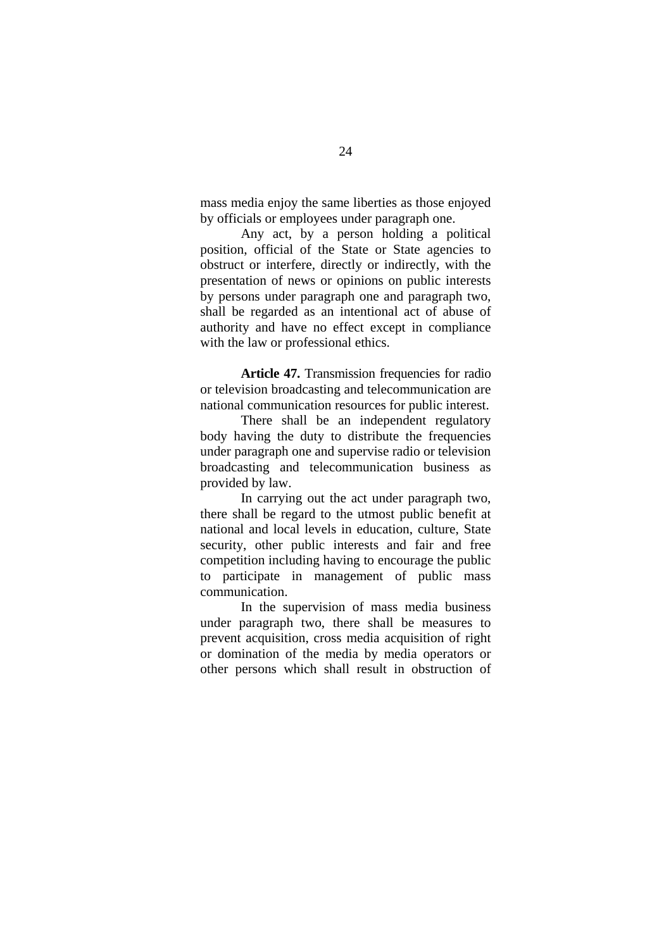mass media enjoy the same liberties as those enjoyed by officials or employees under paragraph one.

Any act, by a person holding a political position, official of the State or State agencies to obstruct or interfere, directly or indirectly, with the presentation of news or opinions on public interests by persons under paragraph one and paragraph two, shall be regarded as an intentional act of abuse of authority and have no effect except in compliance with the law or professional ethics.

**Article 47.** Transmission frequencies for radio or television broadcasting and telecommunication are national communication resources for public interest.

There shall be an independent regulatory body having the duty to distribute the frequencies under paragraph one and supervise radio or television broadcasting and telecommunication business as provided by law.

In carrying out the act under paragraph two, there shall be regard to the utmost public benefit at national and local levels in education, culture, State security, other public interests and fair and free competition including having to encourage the public to participate in management of public mass communication.

In the supervision of mass media business under paragraph two, there shall be measures to prevent acquisition, cross media acquisition of right or domination of the media by media operators or other persons which shall result in obstruction of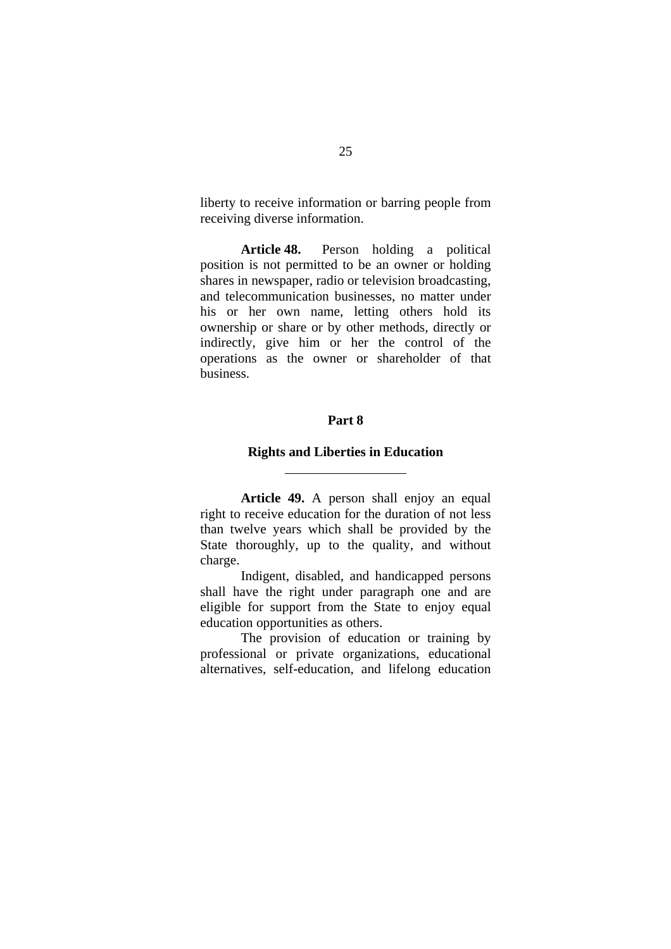liberty to receive information or barring people from receiving diverse information.

**Article 48.** Person holding a political position is not permitted to be an owner or holding shares in newspaper, radio or television broadcasting, and telecommunication businesses, no matter under his or her own name, letting others hold its ownership or share or by other methods, directly or indirectly, give him or her the control of the operations as the owner or shareholder of that business.

#### **Part 8**

#### **Rights and Liberties in Education**

 $\overline{a}$ 

**Article 49.** A person shall enjoy an equal right to receive education for the duration of not less than twelve years which shall be provided by the State thoroughly, up to the quality, and without charge.

Indigent, disabled, and handicapped persons shall have the right under paragraph one and are eligible for support from the State to enjoy equal education opportunities as others.

The provision of education or training by professional or private organizations, educational alternatives, self-education, and lifelong education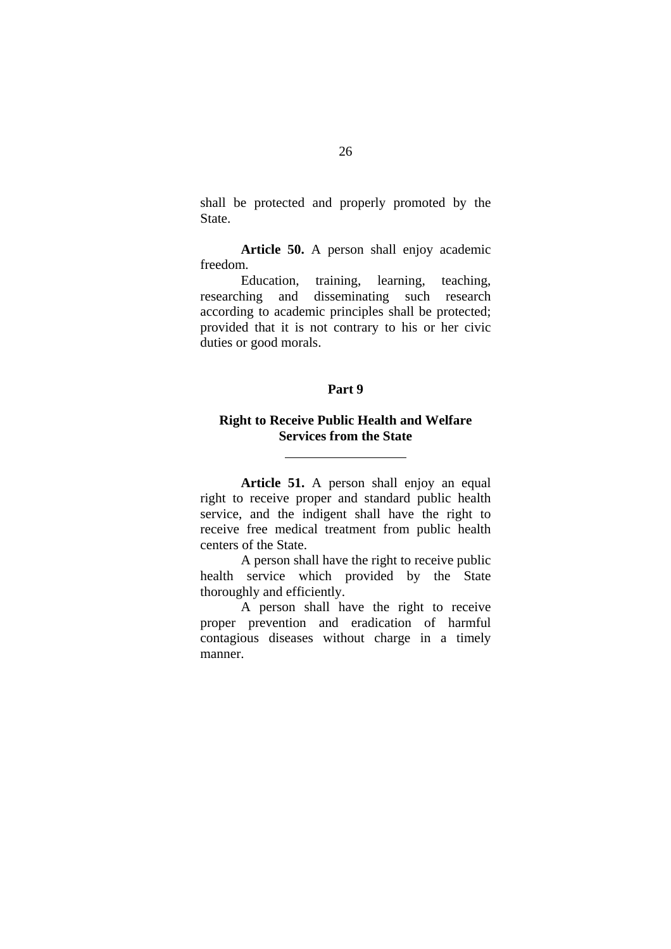shall be protected and properly promoted by the State.

**Article 50.** A person shall enjoy academic freedom.

Education, training, learning, teaching, researching and disseminating such research according to academic principles shall be protected; provided that it is not contrary to his or her civic duties or good morals.

## **Part 9**

## **Right to Receive Public Health and Welfare Services from the State**

l

**Article 51.** A person shall enjoy an equal right to receive proper and standard public health service, and the indigent shall have the right to receive free medical treatment from public health centers of the State.

A person shall have the right to receive public health service which provided by the State thoroughly and efficiently.

A person shall have the right to receive proper prevention and eradication of harmful contagious diseases without charge in a timely manner.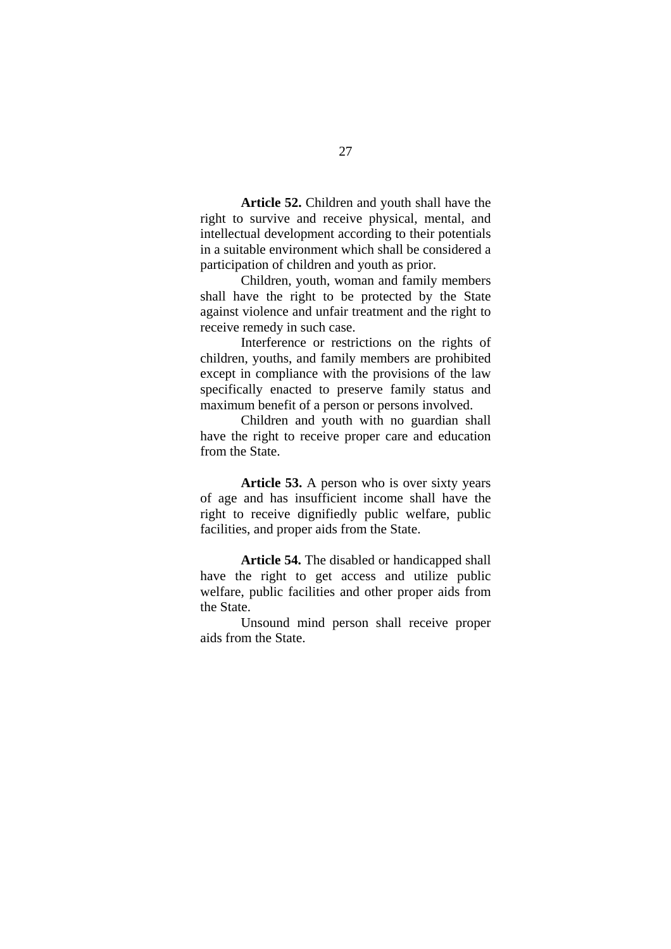**Article 52.** Children and youth shall have the right to survive and receive physical, mental, and intellectual development according to their potentials in a suitable environment which shall be considered a participation of children and youth as prior.

Children, youth, woman and family members shall have the right to be protected by the State against violence and unfair treatment and the right to receive remedy in such case.

Interference or restrictions on the rights of children, youths, and family members are prohibited except in compliance with the provisions of the law specifically enacted to preserve family status and maximum benefit of a person or persons involved.

Children and youth with no guardian shall have the right to receive proper care and education from the State.

**Article 53.** A person who is over sixty years of age and has insufficient income shall have the right to receive dignifiedly public welfare, public facilities, and proper aids from the State.

**Article 54.** The disabled or handicapped shall have the right to get access and utilize public welfare, public facilities and other proper aids from the State.

Unsound mind person shall receive proper aids from the State.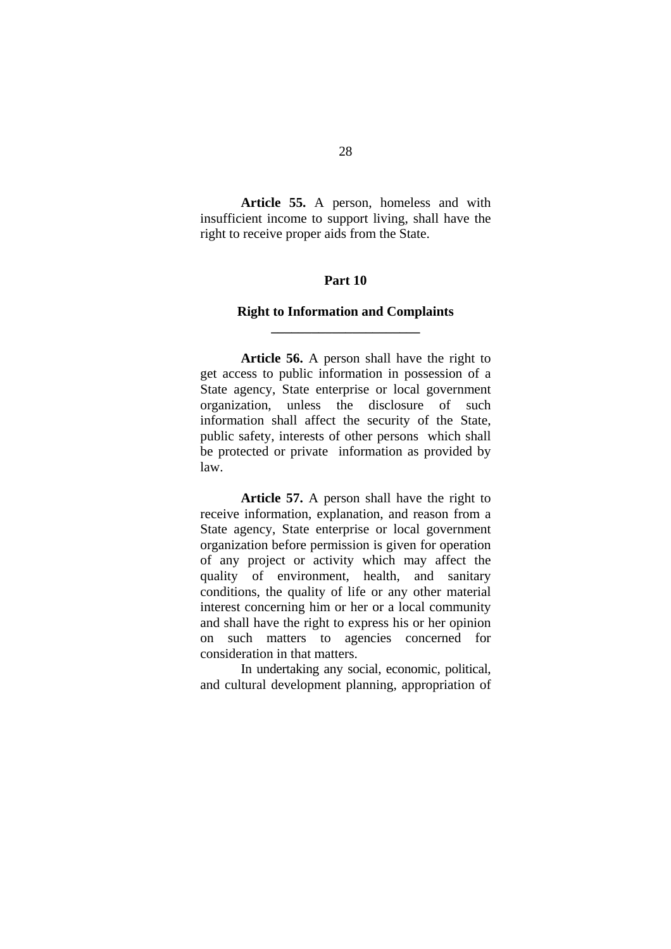**Article 55.** A person, homeless and with insufficient income to support living, shall have the right to receive proper aids from the State.

## **Part 10**

## **Right to Information and Complaints \_\_\_\_\_\_\_\_\_\_\_\_\_\_\_\_\_\_\_\_\_\_**

**Article 56.** A person shall have the right to get access to public information in possession of a State agency, State enterprise or local government organization, unless the disclosure of such information shall affect the security of the State, public safety, interests of other persons which shall be protected or private information as provided by law.

**Article 57.** A person shall have the right to receive information, explanation, and reason from a State agency, State enterprise or local government organization before permission is given for operation of any project or activity which may affect the quality of environment, health, and sanitary conditions, the quality of life or any other material interest concerning him or her or a local community and shall have the right to express his or her opinion on such matters to agencies concerned for consideration in that matters.

In undertaking any social, economic, political, and cultural development planning, appropriation of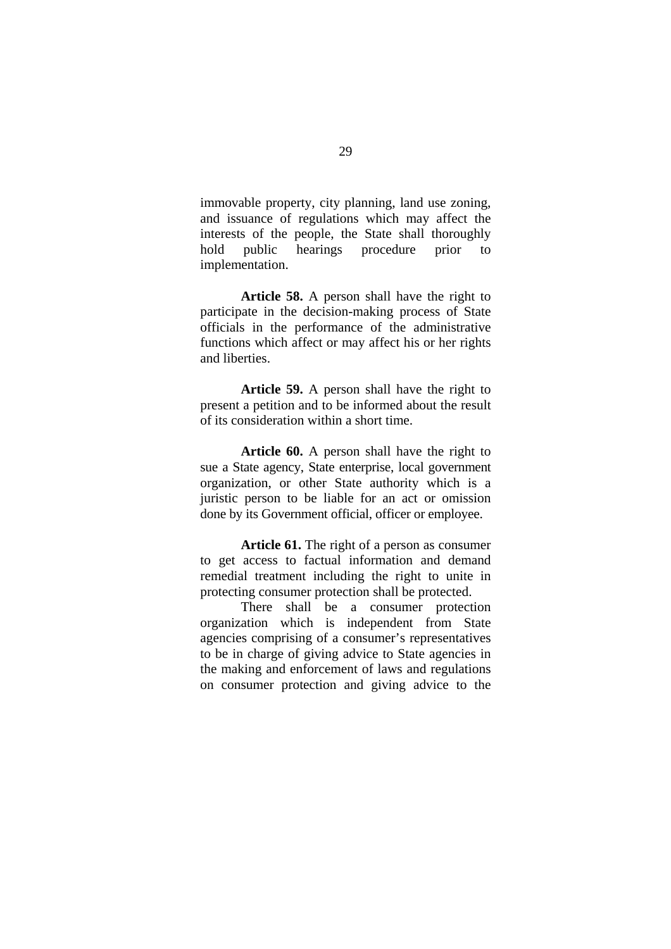immovable property, city planning, land use zoning, and issuance of regulations which may affect the interests of the people, the State shall thoroughly hold public hearings procedure prior to implementation.

**Article 58.** A person shall have the right to participate in the decision-making process of State officials in the performance of the administrative functions which affect or may affect his or her rights and liberties.

**Article 59.** A person shall have the right to present a petition and to be informed about the result of its consideration within a short time.

**Article 60.** A person shall have the right to sue a State agency, State enterprise, local government organization, or other State authority which is a juristic person to be liable for an act or omission done by its Government official, officer or employee.

**Article 61.** The right of a person as consumer to get access to factual information and demand remedial treatment including the right to unite in protecting consumer protection shall be protected.

There shall be a consumer protection organization which is independent from State agencies comprising of a consumer's representatives to be in charge of giving advice to State agencies in the making and enforcement of laws and regulations on consumer protection and giving advice to the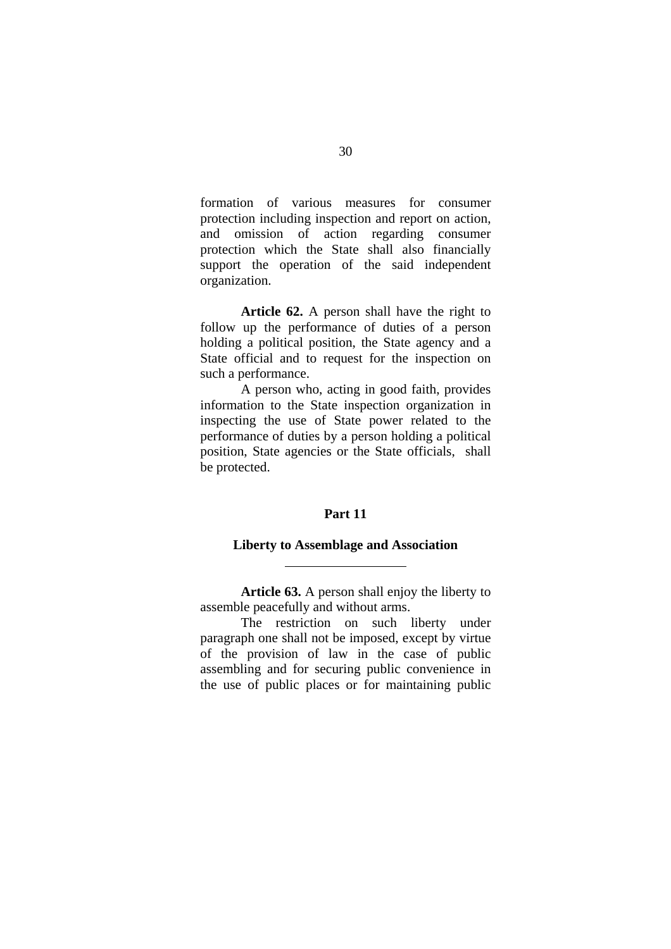formation of various measures for consumer protection including inspection and report on action, and omission of action regarding consumer protection which the State shall also financially support the operation of the said independent organization.

**Article 62.** A person shall have the right to follow up the performance of duties of a person holding a political position, the State agency and a State official and to request for the inspection on such a performance.

A person who, acting in good faith, provides information to the State inspection organization in inspecting the use of State power related to the performance of duties by a person holding a political position, State agencies or the State officials, shall be protected.

## **Part 11**

#### **Liberty to Assemblage and Association**

 $\overline{a}$ 

**Article 63.** A person shall enjoy the liberty to assemble peacefully and without arms.

The restriction on such liberty under paragraph one shall not be imposed, except by virtue of the provision of law in the case of public assembling and for securing public convenience in the use of public places or for maintaining public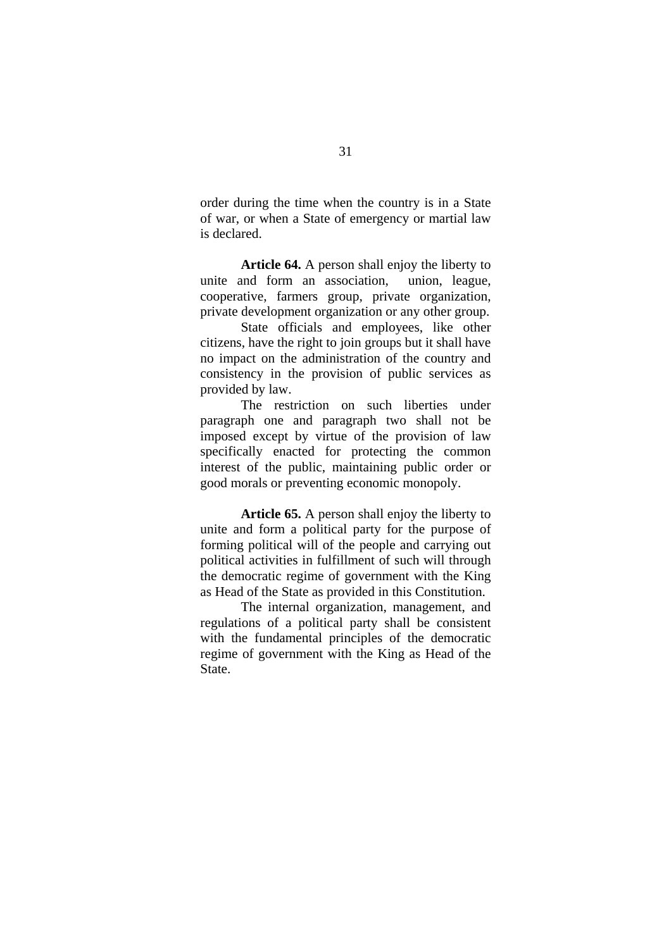order during the time when the country is in a State of war, or when a State of emergency or martial law is declared.

**Article 64.** A person shall enjoy the liberty to unite and form an association, union, league, cooperative, farmers group, private organization, private development organization or any other group.

State officials and employees, like other citizens, have the right to join groups but it shall have no impact on the administration of the country and consistency in the provision of public services as provided by law.

The restriction on such liberties under paragraph one and paragraph two shall not be imposed except by virtue of the provision of law specifically enacted for protecting the common interest of the public, maintaining public order or good morals or preventing economic monopoly.

**Article 65.** A person shall enjoy the liberty to unite and form a political party for the purpose of forming political will of the people and carrying out political activities in fulfillment of such will through the democratic regime of government with the King as Head of the State as provided in this Constitution.

The internal organization, management, and regulations of a political party shall be consistent with the fundamental principles of the democratic regime of government with the King as Head of the State.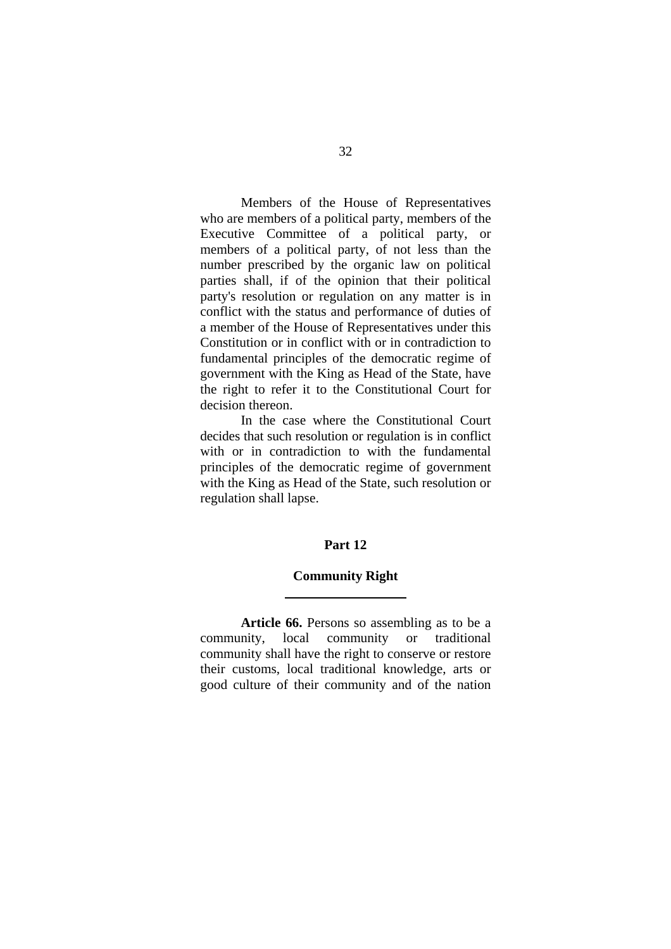Members of the House of Representatives who are members of a political party, members of the Executive Committee of a political party, or members of a political party, of not less than the number prescribed by the organic law on political parties shall, if of the opinion that their political party's resolution or regulation on any matter is in conflict with the status and performance of duties of a member of the House of Representatives under this Constitution or in conflict with or in contradiction to fundamental principles of the democratic regime of government with the King as Head of the State, have the right to refer it to the Constitutional Court for decision thereon.

In the case where the Constitutional Court decides that such resolution or regulation is in conflict with or in contradiction to with the fundamental principles of the democratic regime of government with the King as Head of the State, such resolution or regulation shall lapse.

#### **Part 12**

#### **Community Right**

l

**Article 66.** Persons so assembling as to be a community, local community or traditional community shall have the right to conserve or restore their customs, local traditional knowledge, arts or good culture of their community and of the nation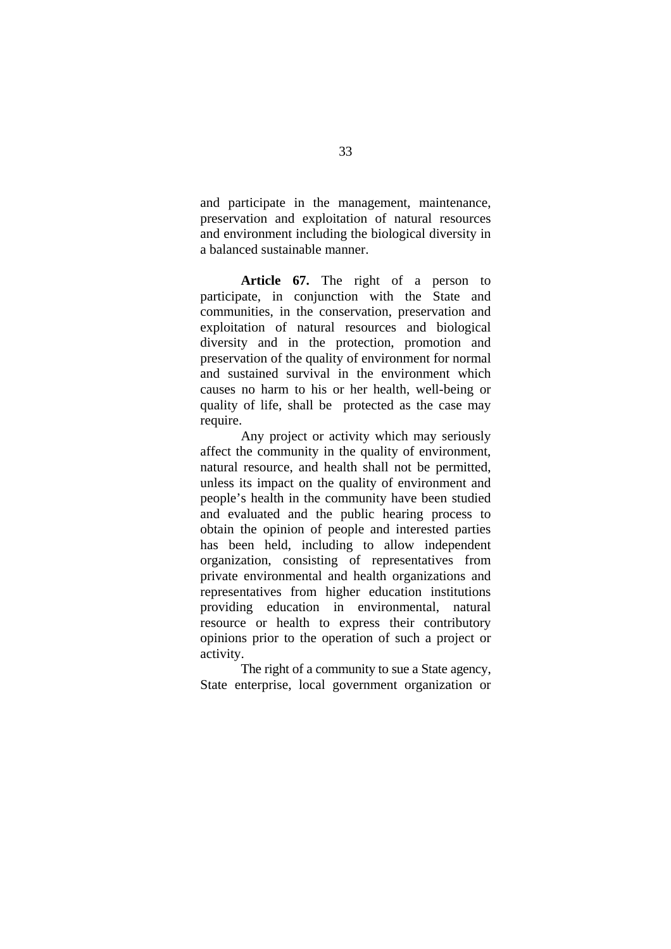and participate in the management, maintenance, preservation and exploitation of natural resources and environment including the biological diversity in a balanced sustainable manner.

**Article 67.** The right of a person to participate, in conjunction with the State and communities, in the conservation, preservation and exploitation of natural resources and biological diversity and in the protection, promotion and preservation of the quality of environment for normal and sustained survival in the environment which causes no harm to his or her health, well-being or quality of life, shall be protected as the case may require.

Any project or activity which may seriously affect the community in the quality of environment, natural resource, and health shall not be permitted, unless its impact on the quality of environment and people's health in the community have been studied and evaluated and the public hearing process to obtain the opinion of people and interested parties has been held, including to allow independent organization, consisting of representatives from private environmental and health organizations and representatives from higher education institutions providing education in environmental, natural resource or health to express their contributory opinions prior to the operation of such a project or activity.

The right of a community to sue a State agency, State enterprise, local government organization or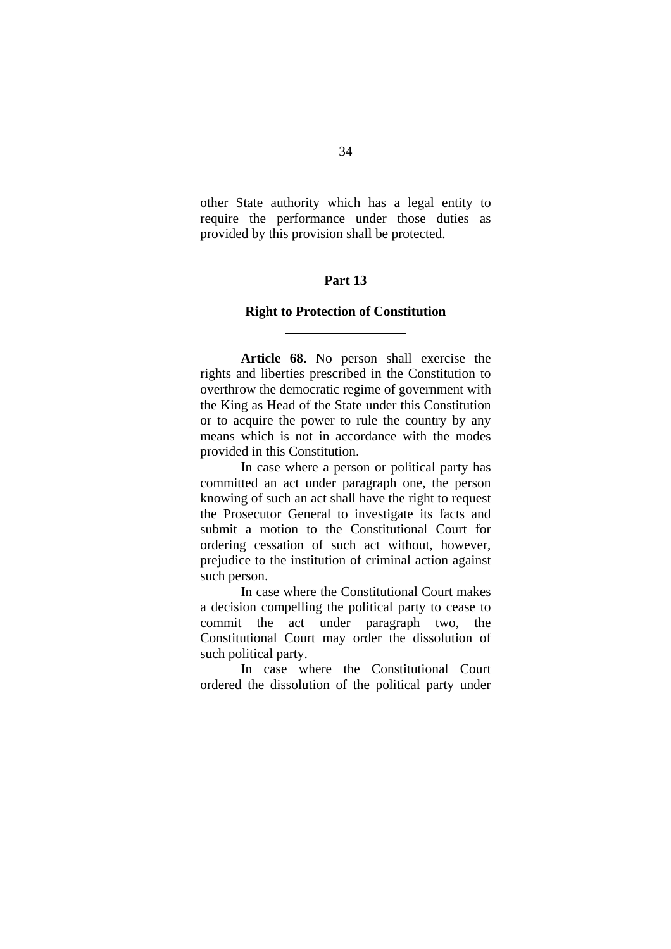other State authority which has a legal entity to require the performance under those duties as provided by this provision shall be protected.

# **Part 13**

#### **Right to Protection of Constitution**

 $\overline{a}$ 

**Article 68.** No person shall exercise the rights and liberties prescribed in the Constitution to overthrow the democratic regime of government with the King as Head of the State under this Constitution or to acquire the power to rule the country by any means which is not in accordance with the modes provided in this Constitution.

In case where a person or political party has committed an act under paragraph one, the person knowing of such an act shall have the right to request the Prosecutor General to investigate its facts and submit a motion to the Constitutional Court for ordering cessation of such act without, however, prejudice to the institution of criminal action against such person.

In case where the Constitutional Court makes a decision compelling the political party to cease to commit the act under paragraph two, the Constitutional Court may order the dissolution of such political party.

In case where the Constitutional Court ordered the dissolution of the political party under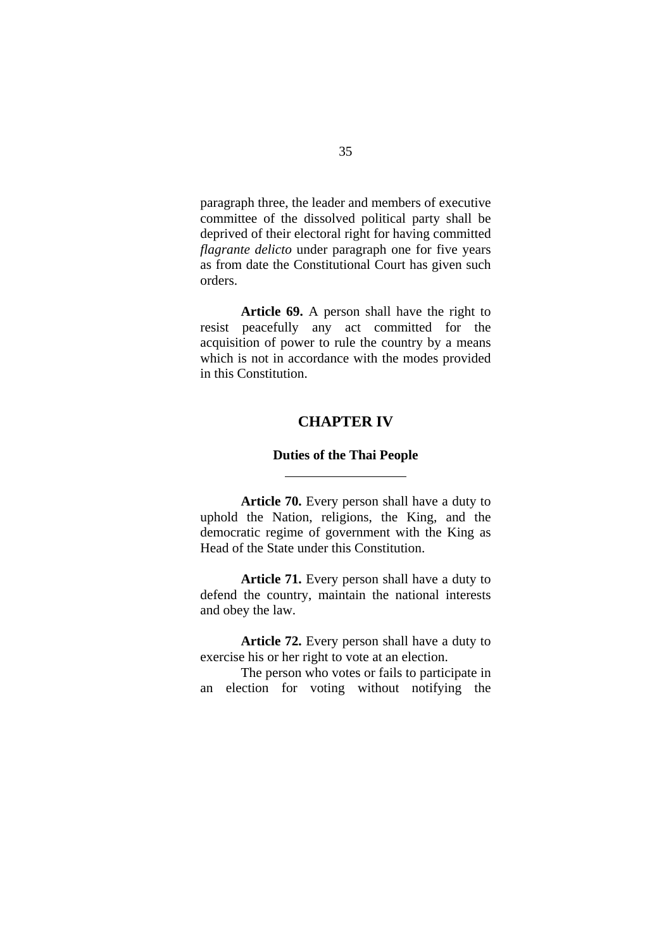paragraph three, the leader and members of executive committee of the dissolved political party shall be deprived of their electoral right for having committed *flagrante delicto* under paragraph one for five years as from date the Constitutional Court has given such orders.

**Article 69.** A person shall have the right to resist peacefully any act committed for the acquisition of power to rule the country by a means which is not in accordance with the modes provided in this Constitution.

## **CHAPTER IV**

#### **Duties of the Thai People**

 $\overline{a}$ 

**Article 70.** Every person shall have a duty to uphold the Nation, religions, the King, and the democratic regime of government with the King as Head of the State under this Constitution.

**Article 71.** Every person shall have a duty to defend the country, maintain the national interests and obey the law.

**Article 72.** Every person shall have a duty to exercise his or her right to vote at an election.

The person who votes or fails to participate in an election for voting without notifying the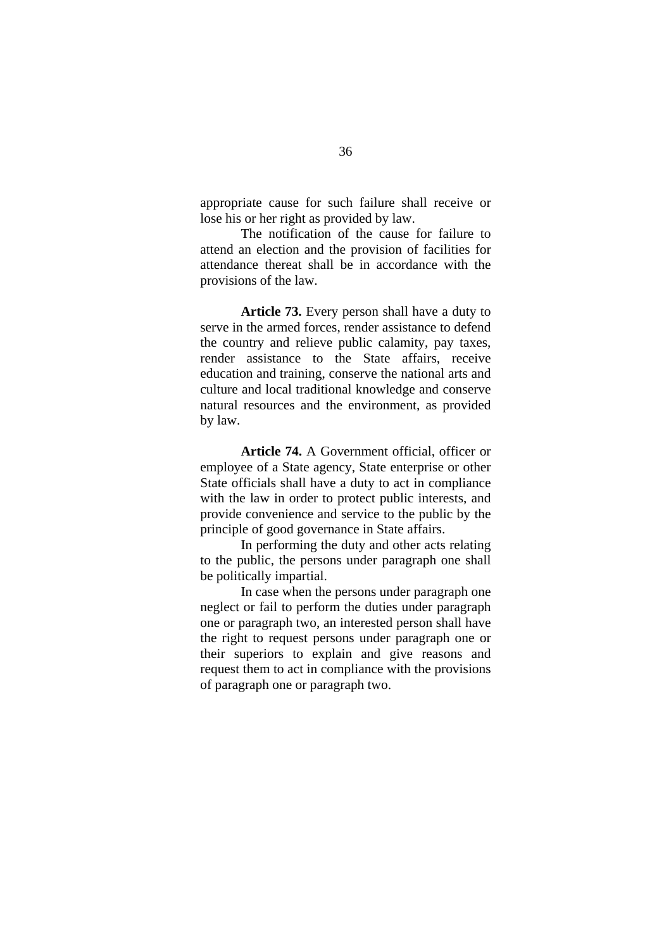appropriate cause for such failure shall receive or lose his or her right as provided by law.

The notification of the cause for failure to attend an election and the provision of facilities for attendance thereat shall be in accordance with the provisions of the law.

**Article 73.** Every person shall have a duty to serve in the armed forces, render assistance to defend the country and relieve public calamity, pay taxes, render assistance to the State affairs, receive education and training, conserve the national arts and culture and local traditional knowledge and conserve natural resources and the environment, as provided by law.

**Article 74.** A Government official, officer or employee of a State agency, State enterprise or other State officials shall have a duty to act in compliance with the law in order to protect public interests, and provide convenience and service to the public by the principle of good governance in State affairs.

In performing the duty and other acts relating to the public, the persons under paragraph one shall be politically impartial.

In case when the persons under paragraph one neglect or fail to perform the duties under paragraph one or paragraph two, an interested person shall have the right to request persons under paragraph one or their superiors to explain and give reasons and request them to act in compliance with the provisions of paragraph one or paragraph two.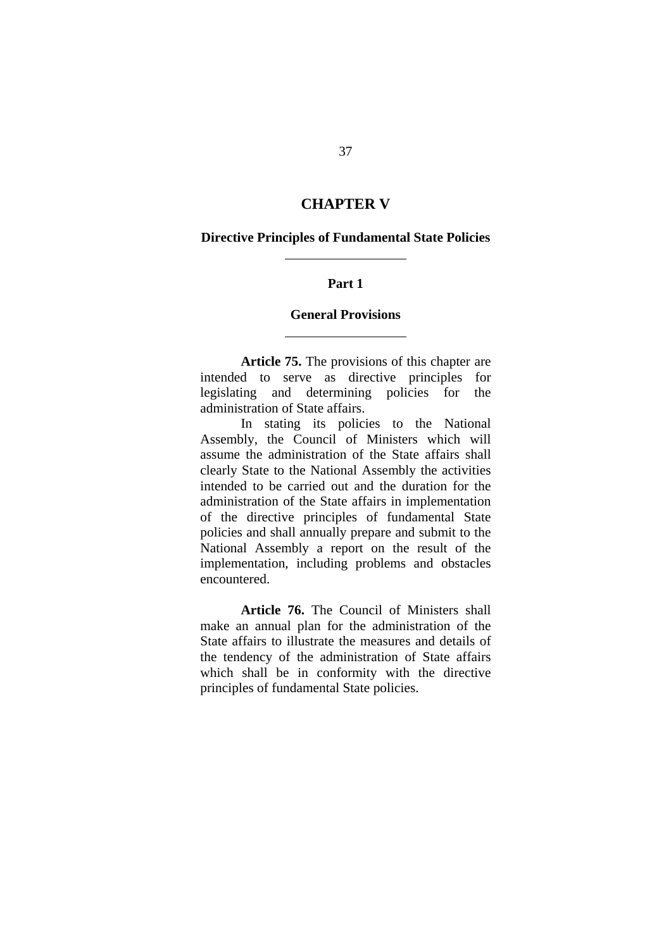# **CHAPTER V**

#### **Directive Principles of Fundamental State Policies**

l

l

### **Part 1**

### **General Provisions**

**Article 75.** The provisions of this chapter are intended to serve as directive principles for legislating and determining policies for the administration of State affairs.

In stating its policies to the National Assembly, the Council of Ministers which will assume the administration of the State affairs shall clearly State to the National Assembly the activities intended to be carried out and the duration for the administration of the State affairs in implementation of the directive principles of fundamental State policies and shall annually prepare and submit to the National Assembly a report on the result of the implementation, including problems and obstacles encountered.

**Article 76.** The Council of Ministers shall make an annual plan for the administration of the State affairs to illustrate the measures and details of the tendency of the administration of State affairs which shall be in conformity with the directive principles of fundamental State policies.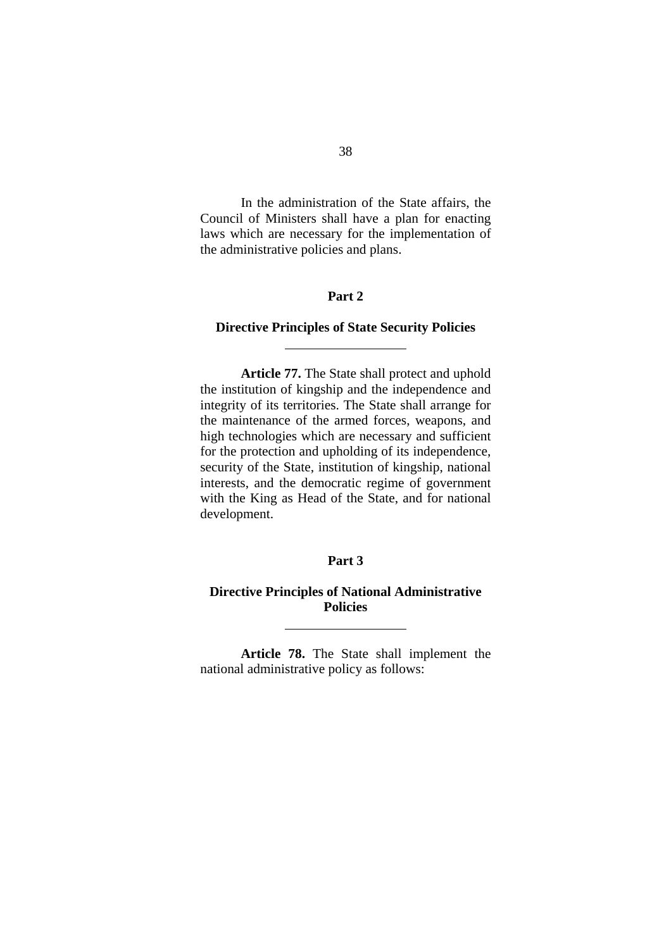In the administration of the State affairs, the Council of Ministers shall have a plan for enacting laws which are necessary for the implementation of the administrative policies and plans.

# **Part 2**

## **Directive Principles of State Security Policies**

l

 $\overline{a}$ 

**Article 77.** The State shall protect and uphold the institution of kingship and the independence and integrity of its territories. The State shall arrange for the maintenance of the armed forces, weapons, and high technologies which are necessary and sufficient for the protection and upholding of its independence, security of the State, institution of kingship, national interests, and the democratic regime of government with the King as Head of the State, and for national development.

# **Part 3**

# **Directive Principles of National Administrative Policies**

**Article 78.** The State shall implement the national administrative policy as follows: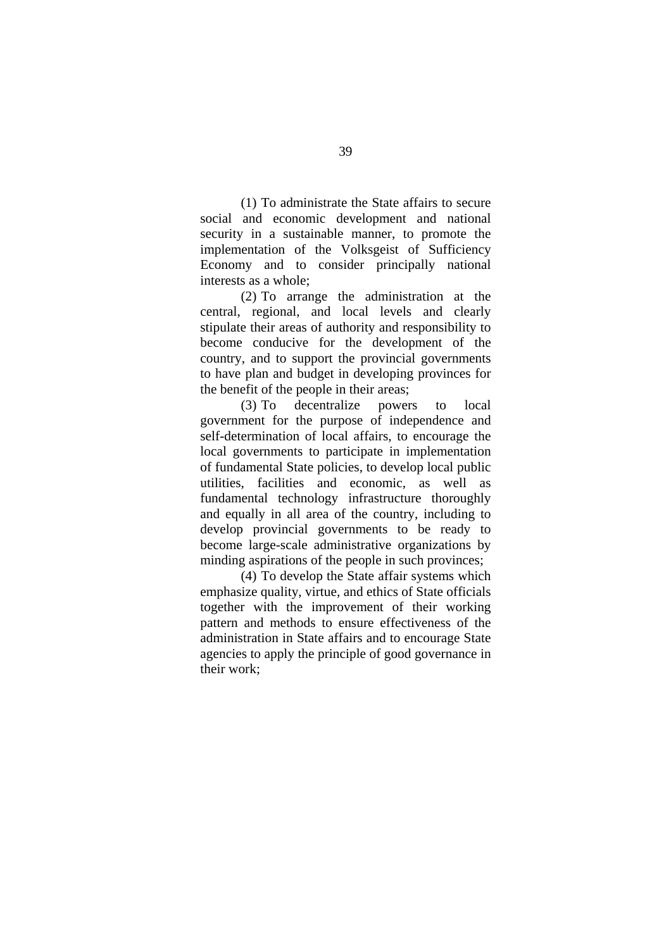(1) To administrate the State affairs to secure social and economic development and national security in a sustainable manner, to promote the implementation of the Volksgeist of Sufficiency Economy and to consider principally national interests as a whole;

(2) To arrange the administration at the central, regional, and local levels and clearly stipulate their areas of authority and responsibility to become conducive for the development of the country, and to support the provincial governments to have plan and budget in developing provinces for the benefit of the people in their areas;

(3) To decentralize powers to local government for the purpose of independence and self-determination of local affairs, to encourage the local governments to participate in implementation of fundamental State policies, to develop local public utilities, facilities and economic, as well as fundamental technology infrastructure thoroughly and equally in all area of the country, including to develop provincial governments to be ready to become large-scale administrative organizations by minding aspirations of the people in such provinces;

(4) To develop the State affair systems which emphasize quality, virtue, and ethics of State officials together with the improvement of their working pattern and methods to ensure effectiveness of the administration in State affairs and to encourage State agencies to apply the principle of good governance in their work;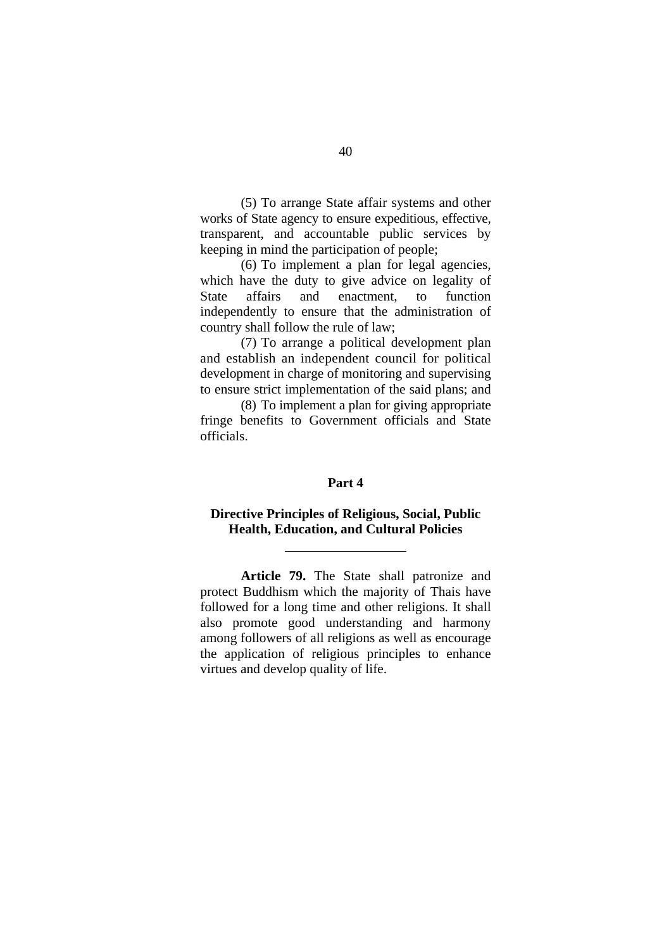(5) To arrange State affair systems and other works of State agency to ensure expeditious, effective, transparent, and accountable public services by keeping in mind the participation of people;

(6) To implement a plan for legal agencies, which have the duty to give advice on legality of State affairs and enactment, to function independently to ensure that the administration of country shall follow the rule of law;

(7) To arrange a political development plan and establish an independent council for political development in charge of monitoring and supervising to ensure strict implementation of the said plans; and

(8) To implement a plan for giving appropriate fringe benefits to Government officials and State officials.

## **Part 4**

# **Directive Principles of Religious, Social, Public Health, Education, and Cultural Policies**

l

**Article 79.** The State shall patronize and protect Buddhism which the majority of Thais have followed for a long time and other religions. It shall also promote good understanding and harmony among followers of all religions as well as encourage the application of religious principles to enhance virtues and develop quality of life.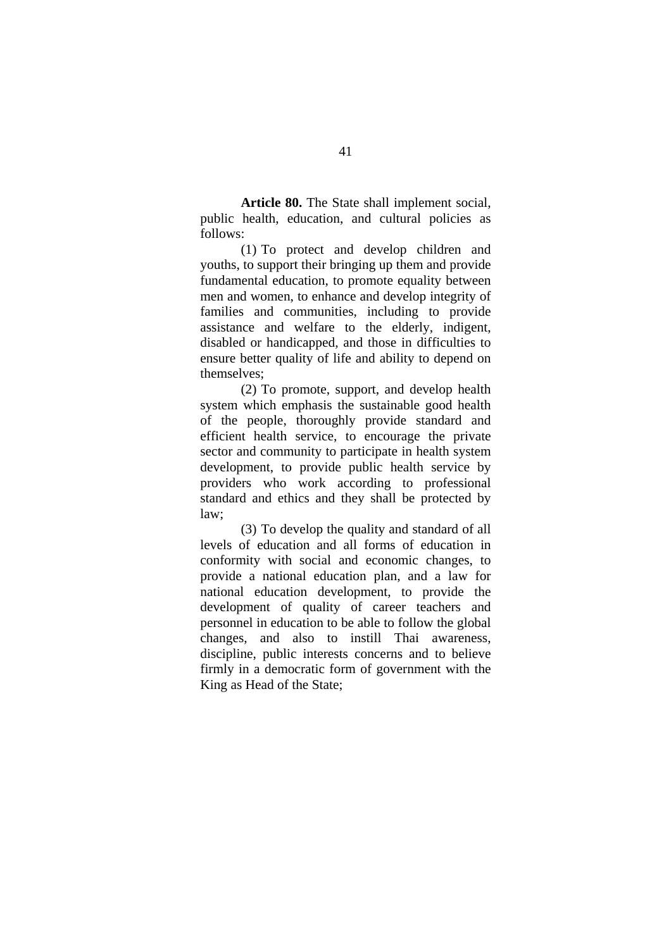**Article 80.** The State shall implement social, public health, education, and cultural policies as follows:

(1) To protect and develop children and youths, to support their bringing up them and provide fundamental education, to promote equality between men and women, to enhance and develop integrity of families and communities, including to provide assistance and welfare to the elderly, indigent, disabled or handicapped, and those in difficulties to ensure better quality of life and ability to depend on themselves;

(2) To promote, support, and develop health system which emphasis the sustainable good health of the people, thoroughly provide standard and efficient health service, to encourage the private sector and community to participate in health system development, to provide public health service by providers who work according to professional standard and ethics and they shall be protected by  $law<sup>2</sup>$ 

(3) To develop the quality and standard of all levels of education and all forms of education in conformity with social and economic changes, to provide a national education plan, and a law for national education development, to provide the development of quality of career teachers and personnel in education to be able to follow the global changes, and also to instill Thai awareness, discipline, public interests concerns and to believe firmly in a democratic form of government with the King as Head of the State;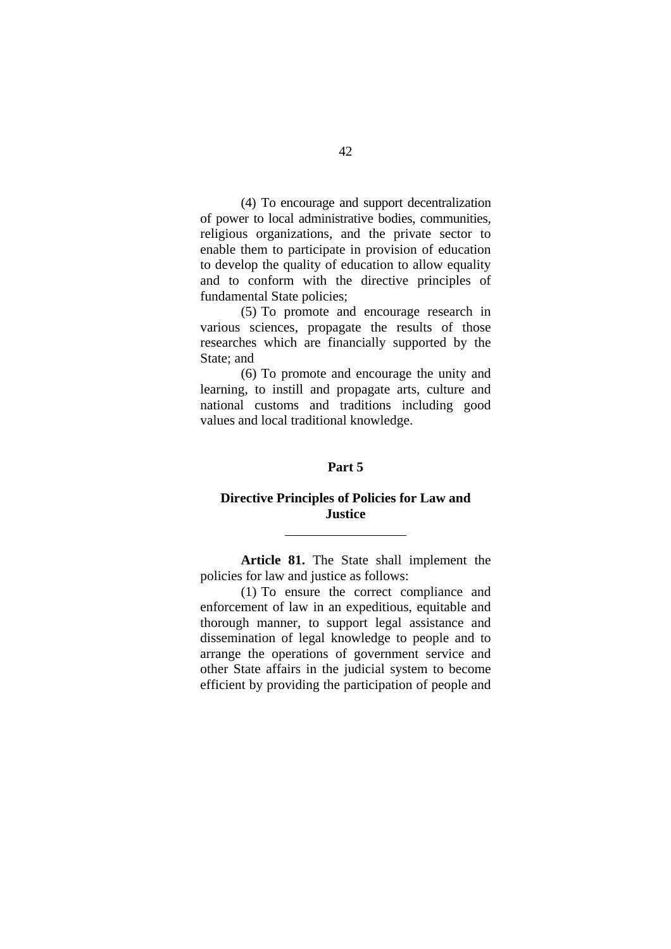(4) To encourage and support decentralization of power to local administrative bodies, communities, religious organizations, and the private sector to enable them to participate in provision of education to develop the quality of education to allow equality and to conform with the directive principles of fundamental State policies;

(5) To promote and encourage research in various sciences, propagate the results of those researches which are financially supported by the State; and

(6) To promote and encourage the unity and learning, to instill and propagate arts, culture and national customs and traditions including good values and local traditional knowledge.

## **Part 5**

# **Directive Principles of Policies for Law and Justice**

l

**Article 81.** The State shall implement the policies for law and justice as follows:

(1) To ensure the correct compliance and enforcement of law in an expeditious, equitable and thorough manner, to support legal assistance and dissemination of legal knowledge to people and to arrange the operations of government service and other State affairs in the judicial system to become efficient by providing the participation of people and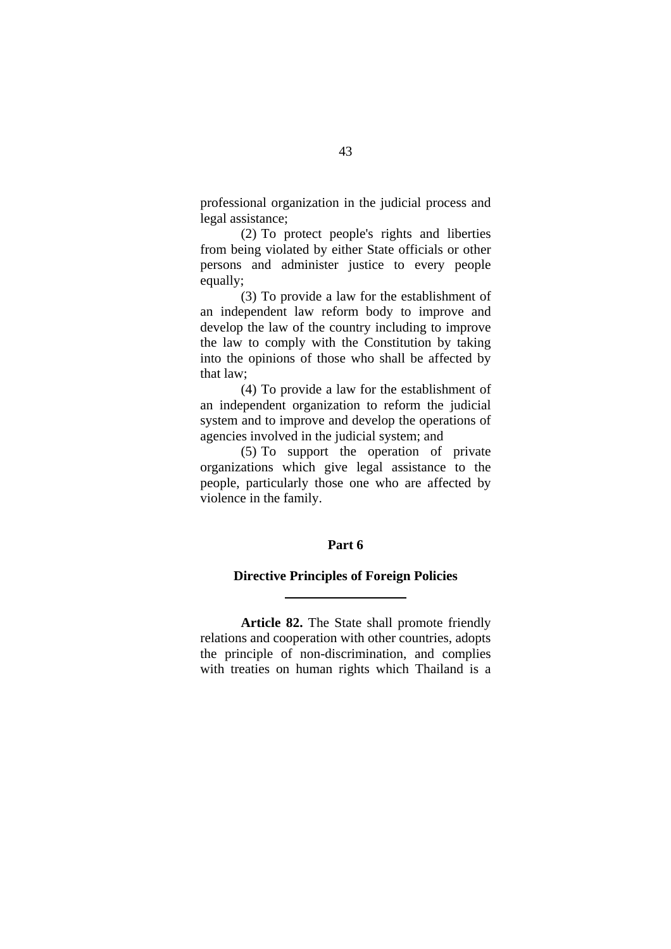professional organization in the judicial process and legal assistance;

(2) To protect people's rights and liberties from being violated by either State officials or other persons and administer justice to every people equally;

(3) To provide a law for the establishment of an independent law reform body to improve and develop the law of the country including to improve the law to comply with the Constitution by taking into the opinions of those who shall be affected by that law;

(4) To provide a law for the establishment of an independent organization to reform the judicial system and to improve and develop the operations of agencies involved in the judicial system; and

(5) To support the operation of private organizations which give legal assistance to the people, particularly those one who are affected by violence in the family.

#### **Part 6**

### **Directive Principles of Foreign Policies**

l

**Article 82.** The State shall promote friendly relations and cooperation with other countries, adopts the principle of non-discrimination, and complies with treaties on human rights which Thailand is a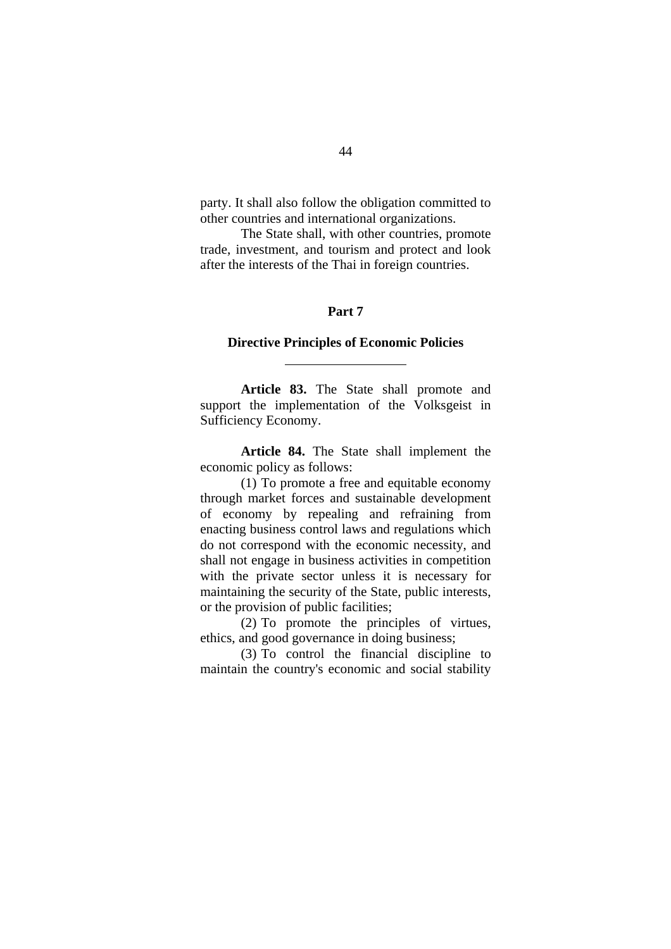party. It shall also follow the obligation committed to other countries and international organizations.

The State shall, with other countries, promote trade, investment, and tourism and protect and look after the interests of the Thai in foreign countries.

#### **Part 7**

## **Directive Principles of Economic Policies**

l

**Article 83.** The State shall promote and support the implementation of the Volksgeist in Sufficiency Economy.

**Article 84.** The State shall implement the economic policy as follows:

(1) To promote a free and equitable economy through market forces and sustainable development of economy by repealing and refraining from enacting business control laws and regulations which do not correspond with the economic necessity, and shall not engage in business activities in competition with the private sector unless it is necessary for maintaining the security of the State, public interests, or the provision of public facilities;

(2) To promote the principles of virtues, ethics, and good governance in doing business;

(3) To control the financial discipline to maintain the country's economic and social stability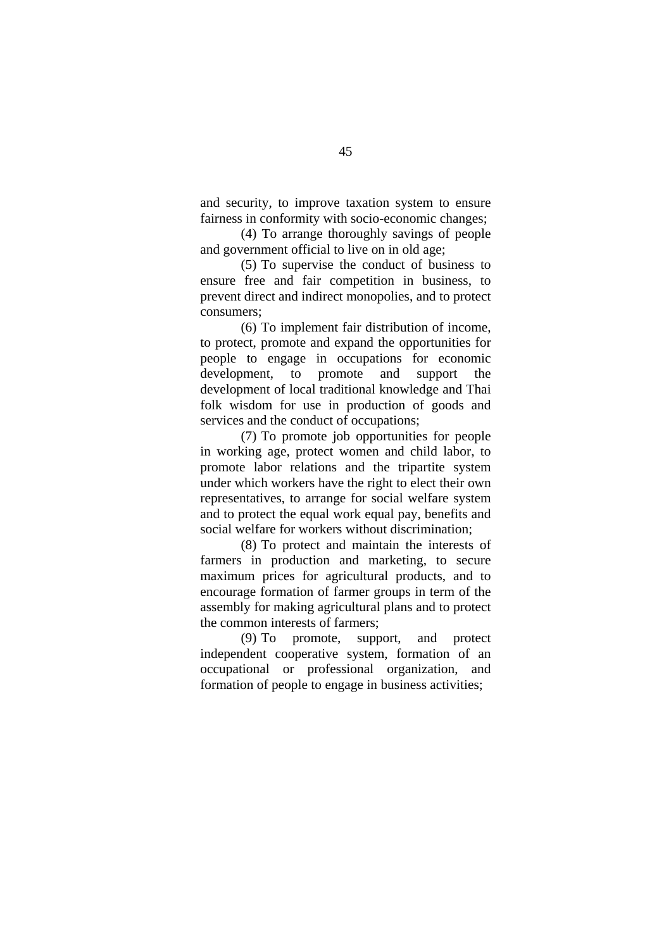and security, to improve taxation system to ensure fairness in conformity with socio-economic changes;

(4) To arrange thoroughly savings of people and government official to live on in old age;

(5) To supervise the conduct of business to ensure free and fair competition in business, to prevent direct and indirect monopolies, and to protect consumers;

(6) To implement fair distribution of income, to protect, promote and expand the opportunities for people to engage in occupations for economic development, to promote and support the development of local traditional knowledge and Thai folk wisdom for use in production of goods and services and the conduct of occupations;

(7) To promote job opportunities for people in working age, protect women and child labor, to promote labor relations and the tripartite system under which workers have the right to elect their own representatives, to arrange for social welfare system and to protect the equal work equal pay, benefits and social welfare for workers without discrimination;

(8) To protect and maintain the interests of farmers in production and marketing, to secure maximum prices for agricultural products, and to encourage formation of farmer groups in term of the assembly for making agricultural plans and to protect the common interests of farmers;

(9) To promote, support, and protect independent cooperative system, formation of an occupational or professional organization, and formation of people to engage in business activities;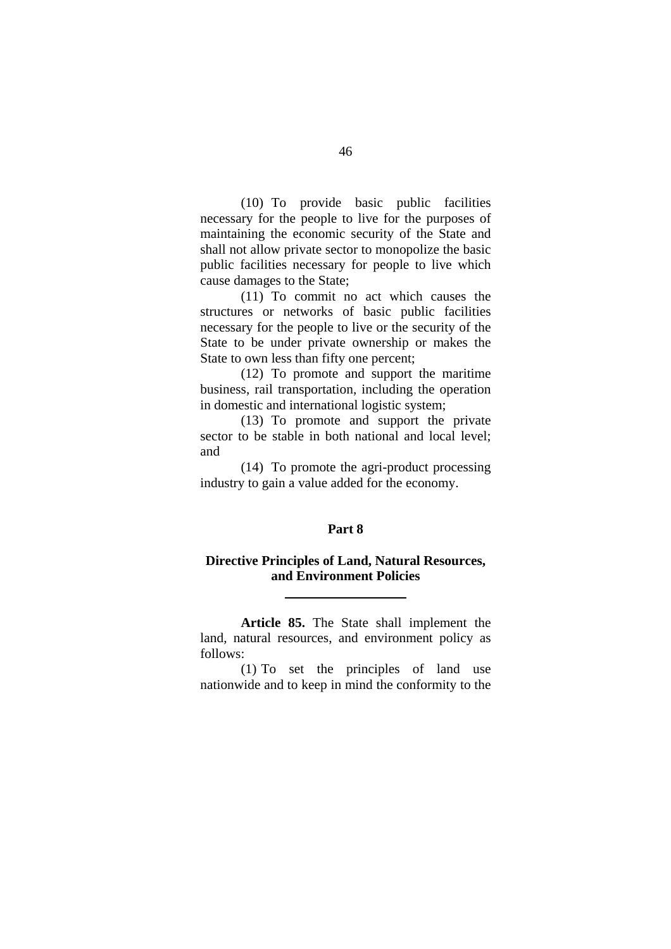(10) To provide basic public facilities necessary for the people to live for the purposes of maintaining the economic security of the State and shall not allow private sector to monopolize the basic public facilities necessary for people to live which cause damages to the State;

(11) To commit no act which causes the structures or networks of basic public facilities necessary for the people to live or the security of the State to be under private ownership or makes the State to own less than fifty one percent;

(12) To promote and support the maritime business, rail transportation, including the operation in domestic and international logistic system;

(13) To promote and support the private sector to be stable in both national and local level; and

(14) To promote the agri-product processing industry to gain a value added for the economy.

### **Part 8**

# **Directive Principles of Land, Natural Resources, and Environment Policies**

l

**Article 85.** The State shall implement the land, natural resources, and environment policy as follows:

(1) To set the principles of land use nationwide and to keep in mind the conformity to the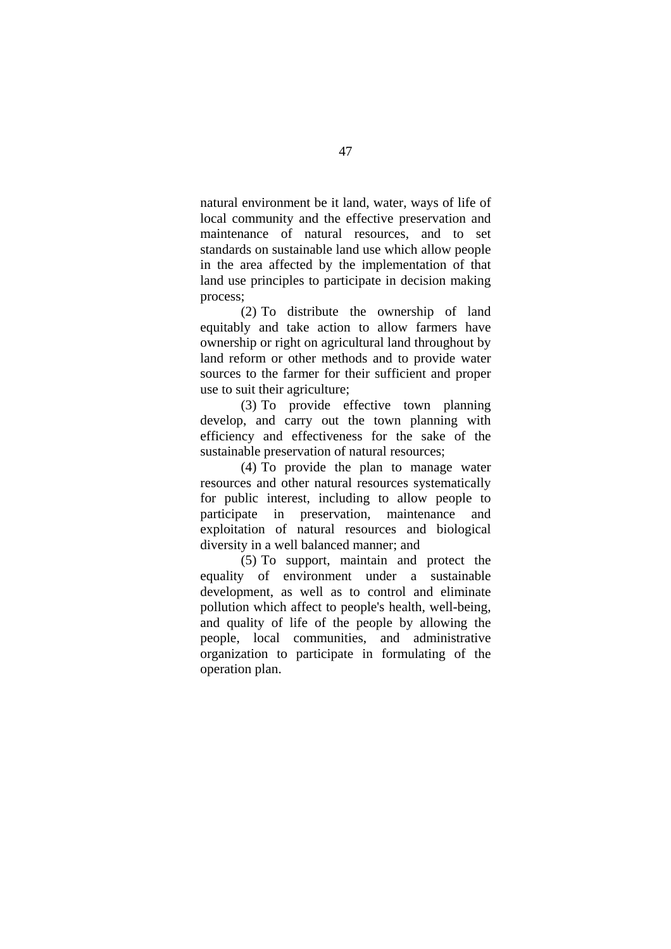natural environment be it land, water, ways of life of local community and the effective preservation and maintenance of natural resources, and to set standards on sustainable land use which allow people in the area affected by the implementation of that land use principles to participate in decision making process;

(2) To distribute the ownership of land equitably and take action to allow farmers have ownership or right on agricultural land throughout by land reform or other methods and to provide water sources to the farmer for their sufficient and proper use to suit their agriculture;

(3) To provide effective town planning develop, and carry out the town planning with efficiency and effectiveness for the sake of the sustainable preservation of natural resources;

(4) To provide the plan to manage water resources and other natural resources systematically for public interest, including to allow people to participate in preservation, maintenance and exploitation of natural resources and biological diversity in a well balanced manner; and

(5) To support, maintain and protect the equality of environment under a sustainable development, as well as to control and eliminate pollution which affect to people's health, well-being, and quality of life of the people by allowing the people, local communities, and administrative organization to participate in formulating of the operation plan.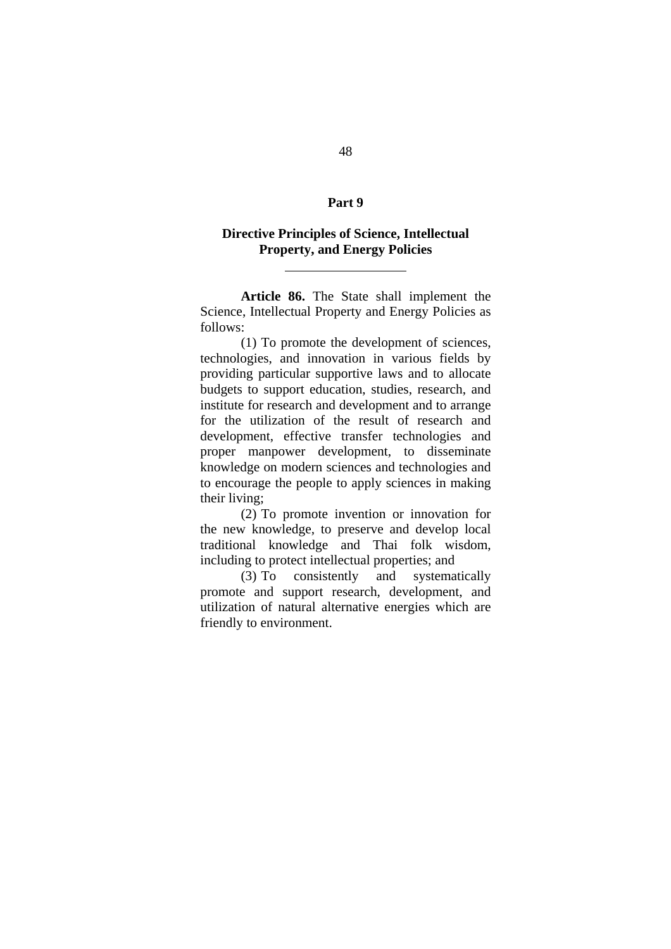#### **Part 9**

# **Directive Principles of Science, Intellectual Property, and Energy Policies**

l

**Article 86.** The State shall implement the Science, Intellectual Property and Energy Policies as follows:

(1) To promote the development of sciences, technologies, and innovation in various fields by providing particular supportive laws and to allocate budgets to support education, studies, research, and institute for research and development and to arrange for the utilization of the result of research and development, effective transfer technologies and proper manpower development, to disseminate knowledge on modern sciences and technologies and to encourage the people to apply sciences in making their living;

(2) To promote invention or innovation for the new knowledge, to preserve and develop local traditional knowledge and Thai folk wisdom, including to protect intellectual properties; and

(3) To consistently and systematically promote and support research, development, and utilization of natural alternative energies which are friendly to environment.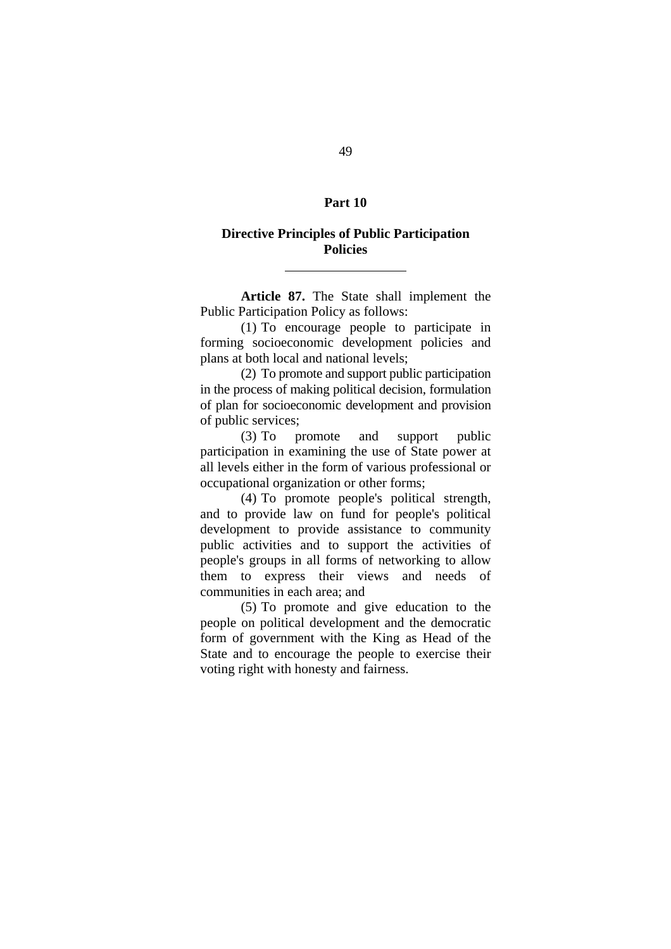#### **Part 10**

# **Directive Principles of Public Participation Policies**

l

**Article 87.** The State shall implement the Public Participation Policy as follows:

(1) To encourage people to participate in forming socioeconomic development policies and plans at both local and national levels;

(2) To promote and support public participation in the process of making political decision, formulation of plan for socioeconomic development and provision of public services;

(3) To promote and support public participation in examining the use of State power at all levels either in the form of various professional or occupational organization or other forms;

(4) To promote people's political strength, and to provide law on fund for people's political development to provide assistance to community public activities and to support the activities of people's groups in all forms of networking to allow them to express their views and needs of communities in each area; and

(5) To promote and give education to the people on political development and the democratic form of government with the King as Head of the State and to encourage the people to exercise their voting right with honesty and fairness.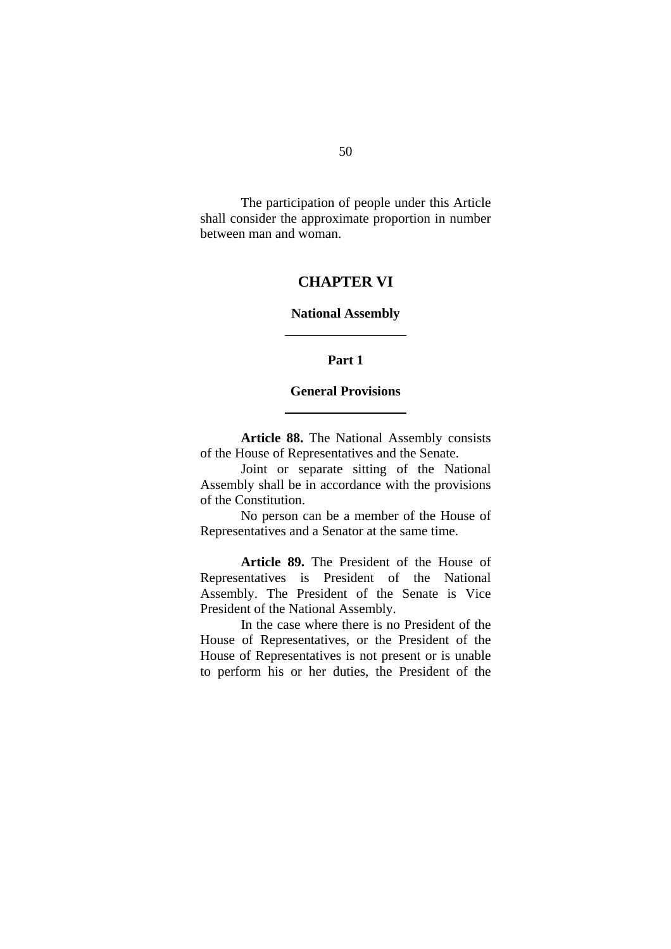The participation of people under this Article shall consider the approximate proportion in number between man and woman.

# **CHAPTER VI**

## **National Assembly**

l

l

## **Part 1**

#### **General Provisions**

**Article 88.** The National Assembly consists of the House of Representatives and the Senate.

Joint or separate sitting of the National Assembly shall be in accordance with the provisions of the Constitution.

No person can be a member of the House of Representatives and a Senator at the same time.

**Article 89.** The President of the House of Representatives is President of the National Assembly. The President of the Senate is Vice President of the National Assembly.

In the case where there is no President of the House of Representatives, or the President of the House of Representatives is not present or is unable to perform his or her duties, the President of the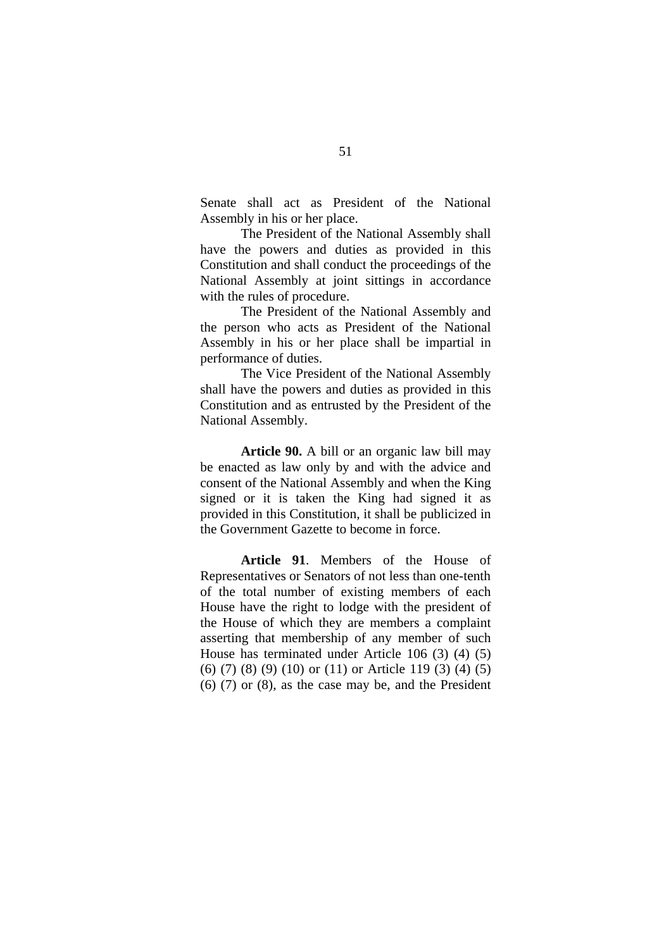Senate shall act as President of the National Assembly in his or her place.

The President of the National Assembly shall have the powers and duties as provided in this Constitution and shall conduct the proceedings of the National Assembly at joint sittings in accordance with the rules of procedure.

The President of the National Assembly and the person who acts as President of the National Assembly in his or her place shall be impartial in performance of duties.

The Vice President of the National Assembly shall have the powers and duties as provided in this Constitution and as entrusted by the President of the National Assembly.

**Article 90.** A bill or an organic law bill may be enacted as law only by and with the advice and consent of the National Assembly and when the King signed or it is taken the King had signed it as provided in this Constitution, it shall be publicized in the Government Gazette to become in force.

**Article 91**. Members of the House of Representatives or Senators of not less than one-tenth of the total number of existing members of each House have the right to lodge with the president of the House of which they are members a complaint asserting that membership of any member of such House has terminated under Article 106 (3) (4) (5) (6) (7) (8) (9) (10) or (11) or Article 119 (3) (4) (5) (6) (7) or (8), as the case may be, and the President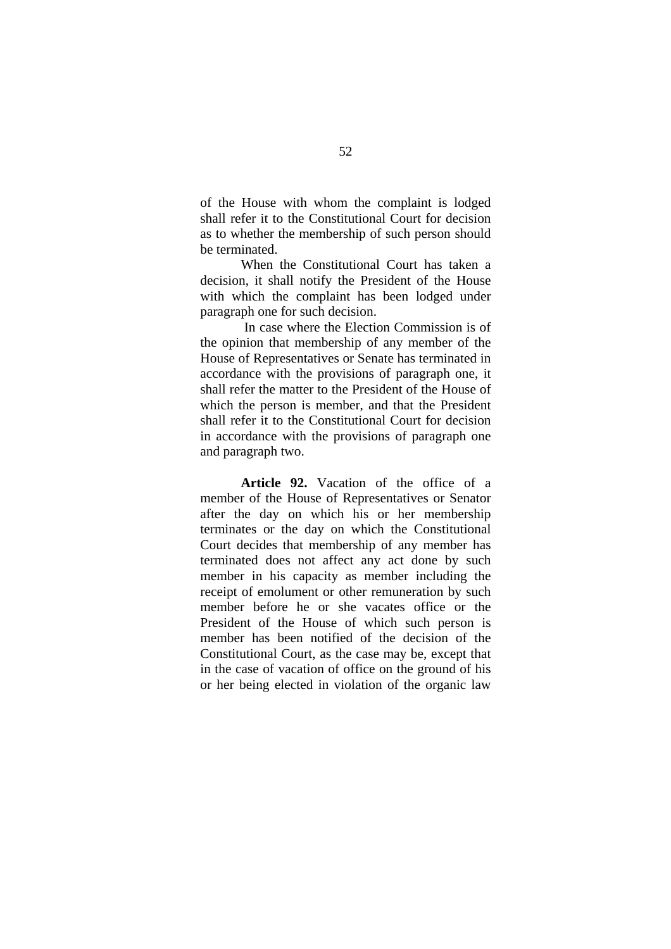of the House with whom the complaint is lodged shall refer it to the Constitutional Court for decision as to whether the membership of such person should be terminated.

When the Constitutional Court has taken a decision, it shall notify the President of the House with which the complaint has been lodged under paragraph one for such decision.

 In case where the Election Commission is of the opinion that membership of any member of the House of Representatives or Senate has terminated in accordance with the provisions of paragraph one, it shall refer the matter to the President of the House of which the person is member, and that the President shall refer it to the Constitutional Court for decision in accordance with the provisions of paragraph one and paragraph two.

**Article 92.** Vacation of the office of a member of the House of Representatives or Senator after the day on which his or her membership terminates or the day on which the Constitutional Court decides that membership of any member has terminated does not affect any act done by such member in his capacity as member including the receipt of emolument or other remuneration by such member before he or she vacates office or the President of the House of which such person is member has been notified of the decision of the Constitutional Court, as the case may be, except that in the case of vacation of office on the ground of his or her being elected in violation of the organic law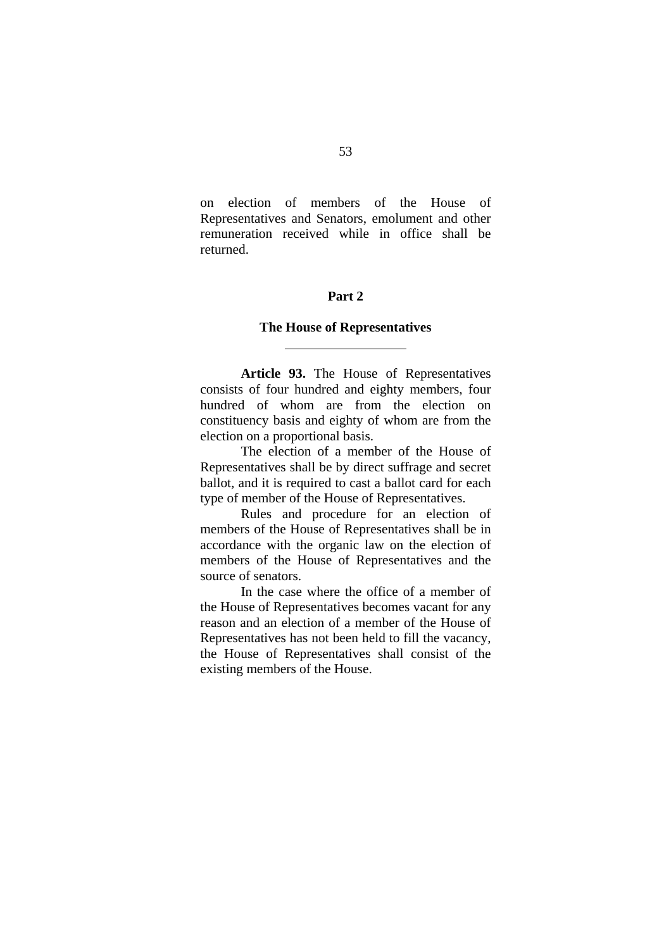on election of members of the House of Representatives and Senators, emolument and other remuneration received while in office shall be returned.

## **Part 2**

#### **The House of Representatives**

l

 **Article 93.** The House of Representatives consists of four hundred and eighty members, four hundred of whom are from the election on constituency basis and eighty of whom are from the election on a proportional basis.

 The election of a member of the House of Representatives shall be by direct suffrage and secret ballot, and it is required to cast a ballot card for each type of member of the House of Representatives.

 Rules and procedure for an election of members of the House of Representatives shall be in accordance with the organic law on the election of members of the House of Representatives and the source of senators.

 In the case where the office of a member of the House of Representatives becomes vacant for any reason and an election of a member of the House of Representatives has not been held to fill the vacancy, the House of Representatives shall consist of the existing members of the House.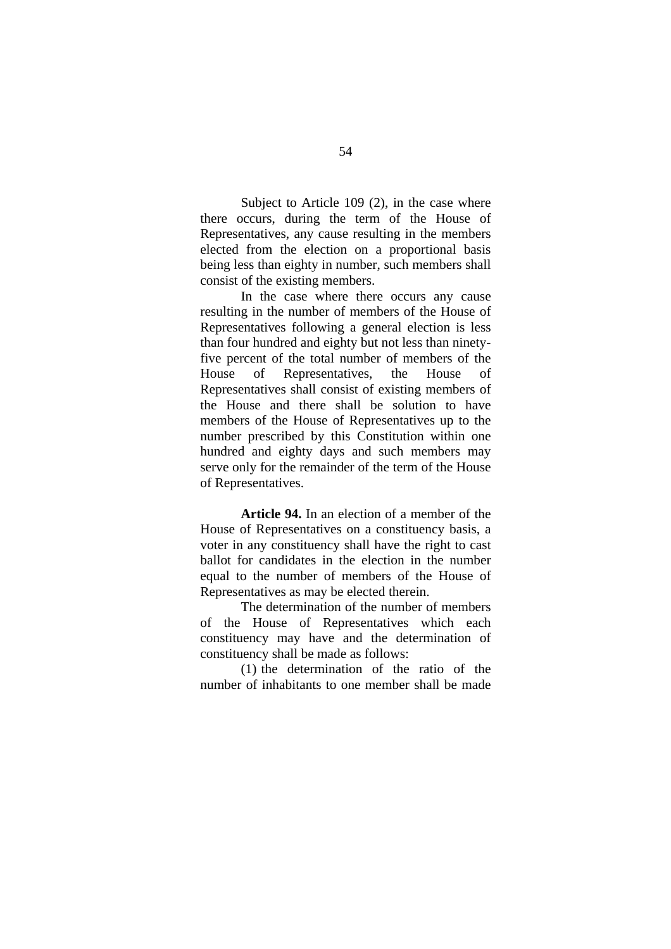Subject to Article 109 (2), in the case where there occurs, during the term of the House of Representatives, any cause resulting in the members elected from the election on a proportional basis being less than eighty in number, such members shall consist of the existing members.

 In the case where there occurs any cause resulting in the number of members of the House of Representatives following a general election is less than four hundred and eighty but not less than ninetyfive percent of the total number of members of the House of Representatives, the House of Representatives shall consist of existing members of the House and there shall be solution to have members of the House of Representatives up to the number prescribed by this Constitution within one hundred and eighty days and such members may serve only for the remainder of the term of the House of Representatives.

**Article 94.** In an election of a member of the House of Representatives on a constituency basis, a voter in any constituency shall have the right to cast ballot for candidates in the election in the number equal to the number of members of the House of Representatives as may be elected therein.

 The determination of the number of members of the House of Representatives which each constituency may have and the determination of constituency shall be made as follows:

 (1) the determination of the ratio of the number of inhabitants to one member shall be made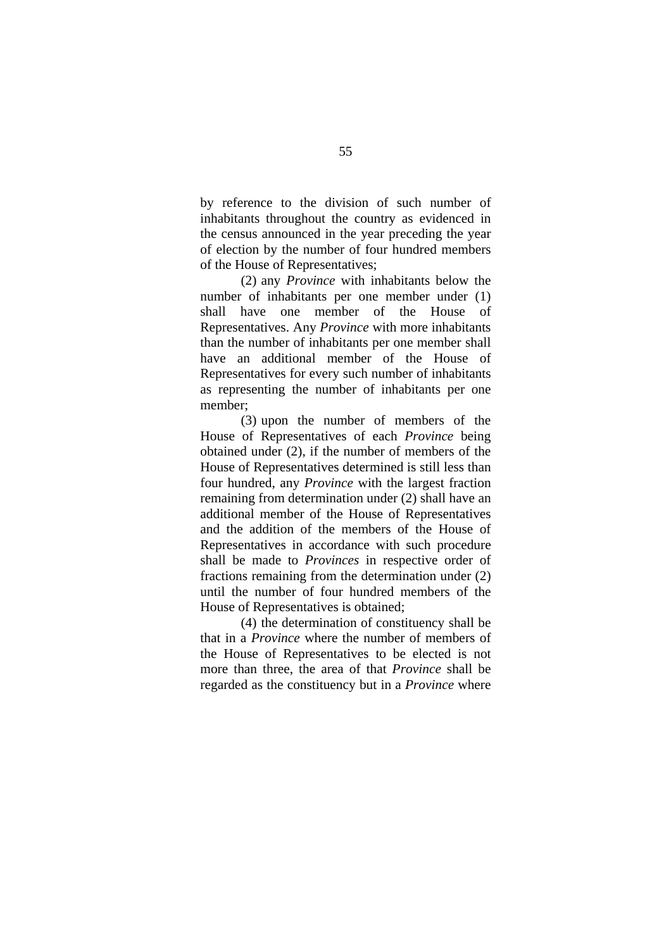by reference to the division of such number of inhabitants throughout the country as evidenced in the census announced in the year preceding the year of election by the number of four hundred members of the House of Representatives;

 (2) any *Province* with inhabitants below the number of inhabitants per one member under (1) shall have one member of the House of Representatives. Any *Province* with more inhabitants than the number of inhabitants per one member shall have an additional member of the House of Representatives for every such number of inhabitants as representing the number of inhabitants per one member;

 (3) upon the number of members of the House of Representatives of each *Province* being obtained under (2), if the number of members of the House of Representatives determined is still less than four hundred, any *Province* with the largest fraction remaining from determination under (2) shall have an additional member of the House of Representatives and the addition of the members of the House of Representatives in accordance with such procedure shall be made to *Provinces* in respective order of fractions remaining from the determination under (2) until the number of four hundred members of the House of Representatives is obtained;

 (4) the determination of constituency shall be that in a *Province* where the number of members of the House of Representatives to be elected is not more than three, the area of that *Province* shall be regarded as the constituency but in a *Province* where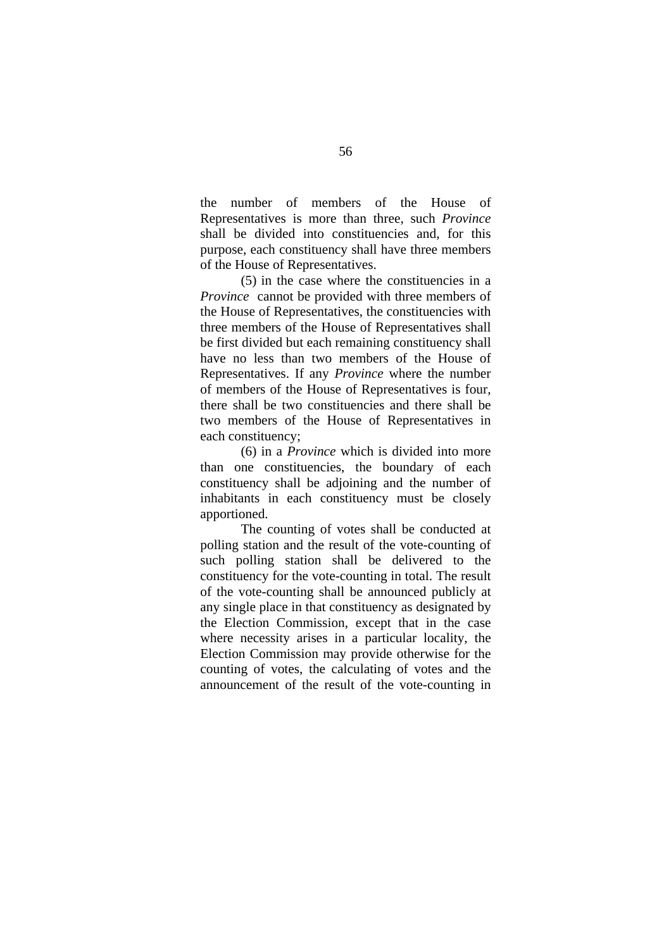the number of members of the House of Representatives is more than three, such *Province*  shall be divided into constituencies and, for this purpose, each constituency shall have three members of the House of Representatives.

 (5) in the case where the constituencies in a *Province* cannot be provided with three members of the House of Representatives, the constituencies with three members of the House of Representatives shall be first divided but each remaining constituency shall have no less than two members of the House of Representatives. If any *Province* where the number of members of the House of Representatives is four, there shall be two constituencies and there shall be two members of the House of Representatives in each constituency;

 (6) in a *Province* which is divided into more than one constituencies, the boundary of each constituency shall be adjoining and the number of inhabitants in each constituency must be closely apportioned.

 The counting of votes shall be conducted at polling station and the result of the vote-counting of such polling station shall be delivered to the constituency for the vote-counting in total. The result of the vote-counting shall be announced publicly at any single place in that constituency as designated by the Election Commission, except that in the case where necessity arises in a particular locality, the Election Commission may provide otherwise for the counting of votes, the calculating of votes and the announcement of the result of the vote-counting in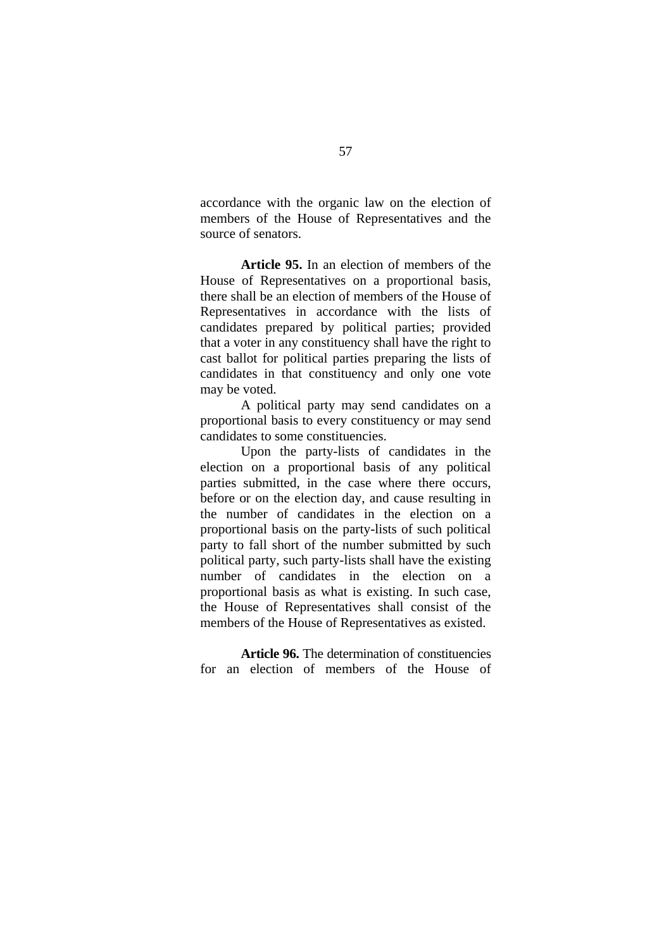accordance with the organic law on the election of members of the House of Representatives and the source of senators.

**Article 95.** In an election of members of the House of Representatives on a proportional basis, there shall be an election of members of the House of Representatives in accordance with the lists of candidates prepared by political parties; provided that a voter in any constituency shall have the right to cast ballot for political parties preparing the lists of candidates in that constituency and only one vote may be voted.

 A political party may send candidates on a proportional basis to every constituency or may send candidates to some constituencies.

 Upon the party-lists of candidates in the election on a proportional basis of any political parties submitted, in the case where there occurs, before or on the election day, and cause resulting in the number of candidates in the election on a proportional basis on the party-lists of such political party to fall short of the number submitted by such political party, such party-lists shall have the existing number of candidates in the election on a proportional basis as what is existing. In such case, the House of Representatives shall consist of the members of the House of Representatives as existed.

**Article 96.** The determination of constituencies for an election of members of the House of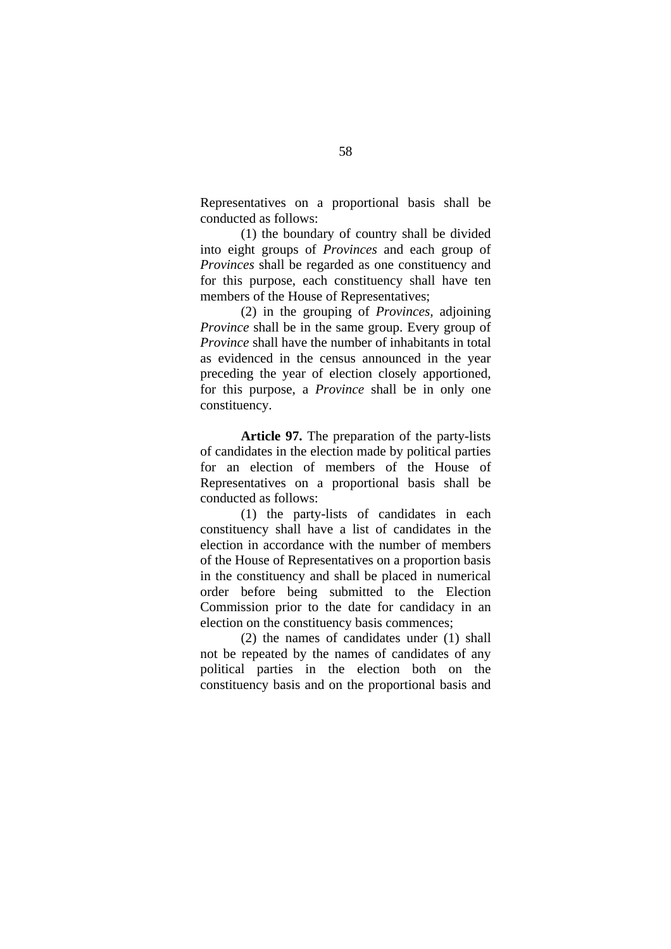Representatives on a proportional basis shall be conducted as follows:

 (1) the boundary of country shall be divided into eight groups of *Provinces* and each group of *Provinces* shall be regarded as one constituency and for this purpose, each constituency shall have ten members of the House of Representatives;

 (2) in the grouping of *Provinces,* adjoining *Province* shall be in the same group. Every group of *Province* shall have the number of inhabitants in total as evidenced in the census announced in the year preceding the year of election closely apportioned, for this purpose, a *Province* shall be in only one constituency.

**Article 97.** The preparation of the party-lists of candidates in the election made by political parties for an election of members of the House of Representatives on a proportional basis shall be conducted as follows:

 (1) the party-lists of candidates in each constituency shall have a list of candidates in the election in accordance with the number of members of the House of Representatives on a proportion basis in the constituency and shall be placed in numerical order before being submitted to the Election Commission prior to the date for candidacy in an election on the constituency basis commences;

 (2) the names of candidates under (1) shall not be repeated by the names of candidates of any political parties in the election both on the constituency basis and on the proportional basis and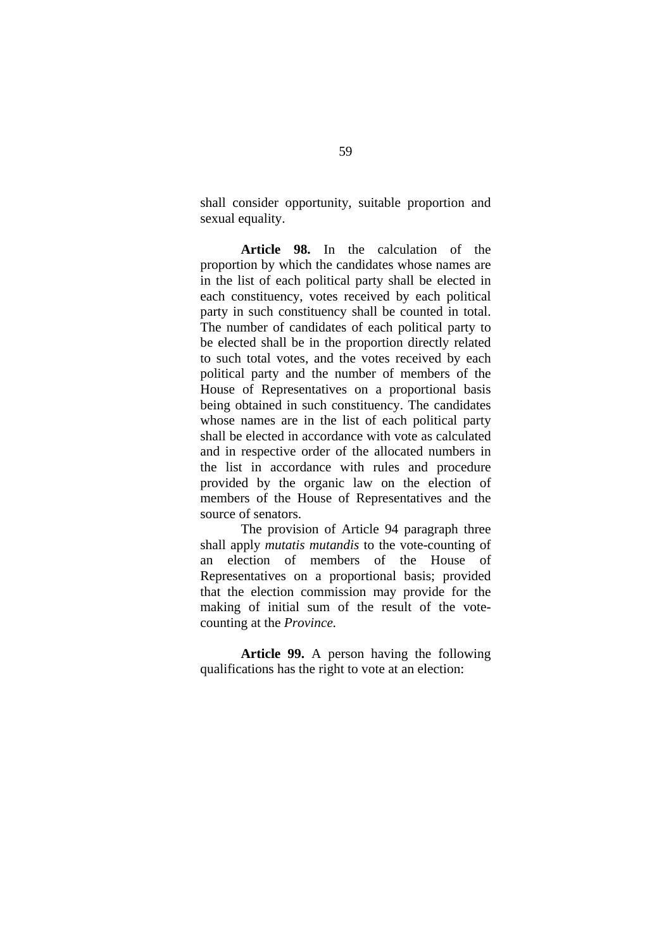shall consider opportunity, suitable proportion and sexual equality.

**Article 98.** In the calculation of the proportion by which the candidates whose names are in the list of each political party shall be elected in each constituency, votes received by each political party in such constituency shall be counted in total. The number of candidates of each political party to be elected shall be in the proportion directly related to such total votes, and the votes received by each political party and the number of members of the House of Representatives on a proportional basis being obtained in such constituency. The candidates whose names are in the list of each political party shall be elected in accordance with vote as calculated and in respective order of the allocated numbers in the list in accordance with rules and procedure provided by the organic law on the election of members of the House of Representatives and the source of senators.

 The provision of Article 94 paragraph three shall apply *mutatis mutandis* to the vote-counting of an election of members of the House of Representatives on a proportional basis; provided that the election commission may provide for the making of initial sum of the result of the votecounting at the *Province.* 

**Article 99.** A person having the following qualifications has the right to vote at an election: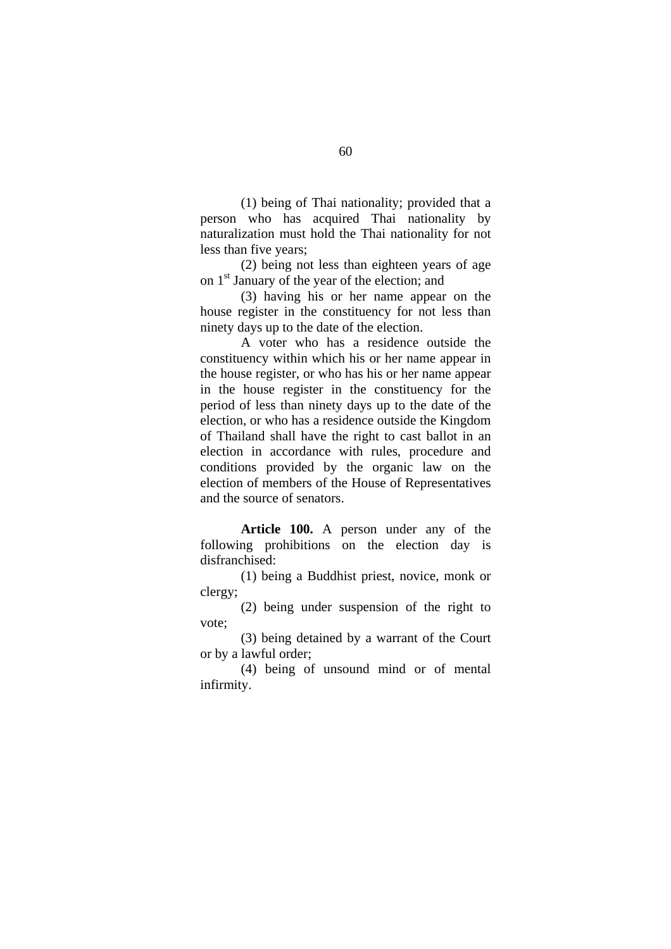(1) being of Thai nationality; provided that a person who has acquired Thai nationality by naturalization must hold the Thai nationality for not less than five years;

 (2) being not less than eighteen years of age on 1st January of the year of the election; and

 (3) having his or her name appear on the house register in the constituency for not less than ninety days up to the date of the election.

 A voter who has a residence outside the constituency within which his or her name appear in the house register, or who has his or her name appear in the house register in the constituency for the period of less than ninety days up to the date of the election, or who has a residence outside the Kingdom of Thailand shall have the right to cast ballot in an election in accordance with rules, procedure and conditions provided by the organic law on the election of members of the House of Representatives and the source of senators.

**Article 100.** A person under any of the following prohibitions on the election day is disfranchised:

 (1) being a Buddhist priest, novice, monk or clergy;

 (2) being under suspension of the right to vote;

 (3) being detained by a warrant of the Court or by a lawful order;

 (4) being of unsound mind or of mental infirmity.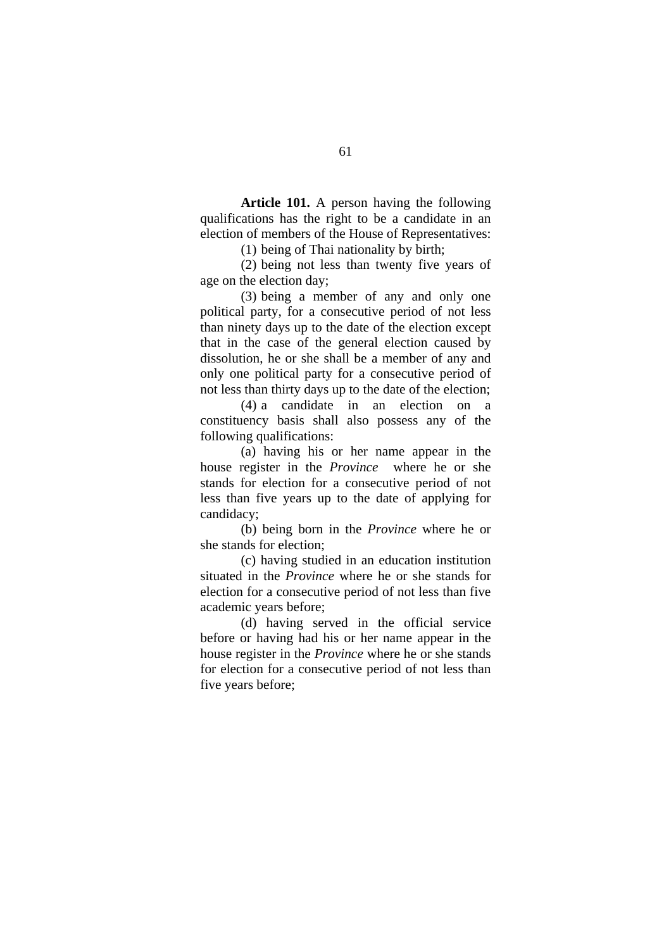**Article 101.** A person having the following qualifications has the right to be a candidate in an election of members of the House of Representatives:

(1) being of Thai nationality by birth;

 (2) being not less than twenty five years of age on the election day;

 (3) being a member of any and only one political party, for a consecutive period of not less than ninety days up to the date of the election except that in the case of the general election caused by dissolution, he or she shall be a member of any and only one political party for a consecutive period of not less than thirty days up to the date of the election;

 (4) a candidate in an election on a constituency basis shall also possess any of the following qualifications:

 (a) having his or her name appear in the house register in the *Province* where he or she stands for election for a consecutive period of not less than five years up to the date of applying for candidacy;

 (b) being born in the *Province* where he or she stands for election;

 (c) having studied in an education institution situated in the *Province* where he or she stands for election for a consecutive period of not less than five academic years before;

 (d) having served in the official service before or having had his or her name appear in the house register in the *Province* where he or she stands for election for a consecutive period of not less than five years before;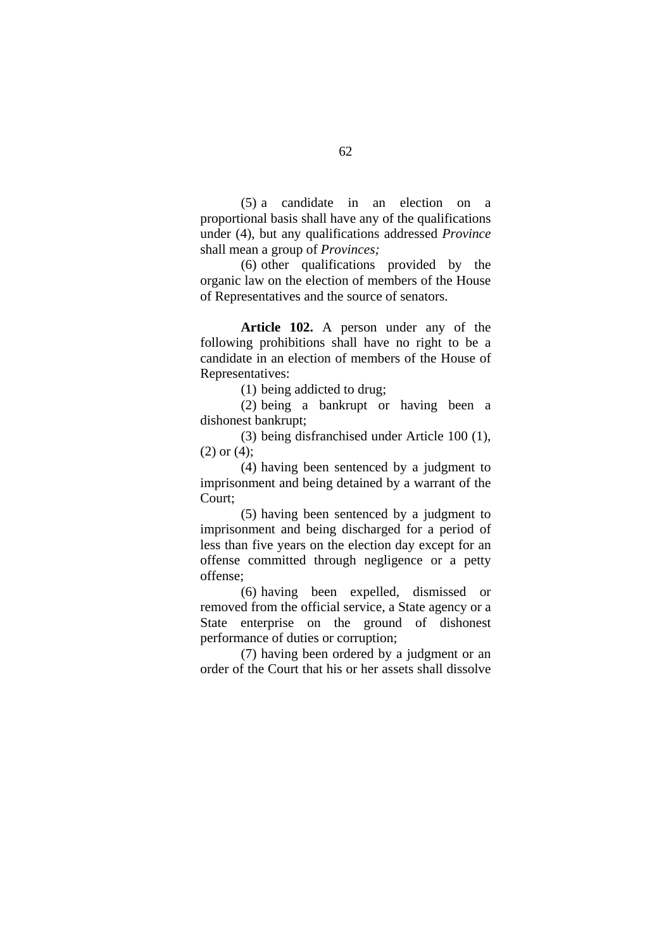(5) a candidate in an election on a proportional basis shall have any of the qualifications under (4), but any qualifications addressed *Province* shall mean a group of *Provinces;* 

(6) other qualifications provided by the organic law on the election of members of the House of Representatives and the source of senators.

**Article 102.** A person under any of the following prohibitions shall have no right to be a candidate in an election of members of the House of Representatives:

(1) being addicted to drug;

 (2) being a bankrupt or having been a dishonest bankrupt;

 (3) being disfranchised under Article 100 (1),  $(2)$  or  $(4)$ :

 (4) having been sentenced by a judgment to imprisonment and being detained by a warrant of the Court;

 (5) having been sentenced by a judgment to imprisonment and being discharged for a period of less than five years on the election day except for an offense committed through negligence or a petty offense;

 (6) having been expelled, dismissed or removed from the official service, a State agency or a State enterprise on the ground of dishonest performance of duties or corruption;

 (7) having been ordered by a judgment or an order of the Court that his or her assets shall dissolve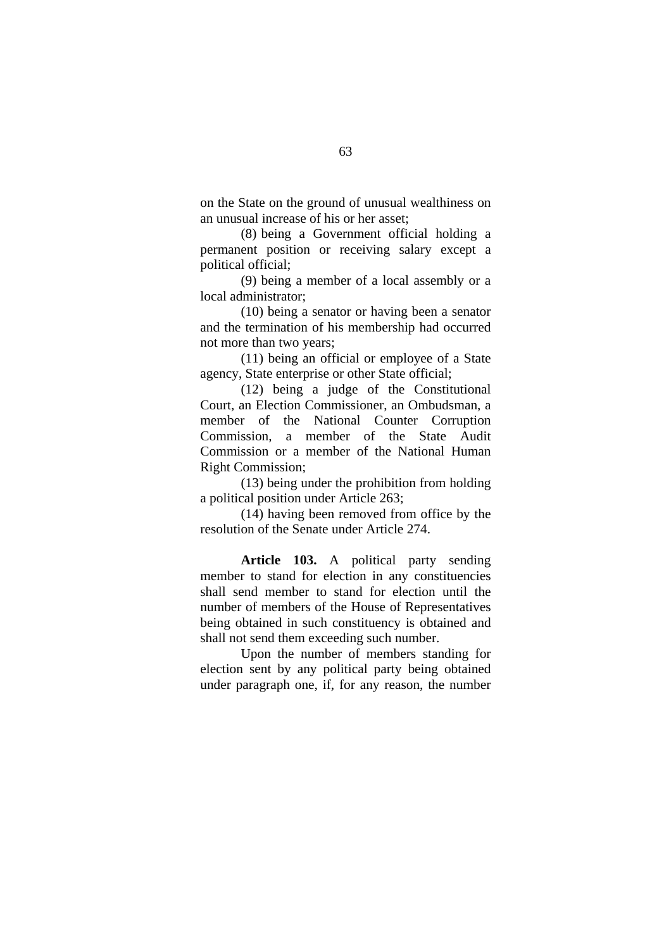on the State on the ground of unusual wealthiness on an unusual increase of his or her asset;

 (8) being a Government official holding a permanent position or receiving salary except a political official;

 (9) being a member of a local assembly or a local administrator;

 (10) being a senator or having been a senator and the termination of his membership had occurred not more than two years;

 (11) being an official or employee of a State agency, State enterprise or other State official;

 (12) being a judge of the Constitutional Court, an Election Commissioner, an Ombudsman, a member of the National Counter Corruption Commission, a member of the State Audit Commission or a member of the National Human Right Commission;

 (13) being under the prohibition from holding a political position under Article 263;

 (14) having been removed from office by the resolution of the Senate under Article 274.

**Article 103.** A political party sending member to stand for election in any constituencies shall send member to stand for election until the number of members of the House of Representatives being obtained in such constituency is obtained and shall not send them exceeding such number.

Upon the number of members standing for election sent by any political party being obtained under paragraph one, if, for any reason, the number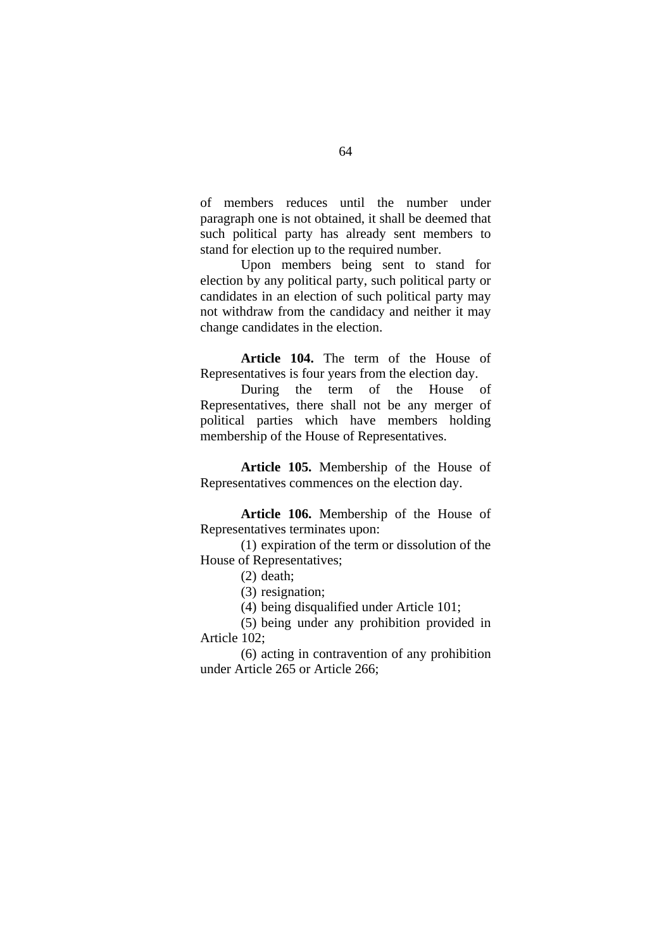of members reduces until the number under paragraph one is not obtained, it shall be deemed that such political party has already sent members to stand for election up to the required number.

Upon members being sent to stand for election by any political party, such political party or candidates in an election of such political party may not withdraw from the candidacy and neither it may change candidates in the election.

**Article 104.** The term of the House of Representatives is four years from the election day.

During the term of the House of Representatives, there shall not be any merger of political parties which have members holding membership of the House of Representatives.

**Article 105.** Membership of the House of Representatives commences on the election day.

**Article 106.** Membership of the House of Representatives terminates upon:

 (1) expiration of the term or dissolution of the House of Representatives;

### (2) death;

(3) resignation;

(4) being disqualified under Article 101;

 (5) being under any prohibition provided in Article 102;

 (6) acting in contravention of any prohibition under Article 265 or Article 266;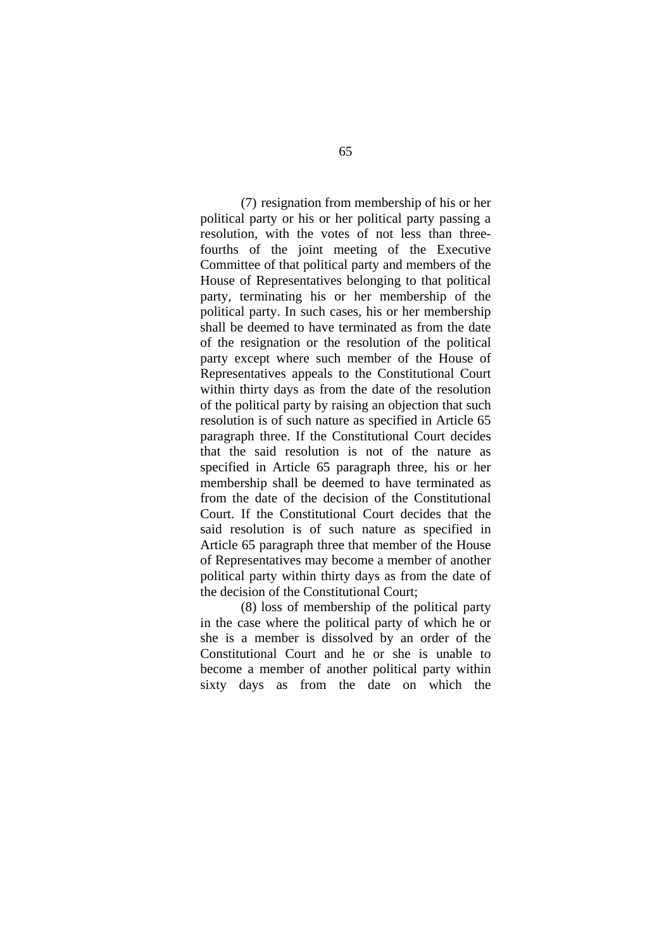(7) resignation from membership of his or her political party or his or her political party passing a resolution, with the votes of not less than threefourths of the joint meeting of the Executive Committee of that political party and members of the House of Representatives belonging to that political party, terminating his or her membership of the political party. In such cases, his or her membership shall be deemed to have terminated as from the date of the resignation or the resolution of the political party except where such member of the House of Representatives appeals to the Constitutional Court within thirty days as from the date of the resolution of the political party by raising an objection that such resolution is of such nature as specified in Article 65 paragraph three. If the Constitutional Court decides that the said resolution is not of the nature as specified in Article 65 paragraph three, his or her membership shall be deemed to have terminated as from the date of the decision of the Constitutional Court. If the Constitutional Court decides that the said resolution is of such nature as specified in Article 65 paragraph three that member of the House of Representatives may become a member of another political party within thirty days as from the date of the decision of the Constitutional Court;

 (8) loss of membership of the political party in the case where the political party of which he or she is a member is dissolved by an order of the Constitutional Court and he or she is unable to become a member of another political party within sixty days as from the date on which the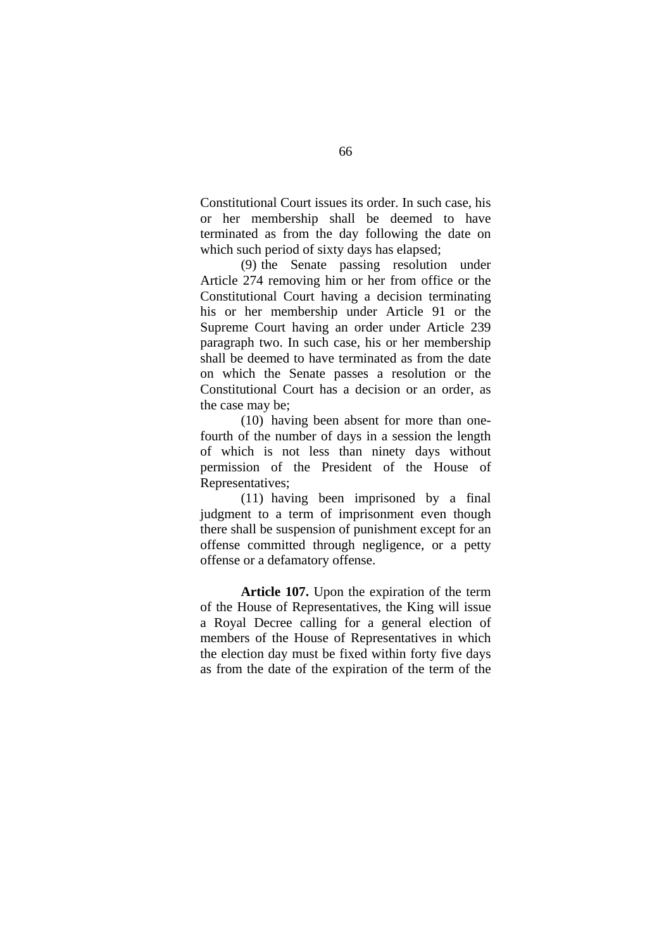Constitutional Court issues its order. In such case, his or her membership shall be deemed to have terminated as from the day following the date on which such period of sixty days has elapsed;

 (9) the Senate passing resolution under Article 274 removing him or her from office or the Constitutional Court having a decision terminating his or her membership under Article 91 or the Supreme Court having an order under Article 239 paragraph two. In such case, his or her membership shall be deemed to have terminated as from the date on which the Senate passes a resolution or the Constitutional Court has a decision or an order, as the case may be;

 (10) having been absent for more than onefourth of the number of days in a session the length of which is not less than ninety days without permission of the President of the House of Representatives;

 (11) having been imprisoned by a final judgment to a term of imprisonment even though there shall be suspension of punishment except for an offense committed through negligence, or a petty offense or a defamatory offense.

**Article 107.** Upon the expiration of the term of the House of Representatives, the King will issue a Royal Decree calling for a general election of members of the House of Representatives in which the election day must be fixed within forty five days as from the date of the expiration of the term of the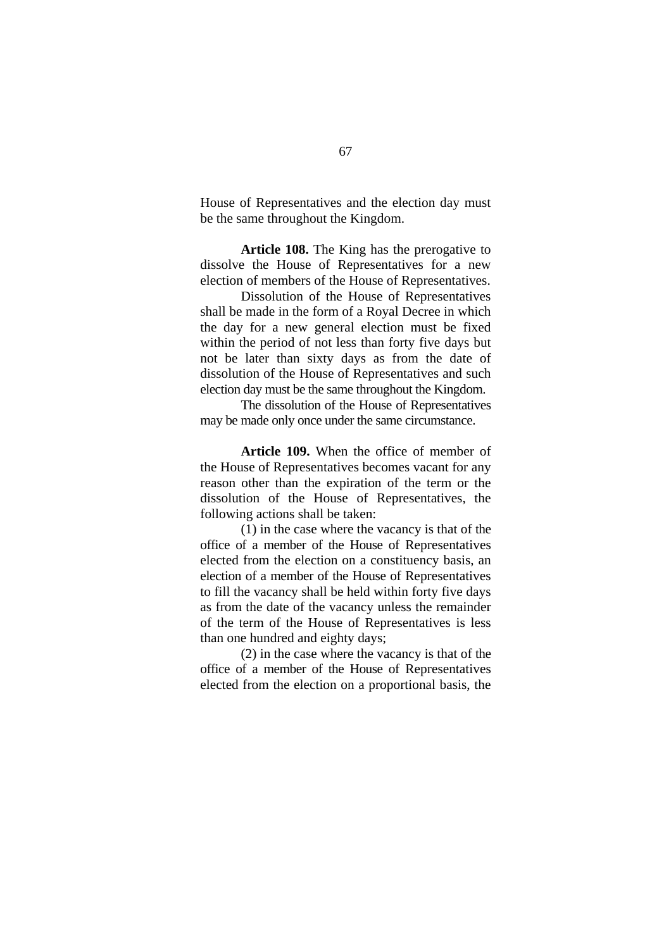House of Representatives and the election day must be the same throughout the Kingdom.

**Article 108.** The King has the prerogative to dissolve the House of Representatives for a new election of members of the House of Representatives.

Dissolution of the House of Representatives shall be made in the form of a Royal Decree in which the day for a new general election must be fixed within the period of not less than forty five days but not be later than sixty days as from the date of dissolution of the House of Representatives and such election day must be the same throughout the Kingdom.

 The dissolution of the House of Representatives may be made only once under the same circumstance.

**Article 109.** When the office of member of the House of Representatives becomes vacant for any reason other than the expiration of the term or the dissolution of the House of Representatives, the following actions shall be taken:

(1) in the case where the vacancy is that of the office of a member of the House of Representatives elected from the election on a constituency basis, an election of a member of the House of Representatives to fill the vacancy shall be held within forty five days as from the date of the vacancy unless the remainder of the term of the House of Representatives is less than one hundred and eighty days;

(2) in the case where the vacancy is that of the office of a member of the House of Representatives elected from the election on a proportional basis, the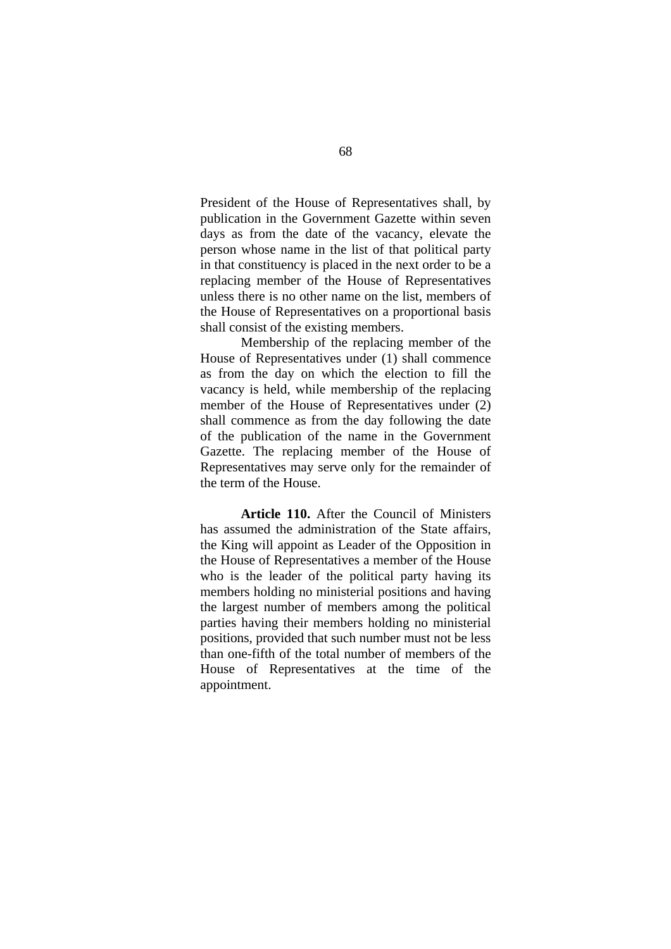President of the House of Representatives shall, by publication in the Government Gazette within seven days as from the date of the vacancy, elevate the person whose name in the list of that political party in that constituency is placed in the next order to be a replacing member of the House of Representatives unless there is no other name on the list, members of the House of Representatives on a proportional basis shall consist of the existing members.

Membership of the replacing member of the House of Representatives under (1) shall commence as from the day on which the election to fill the vacancy is held, while membership of the replacing member of the House of Representatives under (2) shall commence as from the day following the date of the publication of the name in the Government Gazette. The replacing member of the House of Representatives may serve only for the remainder of the term of the House.

**Article 110.** After the Council of Ministers has assumed the administration of the State affairs, the King will appoint as Leader of the Opposition in the House of Representatives a member of the House who is the leader of the political party having its members holding no ministerial positions and having the largest number of members among the political parties having their members holding no ministerial positions, provided that such number must not be less than one-fifth of the total number of members of the House of Representatives at the time of the appointment.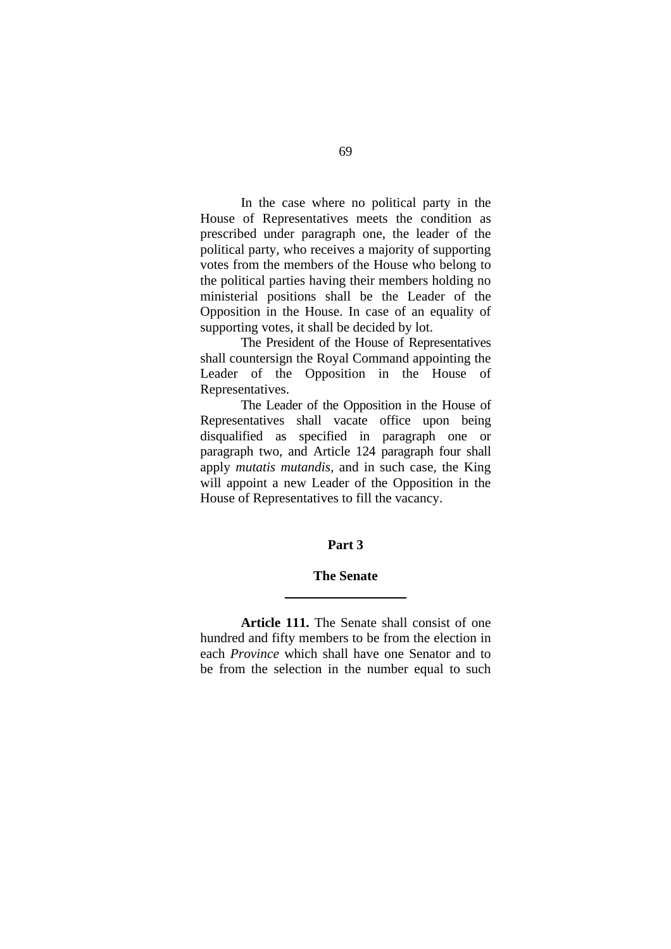In the case where no political party in the House of Representatives meets the condition as prescribed under paragraph one, the leader of the political party, who receives a majority of supporting votes from the members of the House who belong to the political parties having their members holding no ministerial positions shall be the Leader of the Opposition in the House. In case of an equality of supporting votes, it shall be decided by lot.

The President of the House of Representatives shall countersign the Royal Command appointing the Leader of the Opposition in the House of Representatives.

The Leader of the Opposition in the House of Representatives shall vacate office upon being disqualified as specified in paragraph one or paragraph two, and Article 124 paragraph four shall apply *mutatis mutandis,* and in such case, the King will appoint a new Leader of the Opposition in the House of Representatives to fill the vacancy.

## **Part 3**

## **The Senate**

 $\overline{a}$ 

**Article 111.** The Senate shall consist of one hundred and fifty members to be from the election in each *Province* which shall have one Senator and to be from the selection in the number equal to such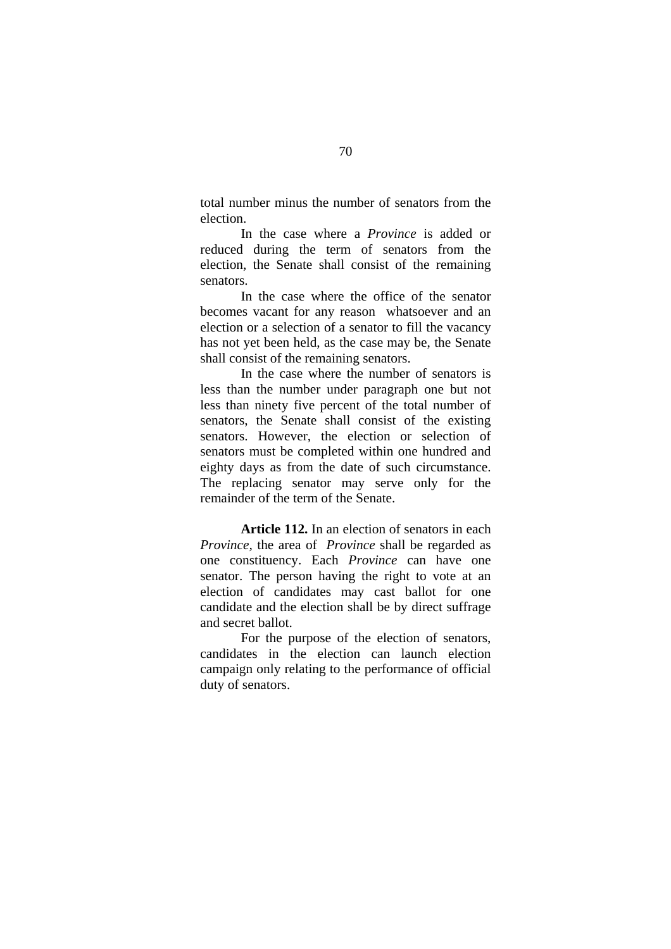total number minus the number of senators from the election.

In the case where a *Province* is added or reduced during the term of senators from the election, the Senate shall consist of the remaining senators.

In the case where the office of the senator becomes vacant for any reason whatsoever and an election or a selection of a senator to fill the vacancy has not yet been held, as the case may be, the Senate shall consist of the remaining senators.

In the case where the number of senators is less than the number under paragraph one but not less than ninety five percent of the total number of senators, the Senate shall consist of the existing senators. However, the election or selection of senators must be completed within one hundred and eighty days as from the date of such circumstance. The replacing senator may serve only for the remainder of the term of the Senate.

**Article 112.** In an election of senators in each *Province,* the area of *Province* shall be regarded as one constituency. Each *Province* can have one senator. The person having the right to vote at an election of candidates may cast ballot for one candidate and the election shall be by direct suffrage and secret ballot.

For the purpose of the election of senators, candidates in the election can launch election campaign only relating to the performance of official duty of senators.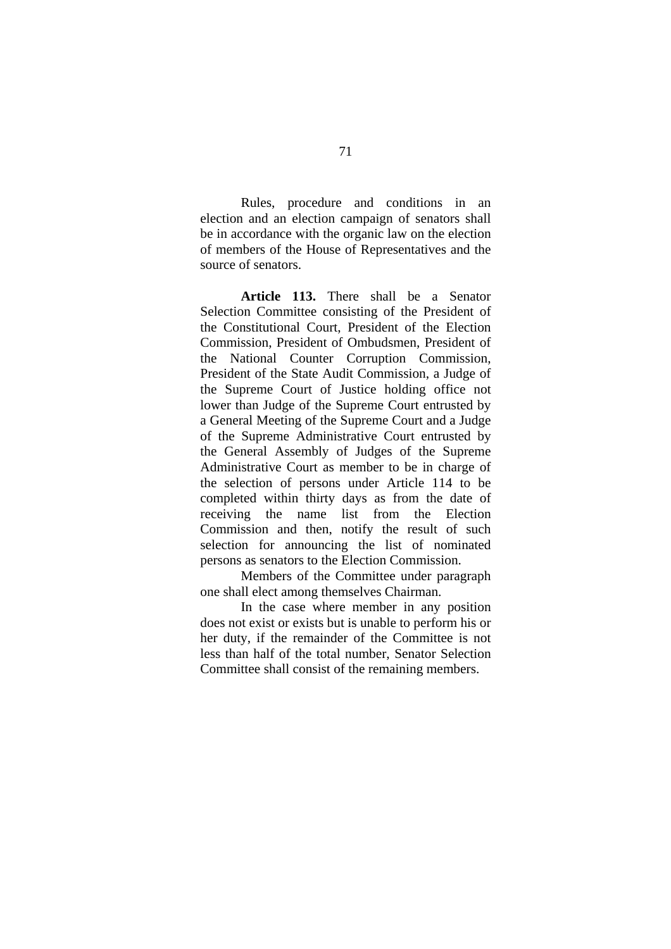Rules, procedure and conditions in an election and an election campaign of senators shall be in accordance with the organic law on the election of members of the House of Representatives and the source of senators.

**Article 113.** There shall be a Senator Selection Committee consisting of the President of the Constitutional Court, President of the Election Commission, President of Ombudsmen, President of the National Counter Corruption Commission, President of the State Audit Commission, a Judge of the Supreme Court of Justice holding office not lower than Judge of the Supreme Court entrusted by a General Meeting of the Supreme Court and a Judge of the Supreme Administrative Court entrusted by the General Assembly of Judges of the Supreme Administrative Court as member to be in charge of the selection of persons under Article 114 to be completed within thirty days as from the date of receiving the name list from the Election Commission and then, notify the result of such selection for announcing the list of nominated persons as senators to the Election Commission.

Members of the Committee under paragraph one shall elect among themselves Chairman.

In the case where member in any position does not exist or exists but is unable to perform his or her duty, if the remainder of the Committee is not less than half of the total number, Senator Selection Committee shall consist of the remaining members.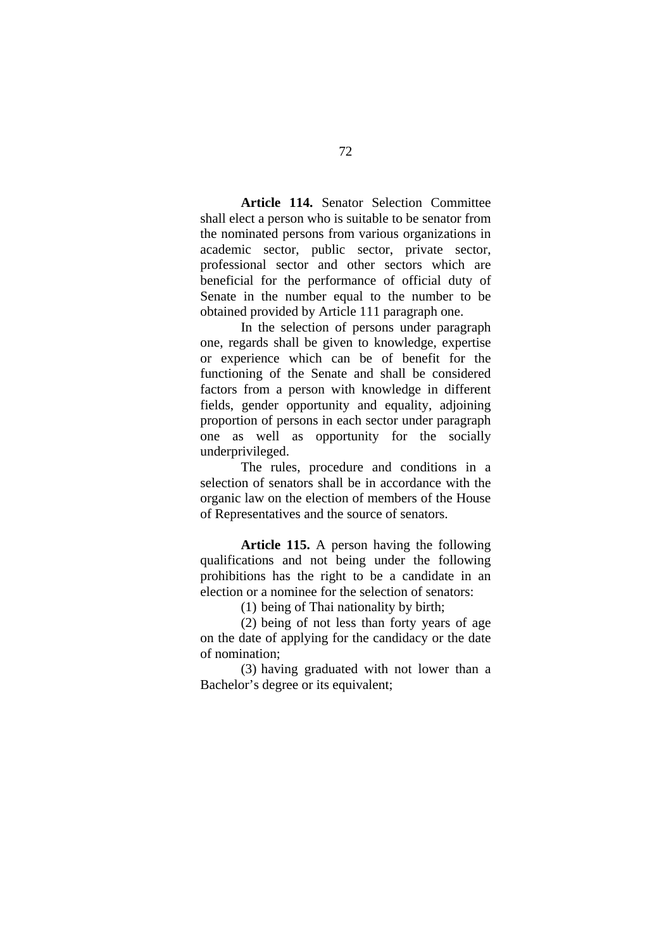**Article 114.** Senator Selection Committee shall elect a person who is suitable to be senator from the nominated persons from various organizations in academic sector, public sector, private sector, professional sector and other sectors which are beneficial for the performance of official duty of Senate in the number equal to the number to be obtained provided by Article 111 paragraph one.

In the selection of persons under paragraph one, regards shall be given to knowledge, expertise or experience which can be of benefit for the functioning of the Senate and shall be considered factors from a person with knowledge in different fields, gender opportunity and equality, adjoining proportion of persons in each sector under paragraph one as well as opportunity for the socially underprivileged.

The rules, procedure and conditions in a selection of senators shall be in accordance with the organic law on the election of members of the House of Representatives and the source of senators.

**Article 115.** A person having the following qualifications and not being under the following prohibitions has the right to be a candidate in an election or a nominee for the selection of senators:

(1) being of Thai nationality by birth;

(2) being of not less than forty years of age on the date of applying for the candidacy or the date of nomination;

(3) having graduated with not lower than a Bachelor's degree or its equivalent;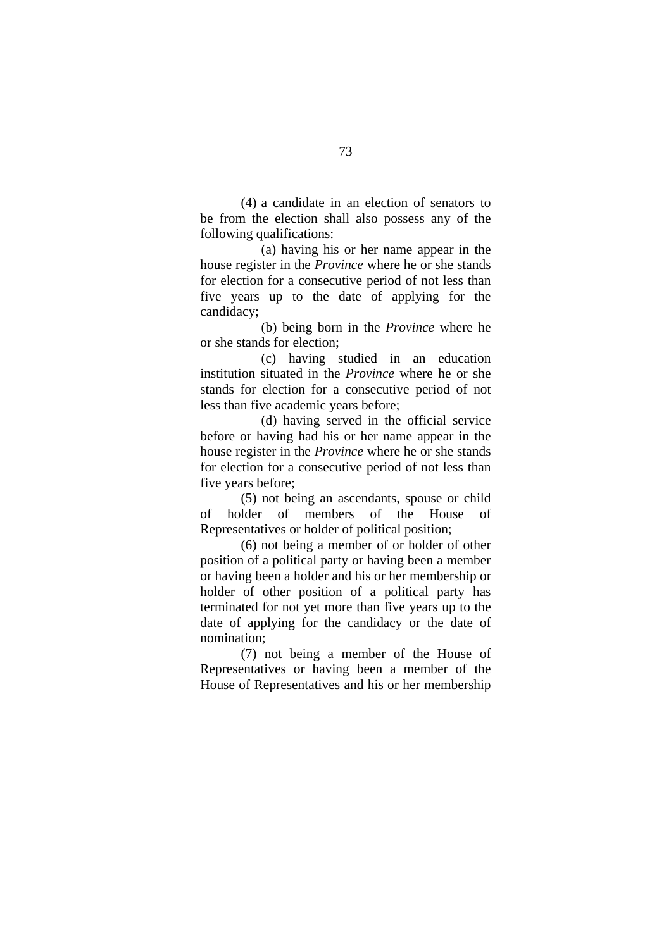(4) a candidate in an election of senators to be from the election shall also possess any of the following qualifications:

 (a) having his or her name appear in the house register in the *Province* where he or she stands for election for a consecutive period of not less than five years up to the date of applying for the candidacy;

 (b) being born in the *Province* where he or she stands for election;

 (c) having studied in an education institution situated in the *Province* where he or she stands for election for a consecutive period of not less than five academic years before;

 (d) having served in the official service before or having had his or her name appear in the house register in the *Province* where he or she stands for election for a consecutive period of not less than five years before;

 (5) not being an ascendants, spouse or child of holder of members of the House of Representatives or holder of political position;

 (6) not being a member of or holder of other position of a political party or having been a member or having been a holder and his or her membership or holder of other position of a political party has terminated for not yet more than five years up to the date of applying for the candidacy or the date of nomination;

 (7) not being a member of the House of Representatives or having been a member of the House of Representatives and his or her membership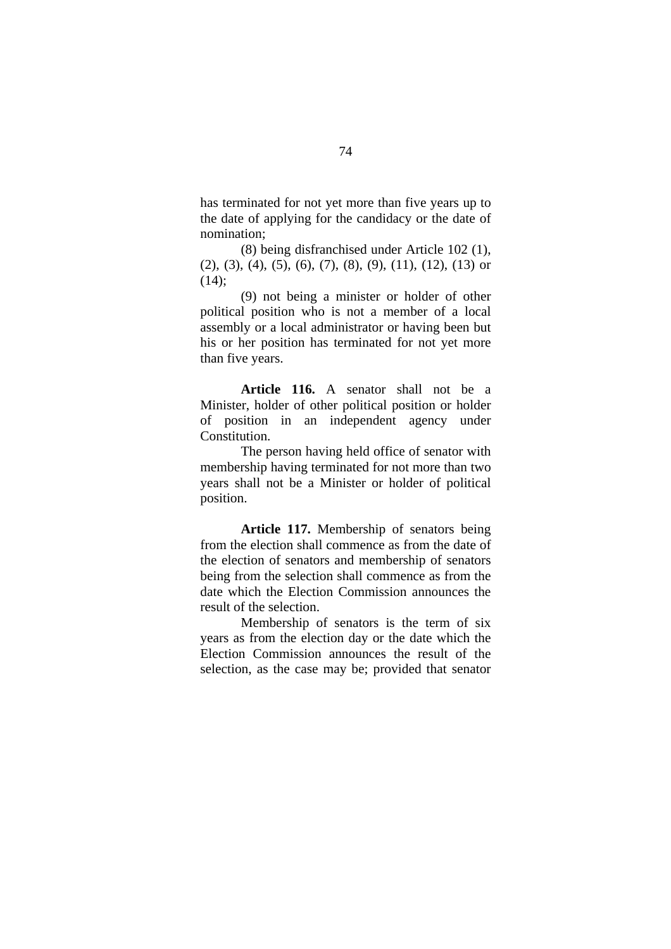has terminated for not yet more than five years up to the date of applying for the candidacy or the date of nomination;

 (8) being disfranchised under Article 102 (1),  $(2)$ ,  $(3)$ ,  $(4)$ ,  $(5)$ ,  $(6)$ ,  $(7)$ ,  $(8)$ ,  $(9)$ ,  $(11)$ ,  $(12)$ ,  $(13)$  or  $(14)$ ;

 (9) not being a minister or holder of other political position who is not a member of a local assembly or a local administrator or having been but his or her position has terminated for not yet more than five years.

**Article 116.** A senator shall not be a Minister, holder of other political position or holder of position in an independent agency under Constitution.

 The person having held office of senator with membership having terminated for not more than two years shall not be a Minister or holder of political position.

**Article 117.** Membership of senators being from the election shall commence as from the date of the election of senators and membership of senators being from the selection shall commence as from the date which the Election Commission announces the result of the selection.

 Membership of senators is the term of six years as from the election day or the date which the Election Commission announces the result of the selection, as the case may be; provided that senator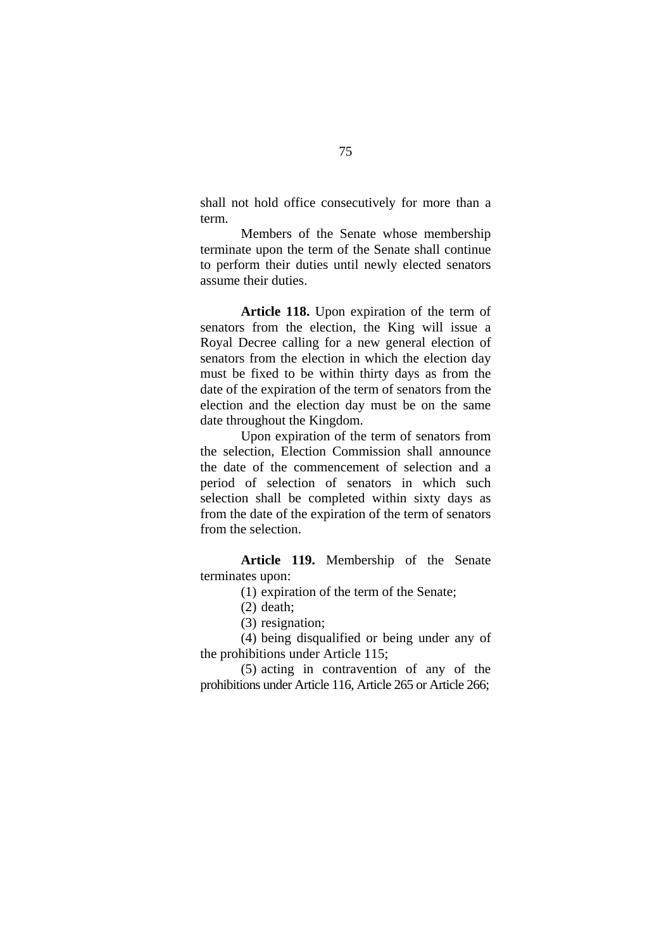shall not hold office consecutively for more than a term.

 Members of the Senate whose membership terminate upon the term of the Senate shall continue to perform their duties until newly elected senators assume their duties.

**Article 118.** Upon expiration of the term of senators from the election, the King will issue a Royal Decree calling for a new general election of senators from the election in which the election day must be fixed to be within thirty days as from the date of the expiration of the term of senators from the election and the election day must be on the same date throughout the Kingdom.

 Upon expiration of the term of senators from the selection, Election Commission shall announce the date of the commencement of selection and a period of selection of senators in which such selection shall be completed within sixty days as from the date of the expiration of the term of senators from the selection.

**Article 119.** Membership of the Senate terminates upon:

(1) expiration of the term of the Senate;

- (2) death;
- (3) resignation;

(4) being disqualified or being under any of the prohibitions under Article 115;

(5) acting in contravention of any of the prohibitions under Article 116, Article 265 or Article 266;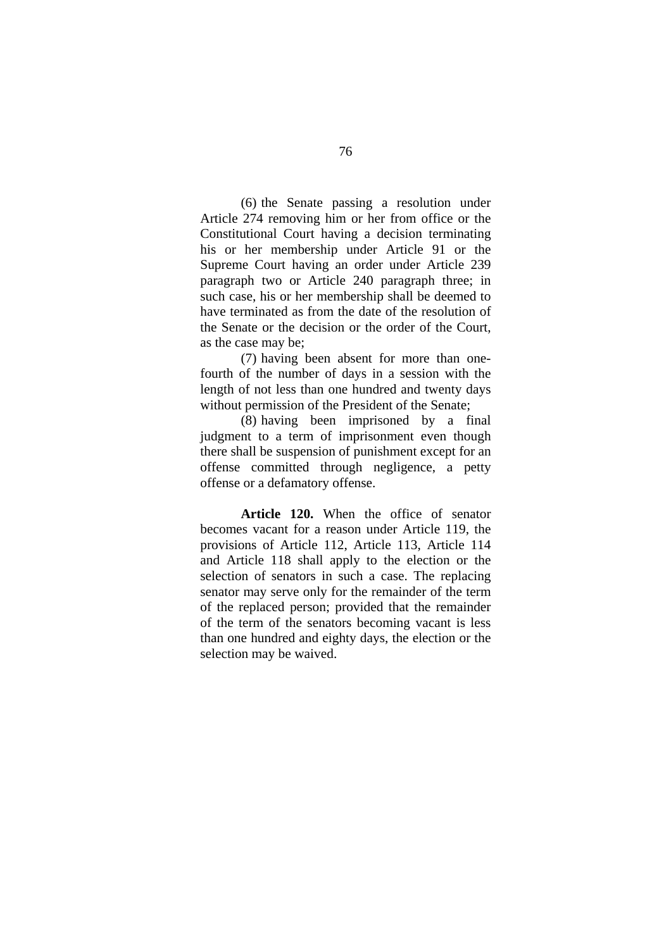(6) the Senate passing a resolution under Article 274 removing him or her from office or the Constitutional Court having a decision terminating his or her membership under Article 91 or the Supreme Court having an order under Article 239 paragraph two or Article 240 paragraph three; in such case, his or her membership shall be deemed to have terminated as from the date of the resolution of the Senate or the decision or the order of the Court, as the case may be;

(7) having been absent for more than onefourth of the number of days in a session with the length of not less than one hundred and twenty days without permission of the President of the Senate;

(8) having been imprisoned by a final judgment to a term of imprisonment even though there shall be suspension of punishment except for an offense committed through negligence, a petty offense or a defamatory offense.

**Article 120.** When the office of senator becomes vacant for a reason under Article 119, the provisions of Article 112, Article 113, Article 114 and Article 118 shall apply to the election or the selection of senators in such a case. The replacing senator may serve only for the remainder of the term of the replaced person; provided that the remainder of the term of the senators becoming vacant is less than one hundred and eighty days, the election or the selection may be waived.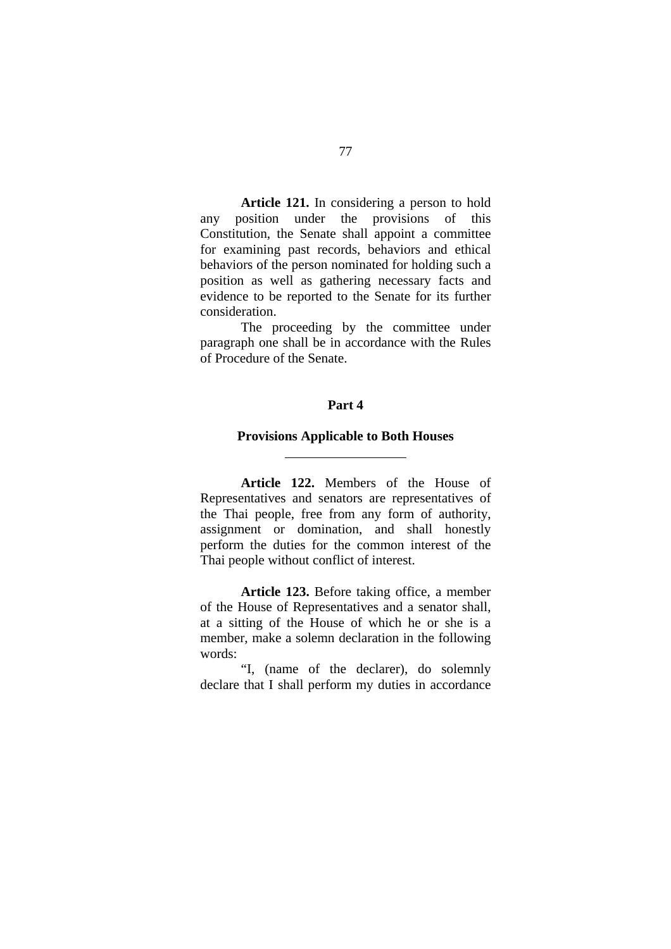**Article 121.** In considering a person to hold any position under the provisions of this Constitution, the Senate shall appoint a committee for examining past records, behaviors and ethical behaviors of the person nominated for holding such a position as well as gathering necessary facts and evidence to be reported to the Senate for its further consideration.

The proceeding by the committee under paragraph one shall be in accordance with the Rules of Procedure of the Senate.

## **Part 4**

#### **Provisions Applicable to Both Houses**

 $\overline{a}$ 

**Article 122.** Members of the House of Representatives and senators are representatives of the Thai people, free from any form of authority, assignment or domination, and shall honestly perform the duties for the common interest of the Thai people without conflict of interest.

**Article 123.** Before taking office, a member of the House of Representatives and a senator shall, at a sitting of the House of which he or she is a member, make a solemn declaration in the following words:

"I, (name of the declarer), do solemnly declare that I shall perform my duties in accordance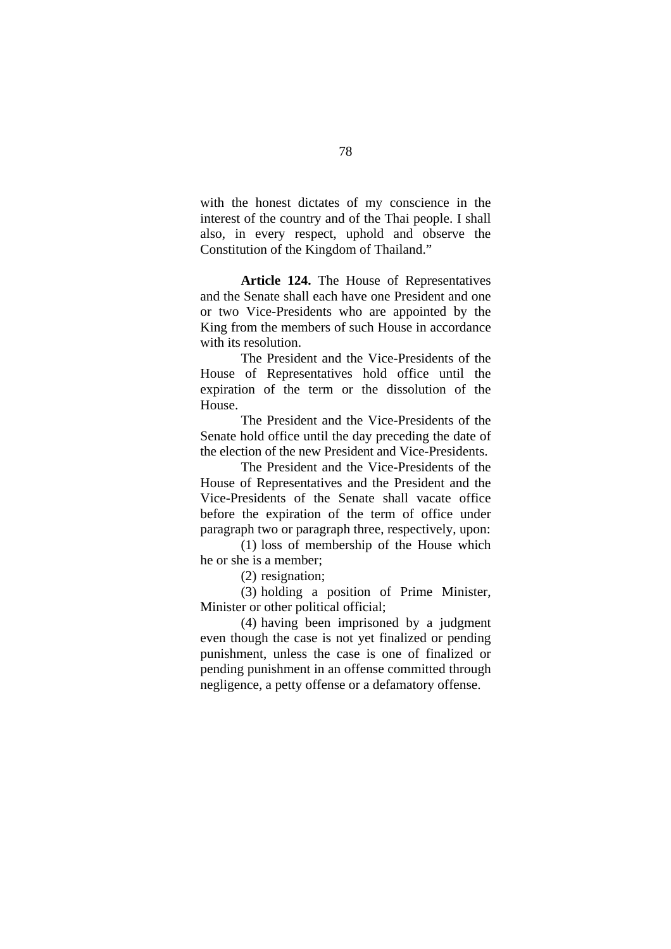with the honest dictates of my conscience in the interest of the country and of the Thai people. I shall also, in every respect, uphold and observe the Constitution of the Kingdom of Thailand."

**Article 124.** The House of Representatives and the Senate shall each have one President and one or two Vice-Presidents who are appointed by the King from the members of such House in accordance with its resolution.

The President and the Vice-Presidents of the House of Representatives hold office until the expiration of the term or the dissolution of the House.

The President and the Vice-Presidents of the Senate hold office until the day preceding the date of the election of the new President and Vice-Presidents.

The President and the Vice-Presidents of the House of Representatives and the President and the Vice-Presidents of the Senate shall vacate office before the expiration of the term of office under paragraph two or paragraph three, respectively, upon:

(1) loss of membership of the House which he or she is a member;

(2) resignation;

(3) holding a position of Prime Minister, Minister or other political official;

(4) having been imprisoned by a judgment even though the case is not yet finalized or pending punishment, unless the case is one of finalized or pending punishment in an offense committed through negligence, a petty offense or a defamatory offense.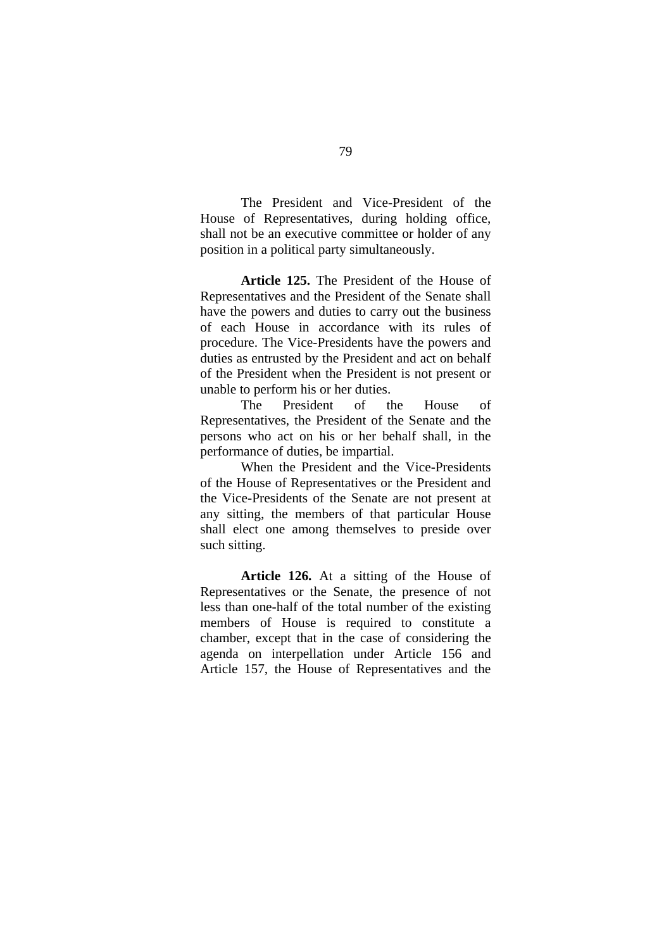The President and Vice-President of the House of Representatives, during holding office, shall not be an executive committee or holder of any position in a political party simultaneously.

**Article 125.** The President of the House of Representatives and the President of the Senate shall have the powers and duties to carry out the business of each House in accordance with its rules of procedure. The Vice-Presidents have the powers and duties as entrusted by the President and act on behalf of the President when the President is not present or unable to perform his or her duties.

The President of the House of Representatives, the President of the Senate and the persons who act on his or her behalf shall, in the performance of duties, be impartial.

When the President and the Vice-Presidents of the House of Representatives or the President and the Vice-Presidents of the Senate are not present at any sitting, the members of that particular House shall elect one among themselves to preside over such sitting.

**Article 126.** At a sitting of the House of Representatives or the Senate, the presence of not less than one-half of the total number of the existing members of House is required to constitute a chamber, except that in the case of considering the agenda on interpellation under Article 156 and Article 157, the House of Representatives and the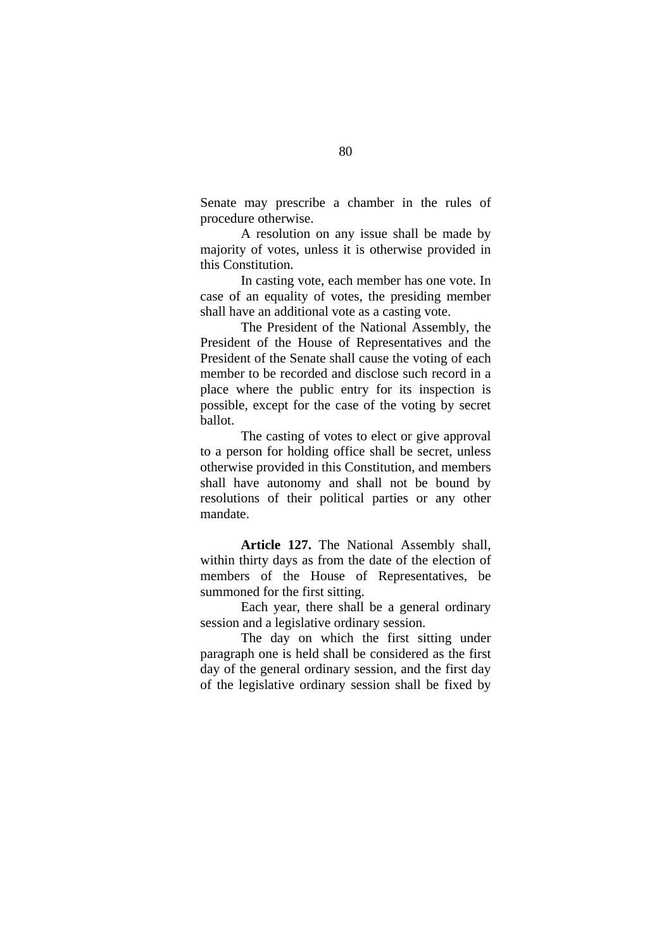Senate may prescribe a chamber in the rules of procedure otherwise.

A resolution on any issue shall be made by majority of votes, unless it is otherwise provided in this Constitution.

In casting vote, each member has one vote. In case of an equality of votes, the presiding member shall have an additional vote as a casting vote.

The President of the National Assembly, the President of the House of Representatives and the President of the Senate shall cause the voting of each member to be recorded and disclose such record in a place where the public entry for its inspection is possible, except for the case of the voting by secret ballot.

The casting of votes to elect or give approval to a person for holding office shall be secret, unless otherwise provided in this Constitution, and members shall have autonomy and shall not be bound by resolutions of their political parties or any other mandate.

**Article 127.** The National Assembly shall, within thirty days as from the date of the election of members of the House of Representatives, be summoned for the first sitting.

Each year, there shall be a general ordinary session and a legislative ordinary session.

The day on which the first sitting under paragraph one is held shall be considered as the first day of the general ordinary session, and the first day of the legislative ordinary session shall be fixed by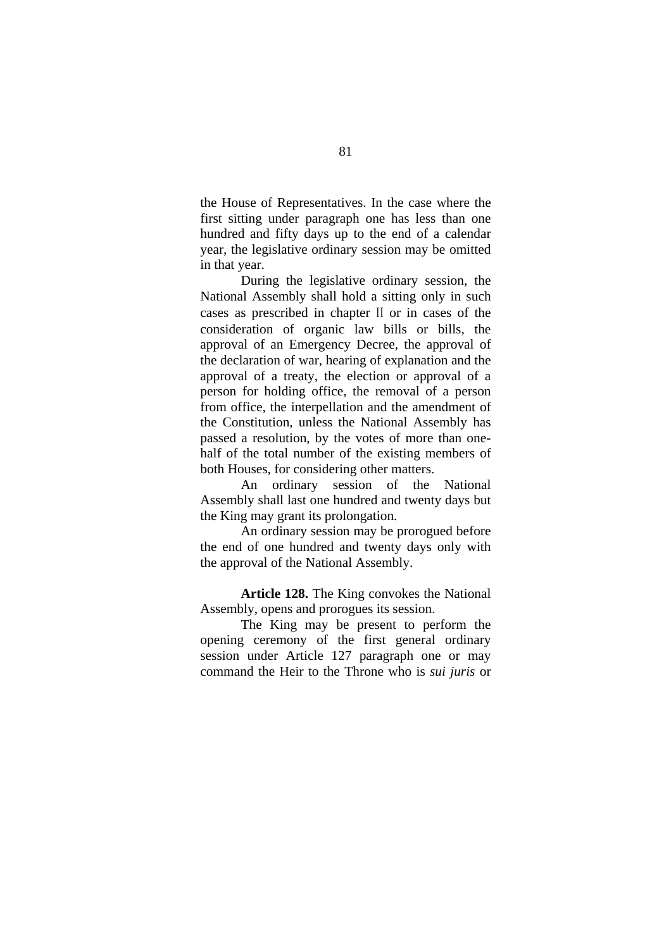the House of Representatives. In the case where the first sitting under paragraph one has less than one hundred and fifty days up to the end of a calendar year, the legislative ordinary session may be omitted in that year.

During the legislative ordinary session, the National Assembly shall hold a sitting only in such cases as prescribed in chapter II or in cases of the consideration of organic law bills or bills, the approval of an Emergency Decree, the approval of the declaration of war, hearing of explanation and the approval of a treaty, the election or approval of a person for holding office, the removal of a person from office, the interpellation and the amendment of the Constitution, unless the National Assembly has passed a resolution, by the votes of more than onehalf of the total number of the existing members of both Houses, for considering other matters.

An ordinary session of the National Assembly shall last one hundred and twenty days but the King may grant its prolongation.

An ordinary session may be prorogued before the end of one hundred and twenty days only with the approval of the National Assembly.

**Article 128.** The King convokes the National Assembly, opens and prorogues its session.

The King may be present to perform the opening ceremony of the first general ordinary session under Article 127 paragraph one or may command the Heir to the Throne who is *sui juris* or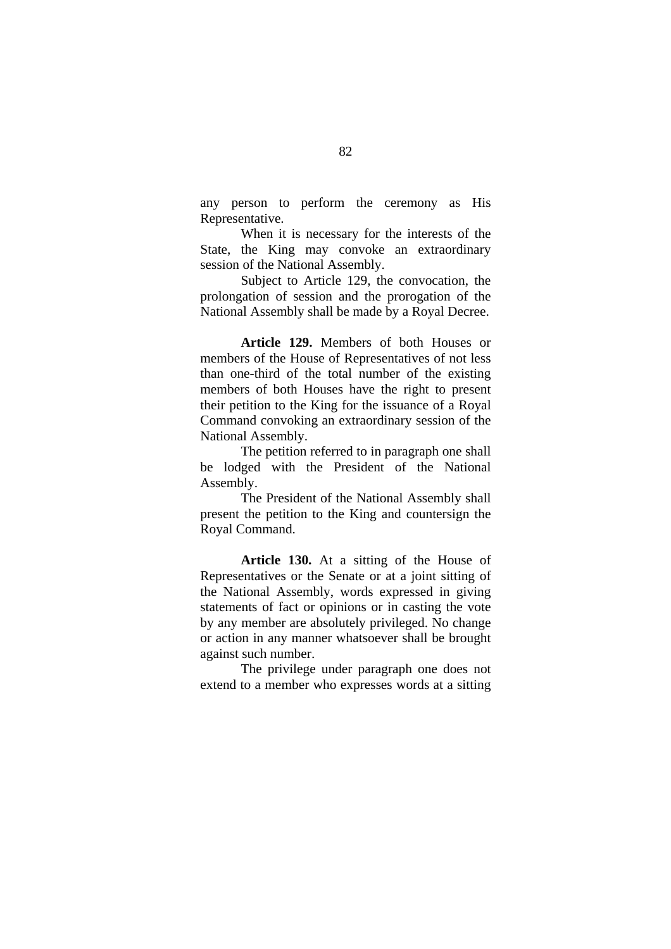any person to perform the ceremony as His Representative.

When it is necessary for the interests of the State, the King may convoke an extraordinary session of the National Assembly.

Subject to Article 129, the convocation, the prolongation of session and the prorogation of the National Assembly shall be made by a Royal Decree.

**Article 129.** Members of both Houses or members of the House of Representatives of not less than one-third of the total number of the existing members of both Houses have the right to present their petition to the King for the issuance of a Royal Command convoking an extraordinary session of the National Assembly.

The petition referred to in paragraph one shall be lodged with the President of the National Assembly.

The President of the National Assembly shall present the petition to the King and countersign the Royal Command.

**Article 130.** At a sitting of the House of Representatives or the Senate or at a joint sitting of the National Assembly, words expressed in giving statements of fact or opinions or in casting the vote by any member are absolutely privileged. No change or action in any manner whatsoever shall be brought against such number.

The privilege under paragraph one does not extend to a member who expresses words at a sitting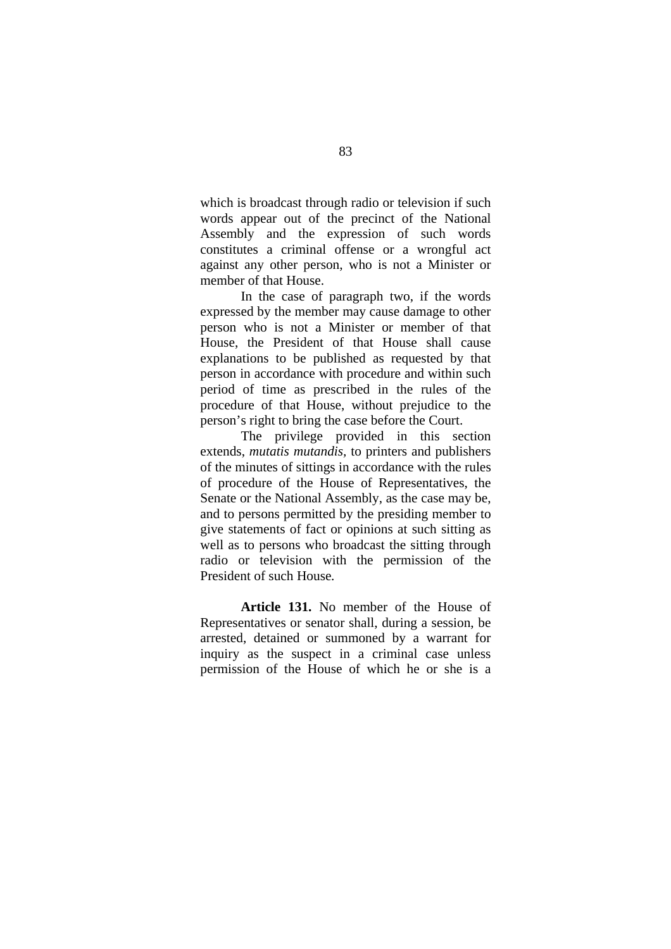which is broadcast through radio or television if such words appear out of the precinct of the National Assembly and the expression of such words constitutes a criminal offense or a wrongful act against any other person, who is not a Minister or member of that House.

In the case of paragraph two, if the words expressed by the member may cause damage to other person who is not a Minister or member of that House, the President of that House shall cause explanations to be published as requested by that person in accordance with procedure and within such period of time as prescribed in the rules of the procedure of that House, without prejudice to the person's right to bring the case before the Court.

The privilege provided in this section extends, *mutatis mutandis,* to printers and publishers of the minutes of sittings in accordance with the rules of procedure of the House of Representatives, the Senate or the National Assembly, as the case may be, and to persons permitted by the presiding member to give statements of fact or opinions at such sitting as well as to persons who broadcast the sitting through radio or television with the permission of the President of such House*.* 

**Article 131.** No member of the House of Representatives or senator shall, during a session, be arrested, detained or summoned by a warrant for inquiry as the suspect in a criminal case unless permission of the House of which he or she is a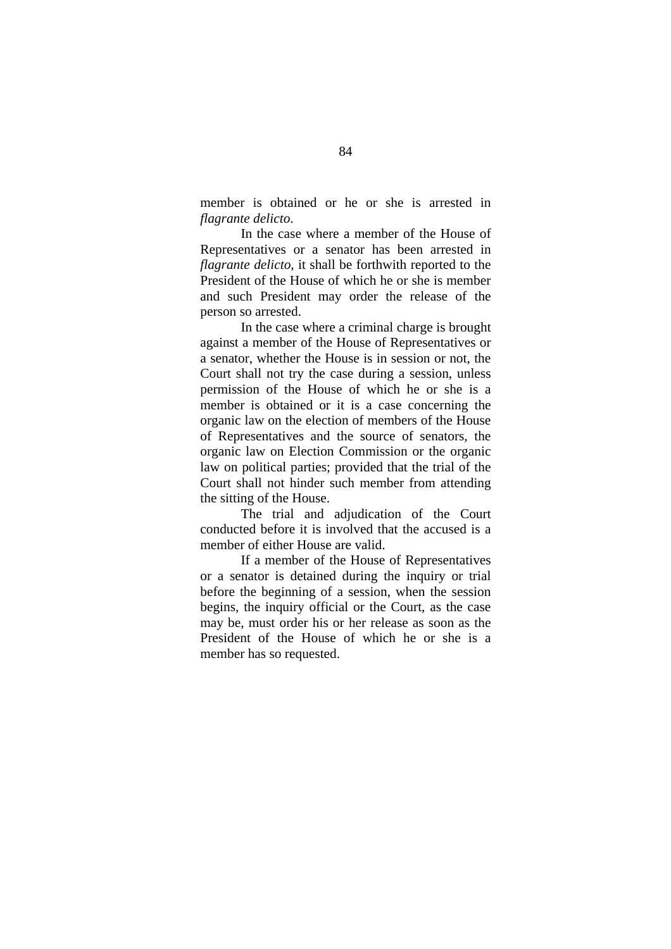member is obtained or he or she is arrested in *flagrante delicto*.

In the case where a member of the House of Representatives or a senator has been arrested in *flagrante delicto*, it shall be forthwith reported to the President of the House of which he or she is member and such President may order the release of the person so arrested.

In the case where a criminal charge is brought against a member of the House of Representatives or a senator, whether the House is in session or not, the Court shall not try the case during a session, unless permission of the House of which he or she is a member is obtained or it is a case concerning the organic law on the election of members of the House of Representatives and the source of senators, the organic law on Election Commission or the organic law on political parties; provided that the trial of the Court shall not hinder such member from attending the sitting of the House.

The trial and adjudication of the Court conducted before it is involved that the accused is a member of either House are valid.

If a member of the House of Representatives or a senator is detained during the inquiry or trial before the beginning of a session, when the session begins, the inquiry official or the Court, as the case may be, must order his or her release as soon as the President of the House of which he or she is a member has so requested.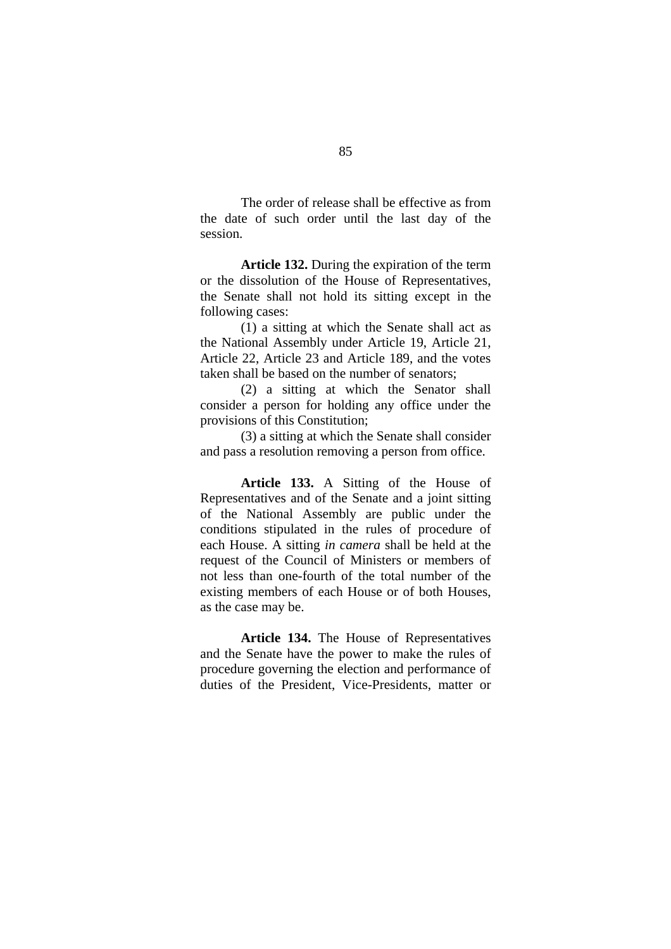The order of release shall be effective as from the date of such order until the last day of the session.

**Article 132.** During the expiration of the term or the dissolution of the House of Representatives, the Senate shall not hold its sitting except in the following cases:

(1) a sitting at which the Senate shall act as the National Assembly under Article 19, Article 21, Article 22, Article 23 and Article 189, and the votes taken shall be based on the number of senators;

(2) a sitting at which the Senator shall consider a person for holding any office under the provisions of this Constitution;

(3) a sitting at which the Senate shall consider and pass a resolution removing a person from office.

**Article 133.** A Sitting of the House of Representatives and of the Senate and a joint sitting of the National Assembly are public under the conditions stipulated in the rules of procedure of each House. A sitting *in camera* shall be held at the request of the Council of Ministers or members of not less than one-fourth of the total number of the existing members of each House or of both Houses, as the case may be.

**Article 134.** The House of Representatives and the Senate have the power to make the rules of procedure governing the election and performance of duties of the President, Vice-Presidents, matter or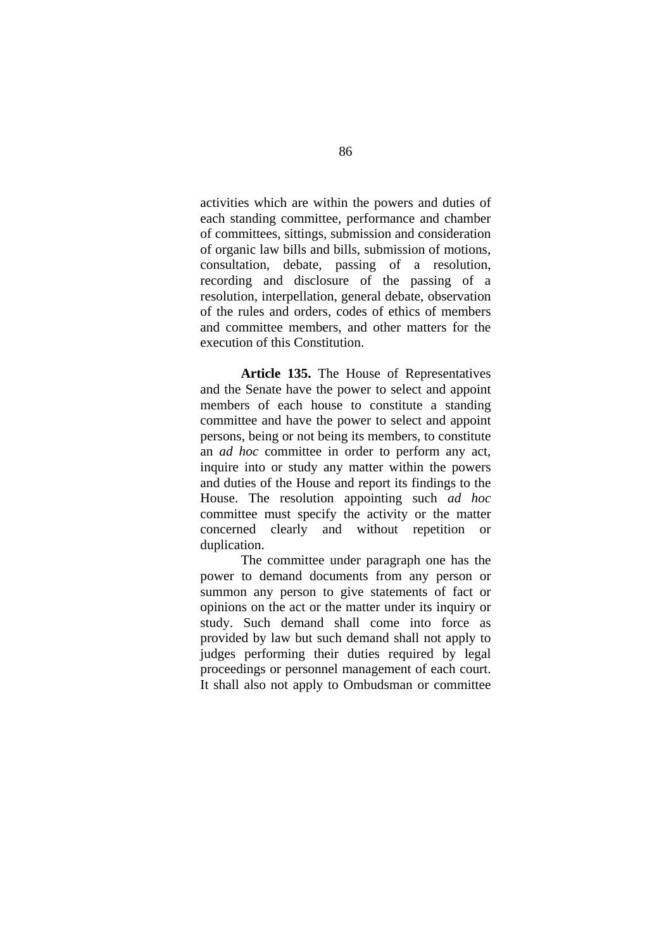activities which are within the powers and duties of each standing committee, performance and chamber of committees, sittings, submission and consideration of organic law bills and bills, submission of motions, consultation, debate, passing of a resolution, recording and disclosure of the passing of a resolution, interpellation, general debate, observation of the rules and orders, codes of ethics of members and committee members, and other matters for the execution of this Constitution.

**Article 135.** The House of Representatives and the Senate have the power to select and appoint members of each house to constitute a standing committee and have the power to select and appoint persons, being or not being its members, to constitute an *ad hoc* committee in order to perform any act, inquire into or study any matter within the powers and duties of the House and report its findings to the House. The resolution appointing such *ad hoc*  committee must specify the activity or the matter concerned clearly and without repetition or duplication.

The committee under paragraph one has the power to demand documents from any person or summon any person to give statements of fact or opinions on the act or the matter under its inquiry or study. Such demand shall come into force as provided by law but such demand shall not apply to judges performing their duties required by legal proceedings or personnel management of each court. It shall also not apply to Ombudsman or committee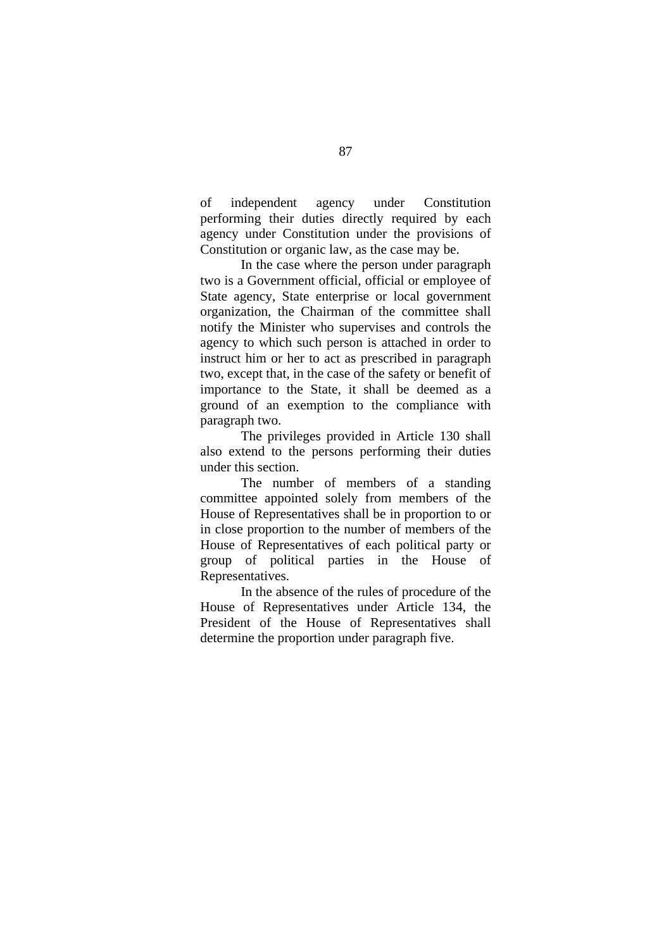of independent agency under Constitution performing their duties directly required by each agency under Constitution under the provisions of Constitution or organic law, as the case may be.

In the case where the person under paragraph two is a Government official, official or employee of State agency, State enterprise or local government organization, the Chairman of the committee shall notify the Minister who supervises and controls the agency to which such person is attached in order to instruct him or her to act as prescribed in paragraph two, except that, in the case of the safety or benefit of importance to the State, it shall be deemed as a ground of an exemption to the compliance with paragraph two.

The privileges provided in Article 130 shall also extend to the persons performing their duties under this section.

The number of members of a standing committee appointed solely from members of the House of Representatives shall be in proportion to or in close proportion to the number of members of the House of Representatives of each political party or group of political parties in the House of Representatives.

In the absence of the rules of procedure of the House of Representatives under Article 134, the President of the House of Representatives shall determine the proportion under paragraph five.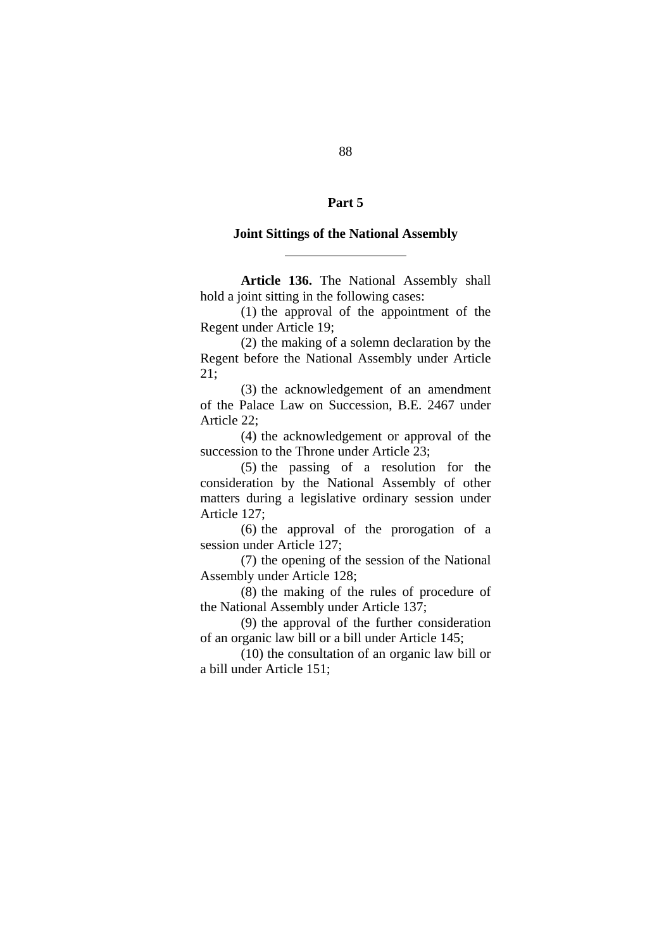## **Part 5**

## **Joint Sittings of the National Assembly**

 $\overline{a}$ 

**Article 136.** The National Assembly shall hold a joint sitting in the following cases:

 (1) the approval of the appointment of the Regent under Article 19;

 (2) the making of a solemn declaration by the Regent before the National Assembly under Article 21;

 (3) the acknowledgement of an amendment of the Palace Law on Succession, B.E. 2467 under Article 22;

 (4) the acknowledgement or approval of the succession to the Throne under Article 23:

 (5) the passing of a resolution for the consideration by the National Assembly of other matters during a legislative ordinary session under Article 127;

 (6) the approval of the prorogation of a session under Article 127;

 (7) the opening of the session of the National Assembly under Article 128;

 (8) the making of the rules of procedure of the National Assembly under Article 137;

 (9) the approval of the further consideration of an organic law bill or a bill under Article 145;

 (10) the consultation of an organic law bill or a bill under Article 151;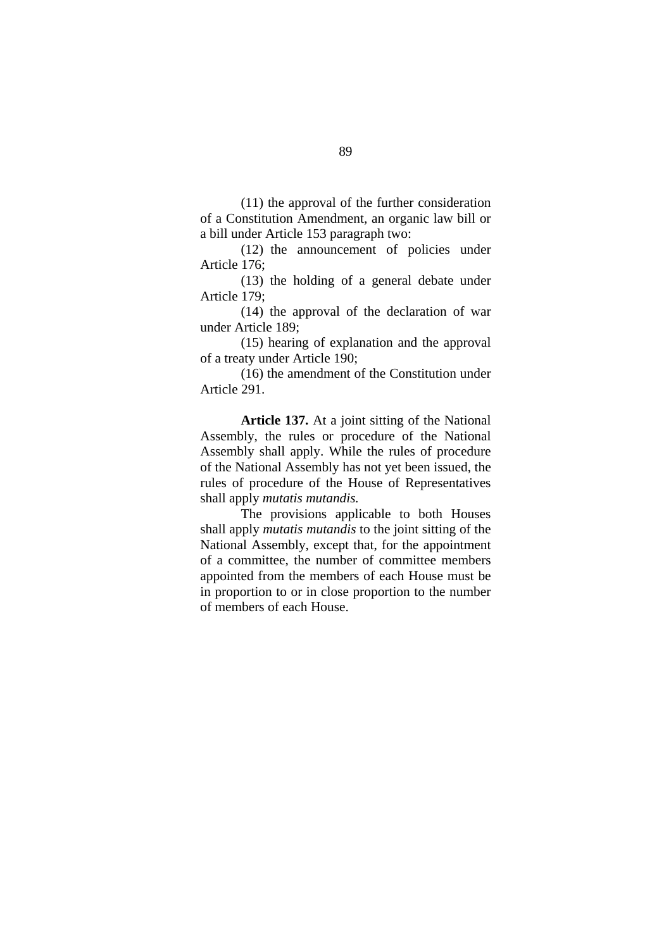(11) the approval of the further consideration of a Constitution Amendment, an organic law bill or a bill under Article 153 paragraph two:

 (12) the announcement of policies under Article 176;

 (13) the holding of a general debate under Article 179;

 (14) the approval of the declaration of war under Article 189;

 (15) hearing of explanation and the approval of a treaty under Article 190;

 (16) the amendment of the Constitution under Article 291.

**Article 137.** At a joint sitting of the National Assembly, the rules or procedure of the National Assembly shall apply. While the rules of procedure of the National Assembly has not yet been issued, the rules of procedure of the House of Representatives shall apply *mutatis mutandis.* 

The provisions applicable to both Houses shall apply *mutatis mutandis* to the joint sitting of the National Assembly, except that, for the appointment of a committee, the number of committee members appointed from the members of each House must be in proportion to or in close proportion to the number of members of each House.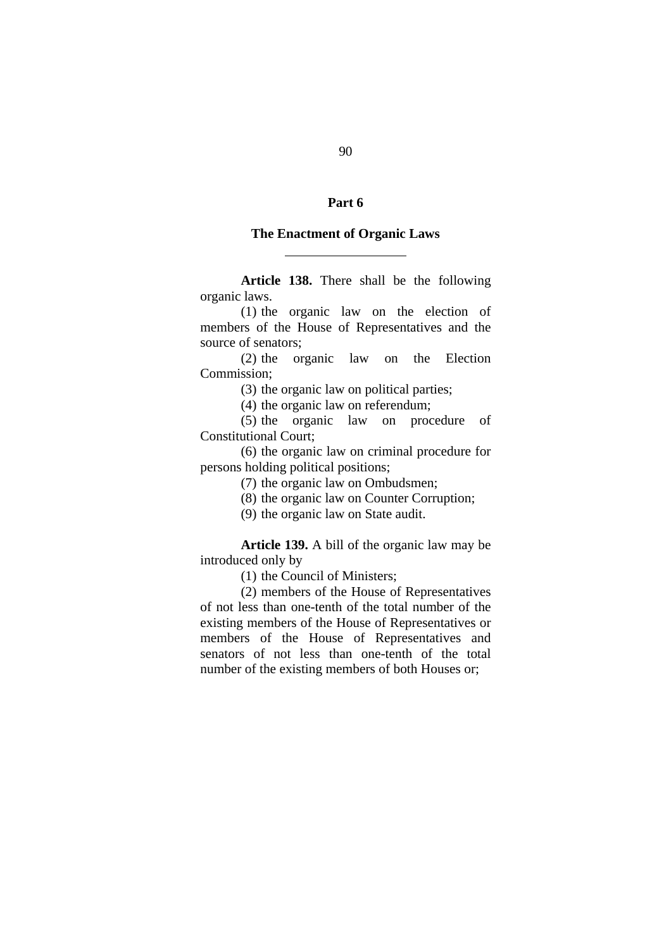# **Part 6**

#### **The Enactment of Organic Laws**

 $\overline{a}$ 

**Article 138.** There shall be the following organic laws.

(1) the organic law on the election of members of the House of Representatives and the source of senators;

(2) the organic law on the Election Commission;

(3) the organic law on political parties;

(4) the organic law on referendum;

(5) the organic law on procedure of Constitutional Court;

(6) the organic law on criminal procedure for persons holding political positions;

(7) the organic law on Ombudsmen;

(8) the organic law on Counter Corruption;

(9) the organic law on State audit.

**Article 139.** A bill of the organic law may be introduced only by

(1) the Council of Ministers;

(2) members of the House of Representatives of not less than one-tenth of the total number of the existing members of the House of Representatives or members of the House of Representatives and senators of not less than one-tenth of the total number of the existing members of both Houses or;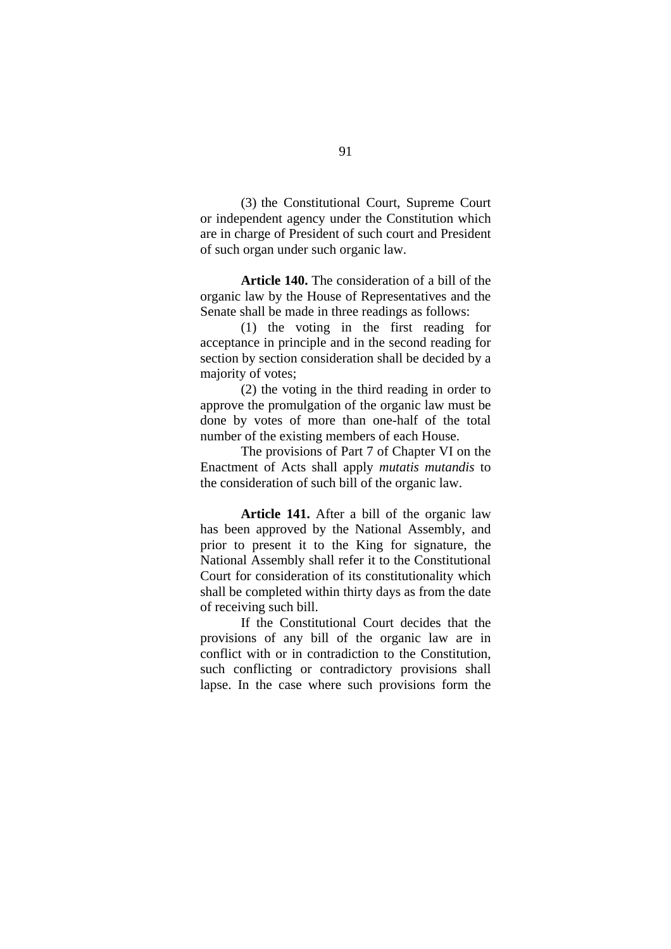(3) the Constitutional Court, Supreme Court or independent agency under the Constitution which are in charge of President of such court and President of such organ under such organic law.

**Article 140.** The consideration of a bill of the organic law by the House of Representatives and the Senate shall be made in three readings as follows:

(1) the voting in the first reading for acceptance in principle and in the second reading for section by section consideration shall be decided by a majority of votes;

(2) the voting in the third reading in order to approve the promulgation of the organic law must be done by votes of more than one-half of the total number of the existing members of each House.

The provisions of Part 7 of Chapter VI on the Enactment of Acts shall apply *mutatis mutandis* to the consideration of such bill of the organic law.

**Article 141.** After a bill of the organic law has been approved by the National Assembly, and prior to present it to the King for signature, the National Assembly shall refer it to the Constitutional Court for consideration of its constitutionality which shall be completed within thirty days as from the date of receiving such bill.

If the Constitutional Court decides that the provisions of any bill of the organic law are in conflict with or in contradiction to the Constitution, such conflicting or contradictory provisions shall lapse. In the case where such provisions form the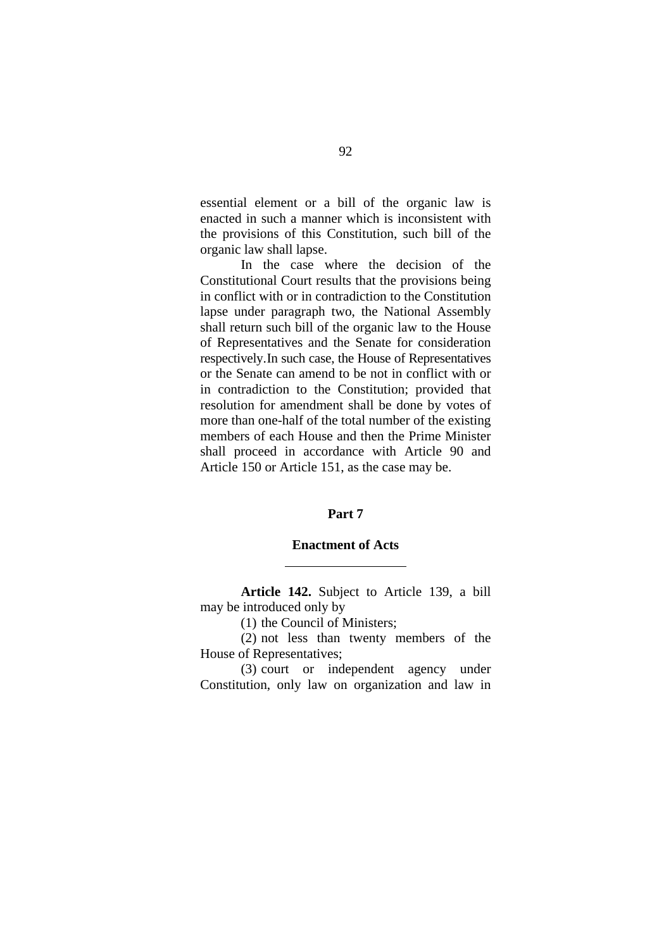essential element or a bill of the organic law is enacted in such a manner which is inconsistent with the provisions of this Constitution, such bill of the organic law shall lapse.

In the case where the decision of the Constitutional Court results that the provisions being in conflict with or in contradiction to the Constitution lapse under paragraph two, the National Assembly shall return such bill of the organic law to the House of Representatives and the Senate for consideration respectively.In such case, the House of Representatives or the Senate can amend to be not in conflict with or in contradiction to the Constitution; provided that resolution for amendment shall be done by votes of more than one-half of the total number of the existing members of each House and then the Prime Minister shall proceed in accordance with Article 90 and Article 150 or Article 151, as the case may be.

## **Part 7**

#### **Enactment of Acts**

**Article 142.** Subject to Article 139, a bill may be introduced only by

(1) the Council of Ministers;

 $\overline{a}$ 

 (2) not less than twenty members of the House of Representatives;

 (3) court or independent agency under Constitution, only law on organization and law in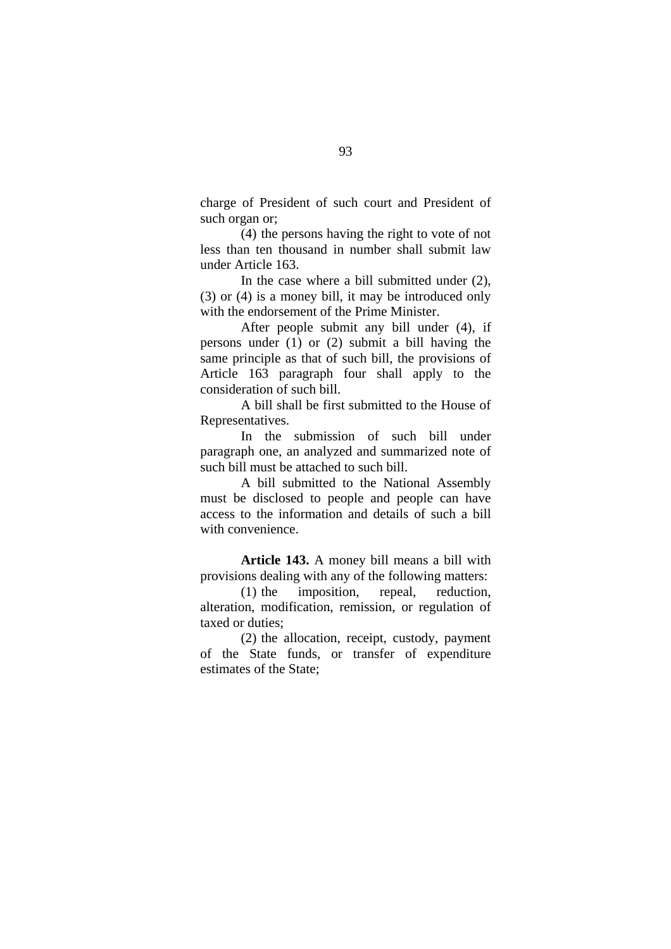charge of President of such court and President of such organ or;

 (4) the persons having the right to vote of not less than ten thousand in number shall submit law under Article 163.

In the case where a bill submitted under (2), (3) or (4) is a money bill, it may be introduced only with the endorsement of the Prime Minister.

After people submit any bill under (4), if persons under (1) or (2) submit a bill having the same principle as that of such bill, the provisions of Article 163 paragraph four shall apply to the consideration of such bill.

A bill shall be first submitted to the House of Representatives.

In the submission of such bill under paragraph one, an analyzed and summarized note of such bill must be attached to such bill.

A bill submitted to the National Assembly must be disclosed to people and people can have access to the information and details of such a bill with convenience.

**Article 143.** A money bill means a bill with provisions dealing with any of the following matters:

(1) the imposition, repeal, reduction, alteration, modification, remission, or regulation of taxed or duties;

(2) the allocation, receipt, custody, payment of the State funds, or transfer of expenditure estimates of the State;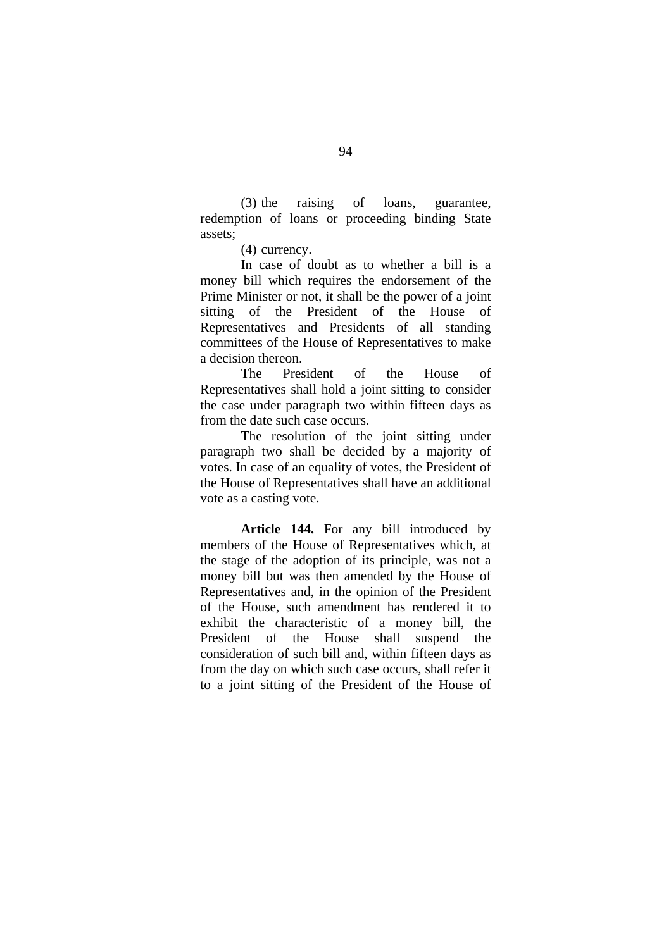(3) the raising of loans, guarantee, redemption of loans or proceeding binding State assets;

(4) currency.

In case of doubt as to whether a bill is a money bill which requires the endorsement of the Prime Minister or not, it shall be the power of a joint sitting of the President of the House of Representatives and Presidents of all standing committees of the House of Representatives to make a decision thereon.

The President of the House of Representatives shall hold a joint sitting to consider the case under paragraph two within fifteen days as from the date such case occurs.

The resolution of the joint sitting under paragraph two shall be decided by a majority of votes. In case of an equality of votes, the President of the House of Representatives shall have an additional vote as a casting vote.

**Article 144.** For any bill introduced by members of the House of Representatives which, at the stage of the adoption of its principle, was not a money bill but was then amended by the House of Representatives and, in the opinion of the President of the House, such amendment has rendered it to exhibit the characteristic of a money bill, the President of the House shall suspend the consideration of such bill and, within fifteen days as from the day on which such case occurs, shall refer it to a joint sitting of the President of the House of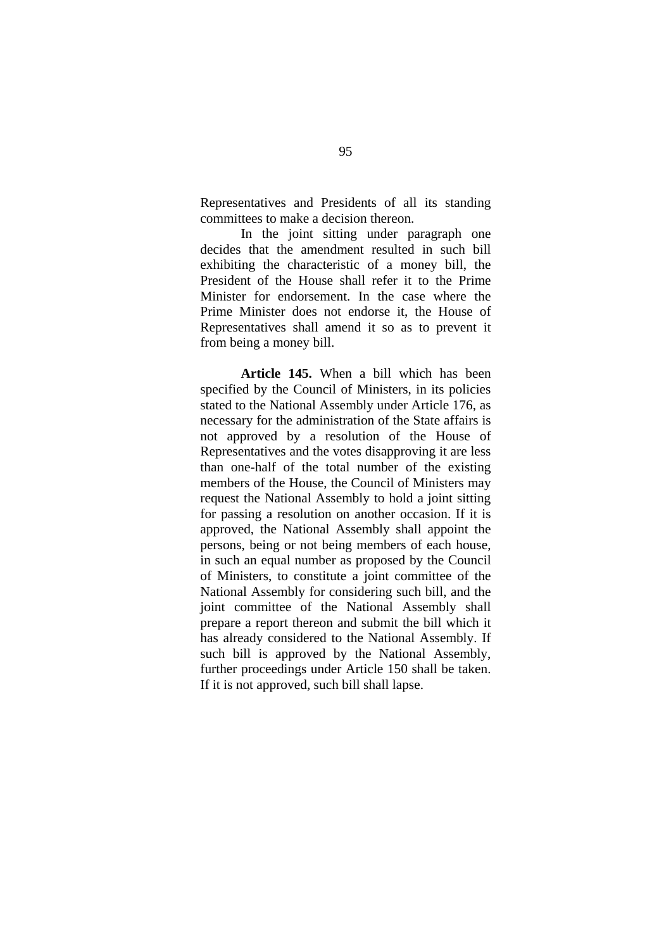Representatives and Presidents of all its standing committees to make a decision thereon.

In the joint sitting under paragraph one decides that the amendment resulted in such bill exhibiting the characteristic of a money bill, the President of the House shall refer it to the Prime Minister for endorsement. In the case where the Prime Minister does not endorse it, the House of Representatives shall amend it so as to prevent it from being a money bill.

**Article 145.** When a bill which has been specified by the Council of Ministers, in its policies stated to the National Assembly under Article 176, as necessary for the administration of the State affairs is not approved by a resolution of the House of Representatives and the votes disapproving it are less than one-half of the total number of the existing members of the House, the Council of Ministers may request the National Assembly to hold a joint sitting for passing a resolution on another occasion. If it is approved, the National Assembly shall appoint the persons, being or not being members of each house, in such an equal number as proposed by the Council of Ministers, to constitute a joint committee of the National Assembly for considering such bill, and the joint committee of the National Assembly shall prepare a report thereon and submit the bill which it has already considered to the National Assembly. If such bill is approved by the National Assembly, further proceedings under Article 150 shall be taken. If it is not approved, such bill shall lapse.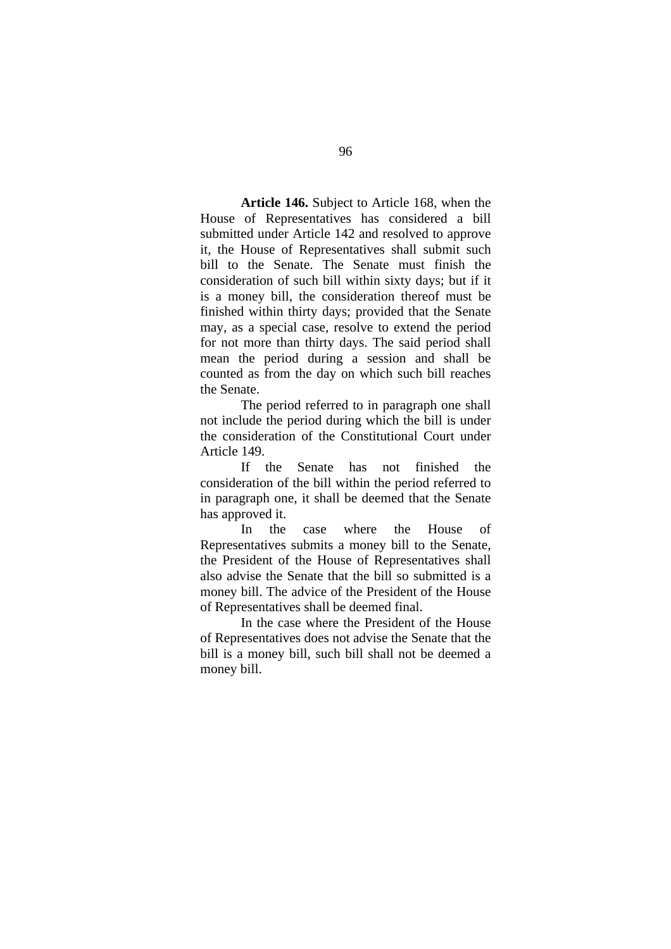**Article 146.** Subject to Article 168, when the House of Representatives has considered a bill submitted under Article 142 and resolved to approve it, the House of Representatives shall submit such bill to the Senate. The Senate must finish the consideration of such bill within sixty days; but if it is a money bill, the consideration thereof must be finished within thirty days; provided that the Senate may, as a special case, resolve to extend the period for not more than thirty days. The said period shall mean the period during a session and shall be counted as from the day on which such bill reaches the Senate.

 The period referred to in paragraph one shall not include the period during which the bill is under the consideration of the Constitutional Court under Article 149.

 If the Senate has not finished the consideration of the bill within the period referred to in paragraph one, it shall be deemed that the Senate has approved it.

 In the case where the House of Representatives submits a money bill to the Senate, the President of the House of Representatives shall also advise the Senate that the bill so submitted is a money bill. The advice of the President of the House of Representatives shall be deemed final.

 In the case where the President of the House of Representatives does not advise the Senate that the bill is a money bill, such bill shall not be deemed a money bill.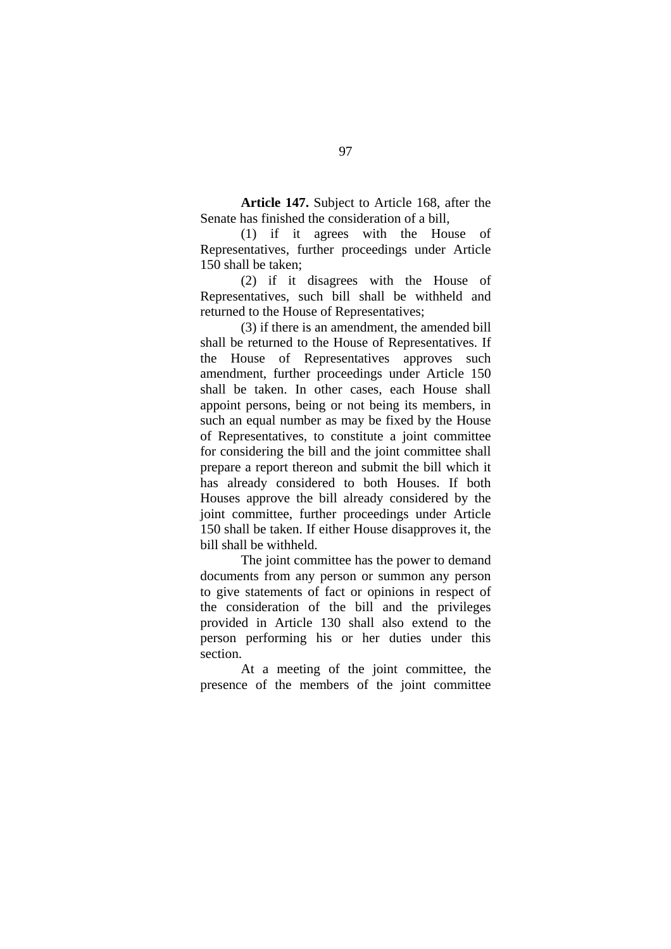**Article 147.** Subject to Article 168, after the Senate has finished the consideration of a bill,

 (1) if it agrees with the House of Representatives, further proceedings under Article 150 shall be taken;

 (2) if it disagrees with the House of Representatives, such bill shall be withheld and returned to the House of Representatives;

 (3) if there is an amendment, the amended bill shall be returned to the House of Representatives. If the House of Representatives approves such amendment, further proceedings under Article 150 shall be taken. In other cases, each House shall appoint persons, being or not being its members, in such an equal number as may be fixed by the House of Representatives, to constitute a joint committee for considering the bill and the joint committee shall prepare a report thereon and submit the bill which it has already considered to both Houses. If both Houses approve the bill already considered by the joint committee, further proceedings under Article 150 shall be taken. If either House disapproves it, the bill shall be withheld.

 The joint committee has the power to demand documents from any person or summon any person to give statements of fact or opinions in respect of the consideration of the bill and the privileges provided in Article 130 shall also extend to the person performing his or her duties under this section.

 At a meeting of the joint committee, the presence of the members of the joint committee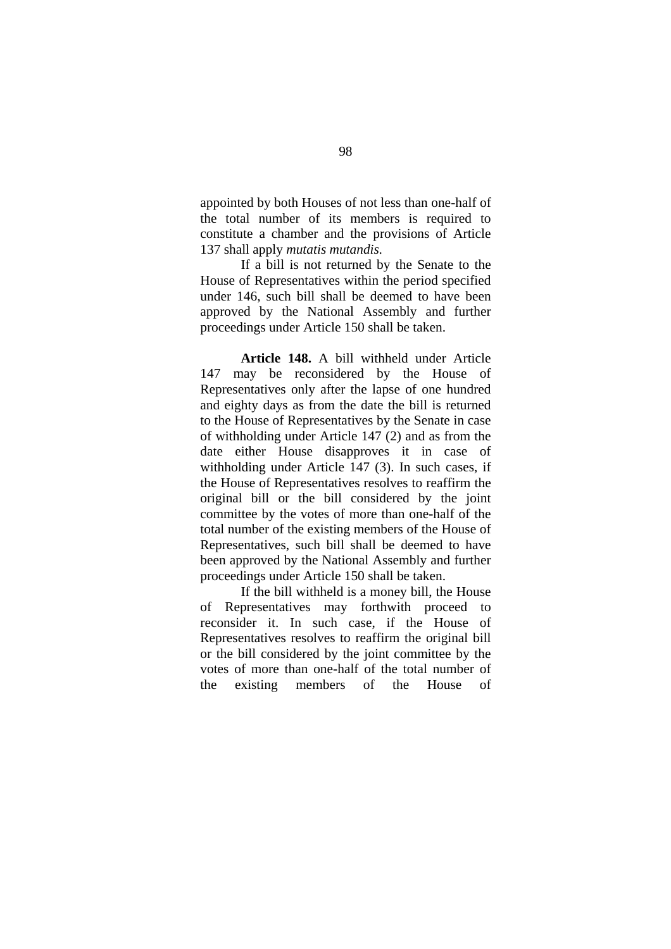appointed by both Houses of not less than one-half of the total number of its members is required to constitute a chamber and the provisions of Article 137 shall apply *mutatis mutandis.* 

If a bill is not returned by the Senate to the House of Representatives within the period specified under 146, such bill shall be deemed to have been approved by the National Assembly and further proceedings under Article 150 shall be taken.

**Article 148.** A bill withheld under Article 147 may be reconsidered by the House of Representatives only after the lapse of one hundred and eighty days as from the date the bill is returned to the House of Representatives by the Senate in case of withholding under Article 147 (2) and as from the date either House disapproves it in case of withholding under Article 147 (3). In such cases, if the House of Representatives resolves to reaffirm the original bill or the bill considered by the joint committee by the votes of more than one-half of the total number of the existing members of the House of Representatives, such bill shall be deemed to have been approved by the National Assembly and further proceedings under Article 150 shall be taken.

If the bill withheld is a money bill, the House of Representatives may forthwith proceed to reconsider it. In such case, if the House of Representatives resolves to reaffirm the original bill or the bill considered by the joint committee by the votes of more than one-half of the total number of the existing members of the House of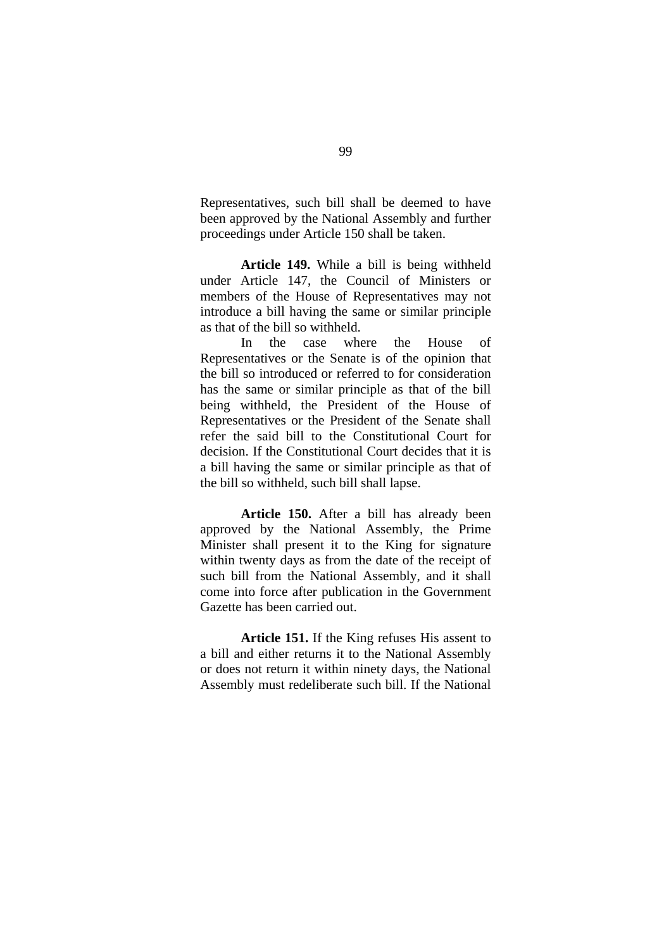Representatives, such bill shall be deemed to have been approved by the National Assembly and further proceedings under Article 150 shall be taken.

**Article 149.** While a bill is being withheld under Article 147, the Council of Ministers or members of the House of Representatives may not introduce a bill having the same or similar principle as that of the bill so withheld.

In the case where the House of Representatives or the Senate is of the opinion that the bill so introduced or referred to for consideration has the same or similar principle as that of the bill being withheld, the President of the House of Representatives or the President of the Senate shall refer the said bill to the Constitutional Court for decision. If the Constitutional Court decides that it is a bill having the same or similar principle as that of the bill so withheld, such bill shall lapse.

**Article 150.** After a bill has already been approved by the National Assembly, the Prime Minister shall present it to the King for signature within twenty days as from the date of the receipt of such bill from the National Assembly, and it shall come into force after publication in the Government Gazette has been carried out.

**Article 151.** If the King refuses His assent to a bill and either returns it to the National Assembly or does not return it within ninety days, the National Assembly must redeliberate such bill. If the National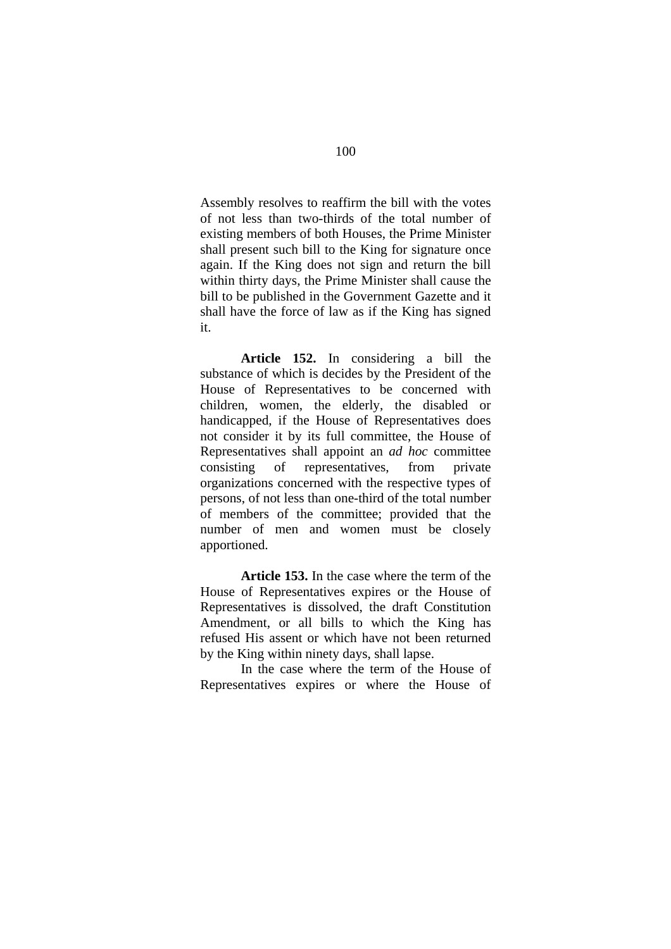Assembly resolves to reaffirm the bill with the votes of not less than two-thirds of the total number of existing members of both Houses, the Prime Minister shall present such bill to the King for signature once again. If the King does not sign and return the bill within thirty days, the Prime Minister shall cause the bill to be published in the Government Gazette and it shall have the force of law as if the King has signed it.

**Article 152.** In considering a bill the substance of which is decides by the President of the House of Representatives to be concerned with children, women, the elderly, the disabled or handicapped, if the House of Representatives does not consider it by its full committee, the House of Representatives shall appoint an *ad hoc* committee consisting of representatives, from private organizations concerned with the respective types of persons, of not less than one-third of the total number of members of the committee; provided that the number of men and women must be closely apportioned.

**Article 153.** In the case where the term of the House of Representatives expires or the House of Representatives is dissolved, the draft Constitution Amendment, or all bills to which the King has refused His assent or which have not been returned by the King within ninety days, shall lapse.

 In the case where the term of the House of Representatives expires or where the House of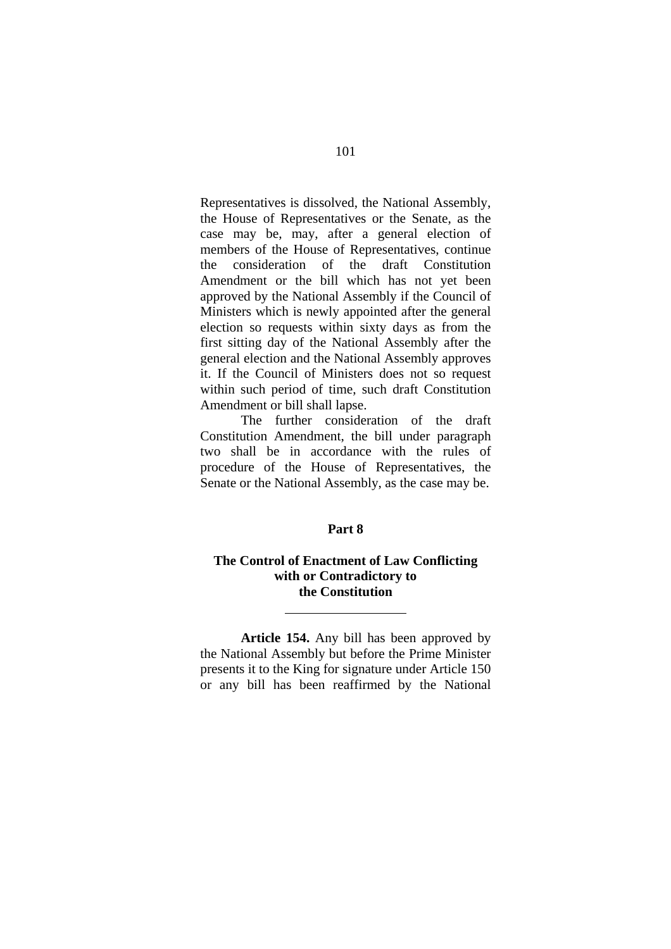Representatives is dissolved, the National Assembly, the House of Representatives or the Senate, as the case may be, may, after a general election of members of the House of Representatives, continue the consideration of the draft Constitution Amendment or the bill which has not yet been approved by the National Assembly if the Council of Ministers which is newly appointed after the general election so requests within sixty days as from the first sitting day of the National Assembly after the general election and the National Assembly approves it. If the Council of Ministers does not so request within such period of time, such draft Constitution Amendment or bill shall lapse.

 The further consideration of the draft Constitution Amendment, the bill under paragraph two shall be in accordance with the rules of procedure of the House of Representatives, the Senate or the National Assembly, as the case may be.

# **Part 8**

# **The Control of Enactment of Law Conflicting with or Contradictory to the Constitution**

 $\overline{a}$ 

**Article 154.** Any bill has been approved by the National Assembly but before the Prime Minister presents it to the King for signature under Article 150 or any bill has been reaffirmed by the National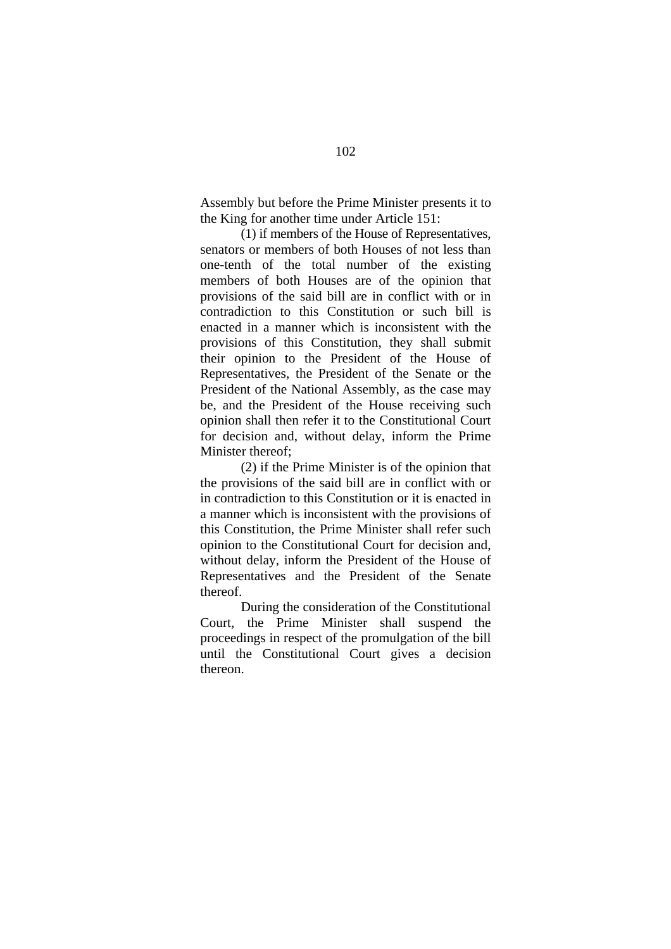Assembly but before the Prime Minister presents it to the King for another time under Article 151:

(1) if members of the House of Representatives, senators or members of both Houses of not less than one-tenth of the total number of the existing members of both Houses are of the opinion that provisions of the said bill are in conflict with or in contradiction to this Constitution or such bill is enacted in a manner which is inconsistent with the provisions of this Constitution, they shall submit their opinion to the President of the House of Representatives, the President of the Senate or the President of the National Assembly, as the case may be, and the President of the House receiving such opinion shall then refer it to the Constitutional Court for decision and, without delay, inform the Prime Minister thereof;

(2) if the Prime Minister is of the opinion that the provisions of the said bill are in conflict with or in contradiction to this Constitution or it is enacted in a manner which is inconsistent with the provisions of this Constitution, the Prime Minister shall refer such opinion to the Constitutional Court for decision and, without delay, inform the President of the House of Representatives and the President of the Senate thereof.

During the consideration of the Constitutional Court, the Prime Minister shall suspend the proceedings in respect of the promulgation of the bill until the Constitutional Court gives a decision thereon.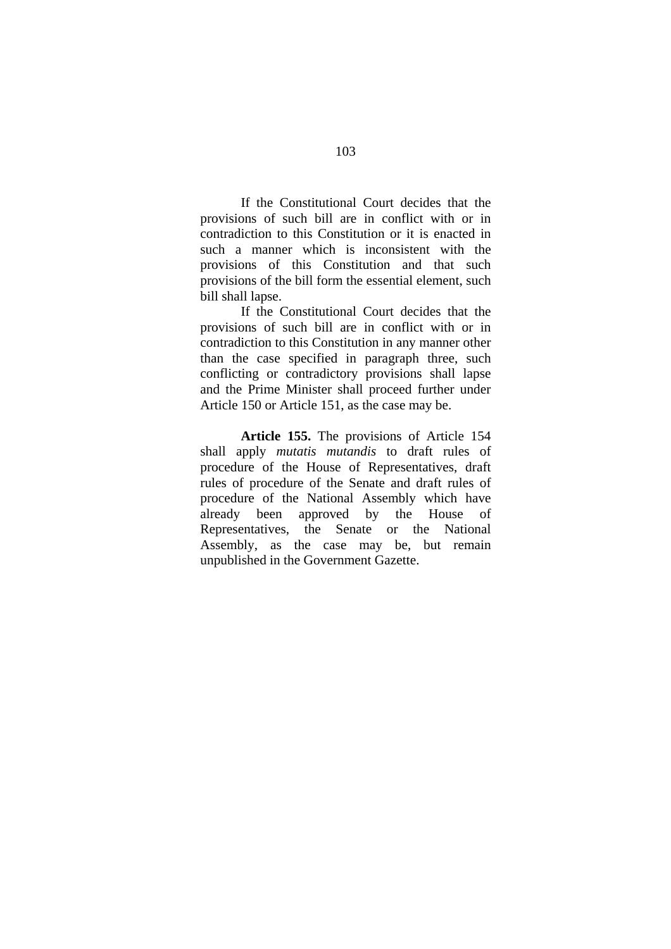If the Constitutional Court decides that the provisions of such bill are in conflict with or in contradiction to this Constitution or it is enacted in such a manner which is inconsistent with the provisions of this Constitution and that such provisions of the bill form the essential element, such bill shall lapse.

If the Constitutional Court decides that the provisions of such bill are in conflict with or in contradiction to this Constitution in any manner other than the case specified in paragraph three, such conflicting or contradictory provisions shall lapse and the Prime Minister shall proceed further under Article 150 or Article 151, as the case may be.

**Article 155.** The provisions of Article 154 shall apply *mutatis mutandis* to draft rules of procedure of the House of Representatives, draft rules of procedure of the Senate and draft rules of procedure of the National Assembly which have already been approved by the House of Representatives, the Senate or the National Assembly, as the case may be, but remain unpublished in the Government Gazette.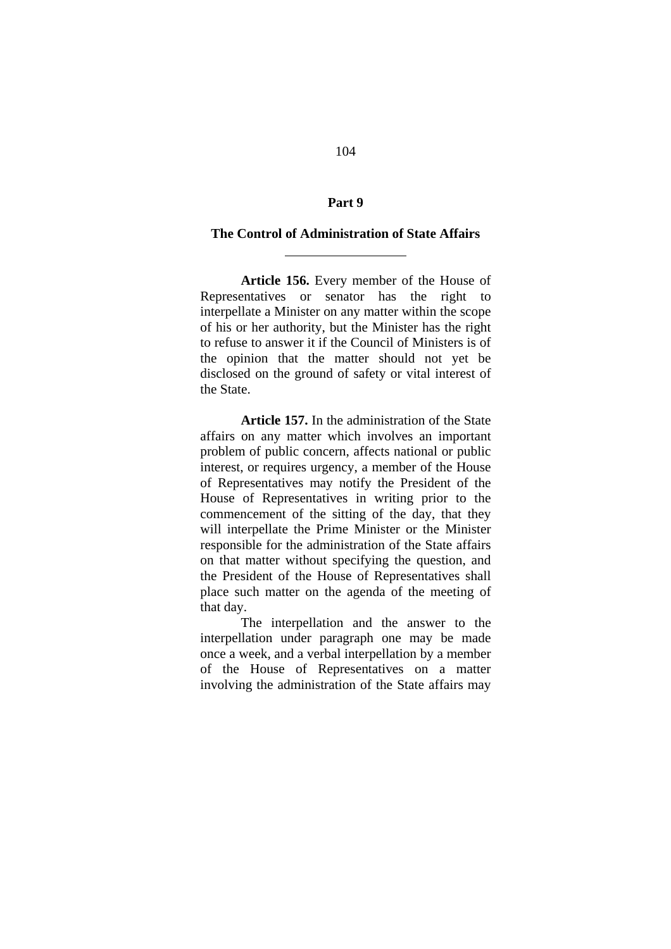# **Part 9**

#### **The Control of Administration of State Affairs**

 $\overline{a}$ 

**Article 156.** Every member of the House of Representatives or senator has the right to interpellate a Minister on any matter within the scope of his or her authority, but the Minister has the right to refuse to answer it if the Council of Ministers is of the opinion that the matter should not yet be disclosed on the ground of safety or vital interest of the State.

**Article 157.** In the administration of the State affairs on any matter which involves an important problem of public concern, affects national or public interest, or requires urgency, a member of the House of Representatives may notify the President of the House of Representatives in writing prior to the commencement of the sitting of the day, that they will interpellate the Prime Minister or the Minister responsible for the administration of the State affairs on that matter without specifying the question, and the President of the House of Representatives shall place such matter on the agenda of the meeting of that day.

The interpellation and the answer to the interpellation under paragraph one may be made once a week, and a verbal interpellation by a member of the House of Representatives on a matter involving the administration of the State affairs may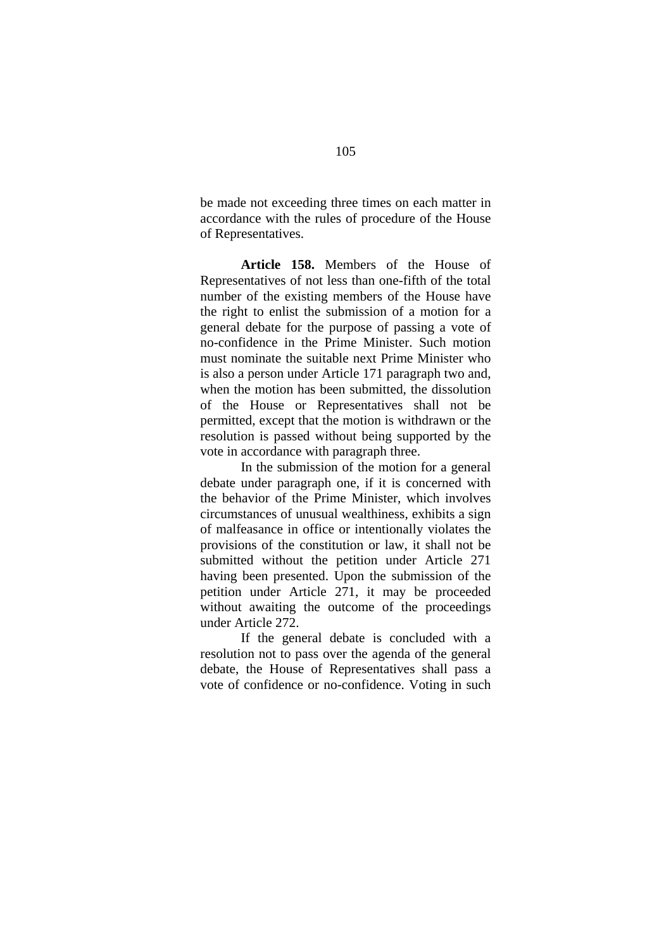be made not exceeding three times on each matter in accordance with the rules of procedure of the House of Representatives.

**Article 158.** Members of the House of Representatives of not less than one-fifth of the total number of the existing members of the House have the right to enlist the submission of a motion for a general debate for the purpose of passing a vote of no-confidence in the Prime Minister. Such motion must nominate the suitable next Prime Minister who is also a person under Article 171 paragraph two and, when the motion has been submitted, the dissolution of the House or Representatives shall not be permitted, except that the motion is withdrawn or the resolution is passed without being supported by the vote in accordance with paragraph three.

In the submission of the motion for a general debate under paragraph one, if it is concerned with the behavior of the Prime Minister, which involves circumstances of unusual wealthiness, exhibits a sign of malfeasance in office or intentionally violates the provisions of the constitution or law, it shall not be submitted without the petition under Article 271 having been presented. Upon the submission of the petition under Article 271, it may be proceeded without awaiting the outcome of the proceedings under Article 272.

If the general debate is concluded with a resolution not to pass over the agenda of the general debate, the House of Representatives shall pass a vote of confidence or no-confidence. Voting in such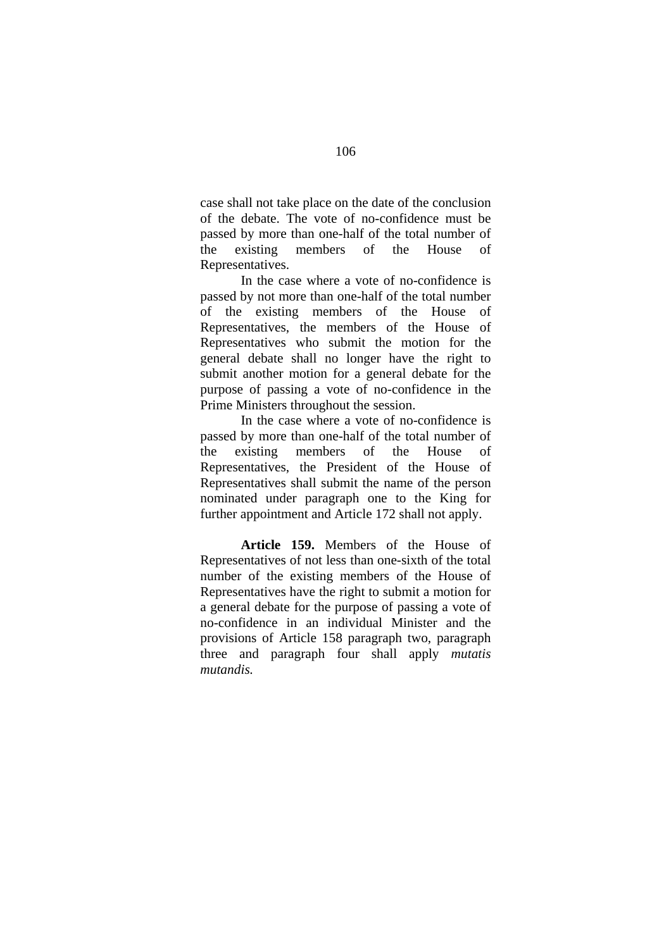case shall not take place on the date of the conclusion of the debate. The vote of no-confidence must be passed by more than one-half of the total number of the existing members of the House of Representatives.

In the case where a vote of no-confidence is passed by not more than one-half of the total number of the existing members of the House of Representatives, the members of the House of Representatives who submit the motion for the general debate shall no longer have the right to submit another motion for a general debate for the purpose of passing a vote of no-confidence in the Prime Ministers throughout the session.

In the case where a vote of no-confidence is passed by more than one-half of the total number of the existing members of the House of Representatives, the President of the House of Representatives shall submit the name of the person nominated under paragraph one to the King for further appointment and Article 172 shall not apply.

**Article 159.** Members of the House of Representatives of not less than one-sixth of the total number of the existing members of the House of Representatives have the right to submit a motion for a general debate for the purpose of passing a vote of no-confidence in an individual Minister and the provisions of Article 158 paragraph two, paragraph three and paragraph four shall apply *mutatis mutandis.*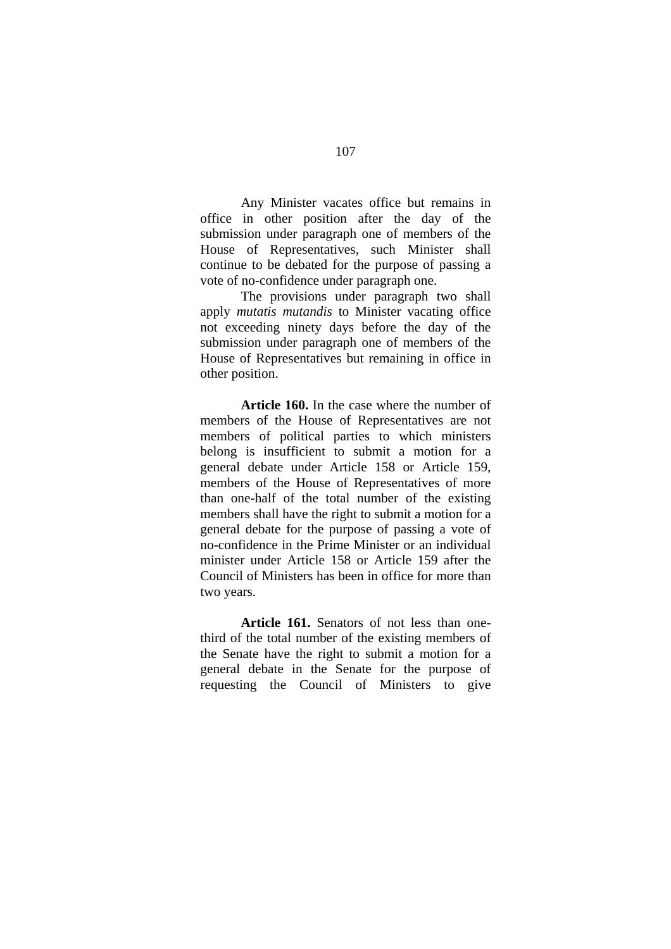Any Minister vacates office but remains in office in other position after the day of the submission under paragraph one of members of the House of Representatives, such Minister shall continue to be debated for the purpose of passing a vote of no-confidence under paragraph one.

The provisions under paragraph two shall apply *mutatis mutandis* to Minister vacating office not exceeding ninety days before the day of the submission under paragraph one of members of the House of Representatives but remaining in office in other position.

**Article 160.** In the case where the number of members of the House of Representatives are not members of political parties to which ministers belong is insufficient to submit a motion for a general debate under Article 158 or Article 159, members of the House of Representatives of more than one-half of the total number of the existing members shall have the right to submit a motion for a general debate for the purpose of passing a vote of no-confidence in the Prime Minister or an individual minister under Article 158 or Article 159 after the Council of Ministers has been in office for more than two years.

**Article 161.** Senators of not less than onethird of the total number of the existing members of the Senate have the right to submit a motion for a general debate in the Senate for the purpose of requesting the Council of Ministers to give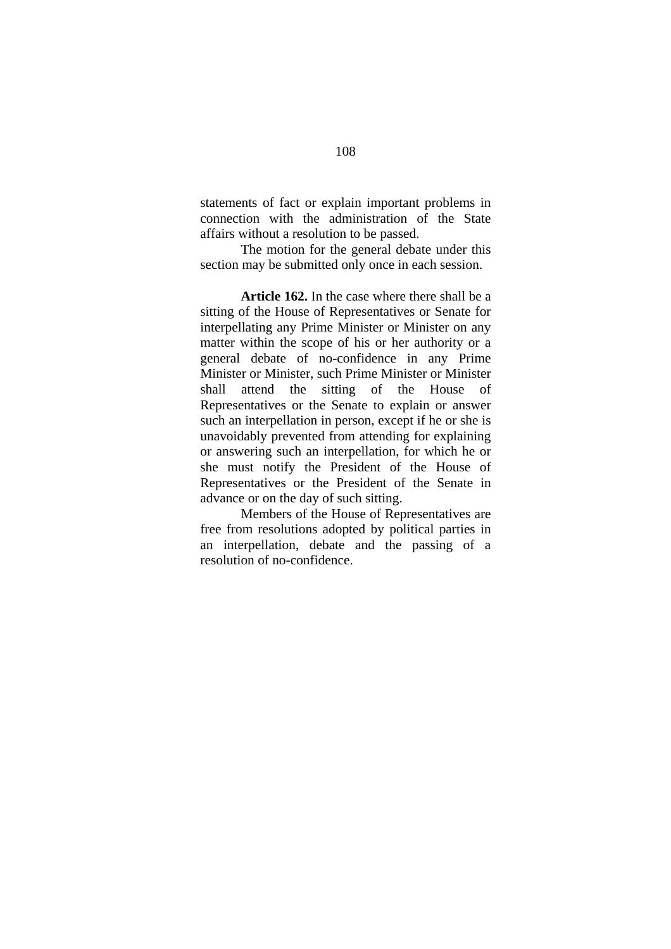statements of fact or explain important problems in connection with the administration of the State affairs without a resolution to be passed.

The motion for the general debate under this section may be submitted only once in each session.

**Article 162.** In the case where there shall be a sitting of the House of Representatives or Senate for interpellating any Prime Minister or Minister on any matter within the scope of his or her authority or a general debate of no-confidence in any Prime Minister or Minister, such Prime Minister or Minister shall attend the sitting of the House of Representatives or the Senate to explain or answer such an interpellation in person, except if he or she is unavoidably prevented from attending for explaining or answering such an interpellation, for which he or she must notify the President of the House of Representatives or the President of the Senate in advance or on the day of such sitting.

Members of the House of Representatives are free from resolutions adopted by political parties in an interpellation, debate and the passing of a resolution of no-confidence.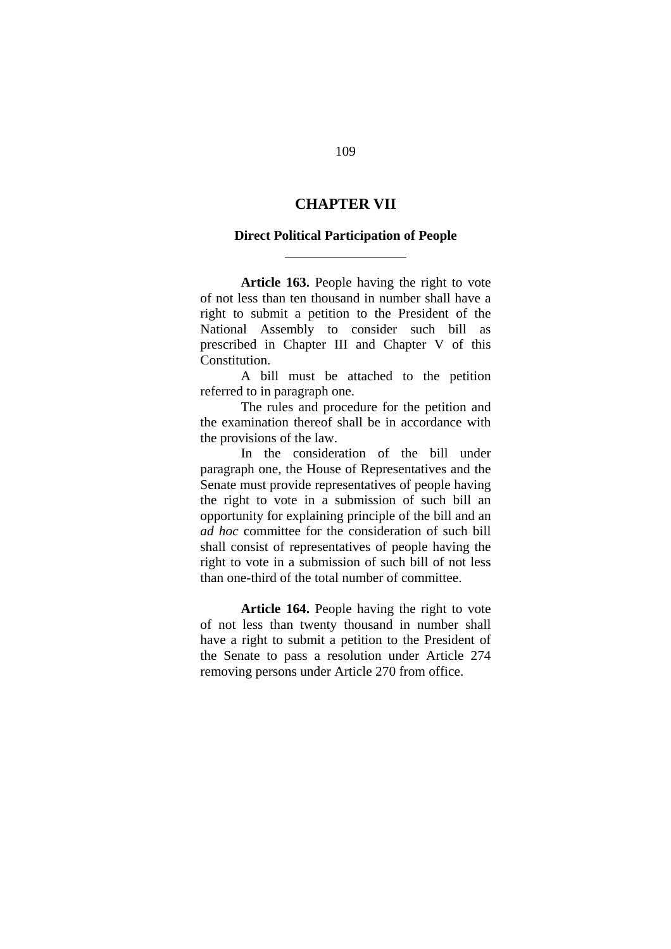## **CHAPTER VII**

#### **Direct Political Participation of People**

l

**Article 163.** People having the right to vote of not less than ten thousand in number shall have a right to submit a petition to the President of the National Assembly to consider such bill as prescribed in Chapter III and Chapter V of this Constitution.

A bill must be attached to the petition referred to in paragraph one.

The rules and procedure for the petition and the examination thereof shall be in accordance with the provisions of the law.

In the consideration of the bill under paragraph one, the House of Representatives and the Senate must provide representatives of people having the right to vote in a submission of such bill an opportunity for explaining principle of the bill and an *ad hoc* committee for the consideration of such bill shall consist of representatives of people having the right to vote in a submission of such bill of not less than one-third of the total number of committee.

**Article 164.** People having the right to vote of not less than twenty thousand in number shall have a right to submit a petition to the President of the Senate to pass a resolution under Article 274 removing persons under Article 270 from office.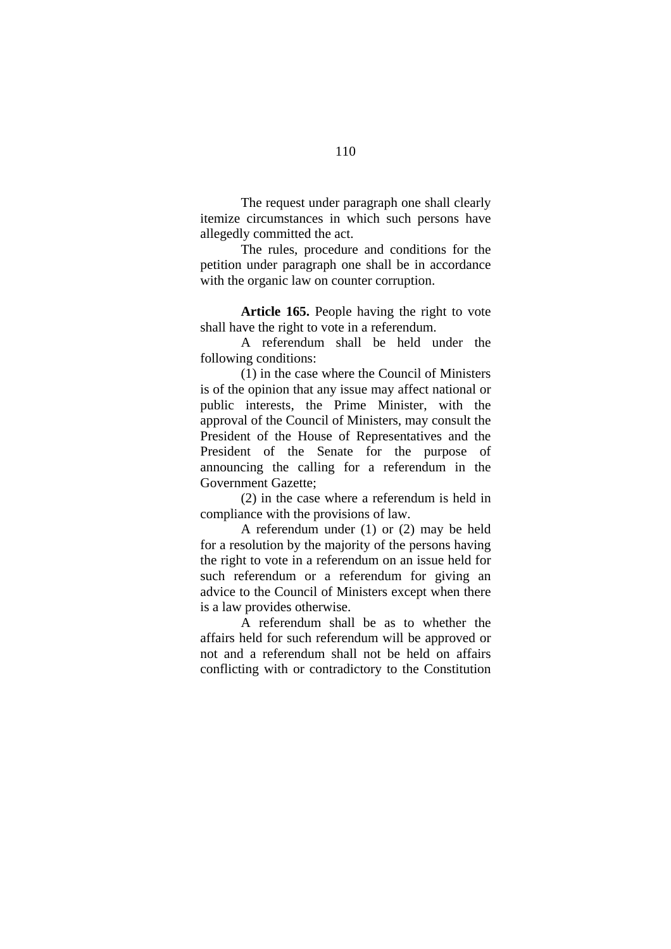The request under paragraph one shall clearly itemize circumstances in which such persons have allegedly committed the act.

The rules, procedure and conditions for the petition under paragraph one shall be in accordance with the organic law on counter corruption.

**Article 165.** People having the right to vote shall have the right to vote in a referendum.

A referendum shall be held under the following conditions:

(1) in the case where the Council of Ministers is of the opinion that any issue may affect national or public interests, the Prime Minister, with the approval of the Council of Ministers, may consult the President of the House of Representatives and the President of the Senate for the purpose of announcing the calling for a referendum in the Government Gazette;

(2) in the case where a referendum is held in compliance with the provisions of law.

A referendum under (1) or (2) may be held for a resolution by the majority of the persons having the right to vote in a referendum on an issue held for such referendum or a referendum for giving an advice to the Council of Ministers except when there is a law provides otherwise.

A referendum shall be as to whether the affairs held for such referendum will be approved or not and a referendum shall not be held on affairs conflicting with or contradictory to the Constitution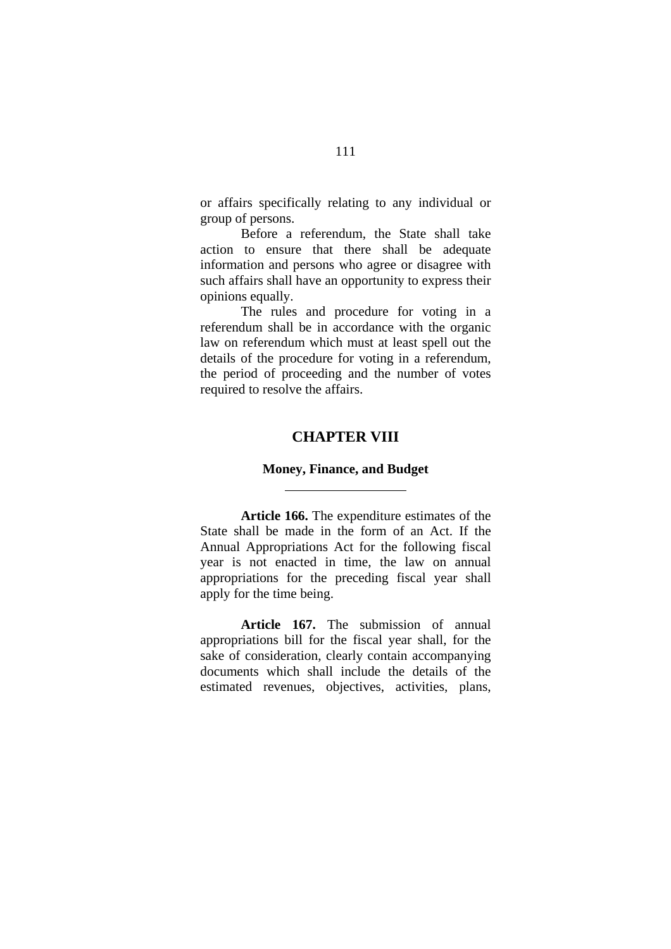or affairs specifically relating to any individual or group of persons.

Before a referendum, the State shall take action to ensure that there shall be adequate information and persons who agree or disagree with such affairs shall have an opportunity to express their opinions equally.

The rules and procedure for voting in a referendum shall be in accordance with the organic law on referendum which must at least spell out the details of the procedure for voting in a referendum, the period of proceeding and the number of votes required to resolve the affairs.

## **CHAPTER VIII**

#### **Money, Finance, and Budget**

l

**Article 166.** The expenditure estimates of the State shall be made in the form of an Act. If the Annual Appropriations Act for the following fiscal year is not enacted in time, the law on annual appropriations for the preceding fiscal year shall apply for the time being.

**Article 167.** The submission of annual appropriations bill for the fiscal year shall, for the sake of consideration, clearly contain accompanying documents which shall include the details of the estimated revenues, objectives, activities, plans,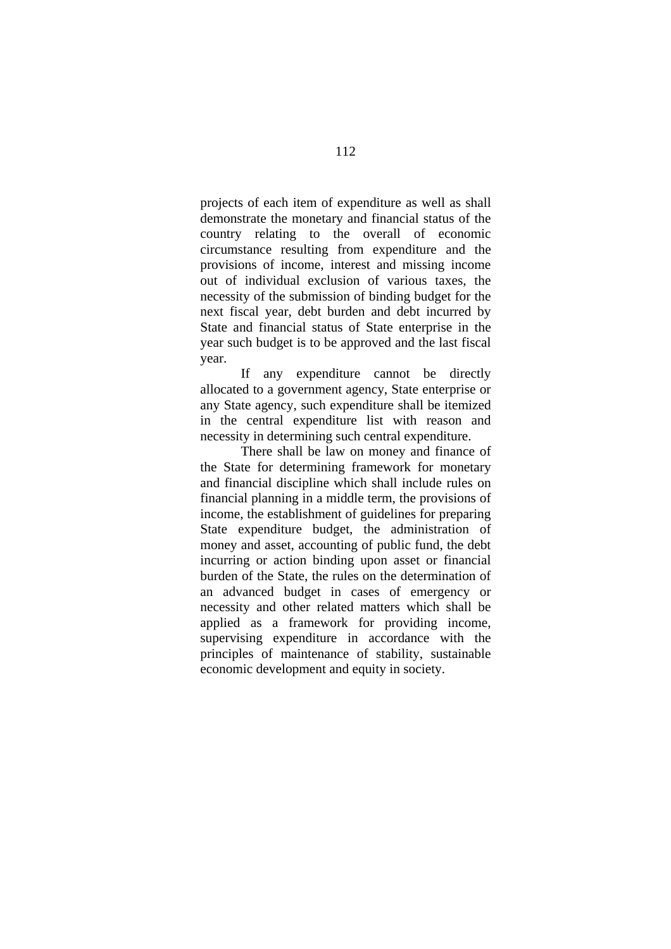projects of each item of expenditure as well as shall demonstrate the monetary and financial status of the country relating to the overall of economic circumstance resulting from expenditure and the provisions of income, interest and missing income out of individual exclusion of various taxes, the necessity of the submission of binding budget for the next fiscal year, debt burden and debt incurred by State and financial status of State enterprise in the year such budget is to be approved and the last fiscal year.

If any expenditure cannot be directly allocated to a government agency, State enterprise or any State agency, such expenditure shall be itemized in the central expenditure list with reason and necessity in determining such central expenditure.

There shall be law on money and finance of the State for determining framework for monetary and financial discipline which shall include rules on financial planning in a middle term, the provisions of income, the establishment of guidelines for preparing State expenditure budget, the administration of money and asset, accounting of public fund, the debt incurring or action binding upon asset or financial burden of the State, the rules on the determination of an advanced budget in cases of emergency or necessity and other related matters which shall be applied as a framework for providing income, supervising expenditure in accordance with the principles of maintenance of stability, sustainable economic development and equity in society.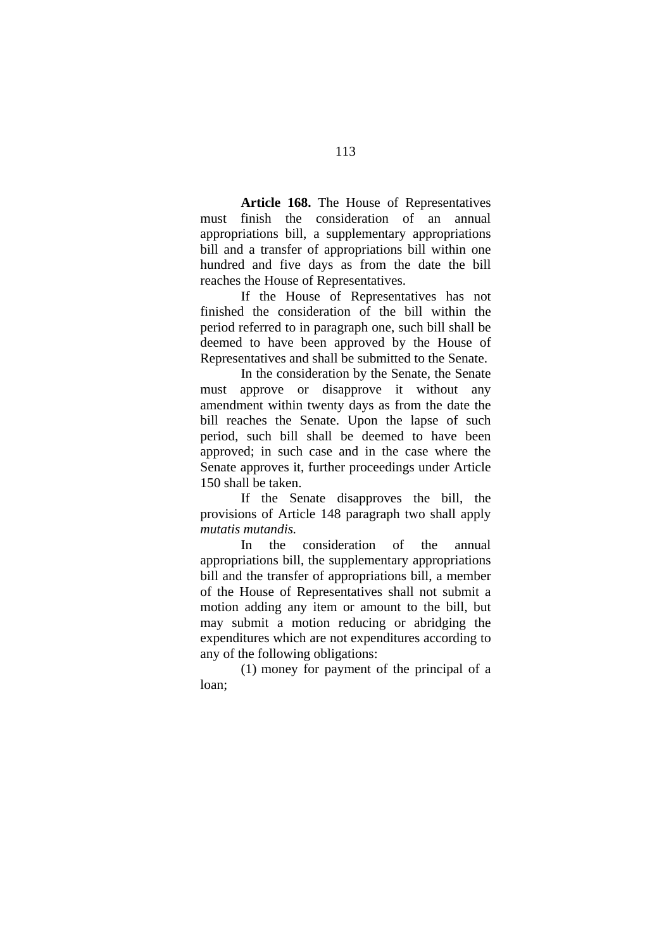**Article 168.** The House of Representatives must finish the consideration of an annual appropriations bill, a supplementary appropriations bill and a transfer of appropriations bill within one hundred and five days as from the date the bill reaches the House of Representatives.

If the House of Representatives has not finished the consideration of the bill within the period referred to in paragraph one, such bill shall be deemed to have been approved by the House of Representatives and shall be submitted to the Senate.

In the consideration by the Senate, the Senate must approve or disapprove it without any amendment within twenty days as from the date the bill reaches the Senate. Upon the lapse of such period, such bill shall be deemed to have been approved; in such case and in the case where the Senate approves it, further proceedings under Article 150 shall be taken.

If the Senate disapproves the bill, the provisions of Article 148 paragraph two shall apply *mutatis mutandis.* 

In the consideration of the annual appropriations bill, the supplementary appropriations bill and the transfer of appropriations bill, a member of the House of Representatives shall not submit a motion adding any item or amount to the bill, but may submit a motion reducing or abridging the expenditures which are not expenditures according to any of the following obligations:

 (1) money for payment of the principal of a loan;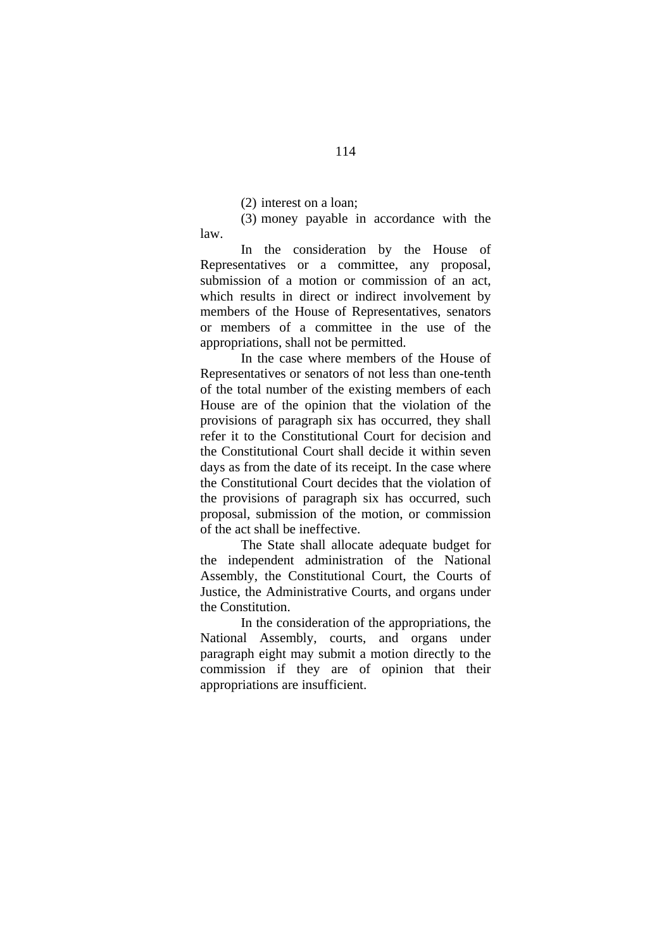(2) interest on a loan;

 (3) money payable in accordance with the law.

In the consideration by the House of Representatives or a committee, any proposal, submission of a motion or commission of an act, which results in direct or indirect involvement by members of the House of Representatives, senators or members of a committee in the use of the appropriations, shall not be permitted.

In the case where members of the House of Representatives or senators of not less than one-tenth of the total number of the existing members of each House are of the opinion that the violation of the provisions of paragraph six has occurred, they shall refer it to the Constitutional Court for decision and the Constitutional Court shall decide it within seven days as from the date of its receipt. In the case where the Constitutional Court decides that the violation of the provisions of paragraph six has occurred, such proposal, submission of the motion, or commission of the act shall be ineffective.

The State shall allocate adequate budget for the independent administration of the National Assembly, the Constitutional Court, the Courts of Justice, the Administrative Courts, and organs under the Constitution.

In the consideration of the appropriations, the National Assembly, courts, and organs under paragraph eight may submit a motion directly to the commission if they are of opinion that their appropriations are insufficient.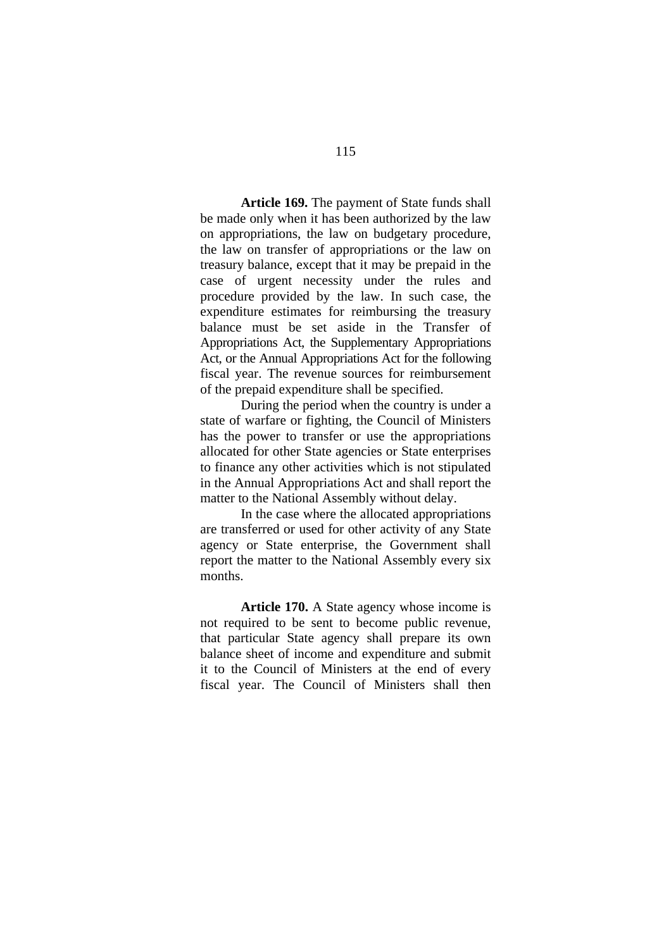**Article 169.** The payment of State funds shall be made only when it has been authorized by the law on appropriations, the law on budgetary procedure, the law on transfer of appropriations or the law on treasury balance, except that it may be prepaid in the case of urgent necessity under the rules and procedure provided by the law. In such case, the expenditure estimates for reimbursing the treasury balance must be set aside in the Transfer of Appropriations Act, the Supplementary Appropriations Act, or the Annual Appropriations Act for the following fiscal year. The revenue sources for reimbursement of the prepaid expenditure shall be specified.

During the period when the country is under a state of warfare or fighting, the Council of Ministers has the power to transfer or use the appropriations allocated for other State agencies or State enterprises to finance any other activities which is not stipulated in the Annual Appropriations Act and shall report the matter to the National Assembly without delay.

In the case where the allocated appropriations are transferred or used for other activity of any State agency or State enterprise, the Government shall report the matter to the National Assembly every six months.

**Article 170.** A State agency whose income is not required to be sent to become public revenue, that particular State agency shall prepare its own balance sheet of income and expenditure and submit it to the Council of Ministers at the end of every fiscal year. The Council of Ministers shall then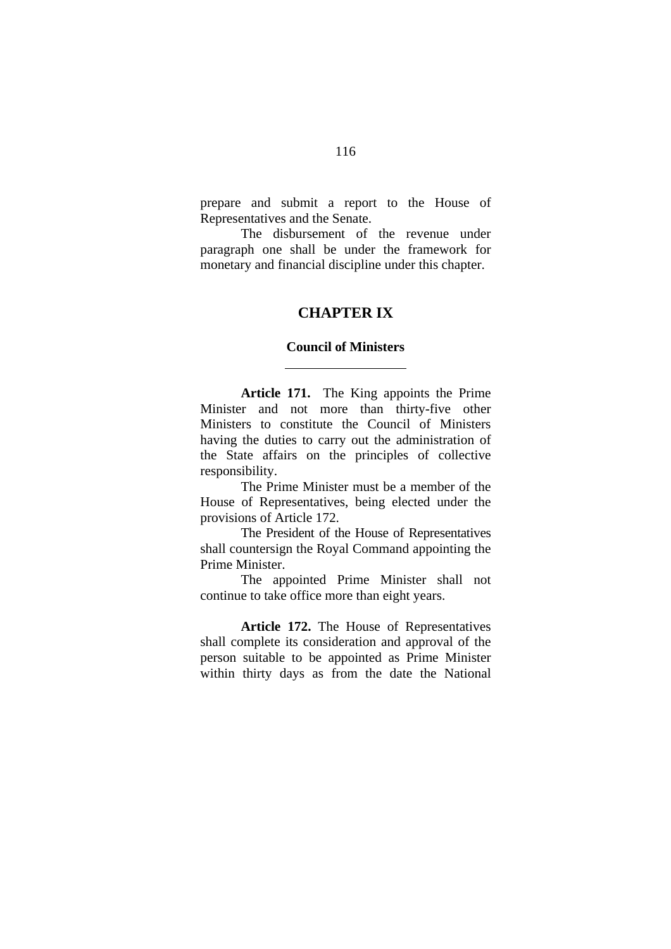prepare and submit a report to the House of Representatives and the Senate.

 The disbursement of the revenue under paragraph one shall be under the framework for monetary and financial discipline under this chapter.

## **CHAPTER IX**

## **Council of Ministers**

l

**Article 171.** The King appoints the Prime Minister and not more than thirty-five other Ministers to constitute the Council of Ministers having the duties to carry out the administration of the State affairs on the principles of collective responsibility.

The Prime Minister must be a member of the House of Representatives, being elected under the provisions of Article 172.

The President of the House of Representatives shall countersign the Royal Command appointing the Prime Minister.

The appointed Prime Minister shall not continue to take office more than eight years.

**Article 172.** The House of Representatives shall complete its consideration and approval of the person suitable to be appointed as Prime Minister within thirty days as from the date the National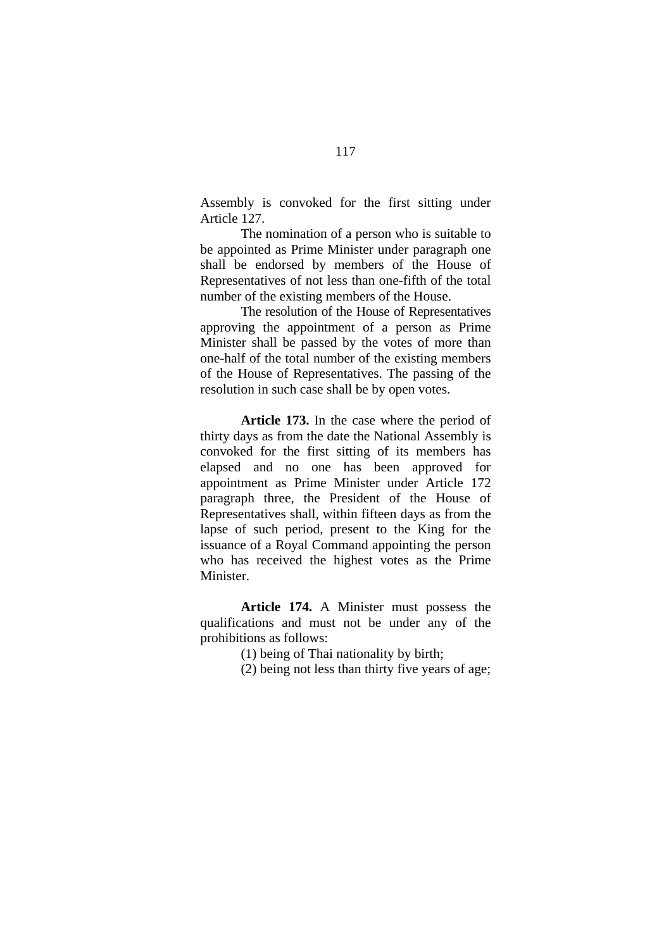Assembly is convoked for the first sitting under Article 127.

The nomination of a person who is suitable to be appointed as Prime Minister under paragraph one shall be endorsed by members of the House of Representatives of not less than one-fifth of the total number of the existing members of the House.

The resolution of the House of Representatives approving the appointment of a person as Prime Minister shall be passed by the votes of more than one-half of the total number of the existing members of the House of Representatives. The passing of the resolution in such case shall be by open votes.

**Article 173.** In the case where the period of thirty days as from the date the National Assembly is convoked for the first sitting of its members has elapsed and no one has been approved for appointment as Prime Minister under Article 172 paragraph three, the President of the House of Representatives shall, within fifteen days as from the lapse of such period, present to the King for the issuance of a Royal Command appointing the person who has received the highest votes as the Prime Minister.

**Article 174.** A Minister must possess the qualifications and must not be under any of the prohibitions as follows:

(1) being of Thai nationality by birth;

(2) being not less than thirty five years of age;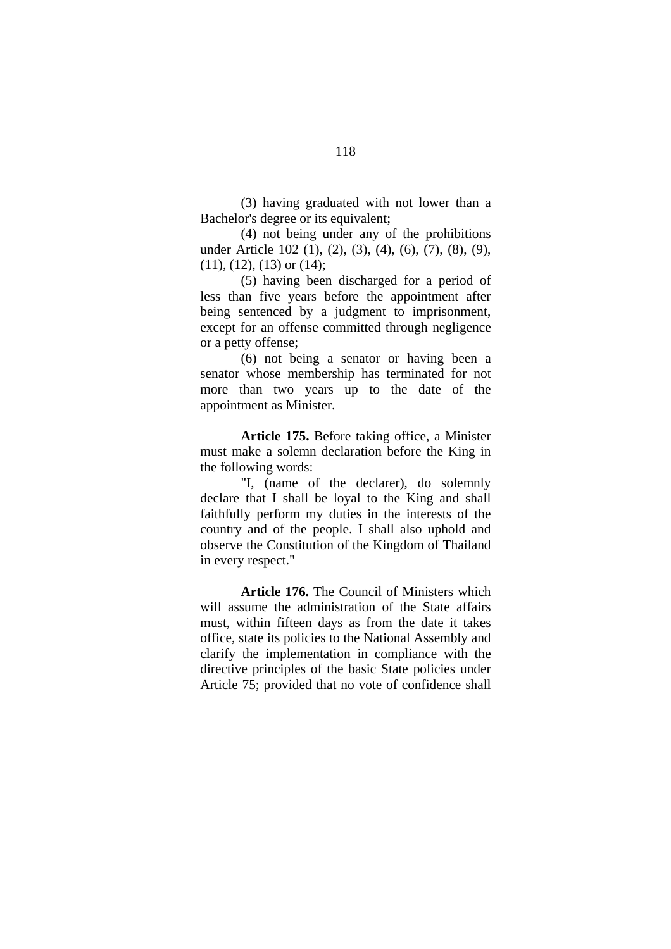(3) having graduated with not lower than a Bachelor's degree or its equivalent;

(4) not being under any of the prohibitions under Article 102 (1), (2), (3), (4), (6), (7), (8), (9),  $(11)$ ,  $(12)$ ,  $(13)$  or  $(14)$ ;

(5) having been discharged for a period of less than five years before the appointment after being sentenced by a judgment to imprisonment, except for an offense committed through negligence or a petty offense;

(6) not being a senator or having been a senator whose membership has terminated for not more than two years up to the date of the appointment as Minister.

**Article 175.** Before taking office, a Minister must make a solemn declaration before the King in the following words:

"I, (name of the declarer), do solemnly declare that I shall be loyal to the King and shall faithfully perform my duties in the interests of the country and of the people. I shall also uphold and observe the Constitution of the Kingdom of Thailand in every respect."

**Article 176.** The Council of Ministers which will assume the administration of the State affairs must, within fifteen days as from the date it takes office, state its policies to the National Assembly and clarify the implementation in compliance with the directive principles of the basic State policies under Article 75; provided that no vote of confidence shall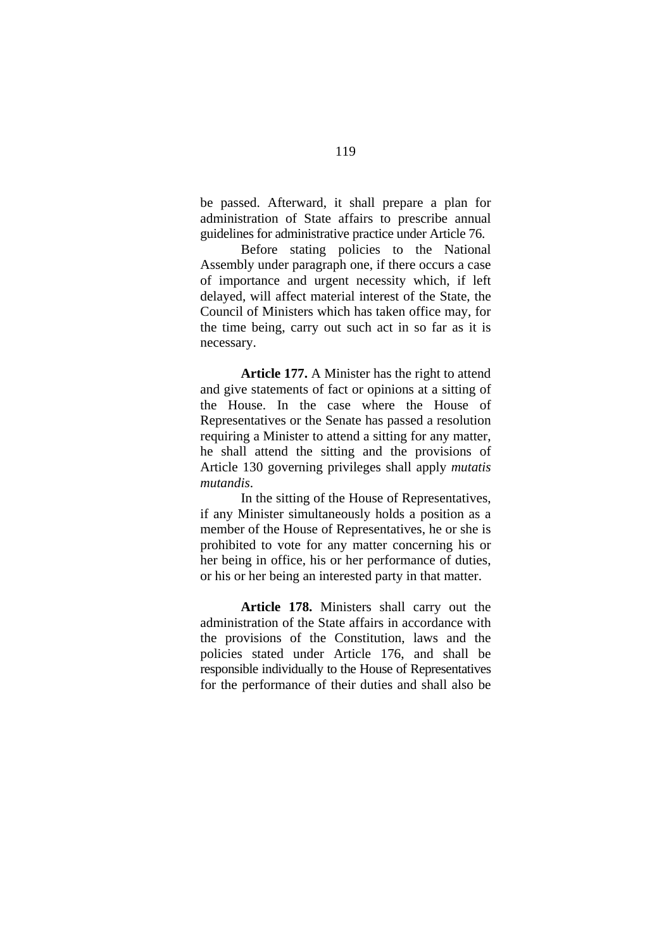be passed. Afterward, it shall prepare a plan for administration of State affairs to prescribe annual guidelines for administrative practice under Article 76.

Before stating policies to the National Assembly under paragraph one, if there occurs a case of importance and urgent necessity which, if left delayed, will affect material interest of the State, the Council of Ministers which has taken office may, for the time being, carry out such act in so far as it is necessary.

**Article 177.** A Minister has the right to attend and give statements of fact or opinions at a sitting of the House. In the case where the House of Representatives or the Senate has passed a resolution requiring a Minister to attend a sitting for any matter, he shall attend the sitting and the provisions of Article 130 governing privileges shall apply *mutatis mutandis*.

In the sitting of the House of Representatives, if any Minister simultaneously holds a position as a member of the House of Representatives, he or she is prohibited to vote for any matter concerning his or her being in office, his or her performance of duties, or his or her being an interested party in that matter.

**Article 178.** Ministers shall carry out the administration of the State affairs in accordance with the provisions of the Constitution, laws and the policies stated under Article 176, and shall be responsible individually to the House of Representatives for the performance of their duties and shall also be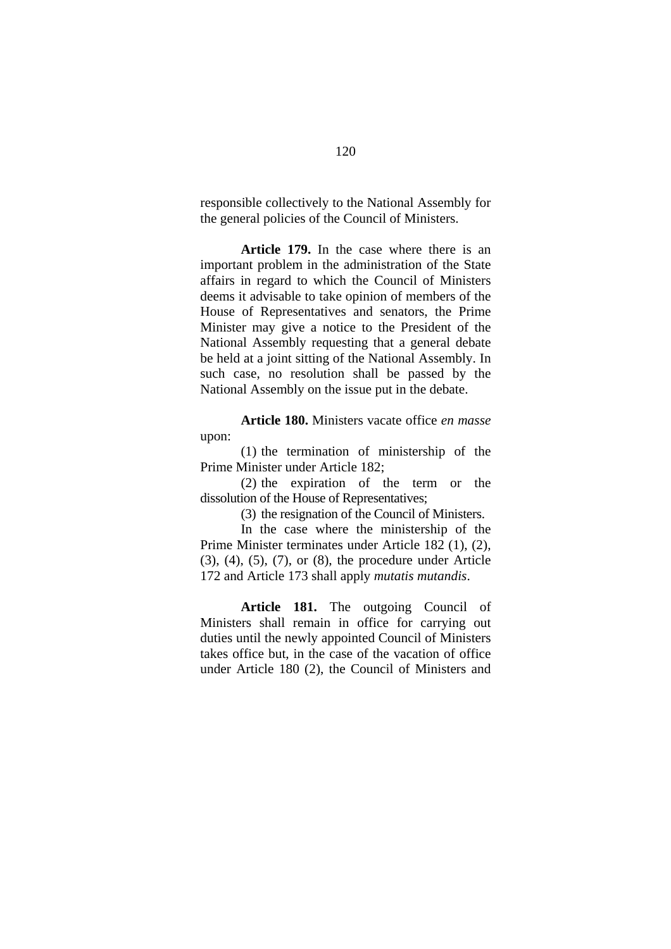responsible collectively to the National Assembly for the general policies of the Council of Ministers.

**Article 179.** In the case where there is an important problem in the administration of the State affairs in regard to which the Council of Ministers deems it advisable to take opinion of members of the House of Representatives and senators, the Prime Minister may give a notice to the President of the National Assembly requesting that a general debate be held at a joint sitting of the National Assembly. In such case, no resolution shall be passed by the National Assembly on the issue put in the debate.

**Article 180.** Ministers vacate office *en masse* upon:

(1) the termination of ministership of the Prime Minister under Article 182;

(2) the expiration of the term or the dissolution of the House of Representatives;

(3) the resignation of the Council of Ministers.

In the case where the ministership of the Prime Minister terminates under Article 182 (1), (2), (3), (4), (5), (7), or (8), the procedure under Article 172 and Article 173 shall apply *mutatis mutandis*.

**Article 181.** The outgoing Council of Ministers shall remain in office for carrying out duties until the newly appointed Council of Ministers takes office but, in the case of the vacation of office under Article 180 (2), the Council of Ministers and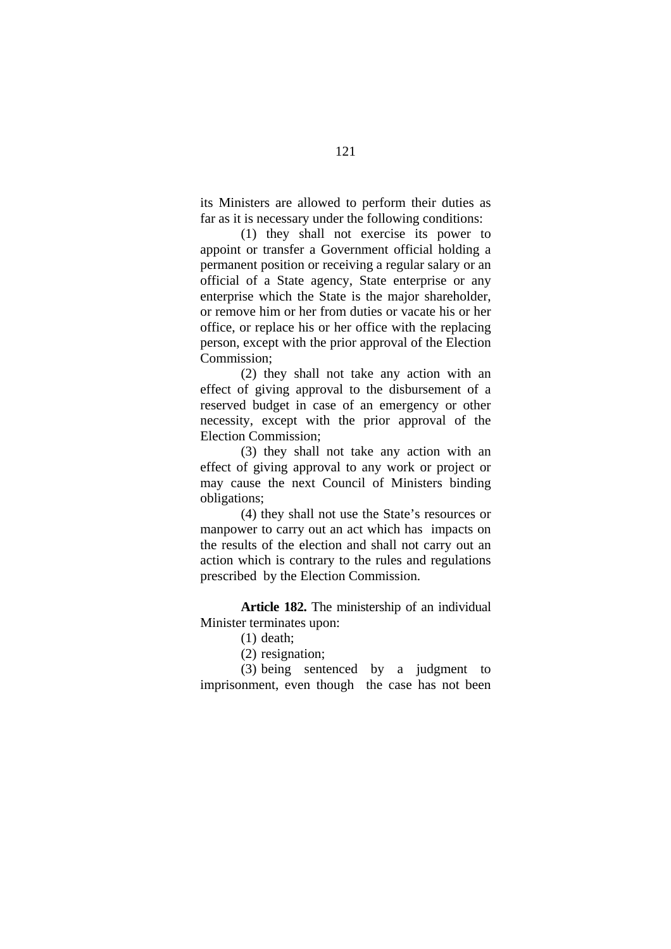its Ministers are allowed to perform their duties as far as it is necessary under the following conditions:

(1) they shall not exercise its power to appoint or transfer a Government official holding a permanent position or receiving a regular salary or an official of a State agency, State enterprise or any enterprise which the State is the major shareholder, or remove him or her from duties or vacate his or her office, or replace his or her office with the replacing person, except with the prior approval of the Election Commission;

(2) they shall not take any action with an effect of giving approval to the disbursement of a reserved budget in case of an emergency or other necessity, except with the prior approval of the Election Commission;

(3) they shall not take any action with an effect of giving approval to any work or project or may cause the next Council of Ministers binding obligations;

(4) they shall not use the State's resources or manpower to carry out an act which has impacts on the results of the election and shall not carry out an action which is contrary to the rules and regulations prescribed by the Election Commission.

**Article 182.** The ministership of an individual Minister terminates upon:

- (1) death;
- (2) resignation;

(3) being sentenced by a judgment to imprisonment, even though the case has not been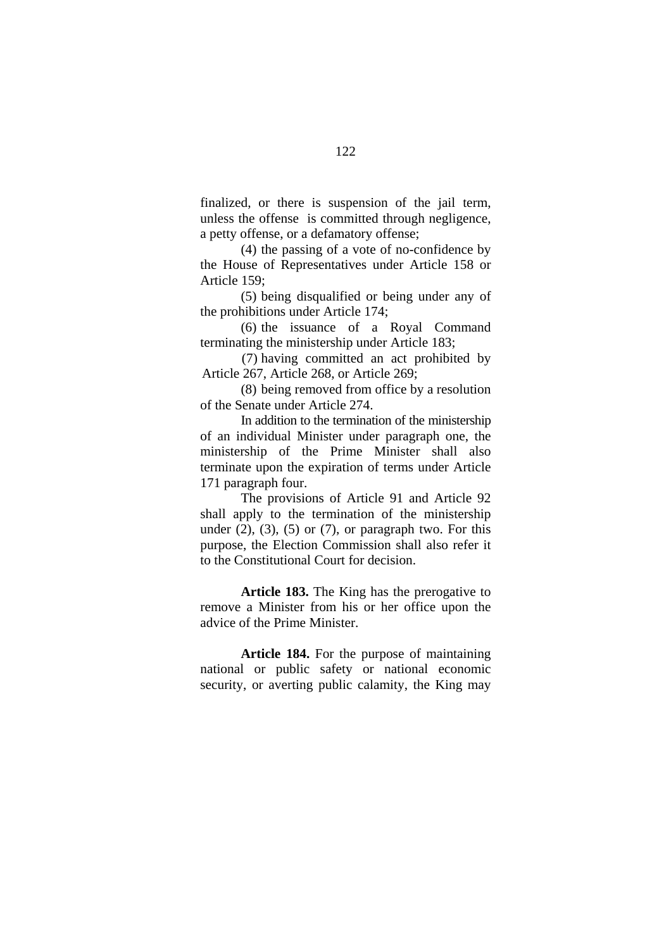finalized, or there is suspension of the jail term, unless the offense is committed through negligence, a petty offense, or a defamatory offense;

(4) the passing of a vote of no-confidence by the House of Representatives under Article 158 or Article 159;

(5) being disqualified or being under any of the prohibitions under Article 174;

(6) the issuance of a Royal Command terminating the ministership under Article 183;

(7) having committed an act prohibited by Article 267, Article 268, or Article 269;

(8) being removed from office by a resolution of the Senate under Article 274.

In addition to the termination of the ministership of an individual Minister under paragraph one, the ministership of the Prime Minister shall also terminate upon the expiration of terms under Article 171 paragraph four.

The provisions of Article 91 and Article 92 shall apply to the termination of the ministership under  $(2)$ ,  $(3)$ ,  $(5)$  or  $(7)$ , or paragraph two. For this purpose, the Election Commission shall also refer it to the Constitutional Court for decision.

**Article 183.** The King has the prerogative to remove a Minister from his or her office upon the advice of the Prime Minister.

**Article 184.** For the purpose of maintaining national or public safety or national economic security, or averting public calamity, the King may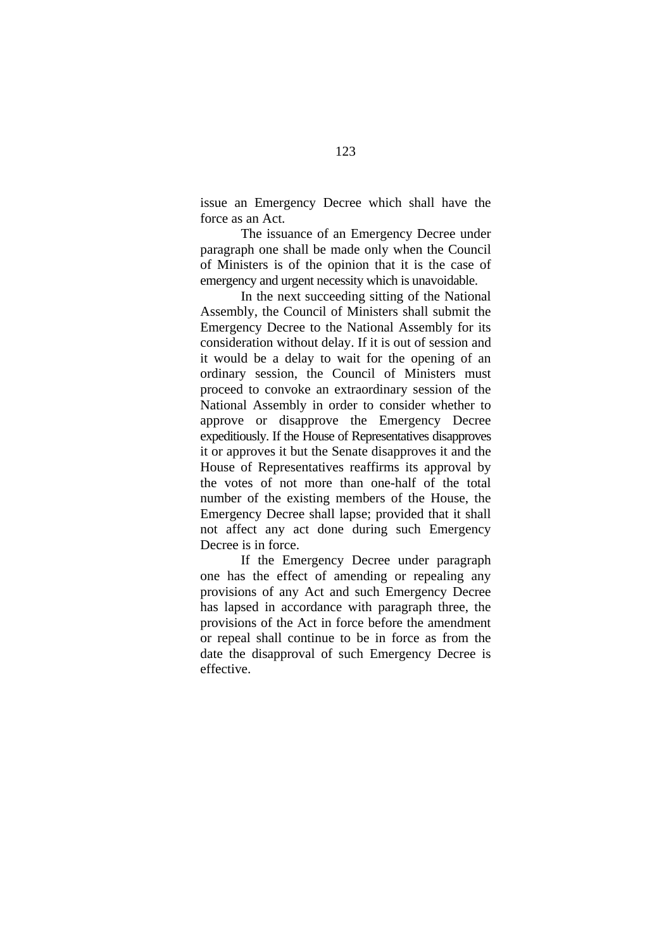issue an Emergency Decree which shall have the force as an Act.

The issuance of an Emergency Decree under paragraph one shall be made only when the Council of Ministers is of the opinion that it is the case of emergency and urgent necessity which is unavoidable.

In the next succeeding sitting of the National Assembly, the Council of Ministers shall submit the Emergency Decree to the National Assembly for its consideration without delay. If it is out of session and it would be a delay to wait for the opening of an ordinary session, the Council of Ministers must proceed to convoke an extraordinary session of the National Assembly in order to consider whether to approve or disapprove the Emergency Decree expeditiously. If the House of Representatives disapproves it or approves it but the Senate disapproves it and the House of Representatives reaffirms its approval by the votes of not more than one-half of the total number of the existing members of the House, the Emergency Decree shall lapse; provided that it shall not affect any act done during such Emergency Decree is in force.

If the Emergency Decree under paragraph one has the effect of amending or repealing any provisions of any Act and such Emergency Decree has lapsed in accordance with paragraph three, the provisions of the Act in force before the amendment or repeal shall continue to be in force as from the date the disapproval of such Emergency Decree is effective.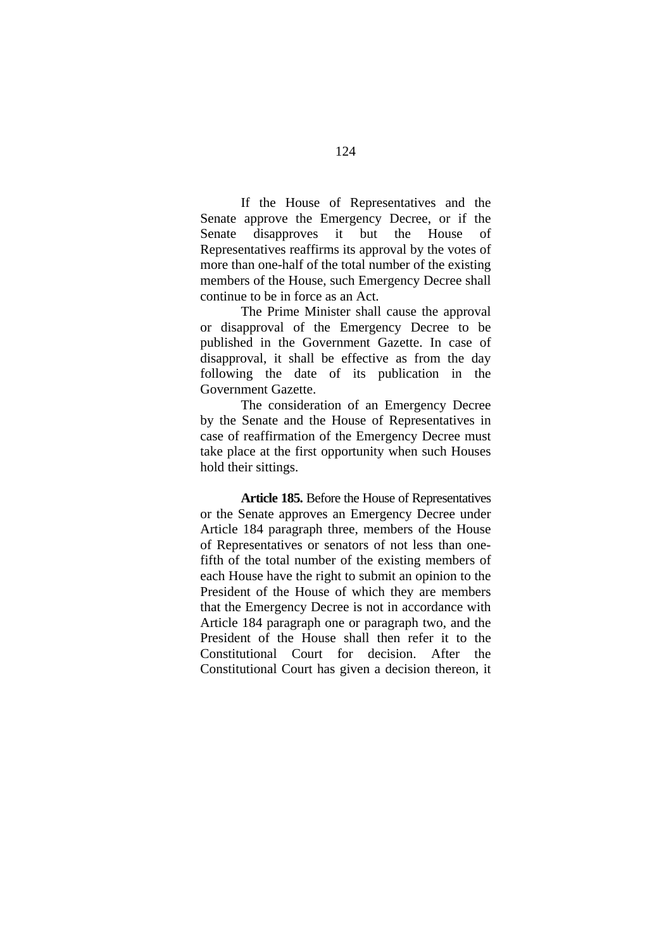If the House of Representatives and the Senate approve the Emergency Decree, or if the Senate disapproves it but the House of Representatives reaffirms its approval by the votes of more than one-half of the total number of the existing members of the House, such Emergency Decree shall continue to be in force as an Act.

The Prime Minister shall cause the approval or disapproval of the Emergency Decree to be published in the Government Gazette. In case of disapproval, it shall be effective as from the day following the date of its publication in the Government Gazette.

The consideration of an Emergency Decree by the Senate and the House of Representatives in case of reaffirmation of the Emergency Decree must take place at the first opportunity when such Houses hold their sittings.

**Article 185.** Before the House of Representatives or the Senate approves an Emergency Decree under Article 184 paragraph three, members of the House of Representatives or senators of not less than onefifth of the total number of the existing members of each House have the right to submit an opinion to the President of the House of which they are members that the Emergency Decree is not in accordance with Article 184 paragraph one or paragraph two, and the President of the House shall then refer it to the Constitutional Court for decision. After the Constitutional Court has given a decision thereon, it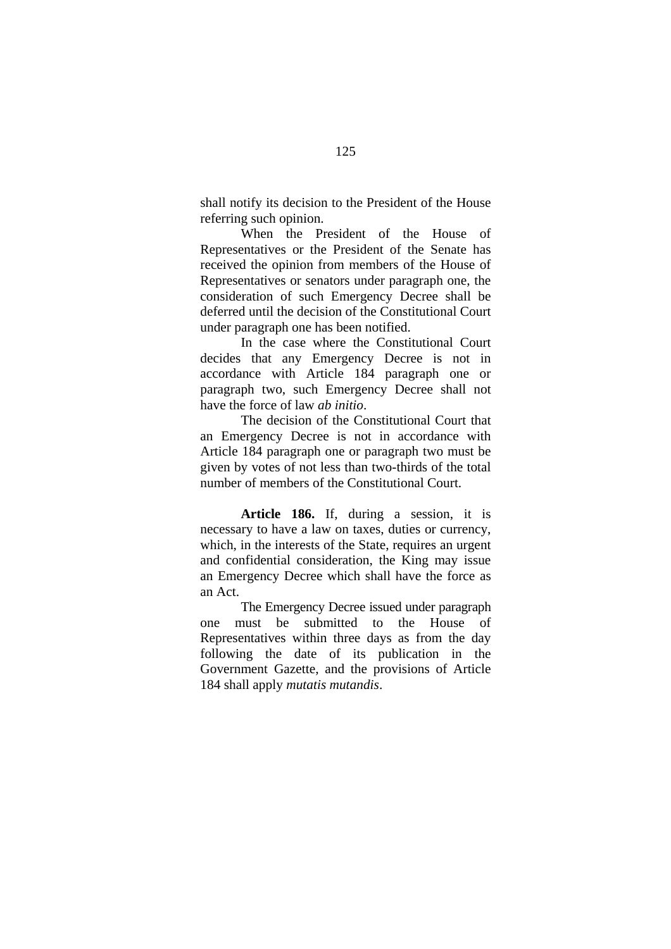shall notify its decision to the President of the House referring such opinion.

When the President of the House of Representatives or the President of the Senate has received the opinion from members of the House of Representatives or senators under paragraph one, the consideration of such Emergency Decree shall be deferred until the decision of the Constitutional Court under paragraph one has been notified.

In the case where the Constitutional Court decides that any Emergency Decree is not in accordance with Article 184 paragraph one or paragraph two, such Emergency Decree shall not have the force of law *ab initio*.

The decision of the Constitutional Court that an Emergency Decree is not in accordance with Article 184 paragraph one or paragraph two must be given by votes of not less than two-thirds of the total number of members of the Constitutional Court.

**Article 186.** If, during a session, it is necessary to have a law on taxes, duties or currency, which, in the interests of the State, requires an urgent and confidential consideration, the King may issue an Emergency Decree which shall have the force as an Act.

The Emergency Decree issued under paragraph one must be submitted to the House of Representatives within three days as from the day following the date of its publication in the Government Gazette, and the provisions of Article 184 shall apply *mutatis mutandis*.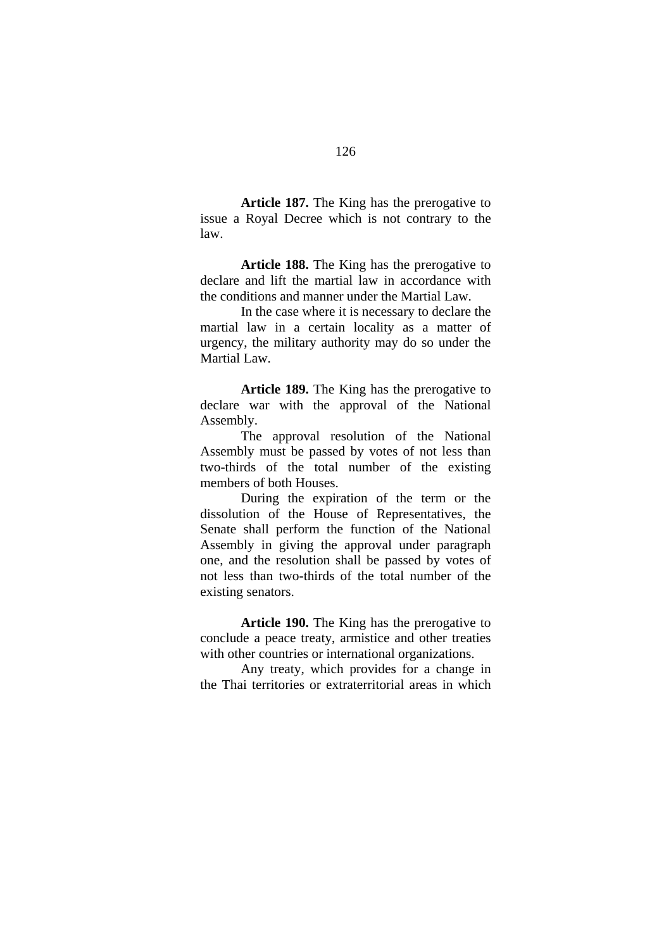**Article 187.** The King has the prerogative to issue a Royal Decree which is not contrary to the law.

**Article 188.** The King has the prerogative to declare and lift the martial law in accordance with the conditions and manner under the Martial Law.

In the case where it is necessary to declare the martial law in a certain locality as a matter of urgency, the military authority may do so under the Martial Law.

**Article 189.** The King has the prerogative to declare war with the approval of the National Assembly.

The approval resolution of the National Assembly must be passed by votes of not less than two-thirds of the total number of the existing members of both Houses.

During the expiration of the term or the dissolution of the House of Representatives, the Senate shall perform the function of the National Assembly in giving the approval under paragraph one, and the resolution shall be passed by votes of not less than two-thirds of the total number of the existing senators.

**Article 190.** The King has the prerogative to conclude a peace treaty, armistice and other treaties with other countries or international organizations.

Any treaty, which provides for a change in the Thai territories or extraterritorial areas in which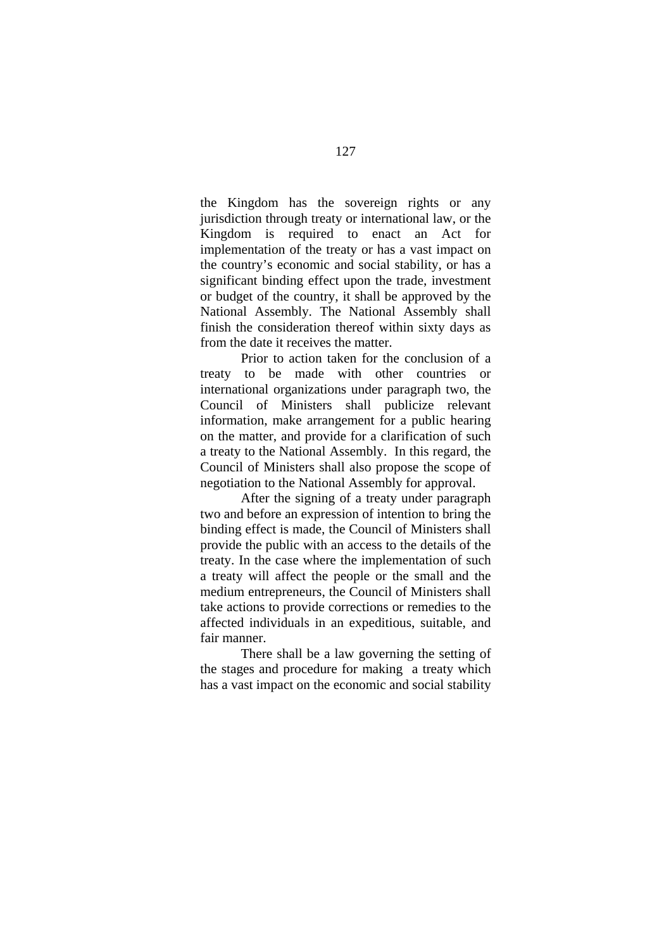the Kingdom has the sovereign rights or any jurisdiction through treaty or international law, or the Kingdom is required to enact an Act for implementation of the treaty or has a vast impact on the country's economic and social stability, or has a significant binding effect upon the trade, investment or budget of the country, it shall be approved by the National Assembly. The National Assembly shall finish the consideration thereof within sixty days as from the date it receives the matter.

Prior to action taken for the conclusion of a treaty to be made with other countries or international organizations under paragraph two, the Council of Ministers shall publicize relevant information, make arrangement for a public hearing on the matter, and provide for a clarification of such a treaty to the National Assembly. In this regard, the Council of Ministers shall also propose the scope of negotiation to the National Assembly for approval.

After the signing of a treaty under paragraph two and before an expression of intention to bring the binding effect is made, the Council of Ministers shall provide the public with an access to the details of the treaty. In the case where the implementation of such a treaty will affect the people or the small and the medium entrepreneurs, the Council of Ministers shall take actions to provide corrections or remedies to the affected individuals in an expeditious, suitable, and fair manner.

There shall be a law governing the setting of the stages and procedure for making a treaty which has a vast impact on the economic and social stability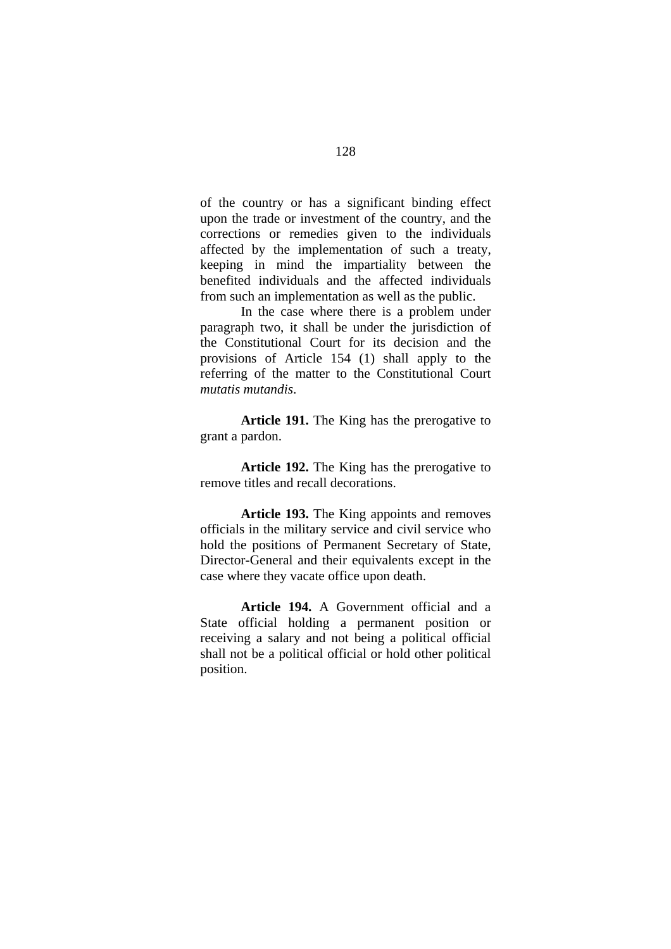of the country or has a significant binding effect upon the trade or investment of the country, and the corrections or remedies given to the individuals affected by the implementation of such a treaty, keeping in mind the impartiality between the benefited individuals and the affected individuals from such an implementation as well as the public.

In the case where there is a problem under paragraph two, it shall be under the jurisdiction of the Constitutional Court for its decision and the provisions of Article 154 (1) shall apply to the referring of the matter to the Constitutional Court *mutatis mutandis*.

**Article 191.** The King has the prerogative to grant a pardon.

Article 192. The King has the prerogative to remove titles and recall decorations.

**Article 193.** The King appoints and removes officials in the military service and civil service who hold the positions of Permanent Secretary of State, Director-General and their equivalents except in the case where they vacate office upon death.

**Article 194.** A Government official and a State official holding a permanent position or receiving a salary and not being a political official shall not be a political official or hold other political position.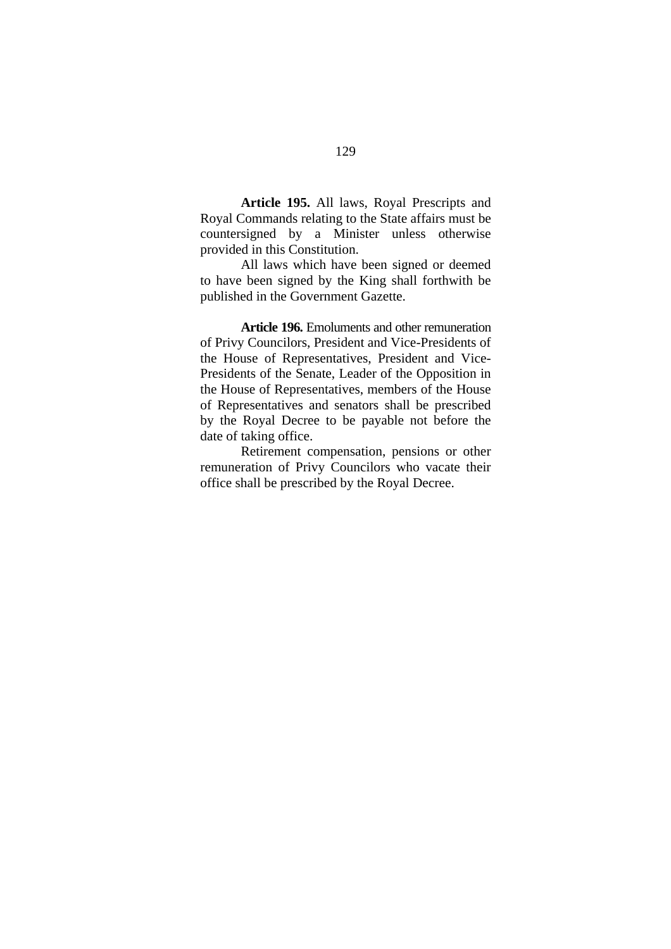**Article 195.** All laws, Royal Prescripts and Royal Commands relating to the State affairs must be countersigned by a Minister unless otherwise provided in this Constitution.

All laws which have been signed or deemed to have been signed by the King shall forthwith be published in the Government Gazette.

**Article 196.** Emoluments and other remuneration of Privy Councilors, President and Vice-Presidents of the House of Representatives, President and Vice-Presidents of the Senate, Leader of the Opposition in the House of Representatives, members of the House of Representatives and senators shall be prescribed by the Royal Decree to be payable not before the date of taking office.

Retirement compensation, pensions or other remuneration of Privy Councilors who vacate their office shall be prescribed by the Royal Decree.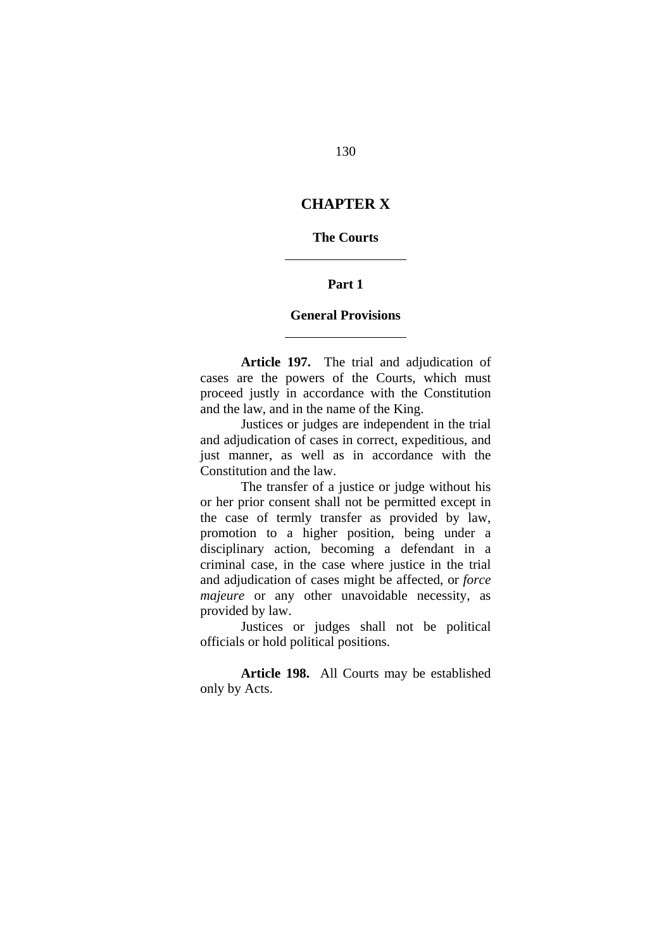# **CHAPTER X**

## **The Courts**

 $\overline{a}$ 

 $\overline{a}$ 

#### **Part 1**

#### **General Provisions**

**Article 197.** The trial and adjudication of cases are the powers of the Courts, which must proceed justly in accordance with the Constitution and the law, and in the name of the King.

Justices or judges are independent in the trial and adjudication of cases in correct, expeditious, and just manner, as well as in accordance with the Constitution and the law.

The transfer of a justice or judge without his or her prior consent shall not be permitted except in the case of termly transfer as provided by law, promotion to a higher position, being under a disciplinary action, becoming a defendant in a criminal case, in the case where justice in the trial and adjudication of cases might be affected, or *force majeure* or any other unavoidable necessity, as provided by law.

Justices or judges shall not be political officials or hold political positions.

**Article 198.** All Courts may be established only by Acts.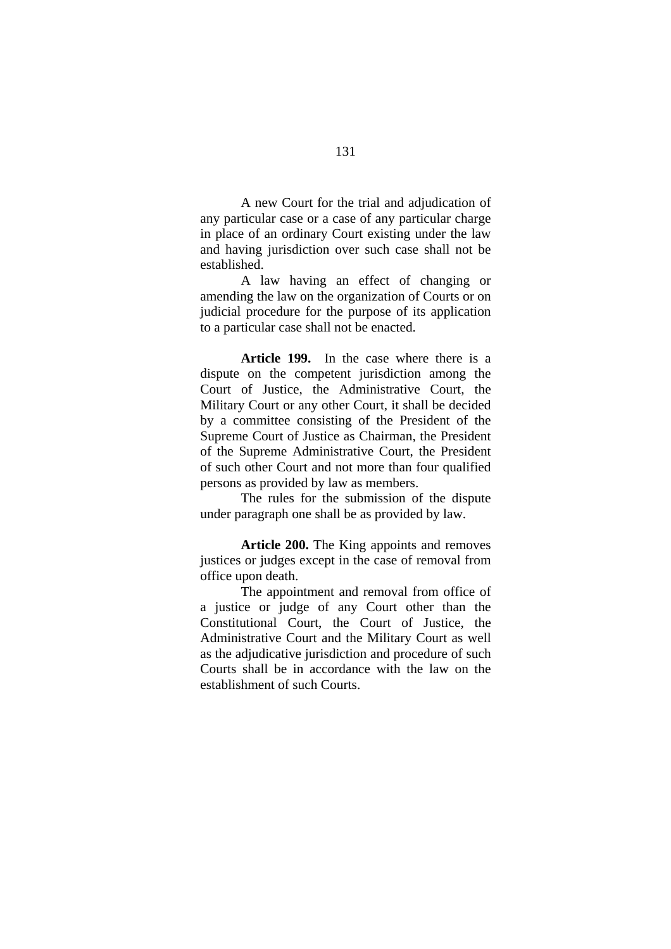A new Court for the trial and adjudication of any particular case or a case of any particular charge in place of an ordinary Court existing under the law and having jurisdiction over such case shall not be established.

A law having an effect of changing or amending the law on the organization of Courts or on judicial procedure for the purpose of its application to a particular case shall not be enacted.

**Article 199.** In the case where there is a dispute on the competent jurisdiction among the Court of Justice, the Administrative Court, the Military Court or any other Court, it shall be decided by a committee consisting of the President of the Supreme Court of Justice as Chairman, the President of the Supreme Administrative Court, the President of such other Court and not more than four qualified persons as provided by law as members.

The rules for the submission of the dispute under paragraph one shall be as provided by law.

**Article 200.** The King appoints and removes justices or judges except in the case of removal from office upon death.

The appointment and removal from office of a justice or judge of any Court other than the Constitutional Court, the Court of Justice, the Administrative Court and the Military Court as well as the adjudicative jurisdiction and procedure of such Courts shall be in accordance with the law on the establishment of such Courts.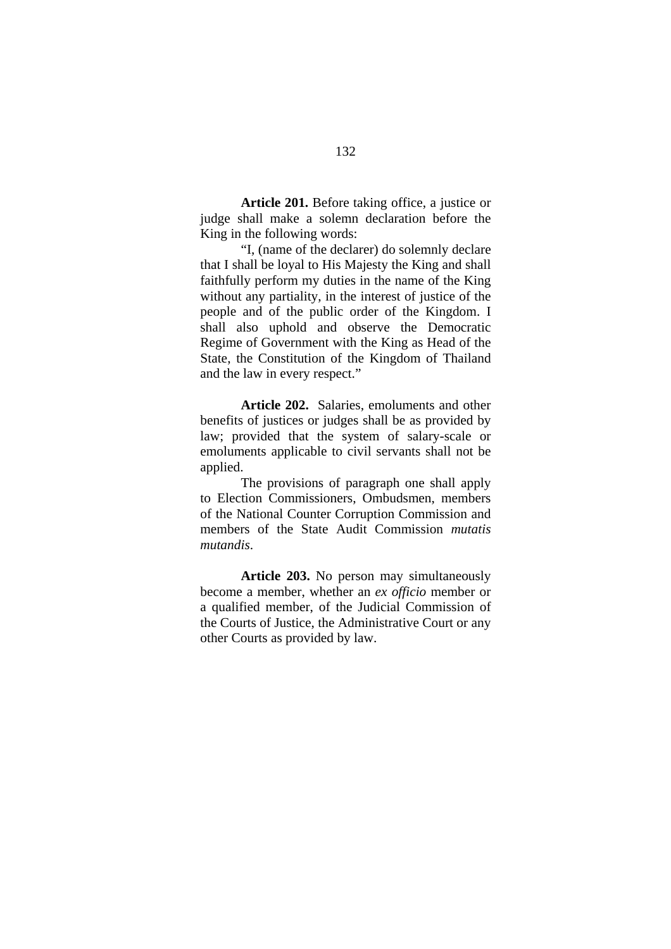**Article 201.** Before taking office, a justice or judge shall make a solemn declaration before the King in the following words:

"I, (name of the declarer) do solemnly declare that I shall be loyal to His Majesty the King and shall faithfully perform my duties in the name of the King without any partiality, in the interest of justice of the people and of the public order of the Kingdom. I shall also uphold and observe the Democratic Regime of Government with the King as Head of the State, the Constitution of the Kingdom of Thailand and the law in every respect."

**Article 202.** Salaries, emoluments and other benefits of justices or judges shall be as provided by law; provided that the system of salary-scale or emoluments applicable to civil servants shall not be applied.

The provisions of paragraph one shall apply to Election Commissioners, Ombudsmen, members of the National Counter Corruption Commission and members of the State Audit Commission *mutatis mutandis*.

**Article 203.** No person may simultaneously become a member, whether an *ex officio* member or a qualified member, of the Judicial Commission of the Courts of Justice, the Administrative Court or any other Courts as provided by law.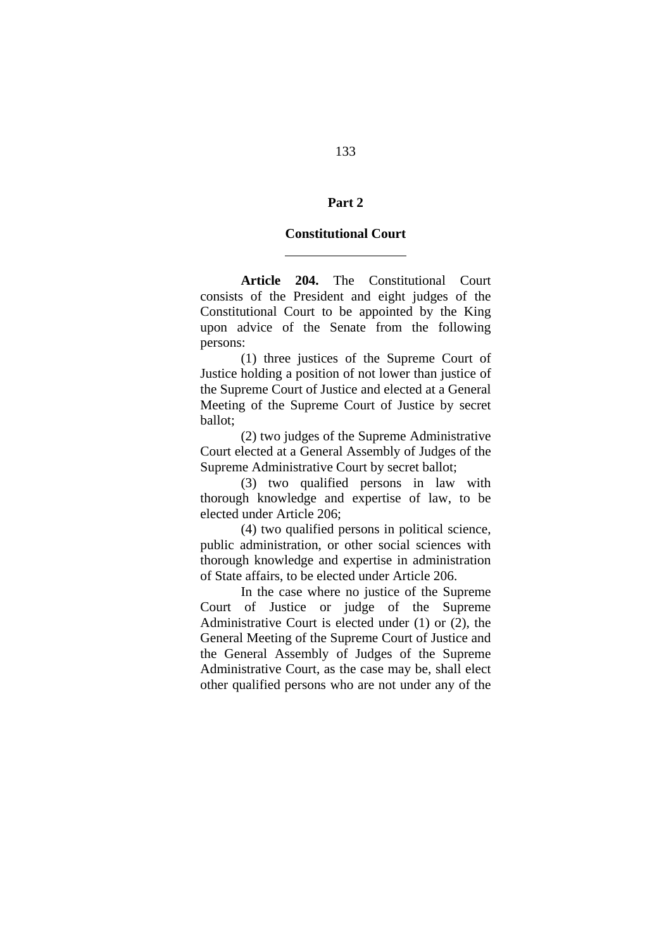## **Part 2**

#### **Constitutional Court**

 $\overline{a}$ 

 **Article 204.** The Constitutional Court consists of the President and eight judges of the Constitutional Court to be appointed by the King upon advice of the Senate from the following persons:

(1) three justices of the Supreme Court of Justice holding a position of not lower than justice of the Supreme Court of Justice and elected at a General Meeting of the Supreme Court of Justice by secret ballot;

(2) two judges of the Supreme Administrative Court elected at a General Assembly of Judges of the Supreme Administrative Court by secret ballot;

(3) two qualified persons in law with thorough knowledge and expertise of law, to be elected under Article 206;

(4) two qualified persons in political science, public administration, or other social sciences with thorough knowledge and expertise in administration of State affairs, to be elected under Article 206.

In the case where no justice of the Supreme Court of Justice or judge of the Supreme Administrative Court is elected under (1) or (2), the General Meeting of the Supreme Court of Justice and the General Assembly of Judges of the Supreme Administrative Court, as the case may be, shall elect other qualified persons who are not under any of the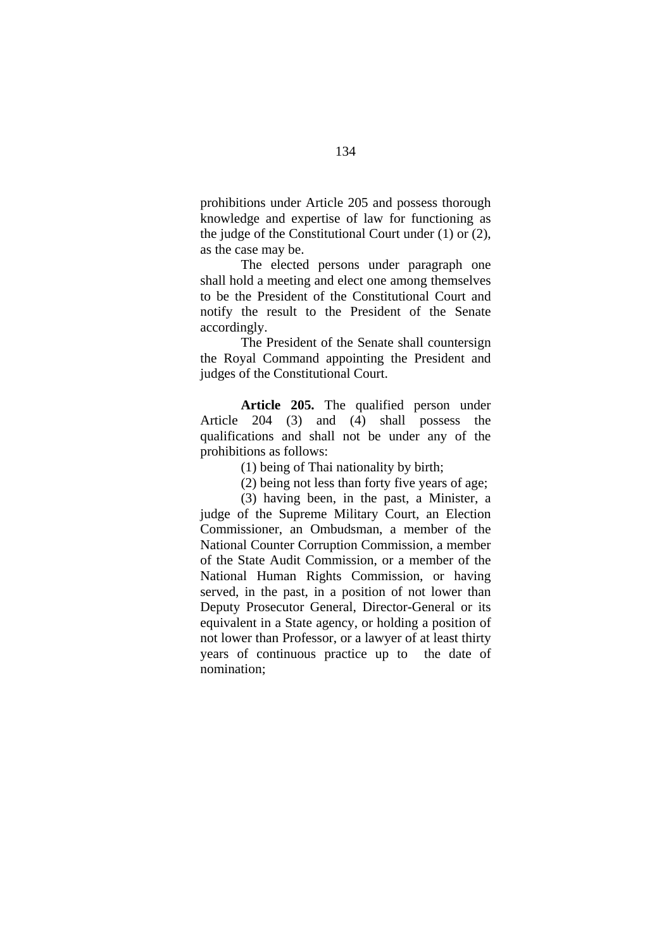prohibitions under Article 205 and possess thorough knowledge and expertise of law for functioning as the judge of the Constitutional Court under (1) or (2), as the case may be.

The elected persons under paragraph one shall hold a meeting and elect one among themselves to be the President of the Constitutional Court and notify the result to the President of the Senate accordingly.

The President of the Senate shall countersign the Royal Command appointing the President and judges of the Constitutional Court.

**Article 205.** The qualified person under Article 204 (3) and (4) shall possess the qualifications and shall not be under any of the prohibitions as follows:

(1) being of Thai nationality by birth;

(2) being not less than forty five years of age;

(3) having been, in the past, a Minister, a judge of the Supreme Military Court, an Election Commissioner, an Ombudsman, a member of the National Counter Corruption Commission, a member of the State Audit Commission, or a member of the National Human Rights Commission, or having served, in the past, in a position of not lower than Deputy Prosecutor General, Director-General or its equivalent in a State agency, or holding a position of not lower than Professor, or a lawyer of at least thirty years of continuous practice up to the date of nomination;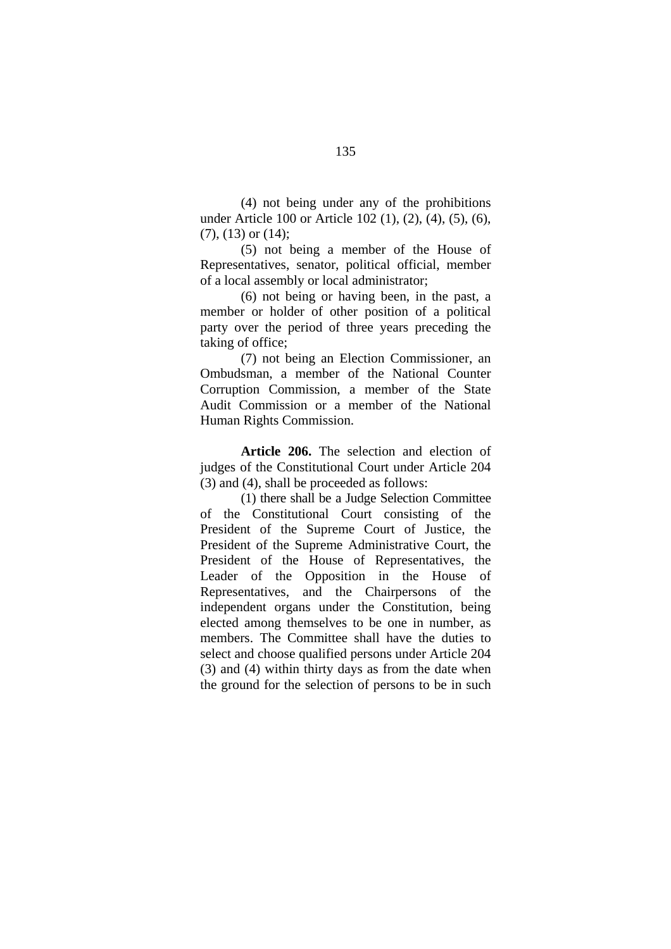(4) not being under any of the prohibitions under Article 100 or Article 102 (1), (2), (4), (5), (6),  $(7)$ ,  $(13)$  or  $(14)$ ;

(5) not being a member of the House of Representatives, senator, political official, member of a local assembly or local administrator;

(6) not being or having been, in the past, a member or holder of other position of a political party over the period of three years preceding the taking of office;

(7) not being an Election Commissioner, an Ombudsman, a member of the National Counter Corruption Commission, a member of the State Audit Commission or a member of the National Human Rights Commission.

**Article 206.** The selection and election of judges of the Constitutional Court under Article 204 (3) and (4), shall be proceeded as follows:

(1) there shall be a Judge Selection Committee of the Constitutional Court consisting of the President of the Supreme Court of Justice, the President of the Supreme Administrative Court, the President of the House of Representatives, the Leader of the Opposition in the House of Representatives, and the Chairpersons of the independent organs under the Constitution, being elected among themselves to be one in number, as members. The Committee shall have the duties to select and choose qualified persons under Article 204 (3) and (4) within thirty days as from the date when the ground for the selection of persons to be in such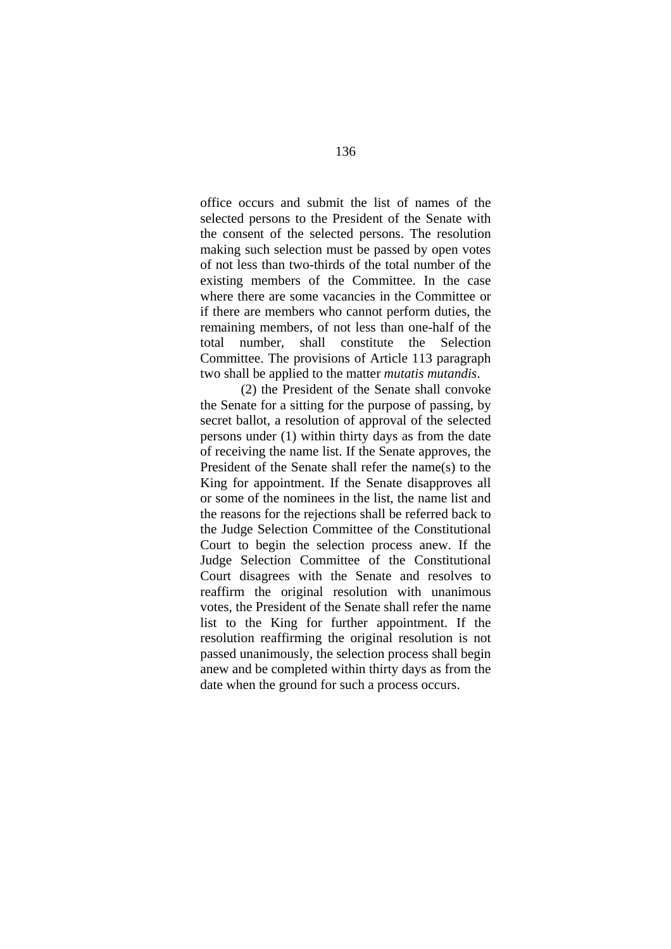office occurs and submit the list of names of the selected persons to the President of the Senate with the consent of the selected persons. The resolution making such selection must be passed by open votes of not less than two-thirds of the total number of the existing members of the Committee. In the case where there are some vacancies in the Committee or if there are members who cannot perform duties, the remaining members, of not less than one-half of the total number, shall constitute the Selection Committee. The provisions of Article 113 paragraph two shall be applied to the matter *mutatis mutandis*.

(2) the President of the Senate shall convoke the Senate for a sitting for the purpose of passing, by secret ballot, a resolution of approval of the selected persons under (1) within thirty days as from the date of receiving the name list. If the Senate approves, the President of the Senate shall refer the name(s) to the King for appointment. If the Senate disapproves all or some of the nominees in the list, the name list and the reasons for the rejections shall be referred back to the Judge Selection Committee of the Constitutional Court to begin the selection process anew. If the Judge Selection Committee of the Constitutional Court disagrees with the Senate and resolves to reaffirm the original resolution with unanimous votes, the President of the Senate shall refer the name list to the King for further appointment. If the resolution reaffirming the original resolution is not passed unanimously, the selection process shall begin anew and be completed within thirty days as from the date when the ground for such a process occurs.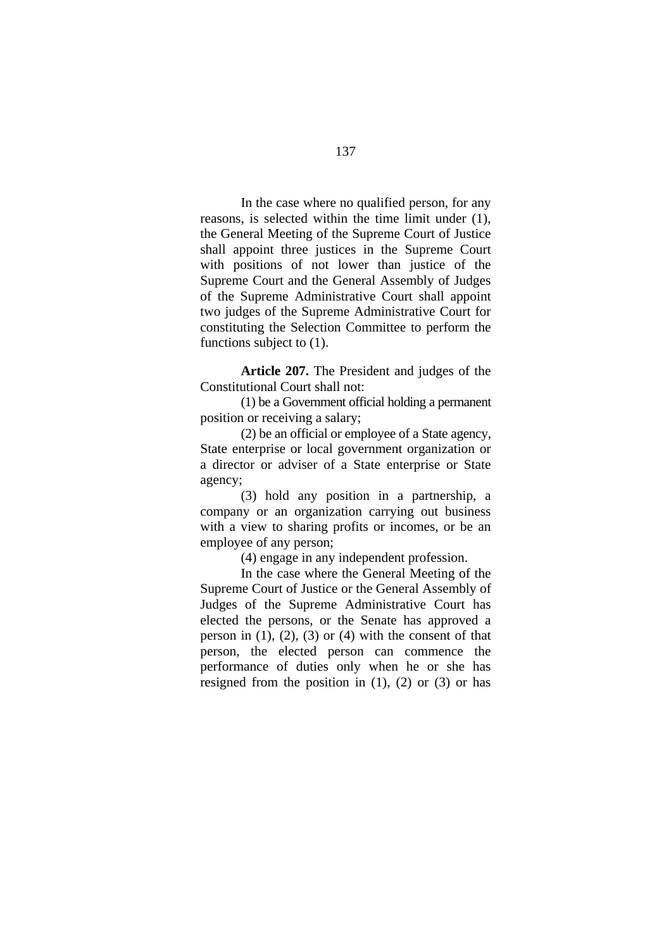In the case where no qualified person, for any reasons, is selected within the time limit under (1), the General Meeting of the Supreme Court of Justice shall appoint three justices in the Supreme Court with positions of not lower than justice of the Supreme Court and the General Assembly of Judges of the Supreme Administrative Court shall appoint two judges of the Supreme Administrative Court for constituting the Selection Committee to perform the functions subject to (1).

**Article 207.** The President and judges of the Constitutional Court shall not:

(1) be a Government official holding a permanent position or receiving a salary;

(2) be an official or employee of a State agency, State enterprise or local government organization or a director or adviser of a State enterprise or State agency;

(3) hold any position in a partnership, a company or an organization carrying out business with a view to sharing profits or incomes, or be an employee of any person;

(4) engage in any independent profession.

In the case where the General Meeting of the Supreme Court of Justice or the General Assembly of Judges of the Supreme Administrative Court has elected the persons, or the Senate has approved a person in  $(1)$ ,  $(2)$ ,  $(3)$  or  $(4)$  with the consent of that person, the elected person can commence the performance of duties only when he or she has resigned from the position in  $(1)$ ,  $(2)$  or  $(3)$  or has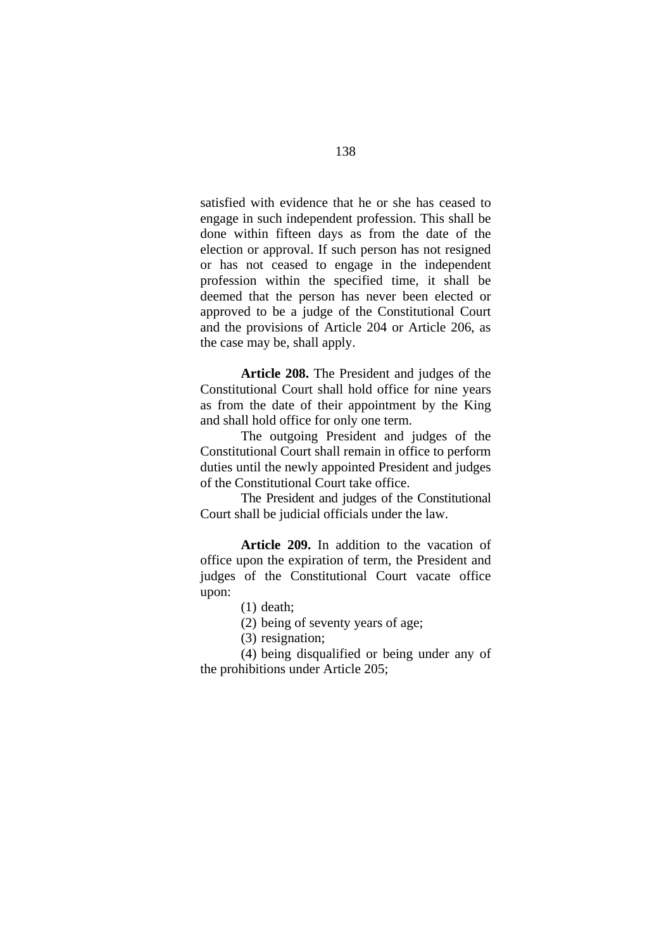satisfied with evidence that he or she has ceased to engage in such independent profession. This shall be done within fifteen days as from the date of the election or approval. If such person has not resigned or has not ceased to engage in the independent profession within the specified time, it shall be deemed that the person has never been elected or approved to be a judge of the Constitutional Court and the provisions of Article 204 or Article 206, as the case may be, shall apply.

**Article 208.** The President and judges of the Constitutional Court shall hold office for nine years as from the date of their appointment by the King and shall hold office for only one term.

The outgoing President and judges of the Constitutional Court shall remain in office to perform duties until the newly appointed President and judges of the Constitutional Court take office.

The President and judges of the Constitutional Court shall be judicial officials under the law.

**Article 209.** In addition to the vacation of office upon the expiration of term, the President and judges of the Constitutional Court vacate office upon:

- (1) death;
- (2) being of seventy years of age;
- (3) resignation;

(4) being disqualified or being under any of the prohibitions under Article 205;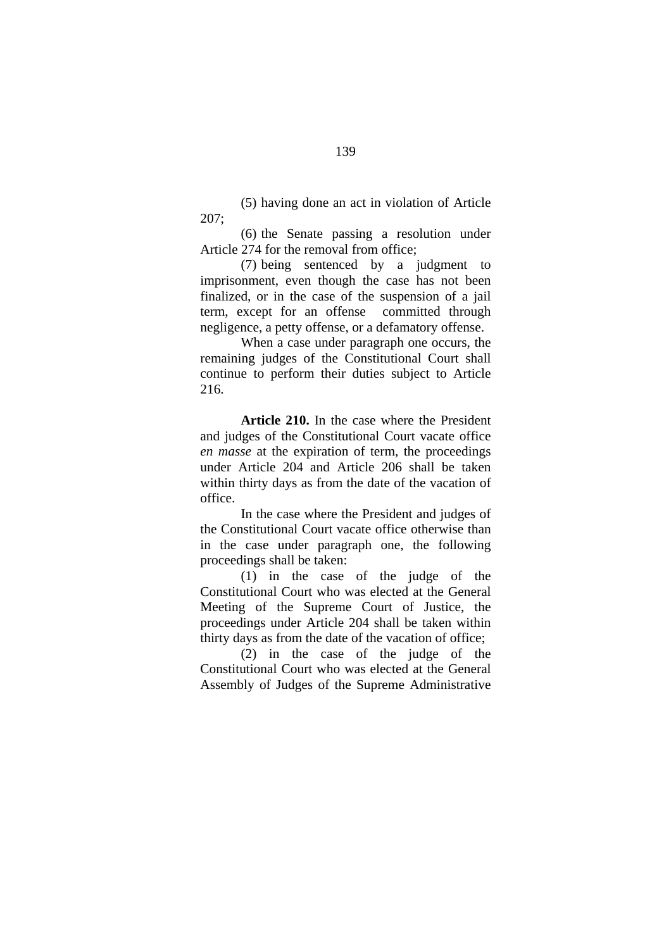(5) having done an act in violation of Article 207;

(6) the Senate passing a resolution under Article 274 for the removal from office;

(7) being sentenced by a judgment to imprisonment, even though the case has not been finalized, or in the case of the suspension of a jail term, except for an offense committed through negligence, a petty offense, or a defamatory offense.

When a case under paragraph one occurs, the remaining judges of the Constitutional Court shall continue to perform their duties subject to Article 216.

**Article 210.** In the case where the President and judges of the Constitutional Court vacate office *en masse* at the expiration of term, the proceedings under Article 204 and Article 206 shall be taken within thirty days as from the date of the vacation of office.

In the case where the President and judges of the Constitutional Court vacate office otherwise than in the case under paragraph one, the following proceedings shall be taken:

(1) in the case of the judge of the Constitutional Court who was elected at the General Meeting of the Supreme Court of Justice, the proceedings under Article 204 shall be taken within thirty days as from the date of the vacation of office;

(2) in the case of the judge of the Constitutional Court who was elected at the General Assembly of Judges of the Supreme Administrative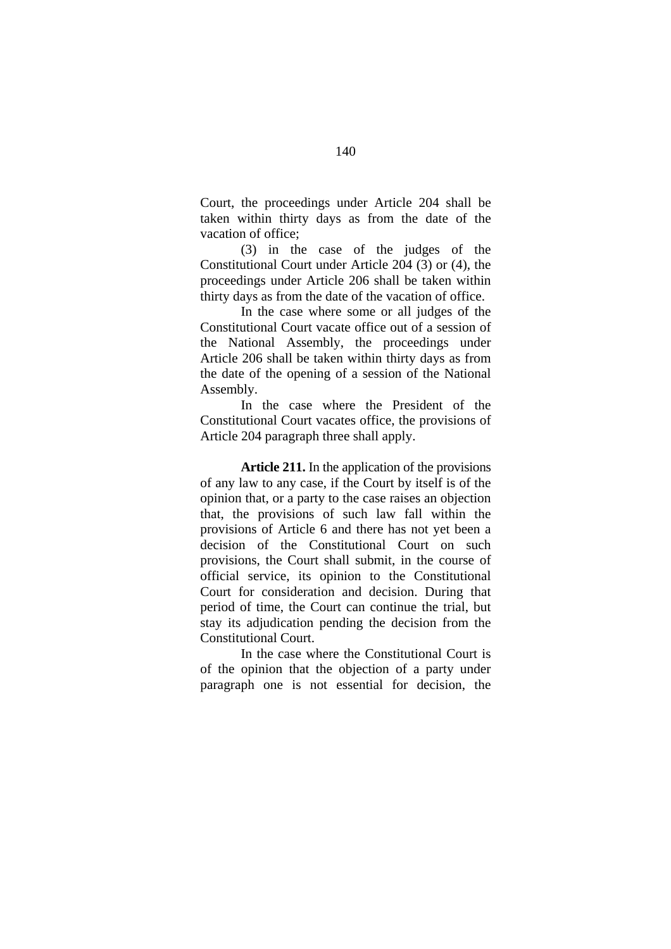Court, the proceedings under Article 204 shall be taken within thirty days as from the date of the vacation of office;

(3) in the case of the judges of the Constitutional Court under Article 204 (3) or (4), the proceedings under Article 206 shall be taken within thirty days as from the date of the vacation of office.

In the case where some or all judges of the Constitutional Court vacate office out of a session of the National Assembly, the proceedings under Article 206 shall be taken within thirty days as from the date of the opening of a session of the National Assembly.

In the case where the President of the Constitutional Court vacates office, the provisions of Article 204 paragraph three shall apply.

**Article 211.** In the application of the provisions of any law to any case, if the Court by itself is of the opinion that, or a party to the case raises an objection that, the provisions of such law fall within the provisions of Article 6 and there has not yet been a decision of the Constitutional Court on such provisions, the Court shall submit, in the course of official service, its opinion to the Constitutional Court for consideration and decision. During that period of time, the Court can continue the trial, but stay its adjudication pending the decision from the Constitutional Court.

In the case where the Constitutional Court is of the opinion that the objection of a party under paragraph one is not essential for decision, the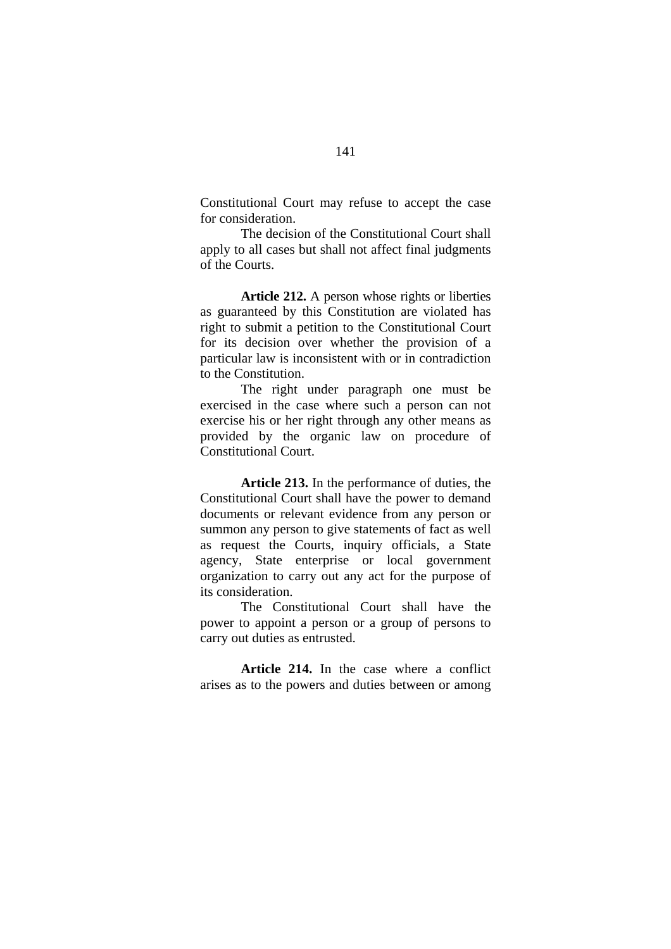Constitutional Court may refuse to accept the case for consideration.

The decision of the Constitutional Court shall apply to all cases but shall not affect final judgments of the Courts.

**Article 212.** A person whose rights or liberties as guaranteed by this Constitution are violated has right to submit a petition to the Constitutional Court for its decision over whether the provision of a particular law is inconsistent with or in contradiction to the Constitution.

The right under paragraph one must be exercised in the case where such a person can not exercise his or her right through any other means as provided by the organic law on procedure of Constitutional Court.

**Article 213.** In the performance of duties, the Constitutional Court shall have the power to demand documents or relevant evidence from any person or summon any person to give statements of fact as well as request the Courts, inquiry officials, a State agency, State enterprise or local government organization to carry out any act for the purpose of its consideration.

The Constitutional Court shall have the power to appoint a person or a group of persons to carry out duties as entrusted.

**Article 214.** In the case where a conflict arises as to the powers and duties between or among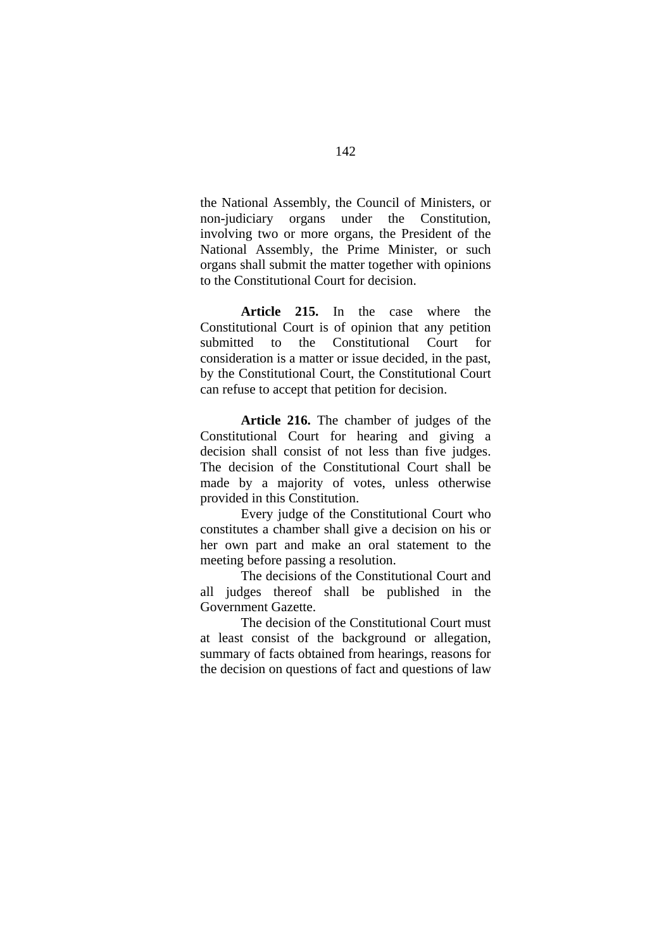the National Assembly, the Council of Ministers, or non-judiciary organs under the Constitution, involving two or more organs, the President of the National Assembly, the Prime Minister, or such organs shall submit the matter together with opinions to the Constitutional Court for decision.

**Article 215.** In the case where the Constitutional Court is of opinion that any petition submitted to the Constitutional Court for consideration is a matter or issue decided, in the past, by the Constitutional Court, the Constitutional Court can refuse to accept that petition for decision.

**Article 216.** The chamber of judges of the Constitutional Court for hearing and giving a decision shall consist of not less than five judges. The decision of the Constitutional Court shall be made by a majority of votes, unless otherwise provided in this Constitution.

Every judge of the Constitutional Court who constitutes a chamber shall give a decision on his or her own part and make an oral statement to the meeting before passing a resolution.

The decisions of the Constitutional Court and all judges thereof shall be published in the Government Gazette.

The decision of the Constitutional Court must at least consist of the background or allegation, summary of facts obtained from hearings, reasons for the decision on questions of fact and questions of law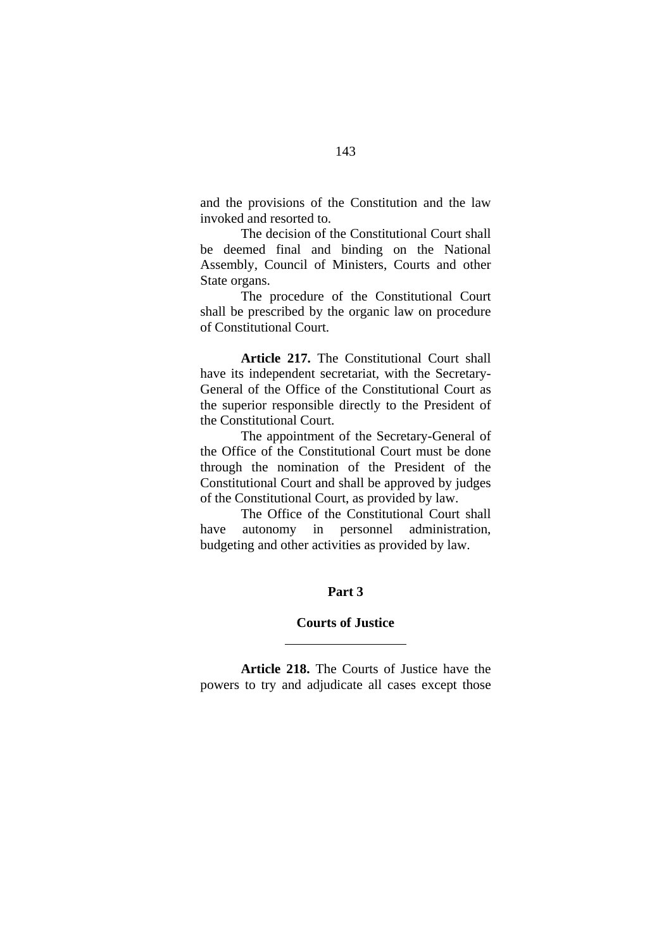and the provisions of the Constitution and the law invoked and resorted to.

The decision of the Constitutional Court shall be deemed final and binding on the National Assembly, Council of Ministers, Courts and other State organs.

The procedure of the Constitutional Court shall be prescribed by the organic law on procedure of Constitutional Court.

**Article 217.** The Constitutional Court shall have its independent secretariat, with the Secretary-General of the Office of the Constitutional Court as the superior responsible directly to the President of the Constitutional Court.

The appointment of the Secretary-General of the Office of the Constitutional Court must be done through the nomination of the President of the Constitutional Court and shall be approved by judges of the Constitutional Court, as provided by law.

The Office of the Constitutional Court shall have autonomy in personnel administration, budgeting and other activities as provided by law.

## **Part 3**

### **Courts of Justice**

 $\overline{a}$ 

**Article 218.** The Courts of Justice have the powers to try and adjudicate all cases except those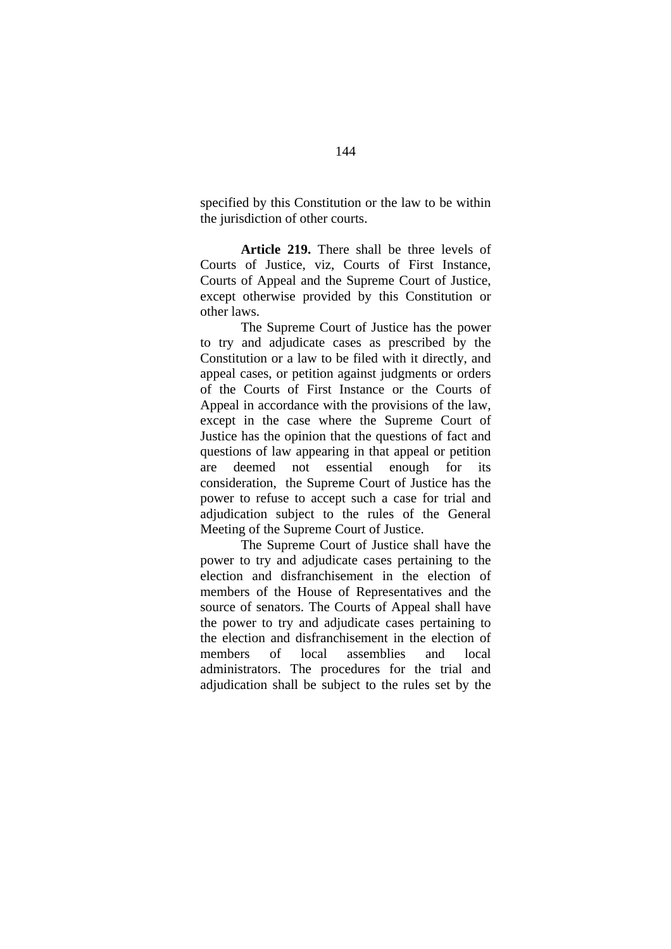specified by this Constitution or the law to be within the jurisdiction of other courts.

**Article 219.** There shall be three levels of Courts of Justice, viz, Courts of First Instance, Courts of Appeal and the Supreme Court of Justice, except otherwise provided by this Constitution or other laws.

The Supreme Court of Justice has the power to try and adjudicate cases as prescribed by the Constitution or a law to be filed with it directly, and appeal cases, or petition against judgments or orders of the Courts of First Instance or the Courts of Appeal in accordance with the provisions of the law, except in the case where the Supreme Court of Justice has the opinion that the questions of fact and questions of law appearing in that appeal or petition are deemed not essential enough for its consideration, the Supreme Court of Justice has the power to refuse to accept such a case for trial and adjudication subject to the rules of the General Meeting of the Supreme Court of Justice.

The Supreme Court of Justice shall have the power to try and adjudicate cases pertaining to the election and disfranchisement in the election of members of the House of Representatives and the source of senators. The Courts of Appeal shall have the power to try and adjudicate cases pertaining to the election and disfranchisement in the election of members of local assemblies and local administrators. The procedures for the trial and adjudication shall be subject to the rules set by the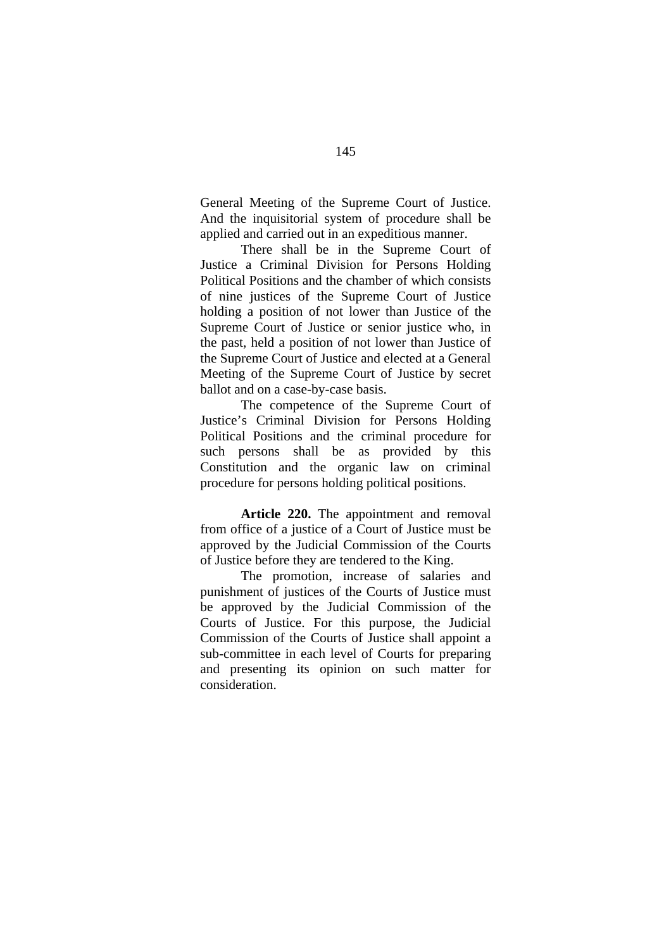General Meeting of the Supreme Court of Justice. And the inquisitorial system of procedure shall be applied and carried out in an expeditious manner.

There shall be in the Supreme Court of Justice a Criminal Division for Persons Holding Political Positions and the chamber of which consists of nine justices of the Supreme Court of Justice holding a position of not lower than Justice of the Supreme Court of Justice or senior justice who, in the past, held a position of not lower than Justice of the Supreme Court of Justice and elected at a General Meeting of the Supreme Court of Justice by secret ballot and on a case-by-case basis.

The competence of the Supreme Court of Justice's Criminal Division for Persons Holding Political Positions and the criminal procedure for such persons shall be as provided by this Constitution and the organic law on criminal procedure for persons holding political positions.

**Article 220.** The appointment and removal from office of a justice of a Court of Justice must be approved by the Judicial Commission of the Courts of Justice before they are tendered to the King.

The promotion, increase of salaries and punishment of justices of the Courts of Justice must be approved by the Judicial Commission of the Courts of Justice. For this purpose, the Judicial Commission of the Courts of Justice shall appoint a sub-committee in each level of Courts for preparing and presenting its opinion on such matter for consideration.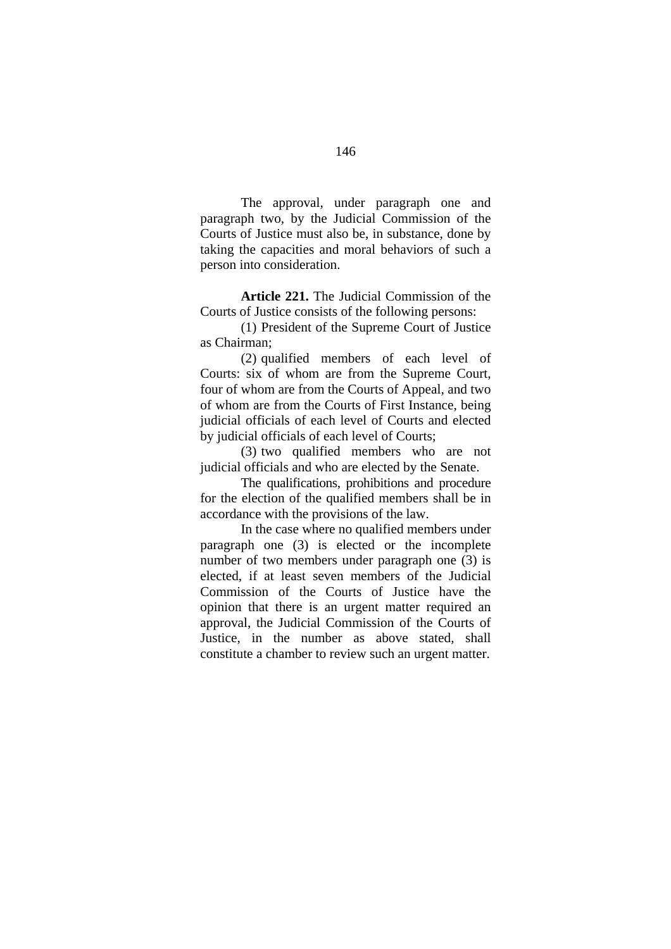The approval, under paragraph one and paragraph two, by the Judicial Commission of the Courts of Justice must also be, in substance, done by taking the capacities and moral behaviors of such a person into consideration.

**Article 221.** The Judicial Commission of the Courts of Justice consists of the following persons:

(1) President of the Supreme Court of Justice as Chairman;

(2) qualified members of each level of Courts: six of whom are from the Supreme Court, four of whom are from the Courts of Appeal, and two of whom are from the Courts of First Instance, being judicial officials of each level of Courts and elected by judicial officials of each level of Courts;

(3) two qualified members who are not judicial officials and who are elected by the Senate.

The qualifications, prohibitions and procedure for the election of the qualified members shall be in accordance with the provisions of the law.

In the case where no qualified members under paragraph one (3) is elected or the incomplete number of two members under paragraph one (3) is elected, if at least seven members of the Judicial Commission of the Courts of Justice have the opinion that there is an urgent matter required an approval, the Judicial Commission of the Courts of Justice, in the number as above stated, shall constitute a chamber to review such an urgent matter.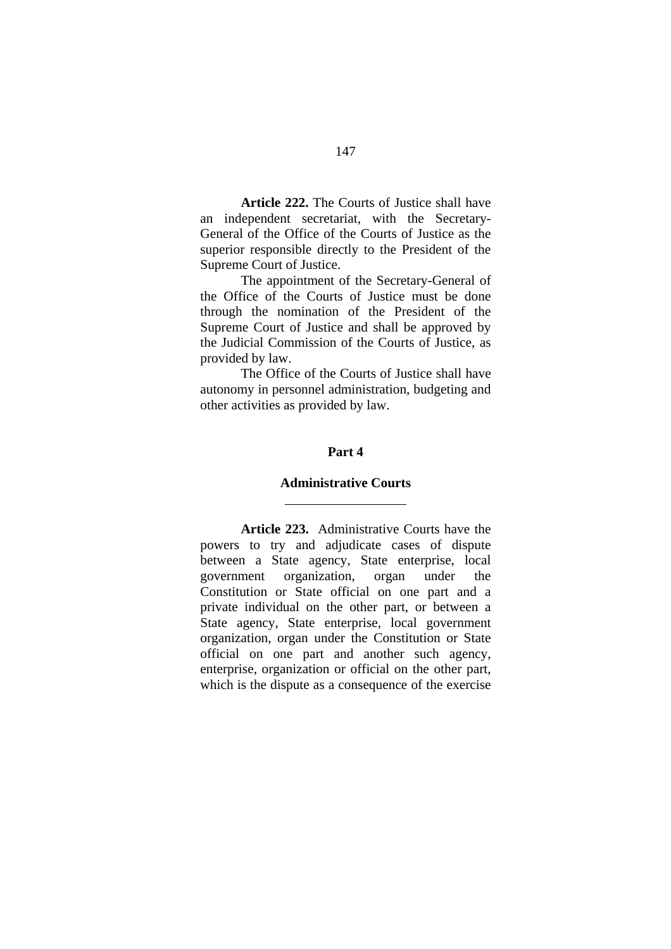**Article 222.** The Courts of Justice shall have an independent secretariat, with the Secretary-General of the Office of the Courts of Justice as the superior responsible directly to the President of the Supreme Court of Justice.

The appointment of the Secretary-General of the Office of the Courts of Justice must be done through the nomination of the President of the Supreme Court of Justice and shall be approved by the Judicial Commission of the Courts of Justice, as provided by law.

The Office of the Courts of Justice shall have autonomy in personnel administration, budgeting and other activities as provided by law.

#### **Part 4**

#### **Administrative Courts**

 $\overline{a}$ 

**Article 223.** Administrative Courts have the powers to try and adjudicate cases of dispute between a State agency, State enterprise, local government organization, organ under the Constitution or State official on one part and a private individual on the other part, or between a State agency, State enterprise, local government organization, organ under the Constitution or State official on one part and another such agency, enterprise, organization or official on the other part, which is the dispute as a consequence of the exercise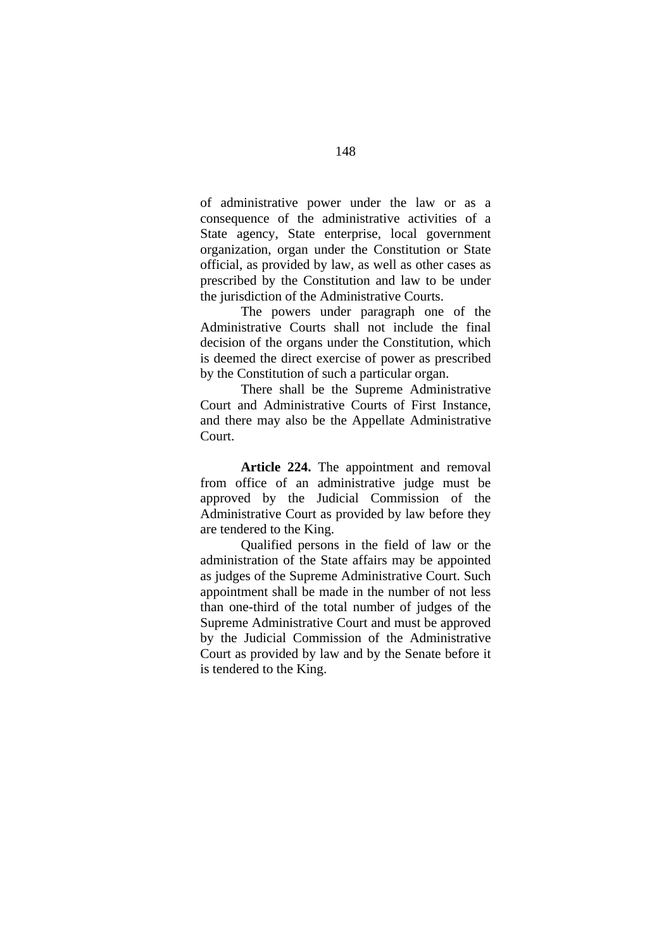of administrative power under the law or as a consequence of the administrative activities of a State agency, State enterprise, local government organization, organ under the Constitution or State official, as provided by law, as well as other cases as prescribed by the Constitution and law to be under the jurisdiction of the Administrative Courts.

 The powers under paragraph one of the Administrative Courts shall not include the final decision of the organs under the Constitution, which is deemed the direct exercise of power as prescribed by the Constitution of such a particular organ.

There shall be the Supreme Administrative Court and Administrative Courts of First Instance, and there may also be the Appellate Administrative Court.

**Article 224.** The appointment and removal from office of an administrative judge must be approved by the Judicial Commission of the Administrative Court as provided by law before they are tendered to the King.

Qualified persons in the field of law or the administration of the State affairs may be appointed as judges of the Supreme Administrative Court. Such appointment shall be made in the number of not less than one-third of the total number of judges of the Supreme Administrative Court and must be approved by the Judicial Commission of the Administrative Court as provided by law and by the Senate before it is tendered to the King.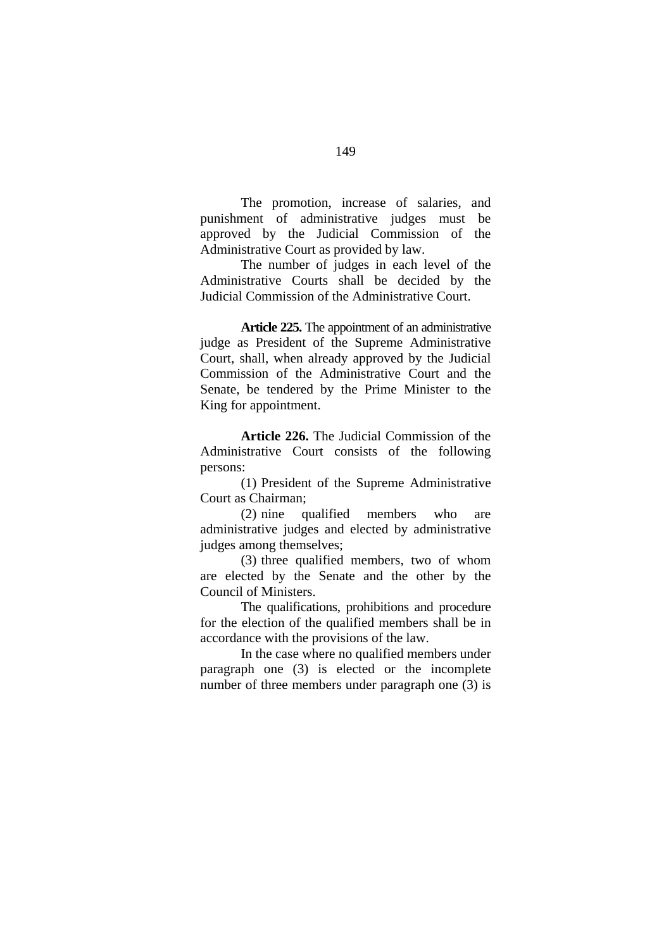The promotion, increase of salaries, and punishment of administrative judges must be approved by the Judicial Commission of the Administrative Court as provided by law.

 The number of judges in each level of the Administrative Courts shall be decided by the Judicial Commission of the Administrative Court.

**Article 225.** The appointment of an administrative judge as President of the Supreme Administrative Court, shall, when already approved by the Judicial Commission of the Administrative Court and the Senate, be tendered by the Prime Minister to the King for appointment.

**Article 226.** The Judicial Commission of the Administrative Court consists of the following persons:

(1) President of the Supreme Administrative Court as Chairman;

(2) nine qualified members who are administrative judges and elected by administrative judges among themselves;

(3) three qualified members, two of whom are elected by the Senate and the other by the Council of Ministers.

The qualifications, prohibitions and procedure for the election of the qualified members shall be in accordance with the provisions of the law.

In the case where no qualified members under paragraph one (3) is elected or the incomplete number of three members under paragraph one (3) is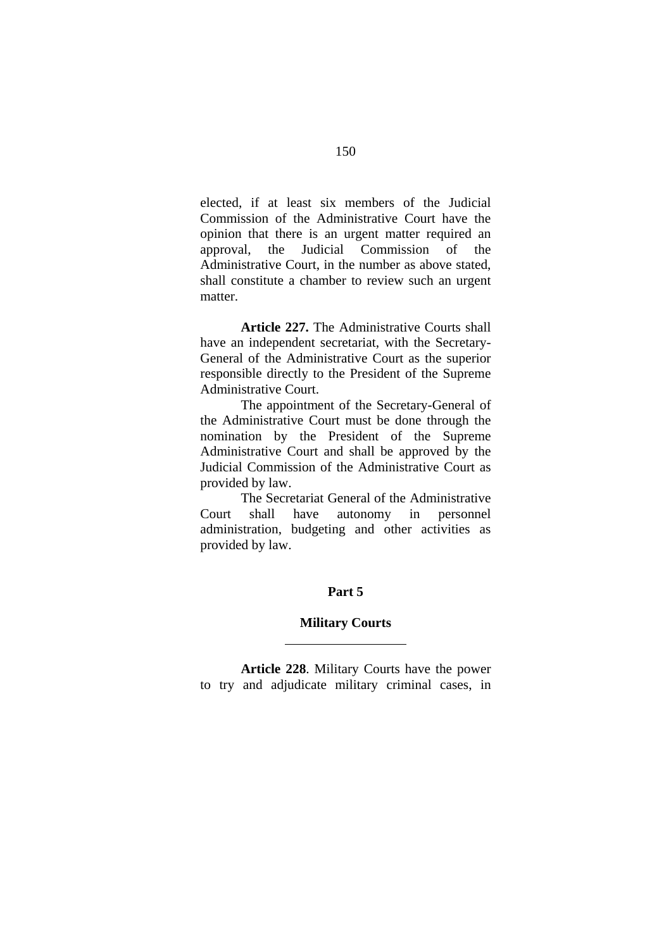elected, if at least six members of the Judicial Commission of the Administrative Court have the opinion that there is an urgent matter required an approval, the Judicial Commission of the Administrative Court, in the number as above stated, shall constitute a chamber to review such an urgent matter.

**Article 227.** The Administrative Courts shall have an independent secretariat, with the Secretary-General of the Administrative Court as the superior responsible directly to the President of the Supreme Administrative Court.

The appointment of the Secretary-General of the Administrative Court must be done through the nomination by the President of the Supreme Administrative Court and shall be approved by the Judicial Commission of the Administrative Court as provided by law.

The Secretariat General of the Administrative Court shall have autonomy in personnel administration, budgeting and other activities as provided by law.

#### **Part 5**

#### **Military Courts**

 $\overline{a}$ 

**Article 228**. Military Courts have the power to try and adjudicate military criminal cases, in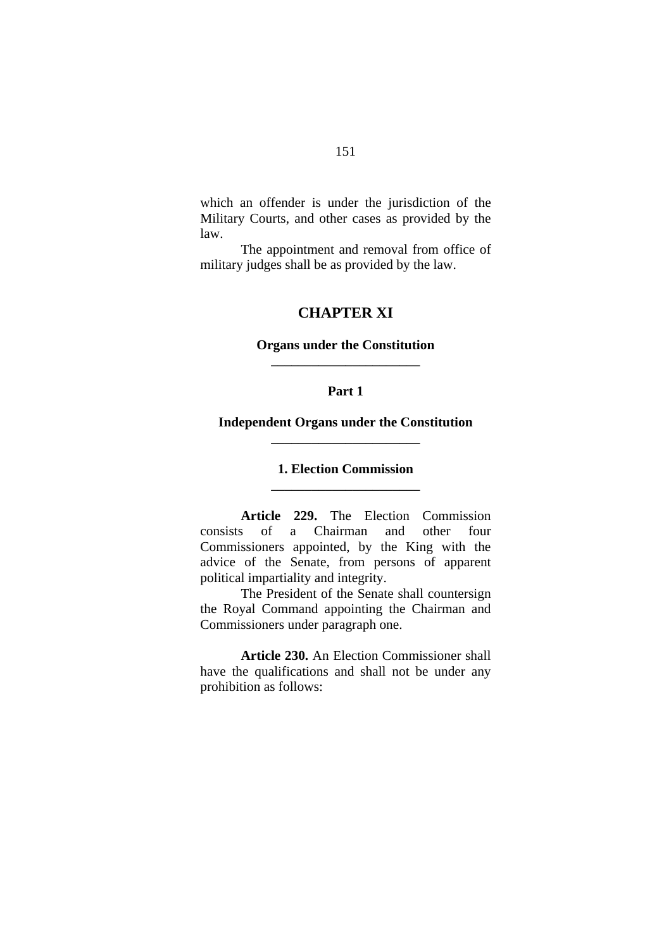which an offender is under the jurisdiction of the Military Courts, and other cases as provided by the law.

The appointment and removal from office of military judges shall be as provided by the law.

## **CHAPTER XI**

## **Organs under the Constitution \_\_\_\_\_\_\_\_\_\_\_\_\_\_\_\_\_\_\_\_\_\_**

## **Part 1**

# **Independent Organs under the Constitution \_\_\_\_\_\_\_\_\_\_\_\_\_\_\_\_\_\_\_\_\_\_**

# **1. Election Commission \_\_\_\_\_\_\_\_\_\_\_\_\_\_\_\_\_\_\_\_\_\_**

 **Article 229.** The Election Commission consists of a Chairman and other four Commissioners appointed, by the King with the advice of the Senate, from persons of apparent political impartiality and integrity.

The President of the Senate shall countersign the Royal Command appointing the Chairman and Commissioners under paragraph one.

**Article 230.** An Election Commissioner shall have the qualifications and shall not be under any prohibition as follows: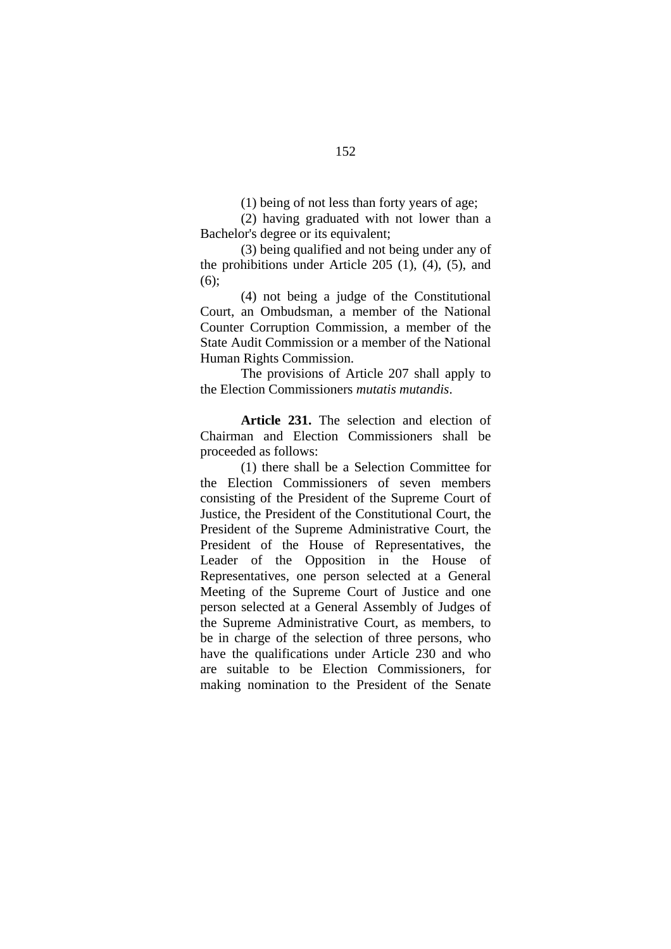(1) being of not less than forty years of age;

(2) having graduated with not lower than a Bachelor's degree or its equivalent;

(3) being qualified and not being under any of the prohibitions under Article 205 (1), (4), (5), and (6);

(4) not being a judge of the Constitutional Court, an Ombudsman, a member of the National Counter Corruption Commission, a member of the State Audit Commission or a member of the National Human Rights Commission.

 The provisions of Article 207 shall apply to the Election Commissioners *mutatis mutandis*.

**Article 231.** The selection and election of Chairman and Election Commissioners shall be proceeded as follows:

(1) there shall be a Selection Committee for the Election Commissioners of seven members consisting of the President of the Supreme Court of Justice, the President of the Constitutional Court, the President of the Supreme Administrative Court, the President of the House of Representatives, the Leader of the Opposition in the House of Representatives, one person selected at a General Meeting of the Supreme Court of Justice and one person selected at a General Assembly of Judges of the Supreme Administrative Court, as members, to be in charge of the selection of three persons, who have the qualifications under Article 230 and who are suitable to be Election Commissioners, for making nomination to the President of the Senate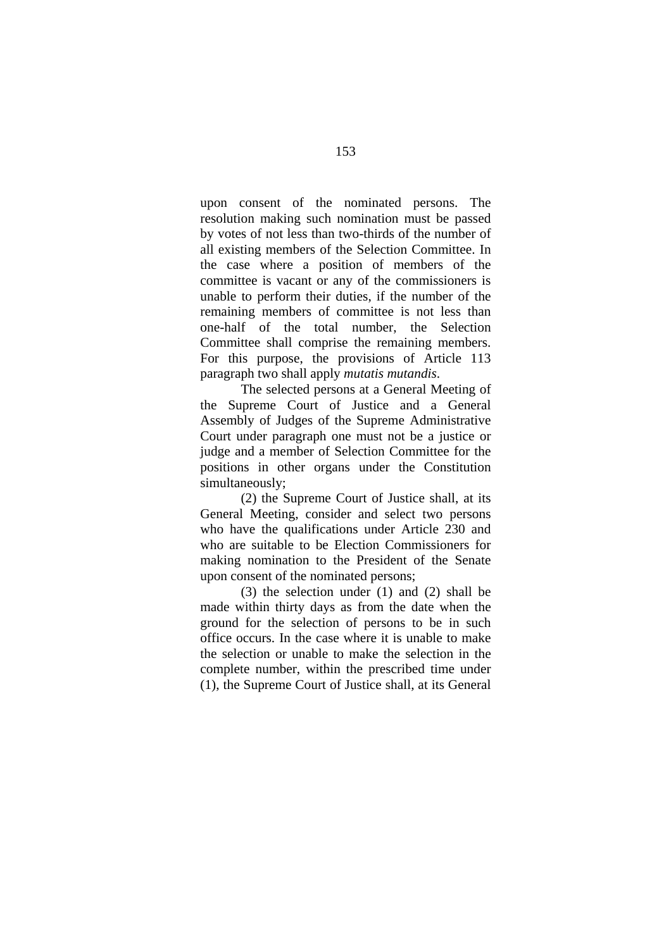upon consent of the nominated persons. The resolution making such nomination must be passed by votes of not less than two-thirds of the number of all existing members of the Selection Committee. In the case where a position of members of the committee is vacant or any of the commissioners is unable to perform their duties, if the number of the remaining members of committee is not less than one-half of the total number, the Selection Committee shall comprise the remaining members. For this purpose, the provisions of Article 113 paragraph two shall apply *mutatis mutandis*.

The selected persons at a General Meeting of the Supreme Court of Justice and a General Assembly of Judges of the Supreme Administrative Court under paragraph one must not be a justice or judge and a member of Selection Committee for the positions in other organs under the Constitution simultaneously;

(2) the Supreme Court of Justice shall, at its General Meeting, consider and select two persons who have the qualifications under Article 230 and who are suitable to be Election Commissioners for making nomination to the President of the Senate upon consent of the nominated persons;

(3) the selection under (1) and (2) shall be made within thirty days as from the date when the ground for the selection of persons to be in such office occurs. In the case where it is unable to make the selection or unable to make the selection in the complete number, within the prescribed time under (1), the Supreme Court of Justice shall, at its General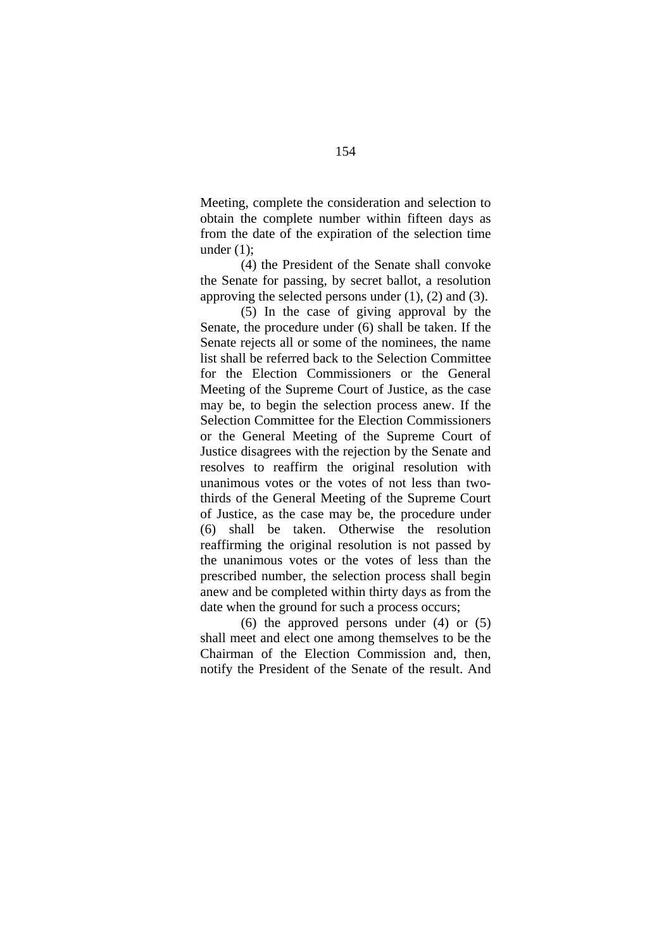Meeting, complete the consideration and selection to obtain the complete number within fifteen days as from the date of the expiration of the selection time under  $(1)$ :

(4) the President of the Senate shall convoke the Senate for passing, by secret ballot, a resolution approving the selected persons under  $(1)$ ,  $(2)$  and  $(3)$ .

(5) In the case of giving approval by the Senate, the procedure under (6) shall be taken. If the Senate rejects all or some of the nominees, the name list shall be referred back to the Selection Committee for the Election Commissioners or the General Meeting of the Supreme Court of Justice, as the case may be, to begin the selection process anew. If the Selection Committee for the Election Commissioners or the General Meeting of the Supreme Court of Justice disagrees with the rejection by the Senate and resolves to reaffirm the original resolution with unanimous votes or the votes of not less than twothirds of the General Meeting of the Supreme Court of Justice, as the case may be, the procedure under (6) shall be taken. Otherwise the resolution reaffirming the original resolution is not passed by the unanimous votes or the votes of less than the prescribed number, the selection process shall begin anew and be completed within thirty days as from the date when the ground for such a process occurs;

(6) the approved persons under (4) or (5) shall meet and elect one among themselves to be the Chairman of the Election Commission and, then, notify the President of the Senate of the result. And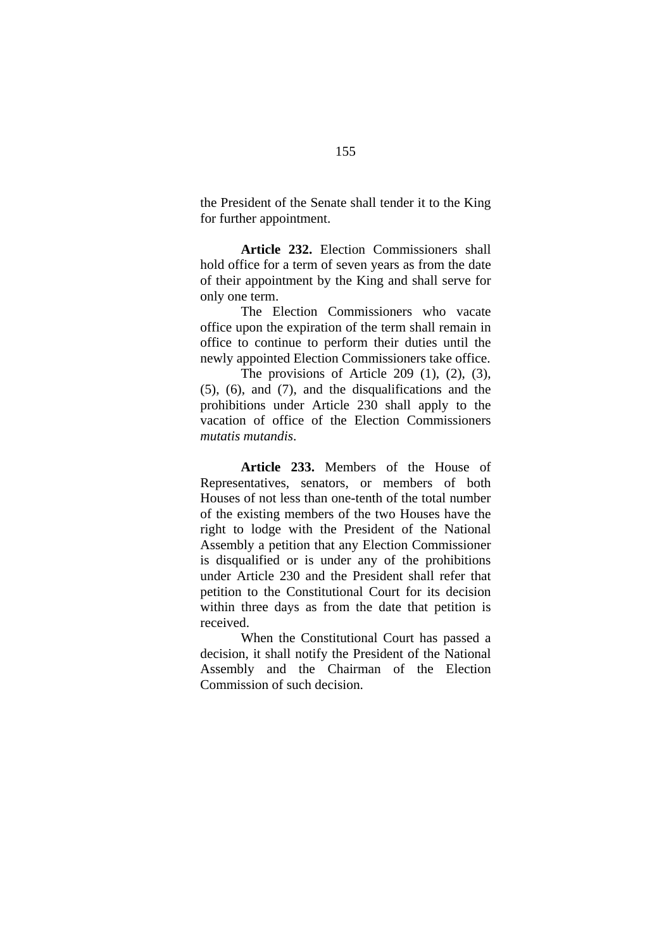the President of the Senate shall tender it to the King for further appointment.

**Article 232.** Election Commissioners shall hold office for a term of seven years as from the date of their appointment by the King and shall serve for only one term.

The Election Commissioners who vacate office upon the expiration of the term shall remain in office to continue to perform their duties until the newly appointed Election Commissioners take office.

The provisions of Article 209  $(1)$ ,  $(2)$ ,  $(3)$ , (5), (6), and (7), and the disqualifications and the prohibitions under Article 230 shall apply to the vacation of office of the Election Commissioners *mutatis mutandis*.

**Article 233.** Members of the House of Representatives, senators, or members of both Houses of not less than one-tenth of the total number of the existing members of the two Houses have the right to lodge with the President of the National Assembly a petition that any Election Commissioner is disqualified or is under any of the prohibitions under Article 230 and the President shall refer that petition to the Constitutional Court for its decision within three days as from the date that petition is received.

When the Constitutional Court has passed a decision, it shall notify the President of the National Assembly and the Chairman of the Election Commission of such decision.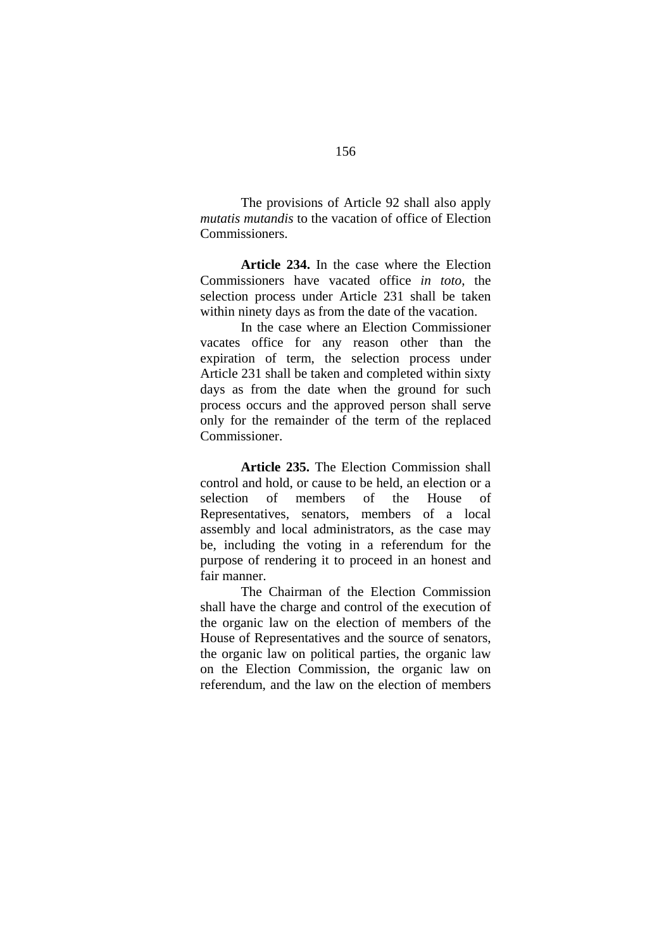The provisions of Article 92 shall also apply *mutatis mutandis* to the vacation of office of Election Commissioners.

**Article 234.** In the case where the Election Commissioners have vacated office *in toto*, the selection process under Article 231 shall be taken within ninety days as from the date of the vacation.

In the case where an Election Commissioner vacates office for any reason other than the expiration of term, the selection process under Article 231 shall be taken and completed within sixty days as from the date when the ground for such process occurs and the approved person shall serve only for the remainder of the term of the replaced Commissioner.

**Article 235.** The Election Commission shall control and hold, or cause to be held, an election or a selection of members of the House of Representatives, senators, members of a local assembly and local administrators, as the case may be, including the voting in a referendum for the purpose of rendering it to proceed in an honest and fair manner.

The Chairman of the Election Commission shall have the charge and control of the execution of the organic law on the election of members of the House of Representatives and the source of senators, the organic law on political parties, the organic law on the Election Commission, the organic law on referendum, and the law on the election of members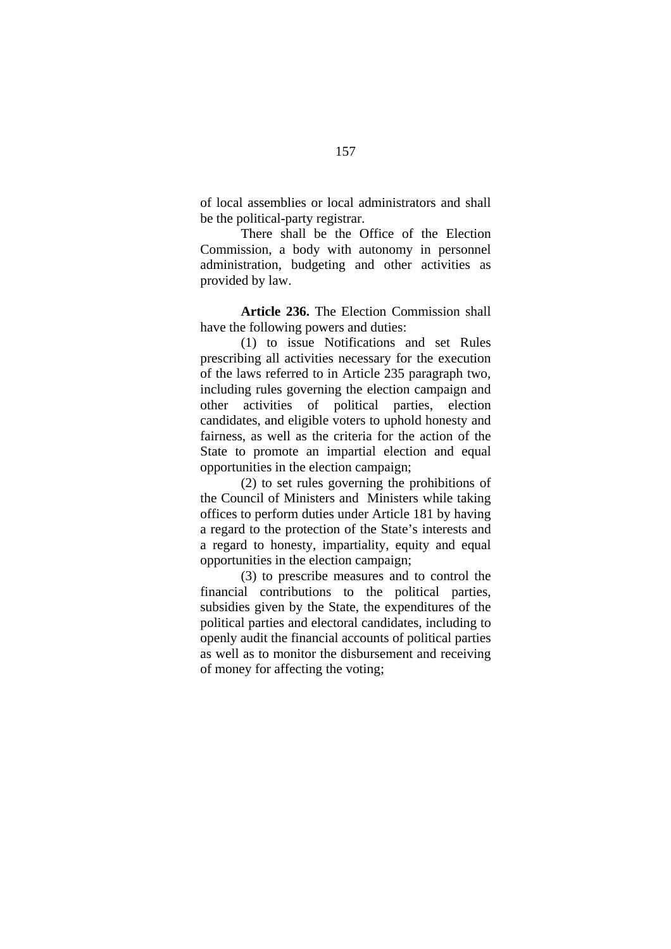of local assemblies or local administrators and shall be the political-party registrar.

There shall be the Office of the Election Commission, a body with autonomy in personnel administration, budgeting and other activities as provided by law.

**Article 236.** The Election Commission shall have the following powers and duties:

(1) to issue Notifications and set Rules prescribing all activities necessary for the execution of the laws referred to in Article 235 paragraph two, including rules governing the election campaign and other activities of political parties, election candidates, and eligible voters to uphold honesty and fairness, as well as the criteria for the action of the State to promote an impartial election and equal opportunities in the election campaign;

(2) to set rules governing the prohibitions of the Council of Ministers and Ministers while taking offices to perform duties under Article 181 by having a regard to the protection of the State's interests and a regard to honesty, impartiality, equity and equal opportunities in the election campaign;

(3) to prescribe measures and to control the financial contributions to the political parties, subsidies given by the State, the expenditures of the political parties and electoral candidates, including to openly audit the financial accounts of political parties as well as to monitor the disbursement and receiving of money for affecting the voting;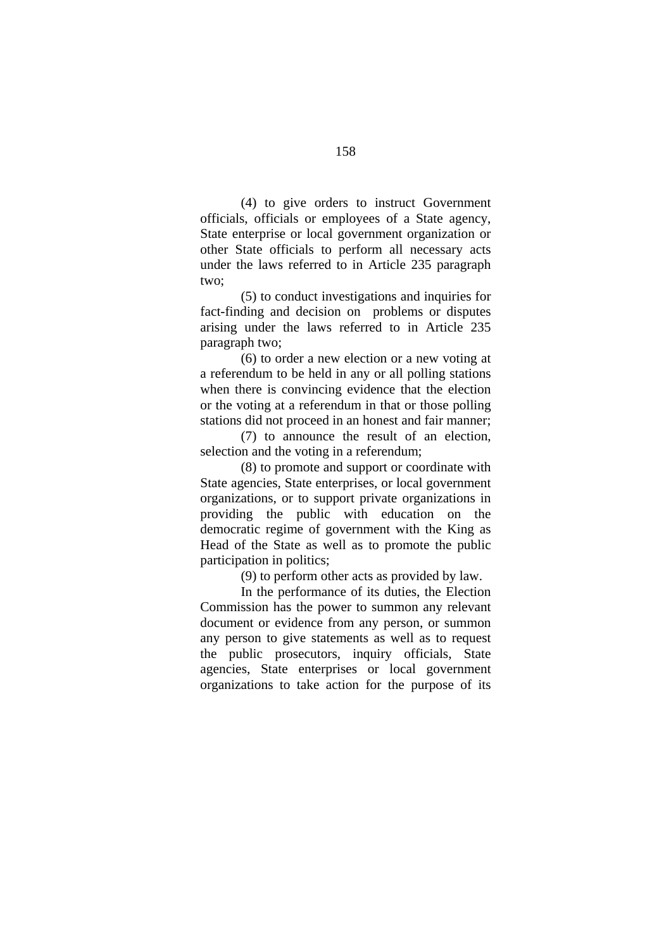(4) to give orders to instruct Government officials, officials or employees of a State agency, State enterprise or local government organization or other State officials to perform all necessary acts under the laws referred to in Article 235 paragraph two;

(5) to conduct investigations and inquiries for fact-finding and decision on problems or disputes arising under the laws referred to in Article 235 paragraph two;

(6) to order a new election or a new voting at a referendum to be held in any or all polling stations when there is convincing evidence that the election or the voting at a referendum in that or those polling stations did not proceed in an honest and fair manner;

 (7) to announce the result of an election, selection and the voting in a referendum;

(8) to promote and support or coordinate with State agencies, State enterprises, or local government organizations, or to support private organizations in providing the public with education on the democratic regime of government with the King as Head of the State as well as to promote the public participation in politics;

(9) to perform other acts as provided by law.

In the performance of its duties, the Election Commission has the power to summon any relevant document or evidence from any person, or summon any person to give statements as well as to request the public prosecutors, inquiry officials, State agencies, State enterprises or local government organizations to take action for the purpose of its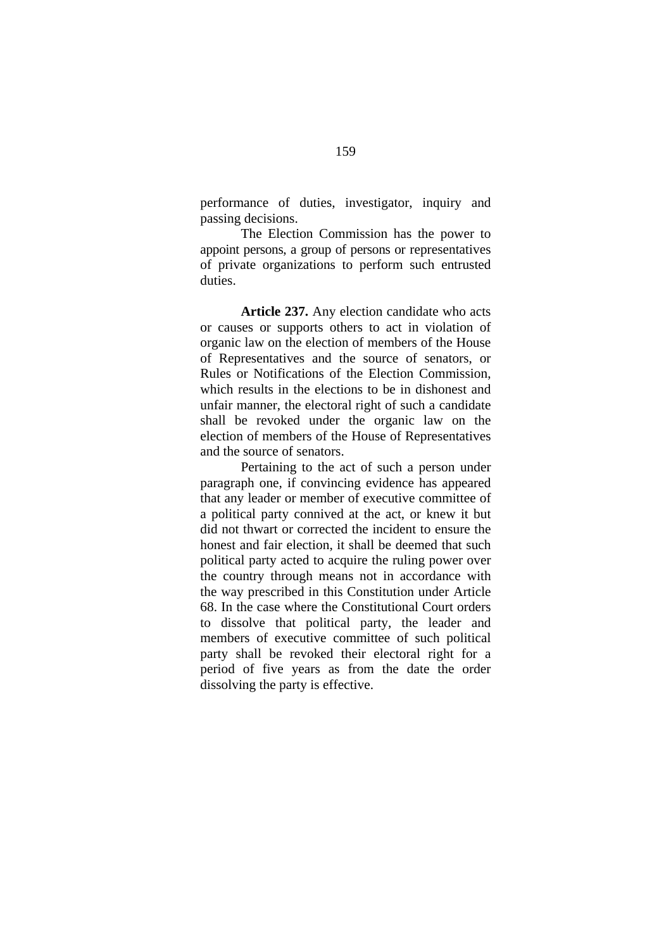performance of duties, investigator, inquiry and passing decisions.

The Election Commission has the power to appoint persons, a group of persons or representatives of private organizations to perform such entrusted duties.

**Article 237.** Any election candidate who acts or causes or supports others to act in violation of organic law on the election of members of the House of Representatives and the source of senators, or Rules or Notifications of the Election Commission, which results in the elections to be in dishonest and unfair manner, the electoral right of such a candidate shall be revoked under the organic law on the election of members of the House of Representatives and the source of senators.

Pertaining to the act of such a person under paragraph one, if convincing evidence has appeared that any leader or member of executive committee of a political party connived at the act, or knew it but did not thwart or corrected the incident to ensure the honest and fair election, it shall be deemed that such political party acted to acquire the ruling power over the country through means not in accordance with the way prescribed in this Constitution under Article 68. In the case where the Constitutional Court orders to dissolve that political party, the leader and members of executive committee of such political party shall be revoked their electoral right for a period of five years as from the date the order dissolving the party is effective.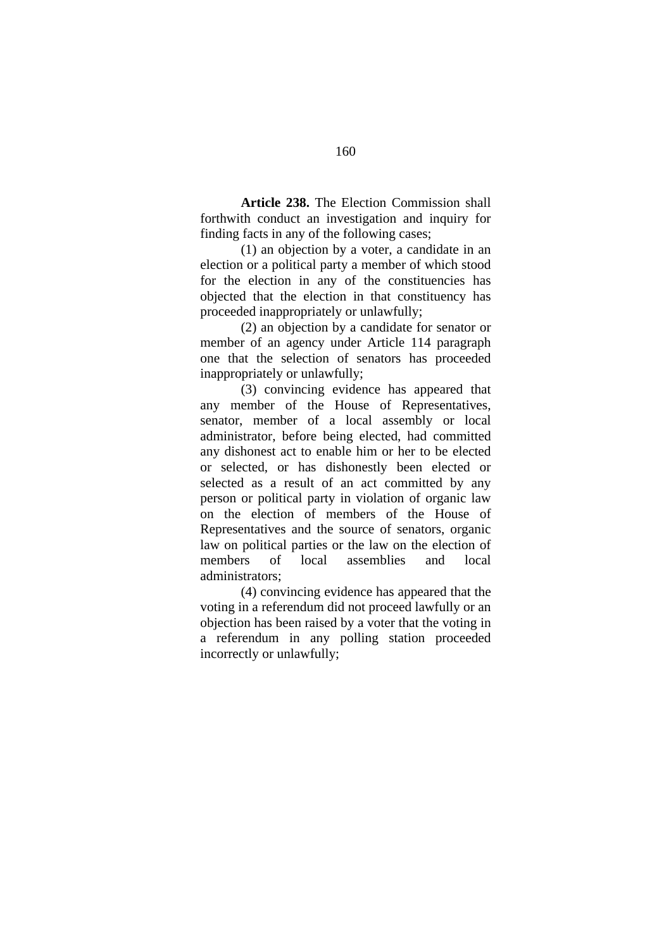**Article 238.** The Election Commission shall forthwith conduct an investigation and inquiry for finding facts in any of the following cases;

(1) an objection by a voter, a candidate in an election or a political party a member of which stood for the election in any of the constituencies has objected that the election in that constituency has proceeded inappropriately or unlawfully;

(2) an objection by a candidate for senator or member of an agency under Article 114 paragraph one that the selection of senators has proceeded inappropriately or unlawfully;

(3) convincing evidence has appeared that any member of the House of Representatives, senator, member of a local assembly or local administrator, before being elected, had committed any dishonest act to enable him or her to be elected or selected, or has dishonestly been elected or selected as a result of an act committed by any person or political party in violation of organic law on the election of members of the House of Representatives and the source of senators, organic law on political parties or the law on the election of members of local assemblies and local administrators;

(4) convincing evidence has appeared that the voting in a referendum did not proceed lawfully or an objection has been raised by a voter that the voting in a referendum in any polling station proceeded incorrectly or unlawfully;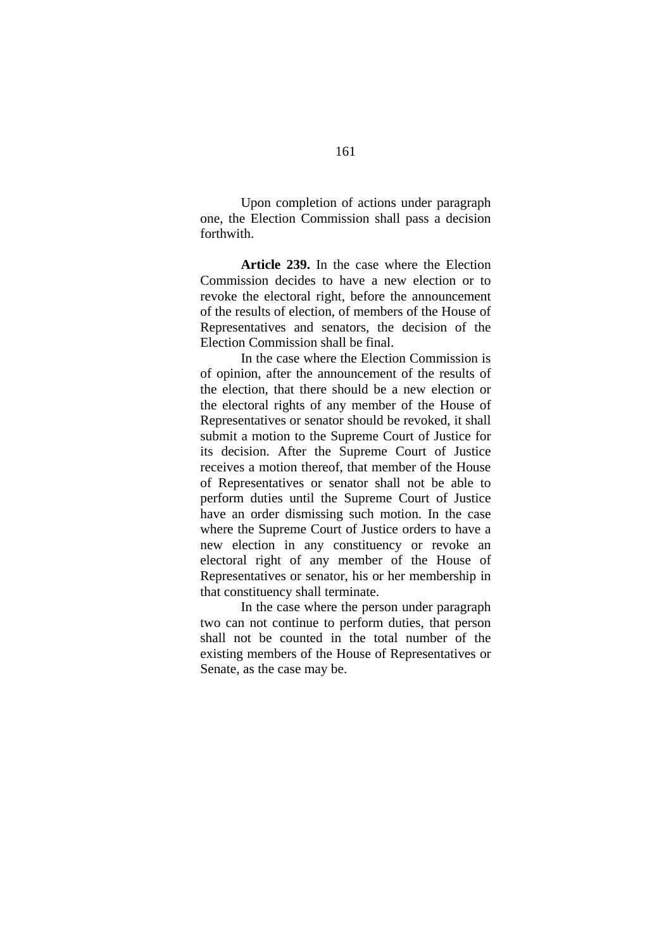Upon completion of actions under paragraph one, the Election Commission shall pass a decision forthwith.

**Article 239.** In the case where the Election Commission decides to have a new election or to revoke the electoral right, before the announcement of the results of election, of members of the House of Representatives and senators, the decision of the Election Commission shall be final.

In the case where the Election Commission is of opinion, after the announcement of the results of the election, that there should be a new election or the electoral rights of any member of the House of Representatives or senator should be revoked, it shall submit a motion to the Supreme Court of Justice for its decision. After the Supreme Court of Justice receives a motion thereof, that member of the House of Representatives or senator shall not be able to perform duties until the Supreme Court of Justice have an order dismissing such motion. In the case where the Supreme Court of Justice orders to have a new election in any constituency or revoke an electoral right of any member of the House of Representatives or senator, his or her membership in that constituency shall terminate.

In the case where the person under paragraph two can not continue to perform duties, that person shall not be counted in the total number of the existing members of the House of Representatives or Senate, as the case may be.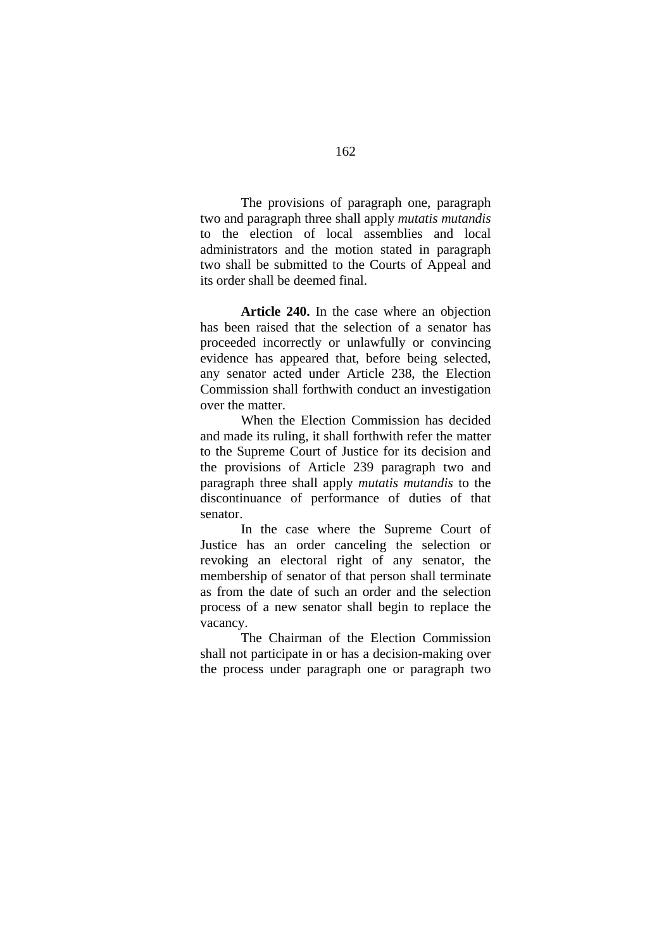The provisions of paragraph one, paragraph two and paragraph three shall apply *mutatis mutandis* to the election of local assemblies and local administrators and the motion stated in paragraph two shall be submitted to the Courts of Appeal and its order shall be deemed final.

**Article 240.** In the case where an objection has been raised that the selection of a senator has proceeded incorrectly or unlawfully or convincing evidence has appeared that, before being selected, any senator acted under Article 238, the Election Commission shall forthwith conduct an investigation over the matter.

When the Election Commission has decided and made its ruling, it shall forthwith refer the matter to the Supreme Court of Justice for its decision and the provisions of Article 239 paragraph two and paragraph three shall apply *mutatis mutandis* to the discontinuance of performance of duties of that senator.

In the case where the Supreme Court of Justice has an order canceling the selection or revoking an electoral right of any senator, the membership of senator of that person shall terminate as from the date of such an order and the selection process of a new senator shall begin to replace the vacancy.

The Chairman of the Election Commission shall not participate in or has a decision-making over the process under paragraph one or paragraph two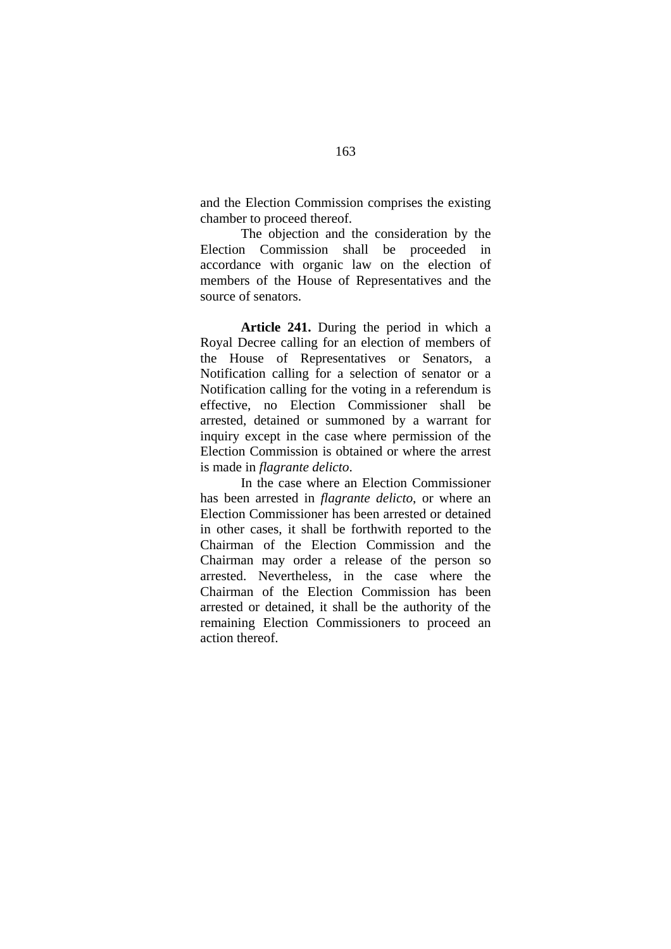and the Election Commission comprises the existing chamber to proceed thereof.

The objection and the consideration by the Election Commission shall be proceeded in accordance with organic law on the election of members of the House of Representatives and the source of senators.

**Article 241.** During the period in which a Royal Decree calling for an election of members of the House of Representatives or Senators, a Notification calling for a selection of senator or a Notification calling for the voting in a referendum is effective, no Election Commissioner shall be arrested, detained or summoned by a warrant for inquiry except in the case where permission of the Election Commission is obtained or where the arrest is made in *flagrante delicto*.

In the case where an Election Commissioner has been arrested in *flagrante delicto*, or where an Election Commissioner has been arrested or detained in other cases, it shall be forthwith reported to the Chairman of the Election Commission and the Chairman may order a release of the person so arrested. Nevertheless, in the case where the Chairman of the Election Commission has been arrested or detained, it shall be the authority of the remaining Election Commissioners to proceed an action thereof.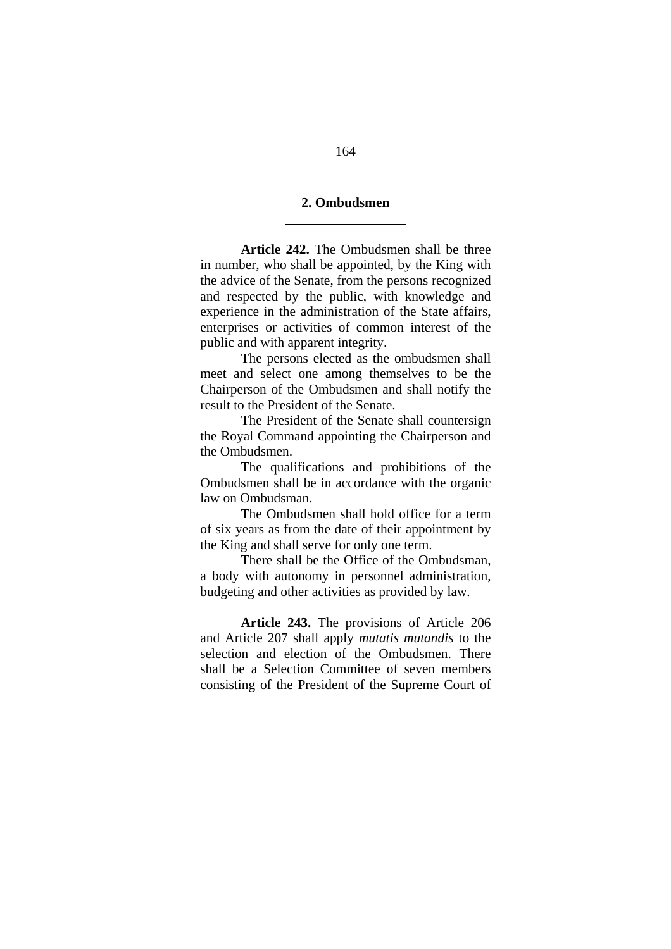#### **2. Ombudsmen**

l

**Article 242.** The Ombudsmen shall be three in number, who shall be appointed, by the King with the advice of the Senate, from the persons recognized and respected by the public, with knowledge and experience in the administration of the State affairs, enterprises or activities of common interest of the public and with apparent integrity.

The persons elected as the ombudsmen shall meet and select one among themselves to be the Chairperson of the Ombudsmen and shall notify the result to the President of the Senate.

The President of the Senate shall countersign the Royal Command appointing the Chairperson and the Ombudsmen.

The qualifications and prohibitions of the Ombudsmen shall be in accordance with the organic law on Ombudsman.

The Ombudsmen shall hold office for a term of six years as from the date of their appointment by the King and shall serve for only one term.

There shall be the Office of the Ombudsman, a body with autonomy in personnel administration, budgeting and other activities as provided by law.

**Article 243.** The provisions of Article 206 and Article 207 shall apply *mutatis mutandis* to the selection and election of the Ombudsmen. There shall be a Selection Committee of seven members consisting of the President of the Supreme Court of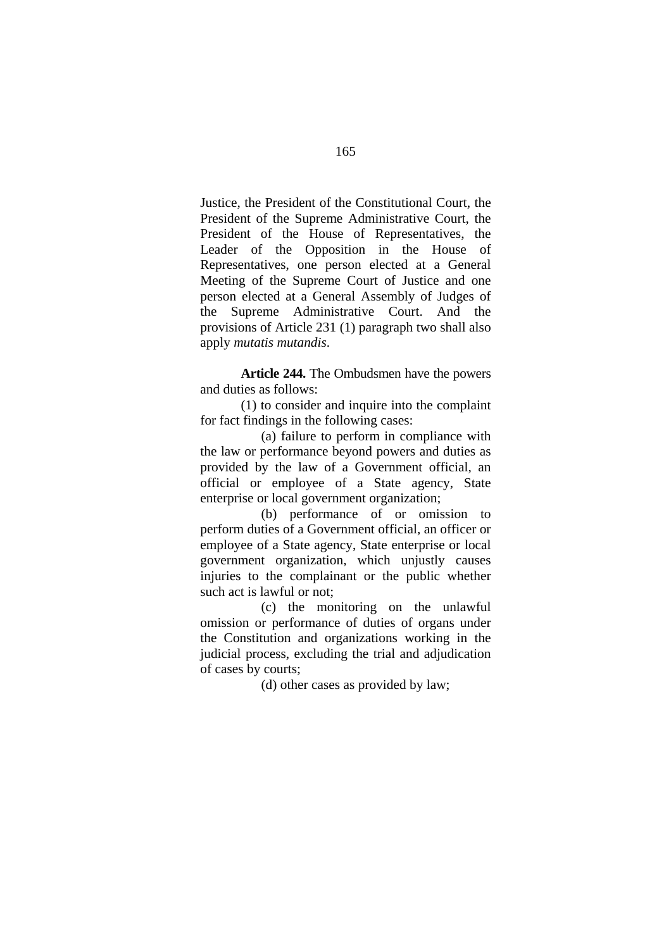Justice, the President of the Constitutional Court, the President of the Supreme Administrative Court, the President of the House of Representatives, the Leader of the Opposition in the House of Representatives, one person elected at a General Meeting of the Supreme Court of Justice and one person elected at a General Assembly of Judges of the Supreme Administrative Court. And the provisions of Article 231 (1) paragraph two shall also apply *mutatis mutandis*.

**Article 244.** The Ombudsmen have the powers and duties as follows:

(1) to consider and inquire into the complaint for fact findings in the following cases:

(a) failure to perform in compliance with the law or performance beyond powers and duties as provided by the law of a Government official, an official or employee of a State agency, State enterprise or local government organization;

(b) performance of or omission to perform duties of a Government official, an officer or employee of a State agency, State enterprise or local government organization, which unjustly causes injuries to the complainant or the public whether such act is lawful or not;

(c) the monitoring on the unlawful omission or performance of duties of organs under the Constitution and organizations working in the judicial process, excluding the trial and adjudication of cases by courts;

(d) other cases as provided by law;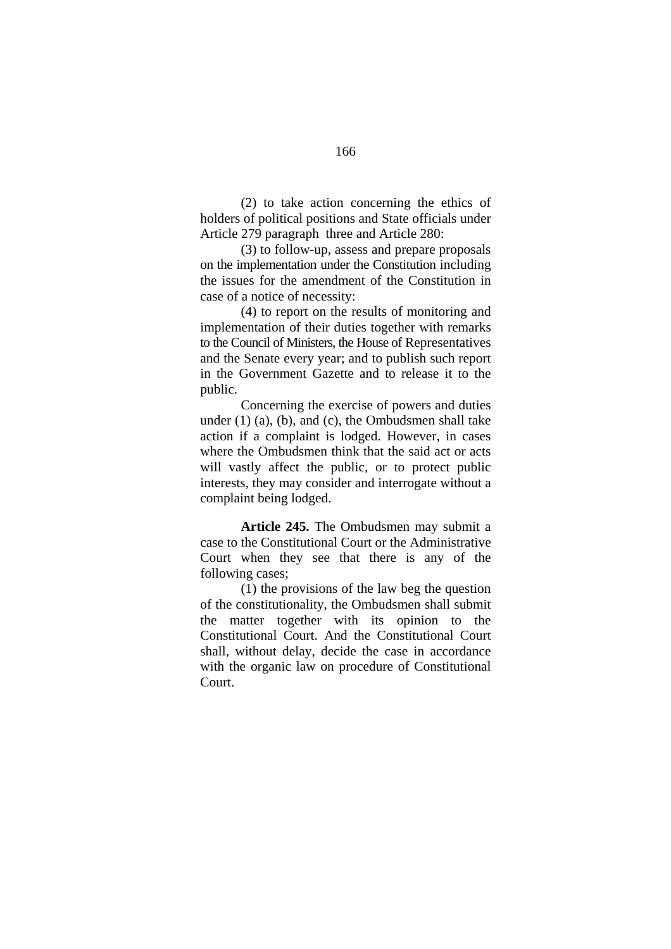(2) to take action concerning the ethics of holders of political positions and State officials under Article 279 paragraph three and Article 280:

(3) to follow-up, assess and prepare proposals on the implementation under the Constitution including the issues for the amendment of the Constitution in case of a notice of necessity:

(4) to report on the results of monitoring and implementation of their duties together with remarks to the Council of Ministers, the House of Representatives and the Senate every year; and to publish such report in the Government Gazette and to release it to the public.

Concerning the exercise of powers and duties under (1) (a), (b), and (c), the Ombudsmen shall take action if a complaint is lodged. However, in cases where the Ombudsmen think that the said act or acts will vastly affect the public, or to protect public interests, they may consider and interrogate without a complaint being lodged.

**Article 245.** The Ombudsmen may submit a case to the Constitutional Court or the Administrative Court when they see that there is any of the following cases;

(1) the provisions of the law beg the question of the constitutionality, the Ombudsmen shall submit the matter together with its opinion to the Constitutional Court. And the Constitutional Court shall, without delay, decide the case in accordance with the organic law on procedure of Constitutional Court.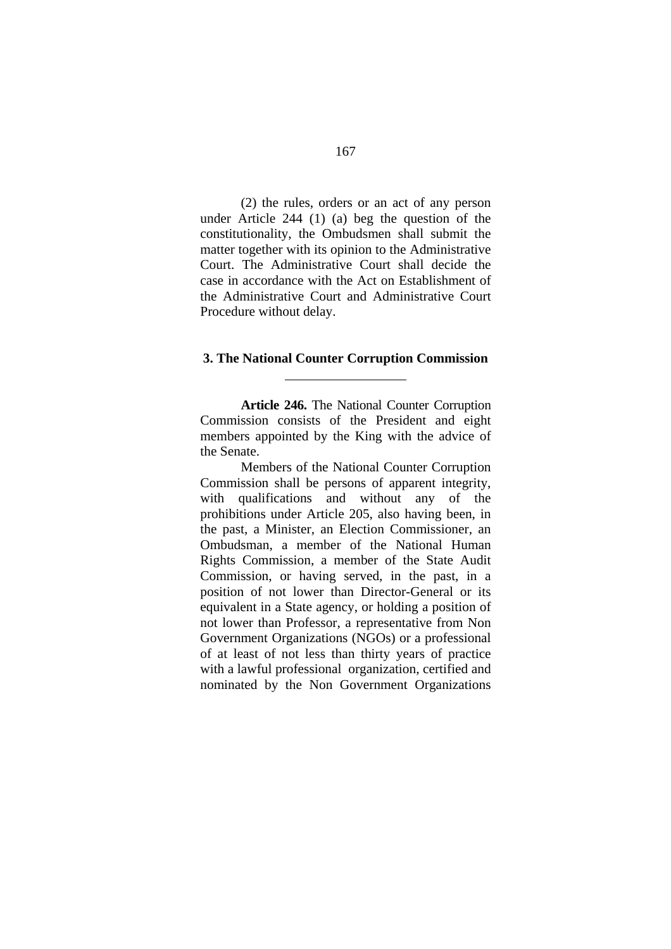(2) the rules, orders or an act of any person under Article 244 (1) (a) beg the question of the constitutionality, the Ombudsmen shall submit the matter together with its opinion to the Administrative Court. The Administrative Court shall decide the case in accordance with the Act on Establishment of the Administrative Court and Administrative Court Procedure without delay.

#### **3. The National Counter Corruption Commission**

l

**Article 246.** The National Counter Corruption Commission consists of the President and eight members appointed by the King with the advice of the Senate.

Members of the National Counter Corruption Commission shall be persons of apparent integrity, with qualifications and without any of the prohibitions under Article 205, also having been, in the past, a Minister, an Election Commissioner, an Ombudsman, a member of the National Human Rights Commission, a member of the State Audit Commission, or having served, in the past, in a position of not lower than Director-General or its equivalent in a State agency, or holding a position of not lower than Professor, a representative from Non Government Organizations (NGOs) or a professional of at least of not less than thirty years of practice with a lawful professional organization, certified and nominated by the Non Government Organizations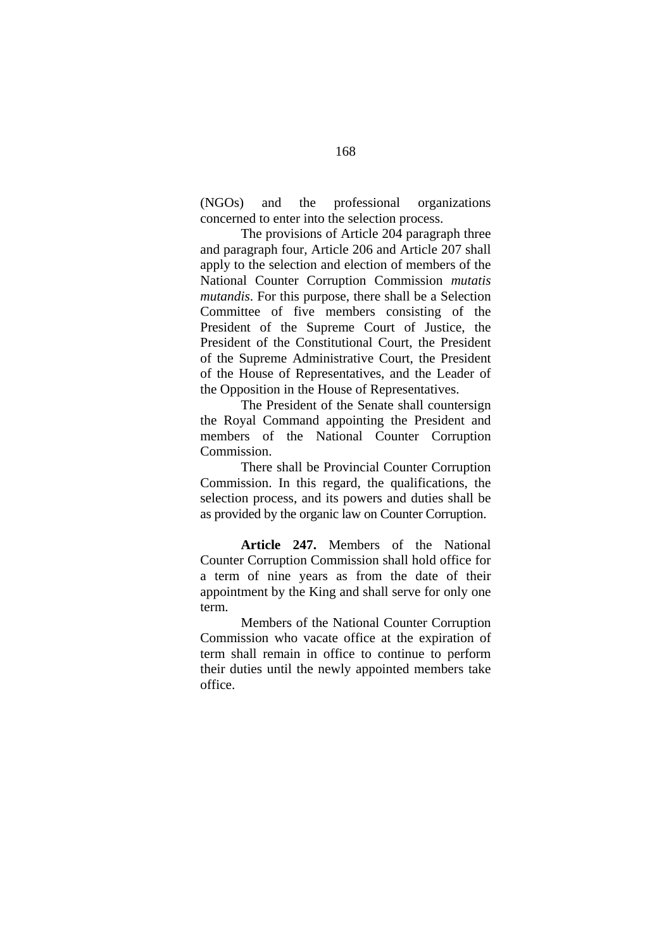(NGOs) and the professional organizations concerned to enter into the selection process.

The provisions of Article 204 paragraph three and paragraph four, Article 206 and Article 207 shall apply to the selection and election of members of the National Counter Corruption Commission *mutatis mutandis*. For this purpose, there shall be a Selection Committee of five members consisting of the President of the Supreme Court of Justice, the President of the Constitutional Court, the President of the Supreme Administrative Court, the President of the House of Representatives, and the Leader of the Opposition in the House of Representatives.

 The President of the Senate shall countersign the Royal Command appointing the President and members of the National Counter Corruption Commission.

 There shall be Provincial Counter Corruption Commission. In this regard, the qualifications, the selection process, and its powers and duties shall be as provided by the organic law on Counter Corruption.

**Article 247.** Members of the National Counter Corruption Commission shall hold office for a term of nine years as from the date of their appointment by the King and shall serve for only one term.

Members of the National Counter Corruption Commission who vacate office at the expiration of term shall remain in office to continue to perform their duties until the newly appointed members take office.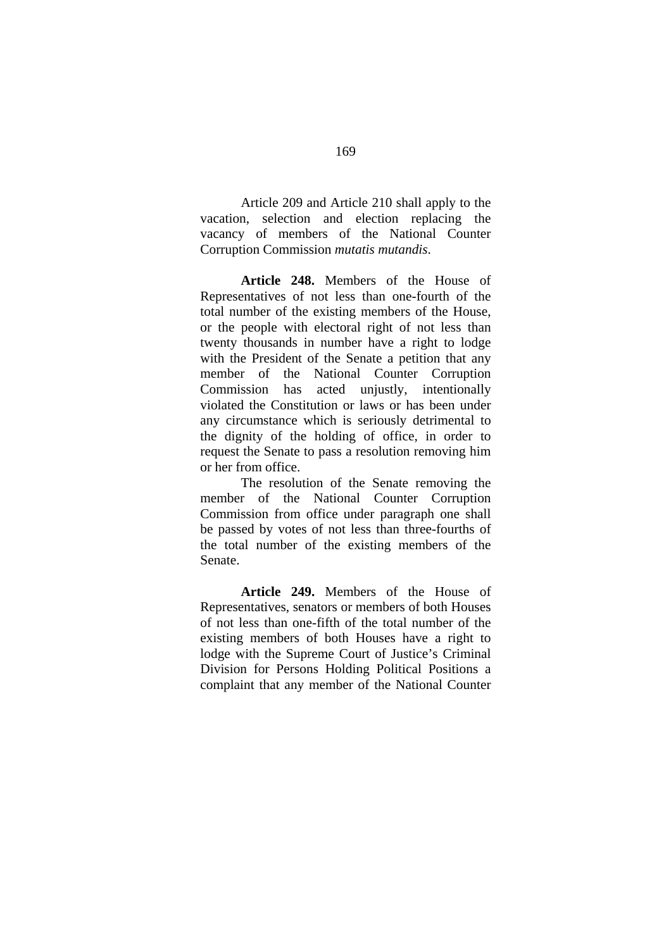Article 209 and Article 210 shall apply to the vacation, selection and election replacing the vacancy of members of the National Counter Corruption Commission *mutatis mutandis*.

**Article 248.** Members of the House of Representatives of not less than one-fourth of the total number of the existing members of the House, or the people with electoral right of not less than twenty thousands in number have a right to lodge with the President of the Senate a petition that any member of the National Counter Corruption Commission has acted unjustly, intentionally violated the Constitution or laws or has been under any circumstance which is seriously detrimental to the dignity of the holding of office, in order to request the Senate to pass a resolution removing him or her from office.

 The resolution of the Senate removing the member of the National Counter Corruption Commission from office under paragraph one shall be passed by votes of not less than three-fourths of the total number of the existing members of the Senate.

**Article 249.** Members of the House of Representatives, senators or members of both Houses of not less than one-fifth of the total number of the existing members of both Houses have a right to lodge with the Supreme Court of Justice's Criminal Division for Persons Holding Political Positions a complaint that any member of the National Counter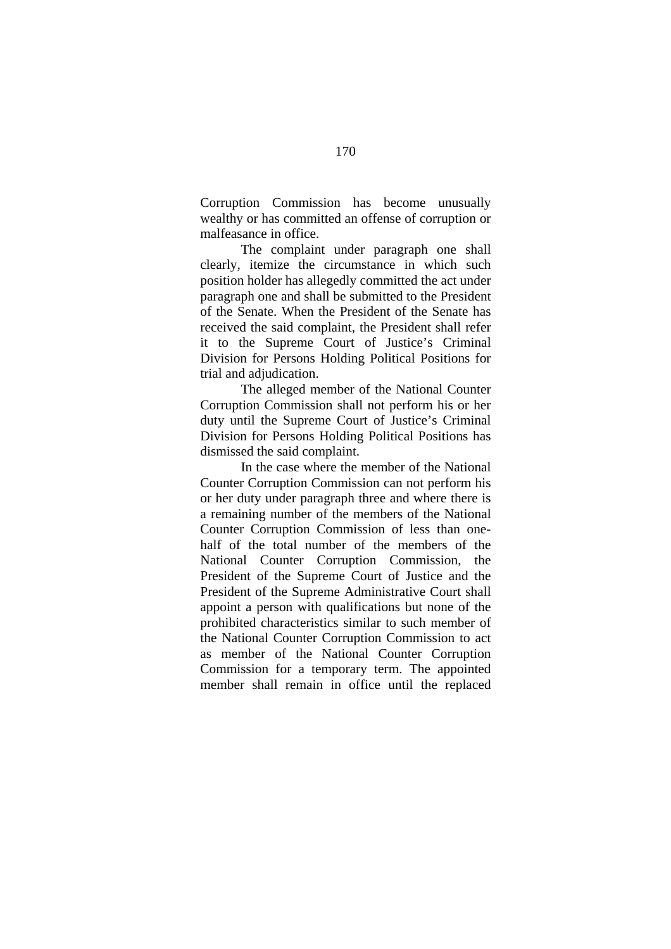Corruption Commission has become unusually wealthy or has committed an offense of corruption or malfeasance in office.

 The complaint under paragraph one shall clearly, itemize the circumstance in which such position holder has allegedly committed the act under paragraph one and shall be submitted to the President of the Senate. When the President of the Senate has received the said complaint, the President shall refer it to the Supreme Court of Justice's Criminal Division for Persons Holding Political Positions for trial and adjudication.

The alleged member of the National Counter Corruption Commission shall not perform his or her duty until the Supreme Court of Justice's Criminal Division for Persons Holding Political Positions has dismissed the said complaint.

 In the case where the member of the National Counter Corruption Commission can not perform his or her duty under paragraph three and where there is a remaining number of the members of the National Counter Corruption Commission of less than onehalf of the total number of the members of the National Counter Corruption Commission, the President of the Supreme Court of Justice and the President of the Supreme Administrative Court shall appoint a person with qualifications but none of the prohibited characteristics similar to such member of the National Counter Corruption Commission to act as member of the National Counter Corruption Commission for a temporary term. The appointed member shall remain in office until the replaced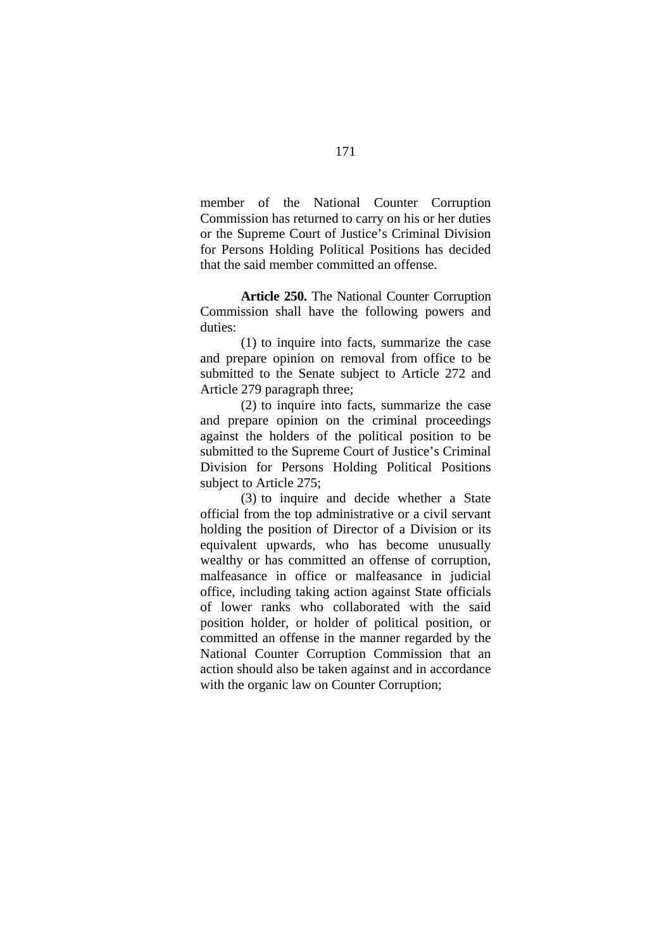member of the National Counter Corruption Commission has returned to carry on his or her duties or the Supreme Court of Justice's Criminal Division for Persons Holding Political Positions has decided that the said member committed an offense.

**Article 250.** The National Counter Corruption Commission shall have the following powers and duties:

 (1) to inquire into facts, summarize the case and prepare opinion on removal from office to be submitted to the Senate subject to Article 272 and Article 279 paragraph three;

(2) to inquire into facts, summarize the case and prepare opinion on the criminal proceedings against the holders of the political position to be submitted to the Supreme Court of Justice's Criminal Division for Persons Holding Political Positions subject to Article 275;

(3) to inquire and decide whether a State official from the top administrative or a civil servant holding the position of Director of a Division or its equivalent upwards, who has become unusually wealthy or has committed an offense of corruption, malfeasance in office or malfeasance in judicial office, including taking action against State officials of lower ranks who collaborated with the said position holder, or holder of political position, or committed an offense in the manner regarded by the National Counter Corruption Commission that an action should also be taken against and in accordance with the organic law on Counter Corruption;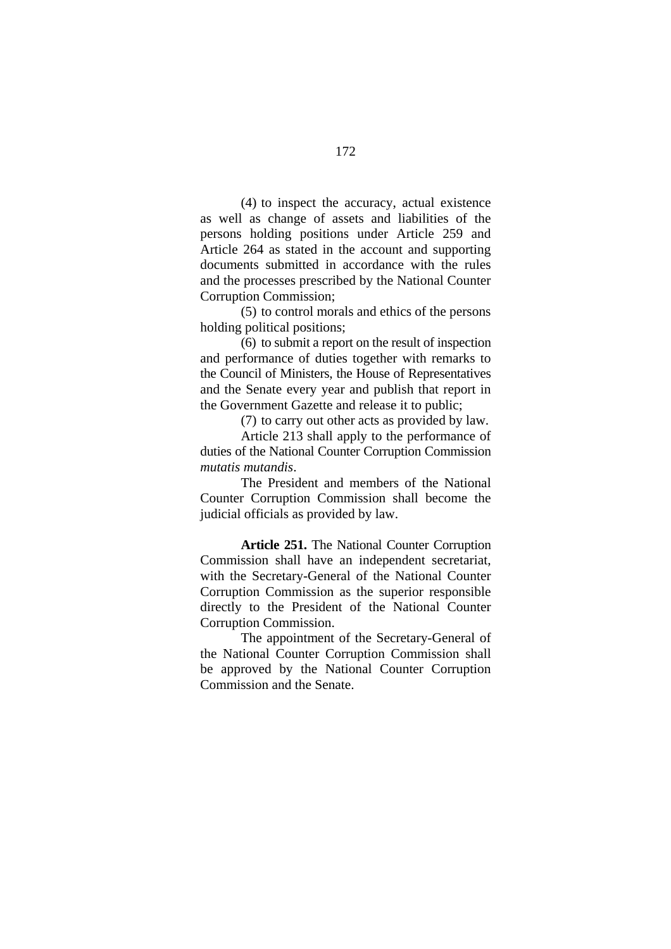(4) to inspect the accuracy, actual existence as well as change of assets and liabilities of the persons holding positions under Article 259 and Article 264 as stated in the account and supporting documents submitted in accordance with the rules and the processes prescribed by the National Counter Corruption Commission;

(5) to control morals and ethics of the persons holding political positions;

(6) to submit a report on the result of inspection and performance of duties together with remarks to the Council of Ministers, the House of Representatives and the Senate every year and publish that report in the Government Gazette and release it to public;

(7) to carry out other acts as provided by law.

Article 213 shall apply to the performance of duties of the National Counter Corruption Commission *mutatis mutandis*.

The President and members of the National Counter Corruption Commission shall become the judicial officials as provided by law.

**Article 251.** The National Counter Corruption Commission shall have an independent secretariat, with the Secretary-General of the National Counter Corruption Commission as the superior responsible directly to the President of the National Counter Corruption Commission.

The appointment of the Secretary-General of the National Counter Corruption Commission shall be approved by the National Counter Corruption Commission and the Senate.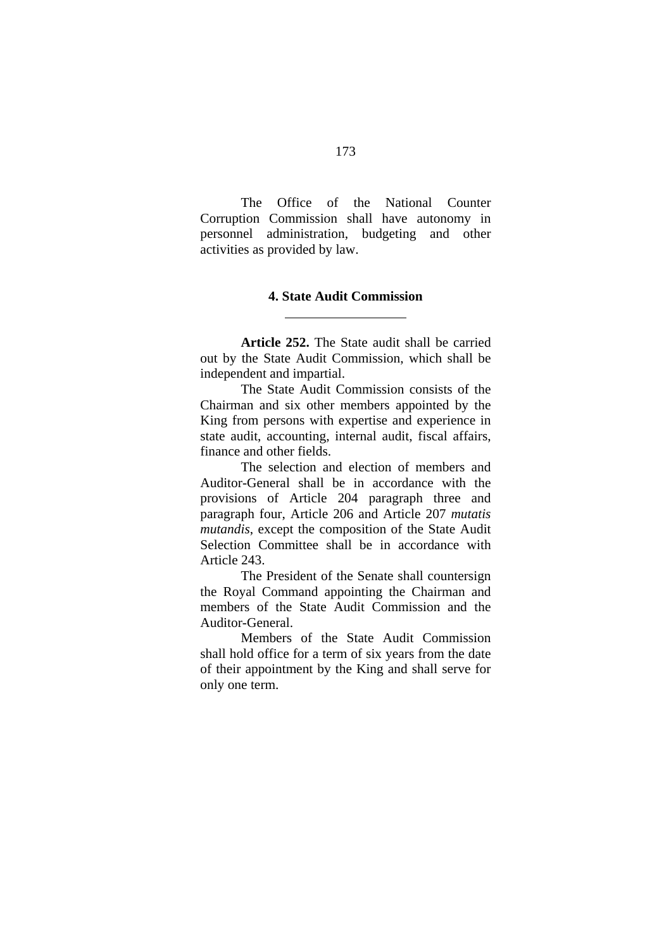The Office of the National Counter Corruption Commission shall have autonomy in personnel administration, budgeting and other activities as provided by law.

### **4. State Audit Commission**

 $\overline{a}$ 

**Article 252.** The State audit shall be carried out by the State Audit Commission, which shall be independent and impartial.

 The State Audit Commission consists of the Chairman and six other members appointed by the King from persons with expertise and experience in state audit, accounting, internal audit, fiscal affairs, finance and other fields.

 The selection and election of members and Auditor-General shall be in accordance with the provisions of Article 204 paragraph three and paragraph four, Article 206 and Article 207 *mutatis mutandis*, except the composition of the State Audit Selection Committee shall be in accordance with Article 243.

 The President of the Senate shall countersign the Royal Command appointing the Chairman and members of the State Audit Commission and the Auditor-General.

Members of the State Audit Commission shall hold office for a term of six years from the date of their appointment by the King and shall serve for only one term.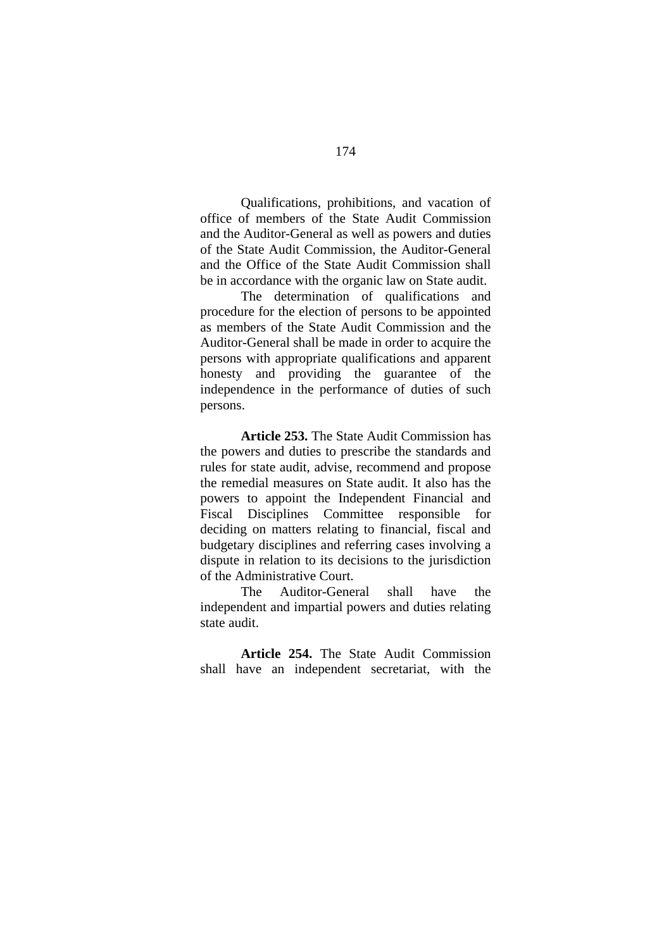Qualifications, prohibitions, and vacation of office of members of the State Audit Commission and the Auditor-General as well as powers and duties of the State Audit Commission, the Auditor-General and the Office of the State Audit Commission shall be in accordance with the organic law on State audit.

The determination of qualifications and procedure for the election of persons to be appointed as members of the State Audit Commission and the Auditor-General shall be made in order to acquire the persons with appropriate qualifications and apparent honesty and providing the guarantee of the independence in the performance of duties of such persons.

**Article 253.** The State Audit Commission has the powers and duties to prescribe the standards and rules for state audit, advise, recommend and propose the remedial measures on State audit. It also has the powers to appoint the Independent Financial and Fiscal Disciplines Committee responsible for deciding on matters relating to financial, fiscal and budgetary disciplines and referring cases involving a dispute in relation to its decisions to the jurisdiction of the Administrative Court.

The Auditor-General shall have the independent and impartial powers and duties relating state audit.

**Article 254.** The State Audit Commission shall have an independent secretariat, with the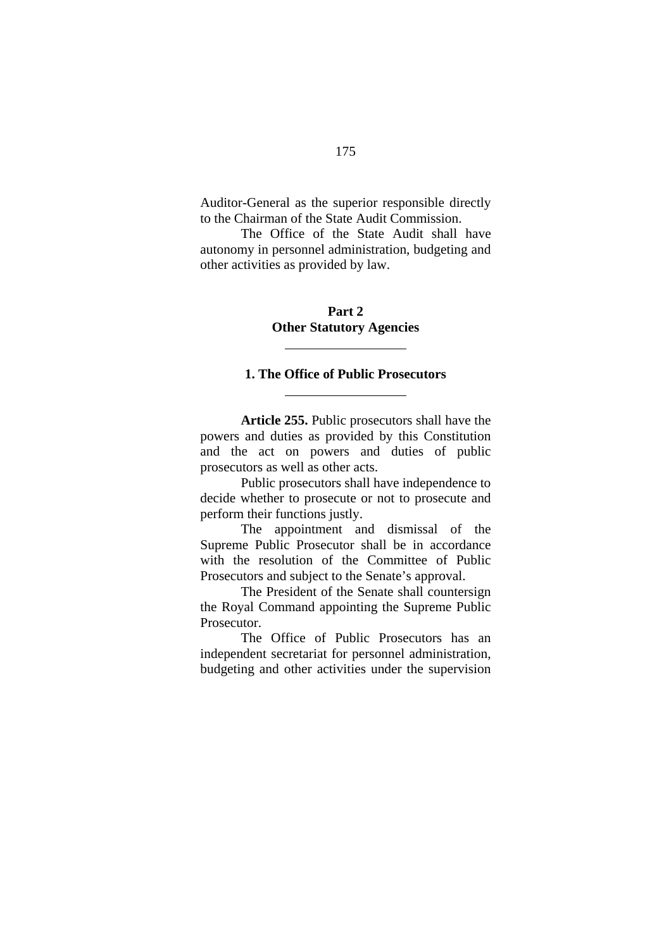Auditor-General as the superior responsible directly to the Chairman of the State Audit Commission.

The Office of the State Audit shall have autonomy in personnel administration, budgeting and other activities as provided by law.

# **Part 2 Other Statutory Agencies**

 $\overline{a}$ 

 $\overline{a}$ 

### **1. The Office of Public Prosecutors**

**Article 255.** Public prosecutors shall have the powers and duties as provided by this Constitution and the act on powers and duties of public prosecutors as well as other acts.

Public prosecutors shall have independence to decide whether to prosecute or not to prosecute and perform their functions justly.

The appointment and dismissal of the Supreme Public Prosecutor shall be in accordance with the resolution of the Committee of Public Prosecutors and subject to the Senate's approval.

The President of the Senate shall countersign the Royal Command appointing the Supreme Public Prosecutor.

The Office of Public Prosecutors has an independent secretariat for personnel administration, budgeting and other activities under the supervision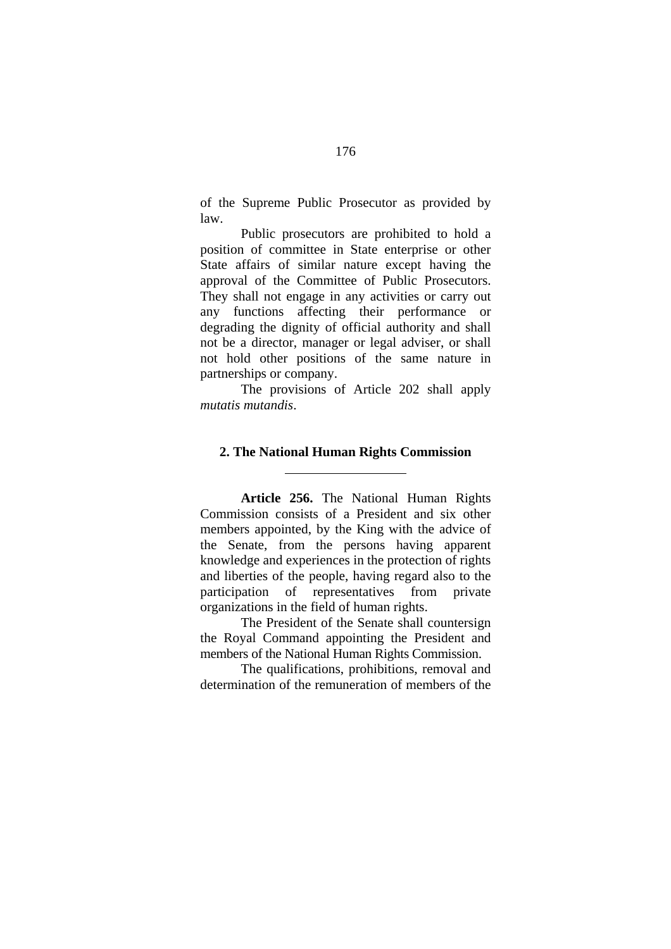of the Supreme Public Prosecutor as provided by law.

Public prosecutors are prohibited to hold a position of committee in State enterprise or other State affairs of similar nature except having the approval of the Committee of Public Prosecutors. They shall not engage in any activities or carry out any functions affecting their performance or degrading the dignity of official authority and shall not be a director, manager or legal adviser, or shall not hold other positions of the same nature in partnerships or company.

The provisions of Article 202 shall apply *mutatis mutandis*.

#### **2. The National Human Rights Commission**

 $\overline{a}$ 

**Article 256.** The National Human Rights Commission consists of a President and six other members appointed, by the King with the advice of the Senate, from the persons having apparent knowledge and experiences in the protection of rights and liberties of the people, having regard also to the participation of representatives from private organizations in the field of human rights.

 The President of the Senate shall countersign the Royal Command appointing the President and members of the National Human Rights Commission.

The qualifications, prohibitions, removal and determination of the remuneration of members of the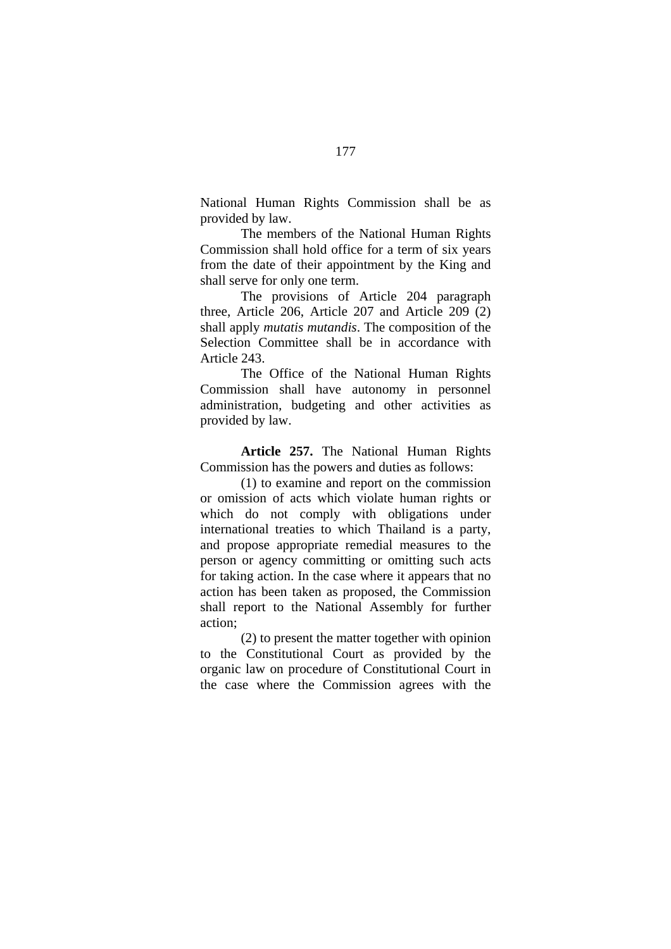National Human Rights Commission shall be as provided by law.

 The members of the National Human Rights Commission shall hold office for a term of six years from the date of their appointment by the King and shall serve for only one term.

 The provisions of Article 204 paragraph three, Article 206, Article 207 and Article 209 (2) shall apply *mutatis mutandis*. The composition of the Selection Committee shall be in accordance with Article 243.

 The Office of the National Human Rights Commission shall have autonomy in personnel administration, budgeting and other activities as provided by law.

**Article 257.** The National Human Rights Commission has the powers and duties as follows:

(1) to examine and report on the commission or omission of acts which violate human rights or which do not comply with obligations under international treaties to which Thailand is a party, and propose appropriate remedial measures to the person or agency committing or omitting such acts for taking action. In the case where it appears that no action has been taken as proposed, the Commission shall report to the National Assembly for further action;

 (2) to present the matter together with opinion to the Constitutional Court as provided by the organic law on procedure of Constitutional Court in the case where the Commission agrees with the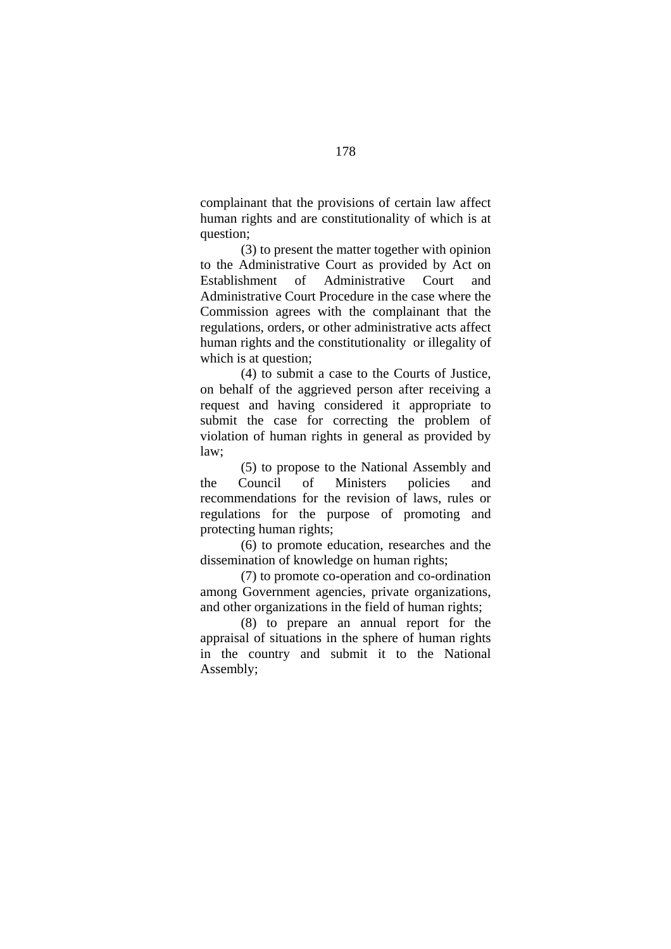complainant that the provisions of certain law affect human rights and are constitutionality of which is at question;

 (3) to present the matter together with opinion to the Administrative Court as provided by Act on Establishment of Administrative Court and Administrative Court Procedure in the case where the Commission agrees with the complainant that the regulations, orders, or other administrative acts affect human rights and the constitutionality or illegality of which is at question;

 (4) to submit a case to the Courts of Justice, on behalf of the aggrieved person after receiving a request and having considered it appropriate to submit the case for correcting the problem of violation of human rights in general as provided by law;

(5) to propose to the National Assembly and the Council of Ministers policies and recommendations for the revision of laws, rules or regulations for the purpose of promoting and protecting human rights;

(6) to promote education, researches and the dissemination of knowledge on human rights;

(7) to promote co-operation and co-ordination among Government agencies, private organizations, and other organizations in the field of human rights;

(8) to prepare an annual report for the appraisal of situations in the sphere of human rights in the country and submit it to the National Assembly;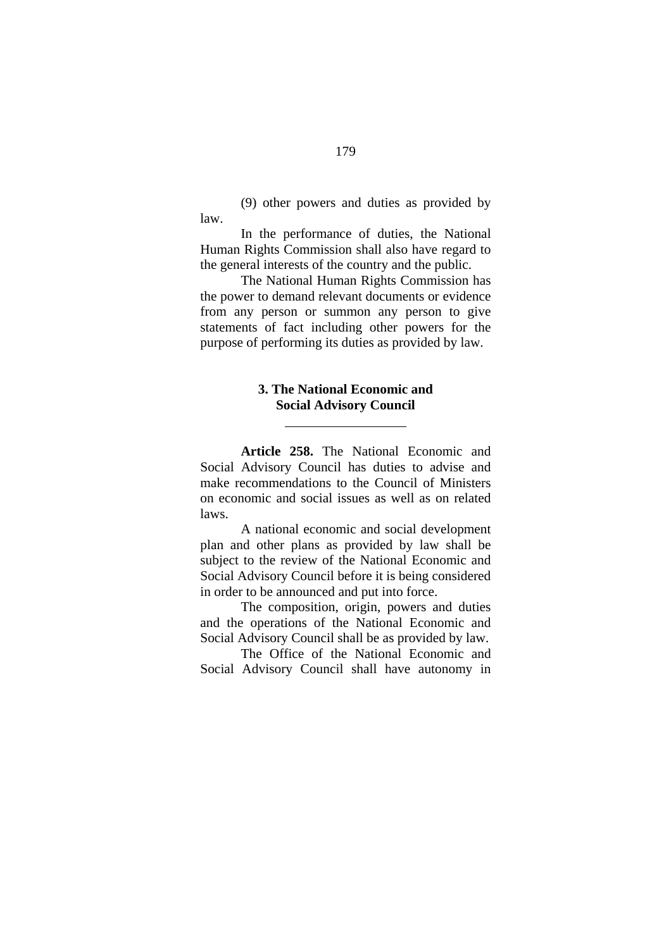(9) other powers and duties as provided by law.

In the performance of duties, the National Human Rights Commission shall also have regard to the general interests of the country and the public.

The National Human Rights Commission has the power to demand relevant documents or evidence from any person or summon any person to give statements of fact including other powers for the purpose of performing its duties as provided by law.

## **3. The National Economic and Social Advisory Council**

 $\overline{a}$ 

**Article 258.** The National Economic and Social Advisory Council has duties to advise and make recommendations to the Council of Ministers on economic and social issues as well as on related laws.

A national economic and social development plan and other plans as provided by law shall be subject to the review of the National Economic and Social Advisory Council before it is being considered in order to be announced and put into force.

The composition, origin, powers and duties and the operations of the National Economic and Social Advisory Council shall be as provided by law.

The Office of the National Economic and Social Advisory Council shall have autonomy in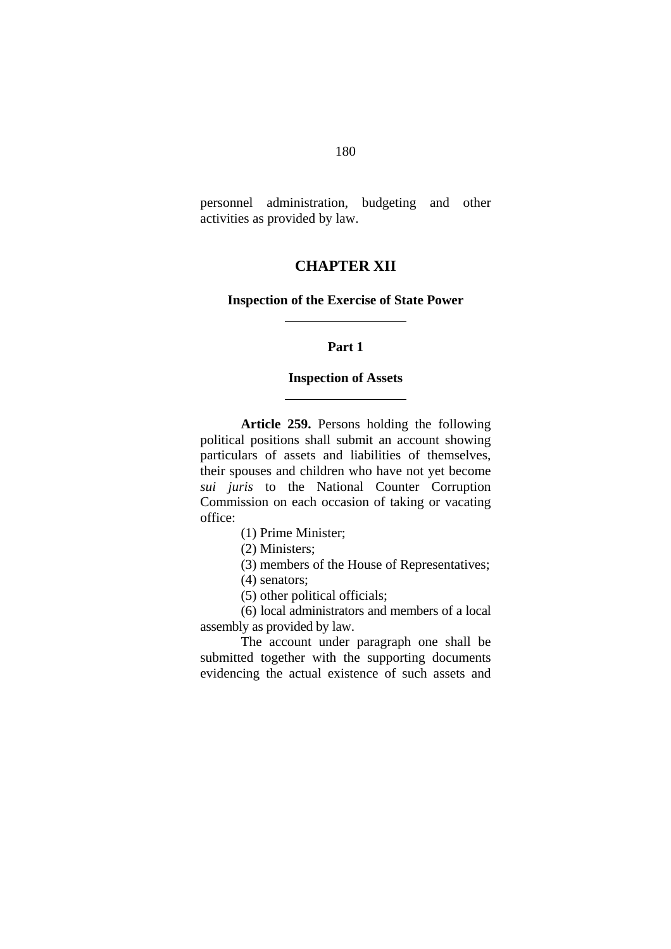personnel administration, budgeting and other activities as provided by law.

# **CHAPTER XII**

#### **Inspection of the Exercise of State Power**

## **Part 1**

### **Inspection of Assets**

**Article 259.** Persons holding the following political positions shall submit an account showing particulars of assets and liabilities of themselves, their spouses and children who have not yet become *sui juris* to the National Counter Corruption Commission on each occasion of taking or vacating office:

(1) Prime Minister;

 $\overline{a}$ 

 $\overline{a}$ 

- (2) Ministers;
- (3) members of the House of Representatives;
- (4) senators;
- (5) other political officials;

(6) local administrators and members of a local assembly as provided by law.

The account under paragraph one shall be submitted together with the supporting documents evidencing the actual existence of such assets and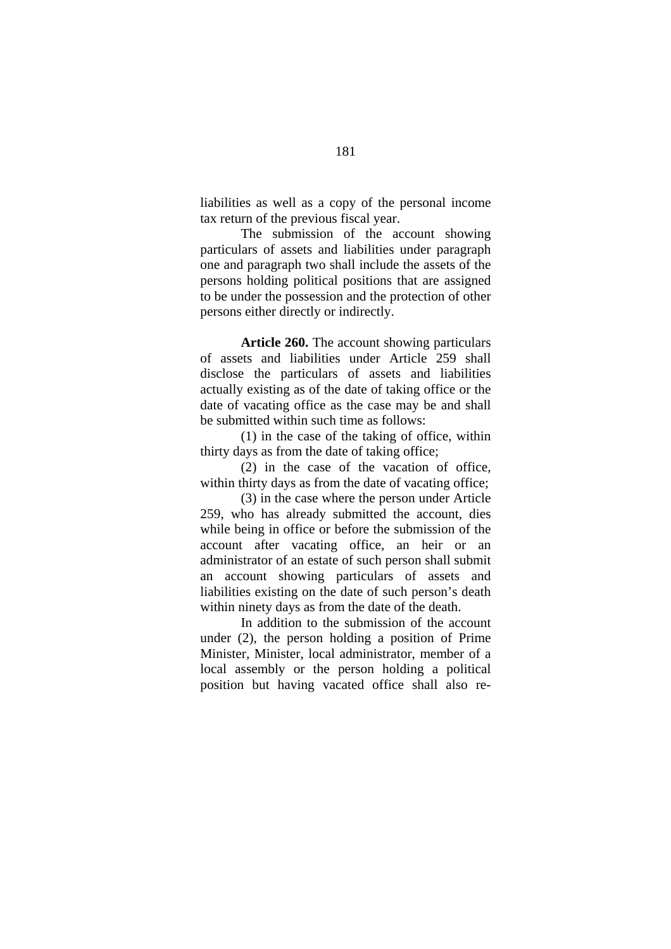liabilities as well as a copy of the personal income tax return of the previous fiscal year.

The submission of the account showing particulars of assets and liabilities under paragraph one and paragraph two shall include the assets of the persons holding political positions that are assigned to be under the possession and the protection of other persons either directly or indirectly.

**Article 260.** The account showing particulars of assets and liabilities under Article 259 shall disclose the particulars of assets and liabilities actually existing as of the date of taking office or the date of vacating office as the case may be and shall be submitted within such time as follows:

(1) in the case of the taking of office, within thirty days as from the date of taking office;

(2) in the case of the vacation of office, within thirty days as from the date of vacating office;

(3) in the case where the person under Article 259, who has already submitted the account, dies while being in office or before the submission of the account after vacating office, an heir or an administrator of an estate of such person shall submit an account showing particulars of assets and liabilities existing on the date of such person's death within ninety days as from the date of the death.

In addition to the submission of the account under (2), the person holding a position of Prime Minister, Minister, local administrator, member of a local assembly or the person holding a political position but having vacated office shall also re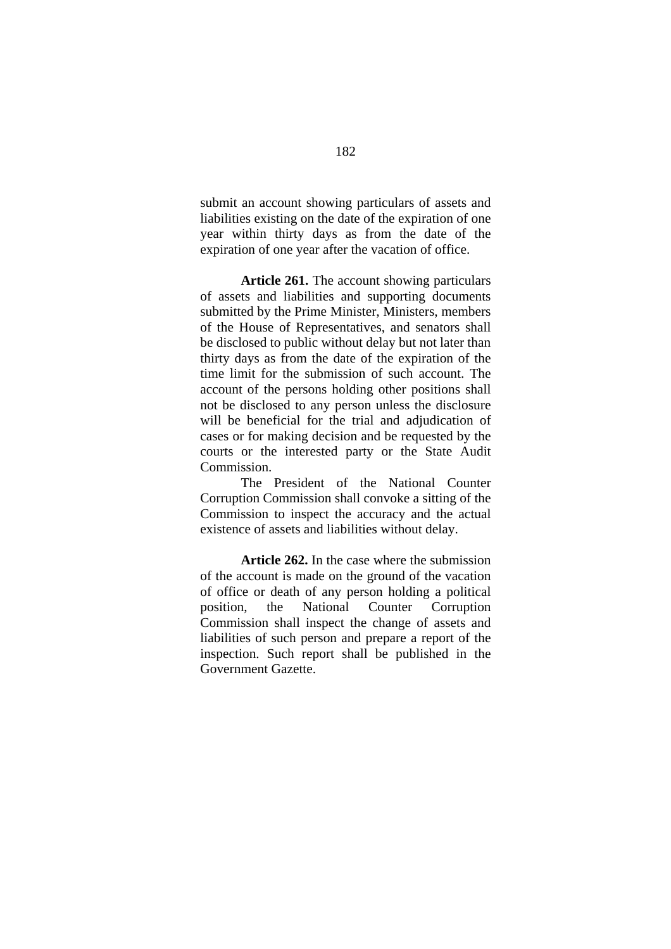submit an account showing particulars of assets and liabilities existing on the date of the expiration of one year within thirty days as from the date of the expiration of one year after the vacation of office.

**Article 261.** The account showing particulars of assets and liabilities and supporting documents submitted by the Prime Minister, Ministers, members of the House of Representatives, and senators shall be disclosed to public without delay but not later than thirty days as from the date of the expiration of the time limit for the submission of such account. The account of the persons holding other positions shall not be disclosed to any person unless the disclosure will be beneficial for the trial and adjudication of cases or for making decision and be requested by the courts or the interested party or the State Audit Commission.

The President of the National Counter Corruption Commission shall convoke a sitting of the Commission to inspect the accuracy and the actual existence of assets and liabilities without delay.

**Article 262.** In the case where the submission of the account is made on the ground of the vacation of office or death of any person holding a political position, the National Counter Corruption Commission shall inspect the change of assets and liabilities of such person and prepare a report of the inspection. Such report shall be published in the Government Gazette.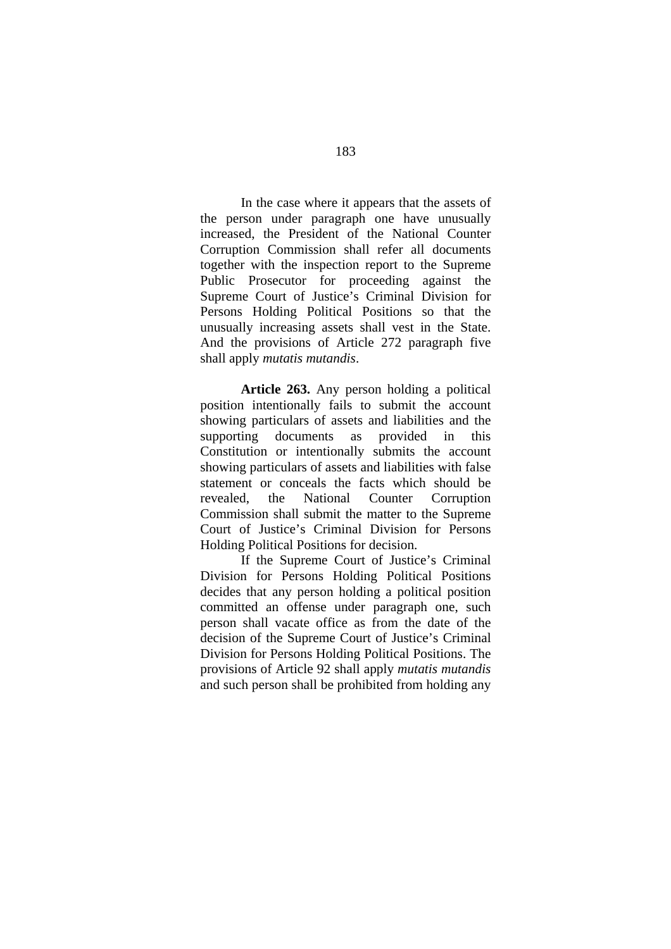In the case where it appears that the assets of the person under paragraph one have unusually increased, the President of the National Counter Corruption Commission shall refer all documents together with the inspection report to the Supreme Public Prosecutor for proceeding against the Supreme Court of Justice's Criminal Division for Persons Holding Political Positions so that the unusually increasing assets shall vest in the State. And the provisions of Article 272 paragraph five shall apply *mutatis mutandis*.

**Article 263.** Any person holding a political position intentionally fails to submit the account showing particulars of assets and liabilities and the supporting documents as provided in this Constitution or intentionally submits the account showing particulars of assets and liabilities with false statement or conceals the facts which should be revealed, the National Counter Corruption Commission shall submit the matter to the Supreme Court of Justice's Criminal Division for Persons Holding Political Positions for decision.

 If the Supreme Court of Justice's Criminal Division for Persons Holding Political Positions decides that any person holding a political position committed an offense under paragraph one, such person shall vacate office as from the date of the decision of the Supreme Court of Justice's Criminal Division for Persons Holding Political Positions. The provisions of Article 92 shall apply *mutatis mutandis* and such person shall be prohibited from holding any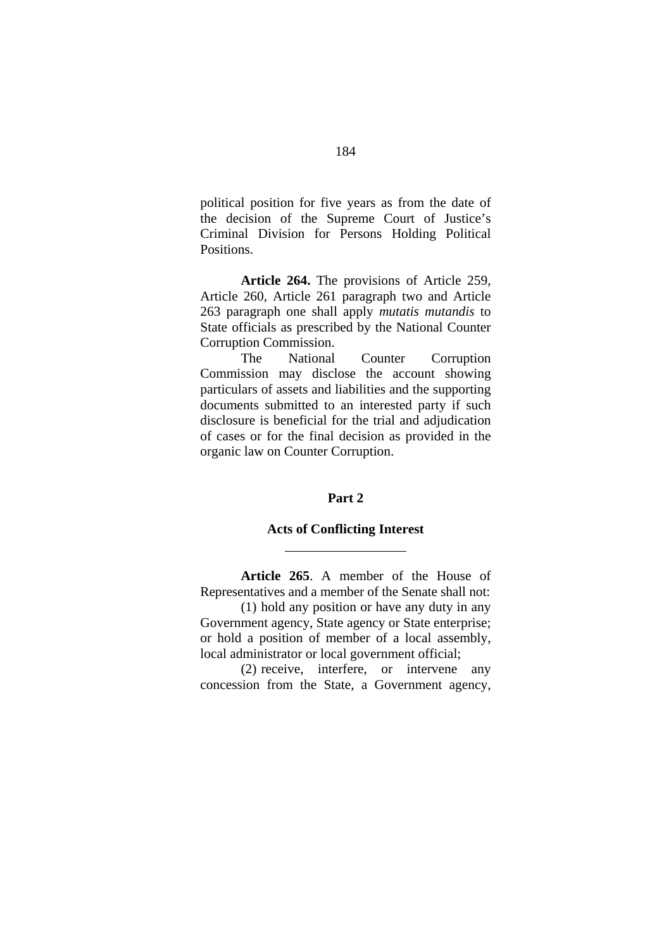political position for five years as from the date of the decision of the Supreme Court of Justice's Criminal Division for Persons Holding Political Positions.

**Article 264.** The provisions of Article 259, Article 260, Article 261 paragraph two and Article 263 paragraph one shall apply *mutatis mutandis* to State officials as prescribed by the National Counter Corruption Commission.

 The National Counter Corruption Commission may disclose the account showing particulars of assets and liabilities and the supporting documents submitted to an interested party if such disclosure is beneficial for the trial and adjudication of cases or for the final decision as provided in the organic law on Counter Corruption.

#### **Part 2**

#### **Acts of Conflicting Interest**

 $\overline{a}$ 

**Article 265**. A member of the House of Representatives and a member of the Senate shall not:

(1) hold any position or have any duty in any Government agency, State agency or State enterprise; or hold a position of member of a local assembly, local administrator or local government official;

(2) receive, interfere, or intervene any concession from the State, a Government agency,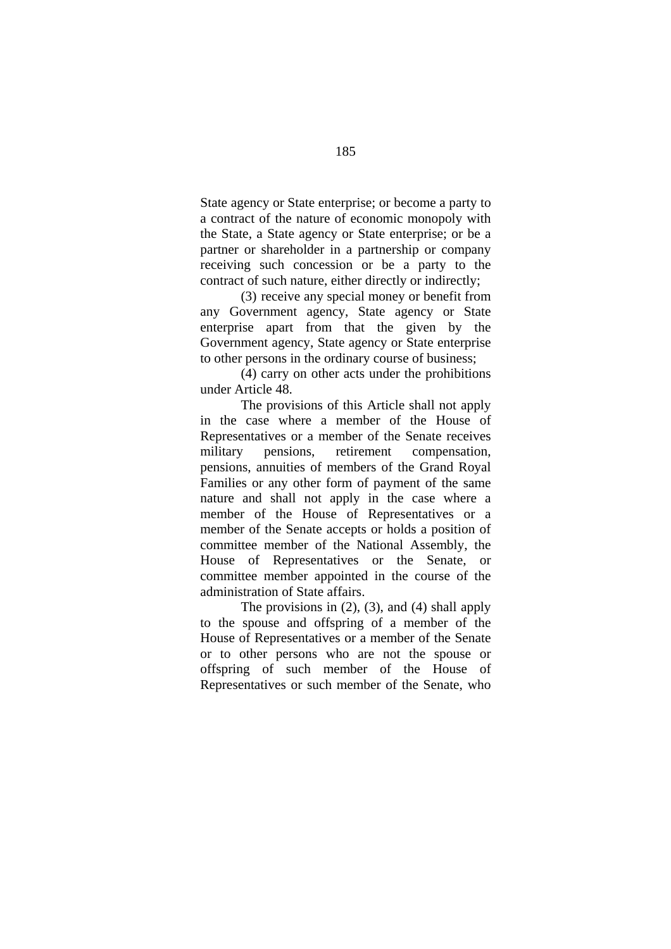State agency or State enterprise; or become a party to a contract of the nature of economic monopoly with the State, a State agency or State enterprise; or be a partner or shareholder in a partnership or company receiving such concession or be a party to the contract of such nature, either directly or indirectly;

(3) receive any special money or benefit from any Government agency, State agency or State enterprise apart from that the given by the Government agency, State agency or State enterprise to other persons in the ordinary course of business;

(4) carry on other acts under the prohibitions under Article 48.

The provisions of this Article shall not apply in the case where a member of the House of Representatives or a member of the Senate receives military pensions, retirement compensation, pensions, annuities of members of the Grand Royal Families or any other form of payment of the same nature and shall not apply in the case where a member of the House of Representatives or a member of the Senate accepts or holds a position of committee member of the National Assembly, the House of Representatives or the Senate, or committee member appointed in the course of the administration of State affairs.

The provisions in  $(2)$ ,  $(3)$ , and  $(4)$  shall apply to the spouse and offspring of a member of the House of Representatives or a member of the Senate or to other persons who are not the spouse or offspring of such member of the House of Representatives or such member of the Senate, who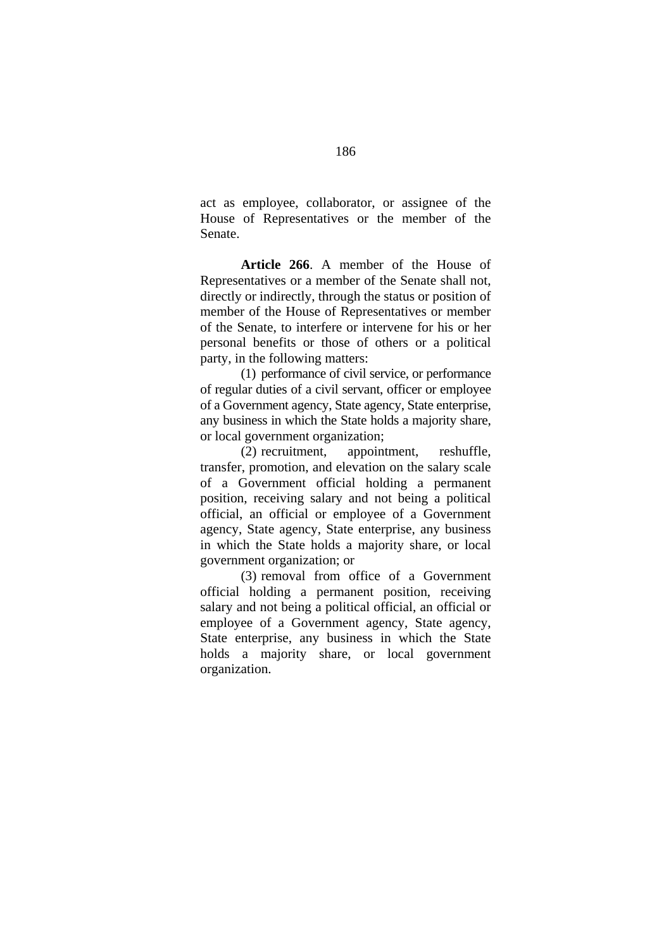act as employee, collaborator, or assignee of the House of Representatives or the member of the Senate.

**Article 266**. A member of the House of Representatives or a member of the Senate shall not, directly or indirectly, through the status or position of member of the House of Representatives or member of the Senate, to interfere or intervene for his or her personal benefits or those of others or a political party, in the following matters:

(1) performance of civil service, or performance of regular duties of a civil servant, officer or employee of a Government agency, State agency, State enterprise, any business in which the State holds a majority share, or local government organization;

(2) recruitment, appointment, reshuffle, transfer, promotion, and elevation on the salary scale of a Government official holding a permanent position, receiving salary and not being a political official, an official or employee of a Government agency, State agency, State enterprise, any business in which the State holds a majority share, or local government organization; or

(3) removal from office of a Government official holding a permanent position, receiving salary and not being a political official, an official or employee of a Government agency, State agency, State enterprise, any business in which the State holds a majority share, or local government organization.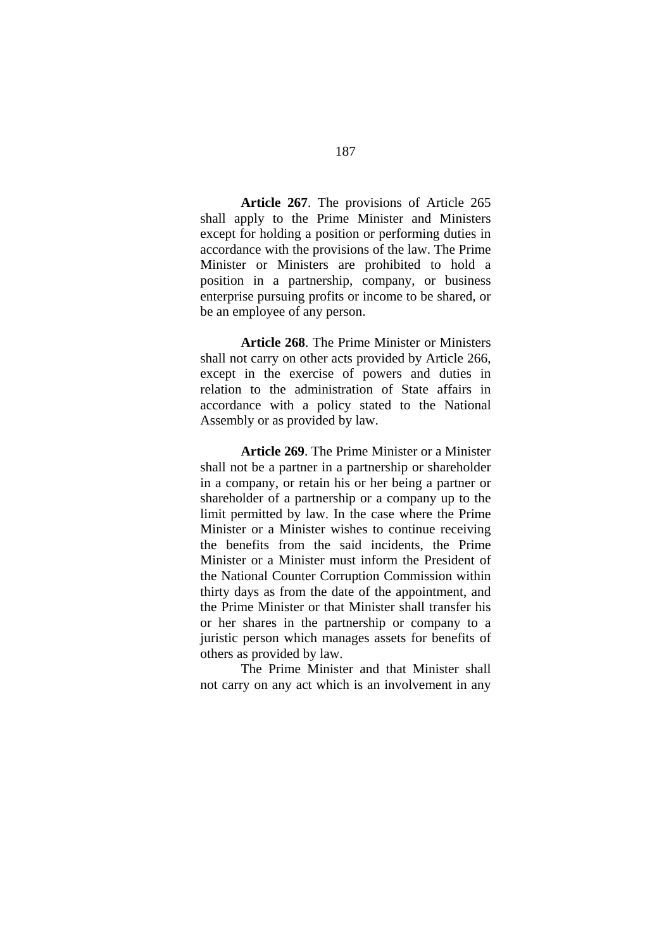**Article 267**. The provisions of Article 265 shall apply to the Prime Minister and Ministers except for holding a position or performing duties in accordance with the provisions of the law. The Prime Minister or Ministers are prohibited to hold a position in a partnership, company, or business enterprise pursuing profits or income to be shared, or be an employee of any person.

**Article 268**. The Prime Minister or Ministers shall not carry on other acts provided by Article 266, except in the exercise of powers and duties in relation to the administration of State affairs in accordance with a policy stated to the National Assembly or as provided by law.

**Article 269**. The Prime Minister or a Minister shall not be a partner in a partnership or shareholder in a company, or retain his or her being a partner or shareholder of a partnership or a company up to the limit permitted by law. In the case where the Prime Minister or a Minister wishes to continue receiving the benefits from the said incidents, the Prime Minister or a Minister must inform the President of the National Counter Corruption Commission within thirty days as from the date of the appointment, and the Prime Minister or that Minister shall transfer his or her shares in the partnership or company to a juristic person which manages assets for benefits of others as provided by law.

The Prime Minister and that Minister shall not carry on any act which is an involvement in any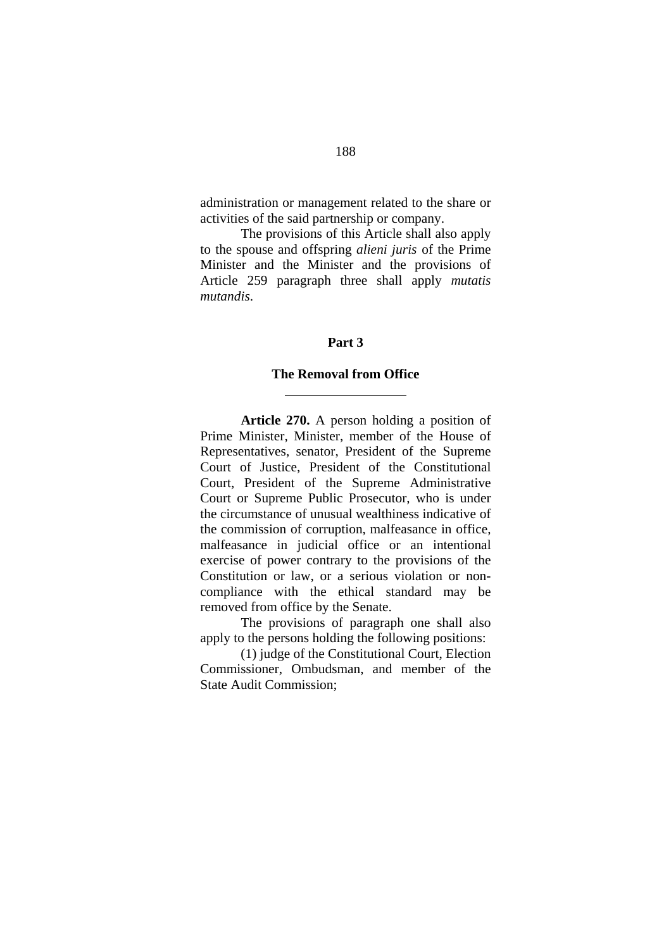administration or management related to the share or activities of the said partnership or company.

The provisions of this Article shall also apply to the spouse and offspring *alieni juris* of the Prime Minister and the Minister and the provisions of Article 259 paragraph three shall apply *mutatis mutandis*.

### **Part 3**

#### **The Removal from Office**

 $\overline{a}$ 

**Article 270.** A person holding a position of Prime Minister, Minister, member of the House of Representatives, senator, President of the Supreme Court of Justice, President of the Constitutional Court, President of the Supreme Administrative Court or Supreme Public Prosecutor, who is under the circumstance of unusual wealthiness indicative of the commission of corruption, malfeasance in office, malfeasance in judicial office or an intentional exercise of power contrary to the provisions of the Constitution or law, or a serious violation or noncompliance with the ethical standard may be removed from office by the Senate.

The provisions of paragraph one shall also apply to the persons holding the following positions:

 (1) judge of the Constitutional Court, Election Commissioner, Ombudsman, and member of the State Audit Commission;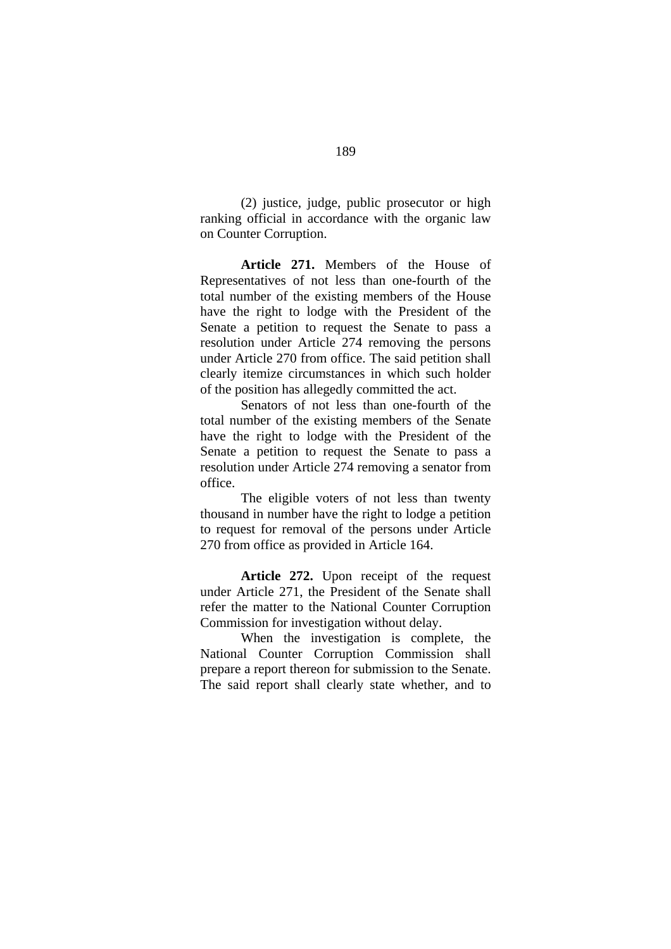(2) justice, judge, public prosecutor or high ranking official in accordance with the organic law on Counter Corruption.

**Article 271.** Members of the House of Representatives of not less than one-fourth of the total number of the existing members of the House have the right to lodge with the President of the Senate a petition to request the Senate to pass a resolution under Article 274 removing the persons under Article 270 from office. The said petition shall clearly itemize circumstances in which such holder of the position has allegedly committed the act.

Senators of not less than one-fourth of the total number of the existing members of the Senate have the right to lodge with the President of the Senate a petition to request the Senate to pass a resolution under Article 274 removing a senator from office.

The eligible voters of not less than twenty thousand in number have the right to lodge a petition to request for removal of the persons under Article 270 from office as provided in Article 164.

**Article 272.** Upon receipt of the request under Article 271, the President of the Senate shall refer the matter to the National Counter Corruption Commission for investigation without delay.

When the investigation is complete, the National Counter Corruption Commission shall prepare a report thereon for submission to the Senate. The said report shall clearly state whether, and to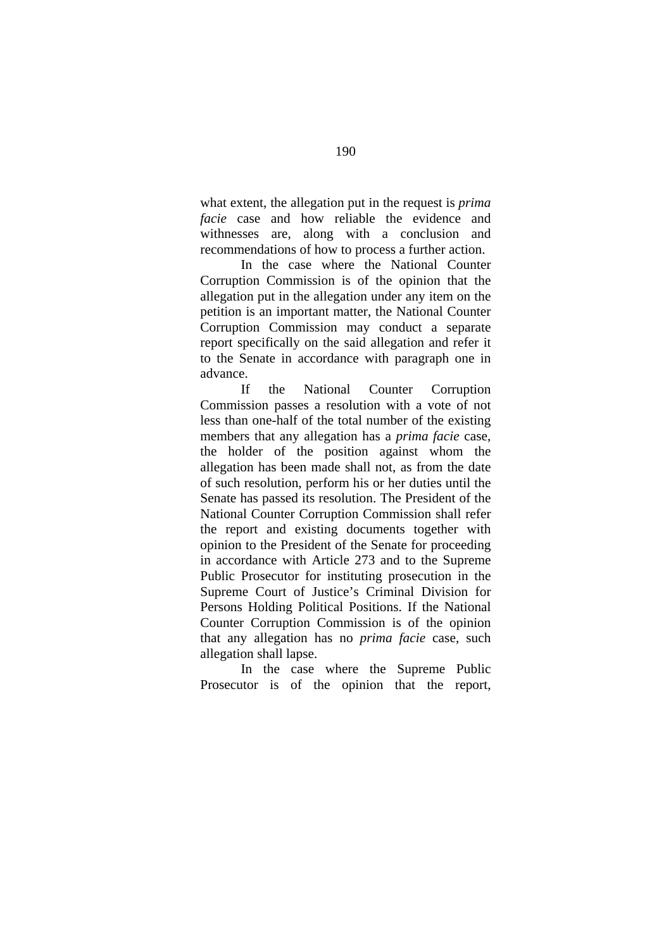what extent, the allegation put in the request is *prima facie* case and how reliable the evidence and withnesses are, along with a conclusion and recommendations of how to process a further action.

In the case where the National Counter Corruption Commission is of the opinion that the allegation put in the allegation under any item on the petition is an important matter, the National Counter Corruption Commission may conduct a separate report specifically on the said allegation and refer it to the Senate in accordance with paragraph one in advance.

If the National Counter Corruption Commission passes a resolution with a vote of not less than one-half of the total number of the existing members that any allegation has a *prima facie* case, the holder of the position against whom the allegation has been made shall not, as from the date of such resolution, perform his or her duties until the Senate has passed its resolution. The President of the National Counter Corruption Commission shall refer the report and existing documents together with opinion to the President of the Senate for proceeding in accordance with Article 273 and to the Supreme Public Prosecutor for instituting prosecution in the Supreme Court of Justice's Criminal Division for Persons Holding Political Positions. If the National Counter Corruption Commission is of the opinion that any allegation has no *prima facie* case, such allegation shall lapse.

In the case where the Supreme Public Prosecutor is of the opinion that the report,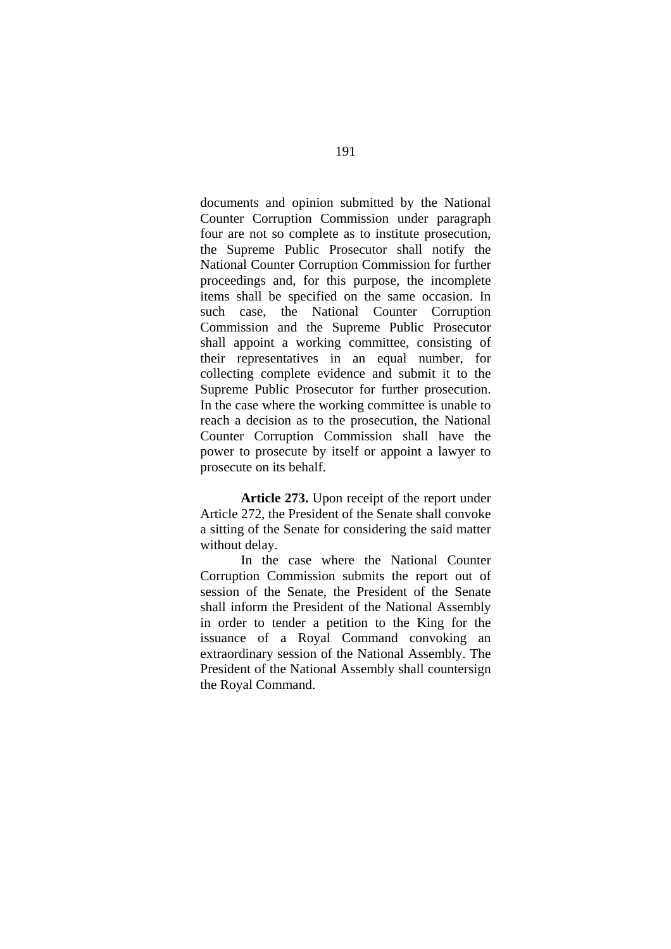documents and opinion submitted by the National Counter Corruption Commission under paragraph four are not so complete as to institute prosecution, the Supreme Public Prosecutor shall notify the National Counter Corruption Commission for further proceedings and, for this purpose, the incomplete items shall be specified on the same occasion. In such case, the National Counter Corruption Commission and the Supreme Public Prosecutor shall appoint a working committee, consisting of their representatives in an equal number, for collecting complete evidence and submit it to the Supreme Public Prosecutor for further prosecution. In the case where the working committee is unable to reach a decision as to the prosecution, the National Counter Corruption Commission shall have the power to prosecute by itself or appoint a lawyer to prosecute on its behalf.

**Article 273.** Upon receipt of the report under Article 272, the President of the Senate shall convoke a sitting of the Senate for considering the said matter without delay.

In the case where the National Counter Corruption Commission submits the report out of session of the Senate, the President of the Senate shall inform the President of the National Assembly in order to tender a petition to the King for the issuance of a Royal Command convoking an extraordinary session of the National Assembly. The President of the National Assembly shall countersign the Royal Command.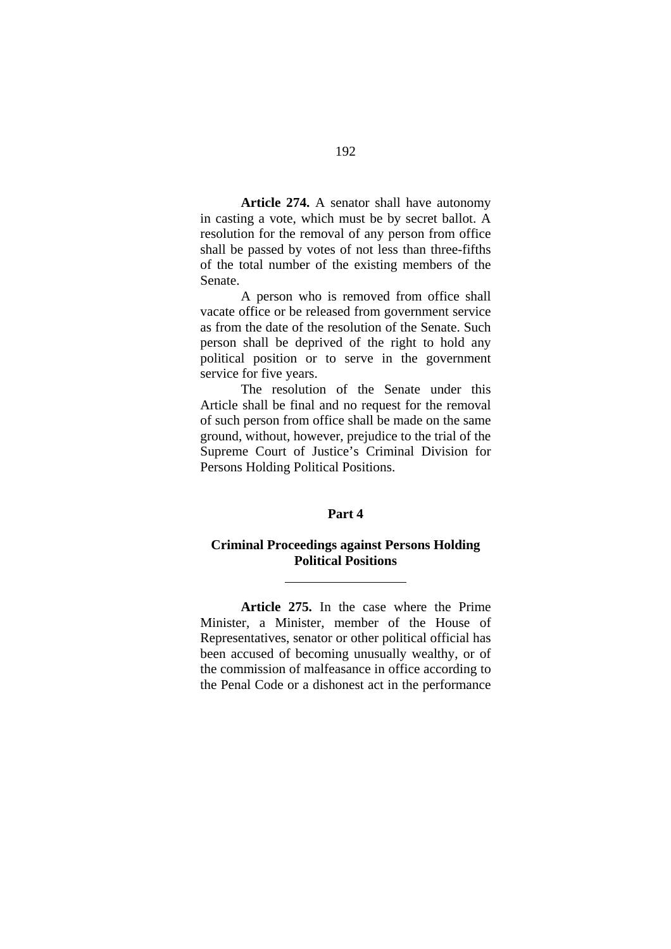**Article 274.** A senator shall have autonomy in casting a vote, which must be by secret ballot. A resolution for the removal of any person from office shall be passed by votes of not less than three-fifths of the total number of the existing members of the Senate.

A person who is removed from office shall vacate office or be released from government service as from the date of the resolution of the Senate. Such person shall be deprived of the right to hold any political position or to serve in the government service for five years.

The resolution of the Senate under this Article shall be final and no request for the removal of such person from office shall be made on the same ground, without, however, prejudice to the trial of the Supreme Court of Justice's Criminal Division for Persons Holding Political Positions.

## **Part 4**

## **Criminal Proceedings against Persons Holding Political Positions**

 $\overline{a}$ 

**Article 275.** In the case where the Prime Minister, a Minister, member of the House of Representatives, senator or other political official has been accused of becoming unusually wealthy, or of the commission of malfeasance in office according to the Penal Code or a dishonest act in the performance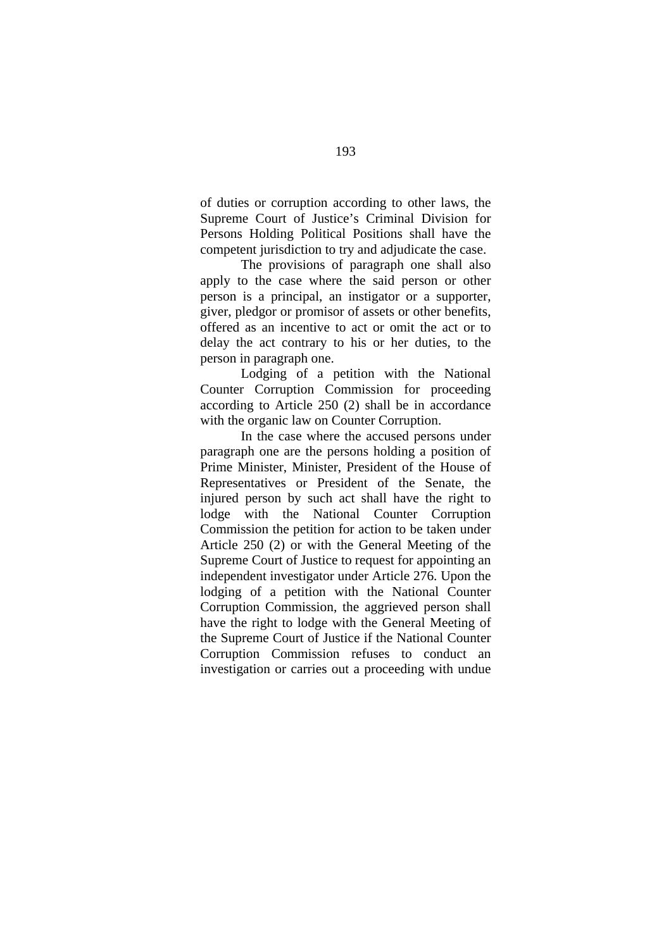of duties or corruption according to other laws, the Supreme Court of Justice's Criminal Division for Persons Holding Political Positions shall have the competent jurisdiction to try and adjudicate the case.

The provisions of paragraph one shall also apply to the case where the said person or other person is a principal, an instigator or a supporter, giver, pledgor or promisor of assets or other benefits, offered as an incentive to act or omit the act or to delay the act contrary to his or her duties, to the person in paragraph one.

Lodging of a petition with the National Counter Corruption Commission for proceeding according to Article 250 (2) shall be in accordance with the organic law on Counter Corruption.

In the case where the accused persons under paragraph one are the persons holding a position of Prime Minister, Minister, President of the House of Representatives or President of the Senate, the injured person by such act shall have the right to lodge with the National Counter Corruption Commission the petition for action to be taken under Article 250 (2) or with the General Meeting of the Supreme Court of Justice to request for appointing an independent investigator under Article 276. Upon the lodging of a petition with the National Counter Corruption Commission, the aggrieved person shall have the right to lodge with the General Meeting of the Supreme Court of Justice if the National Counter Corruption Commission refuses to conduct an investigation or carries out a proceeding with undue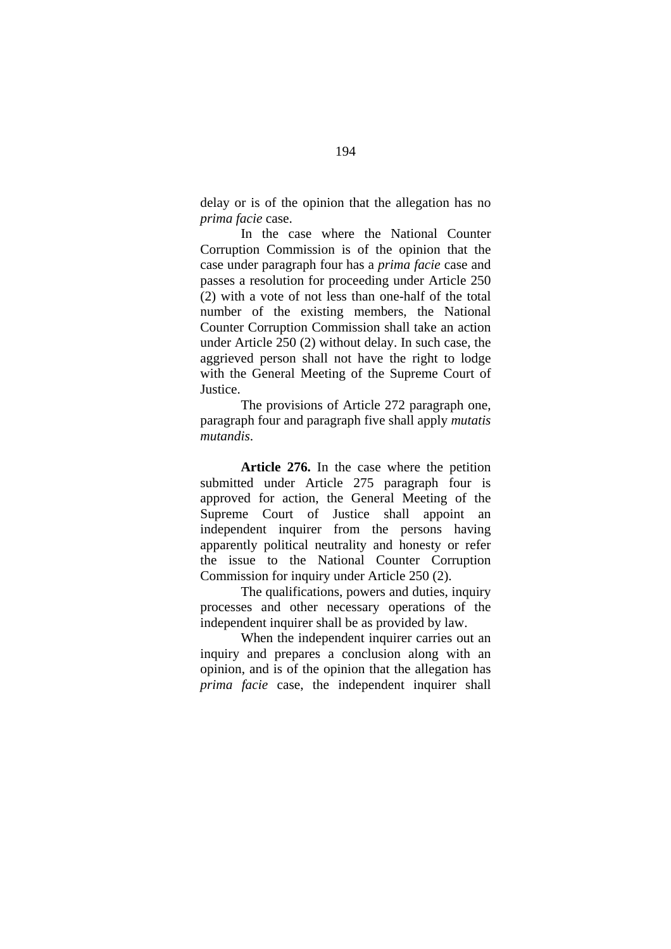delay or is of the opinion that the allegation has no *prima facie* case.

In the case where the National Counter Corruption Commission is of the opinion that the case under paragraph four has a *prima facie* case and passes a resolution for proceeding under Article 250 (2) with a vote of not less than one-half of the total number of the existing members, the National Counter Corruption Commission shall take an action under Article 250 (2) without delay. In such case, the aggrieved person shall not have the right to lodge with the General Meeting of the Supreme Court of Justice.

The provisions of Article 272 paragraph one, paragraph four and paragraph five shall apply *mutatis mutandis*.

**Article 276.** In the case where the petition submitted under Article 275 paragraph four is approved for action, the General Meeting of the Supreme Court of Justice shall appoint an independent inquirer from the persons having apparently political neutrality and honesty or refer the issue to the National Counter Corruption Commission for inquiry under Article 250 (2).

The qualifications, powers and duties, inquiry processes and other necessary operations of the independent inquirer shall be as provided by law.

When the independent inquirer carries out an inquiry and prepares a conclusion along with an opinion, and is of the opinion that the allegation has *prima facie* case, the independent inquirer shall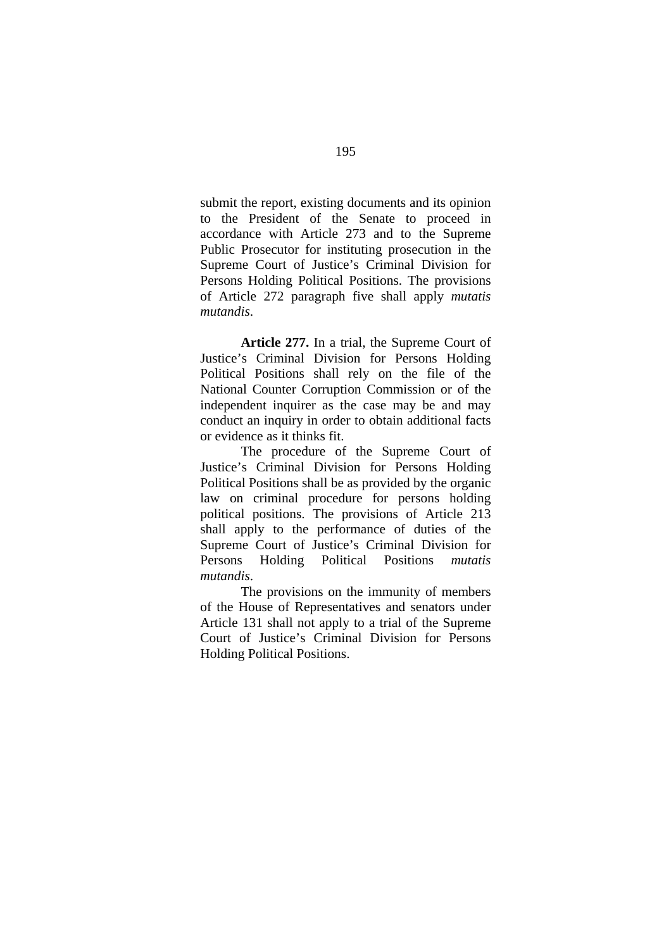submit the report, existing documents and its opinion to the President of the Senate to proceed in accordance with Article 273 and to the Supreme Public Prosecutor for instituting prosecution in the Supreme Court of Justice's Criminal Division for Persons Holding Political Positions. The provisions of Article 272 paragraph five shall apply *mutatis mutandis*.

**Article 277.** In a trial, the Supreme Court of Justice's Criminal Division for Persons Holding Political Positions shall rely on the file of the National Counter Corruption Commission or of the independent inquirer as the case may be and may conduct an inquiry in order to obtain additional facts or evidence as it thinks fit.

 The procedure of the Supreme Court of Justice's Criminal Division for Persons Holding Political Positions shall be as provided by the organic law on criminal procedure for persons holding political positions. The provisions of Article 213 shall apply to the performance of duties of the Supreme Court of Justice's Criminal Division for Persons Holding Political Positions *mutatis mutandis*.

The provisions on the immunity of members of the House of Representatives and senators under Article 131 shall not apply to a trial of the Supreme Court of Justice's Criminal Division for Persons Holding Political Positions.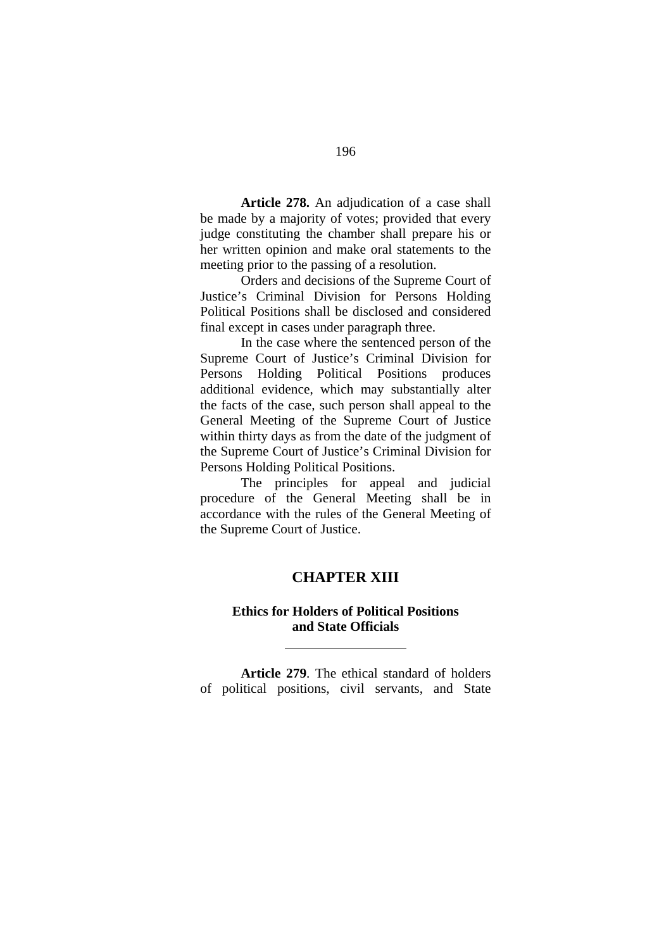**Article 278.** An adjudication of a case shall be made by a majority of votes; provided that every judge constituting the chamber shall prepare his or her written opinion and make oral statements to the meeting prior to the passing of a resolution.

Orders and decisions of the Supreme Court of Justice's Criminal Division for Persons Holding Political Positions shall be disclosed and considered final except in cases under paragraph three.

In the case where the sentenced person of the Supreme Court of Justice's Criminal Division for Persons Holding Political Positions produces additional evidence, which may substantially alter the facts of the case, such person shall appeal to the General Meeting of the Supreme Court of Justice within thirty days as from the date of the judgment of the Supreme Court of Justice's Criminal Division for Persons Holding Political Positions.

The principles for appeal and judicial procedure of the General Meeting shall be in accordance with the rules of the General Meeting of the Supreme Court of Justice.

# **CHAPTER XIII**

# **Ethics for Holders of Political Positions and State Officials**

 $\overline{a}$ 

**Article 279**. The ethical standard of holders of political positions, civil servants, and State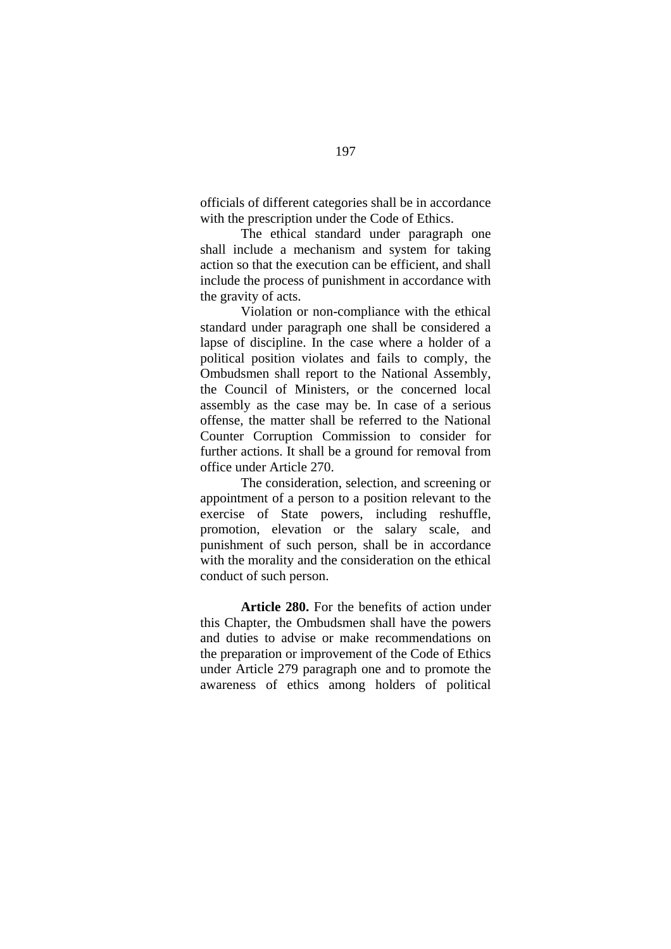officials of different categories shall be in accordance with the prescription under the Code of Ethics.

The ethical standard under paragraph one shall include a mechanism and system for taking action so that the execution can be efficient, and shall include the process of punishment in accordance with the gravity of acts.

Violation or non-compliance with the ethical standard under paragraph one shall be considered a lapse of discipline. In the case where a holder of a political position violates and fails to comply, the Ombudsmen shall report to the National Assembly, the Council of Ministers, or the concerned local assembly as the case may be. In case of a serious offense, the matter shall be referred to the National Counter Corruption Commission to consider for further actions. It shall be a ground for removal from office under Article 270.

The consideration, selection, and screening or appointment of a person to a position relevant to the exercise of State powers, including reshuffle, promotion, elevation or the salary scale, and punishment of such person, shall be in accordance with the morality and the consideration on the ethical conduct of such person.

**Article 280.** For the benefits of action under this Chapter, the Ombudsmen shall have the powers and duties to advise or make recommendations on the preparation or improvement of the Code of Ethics under Article 279 paragraph one and to promote the awareness of ethics among holders of political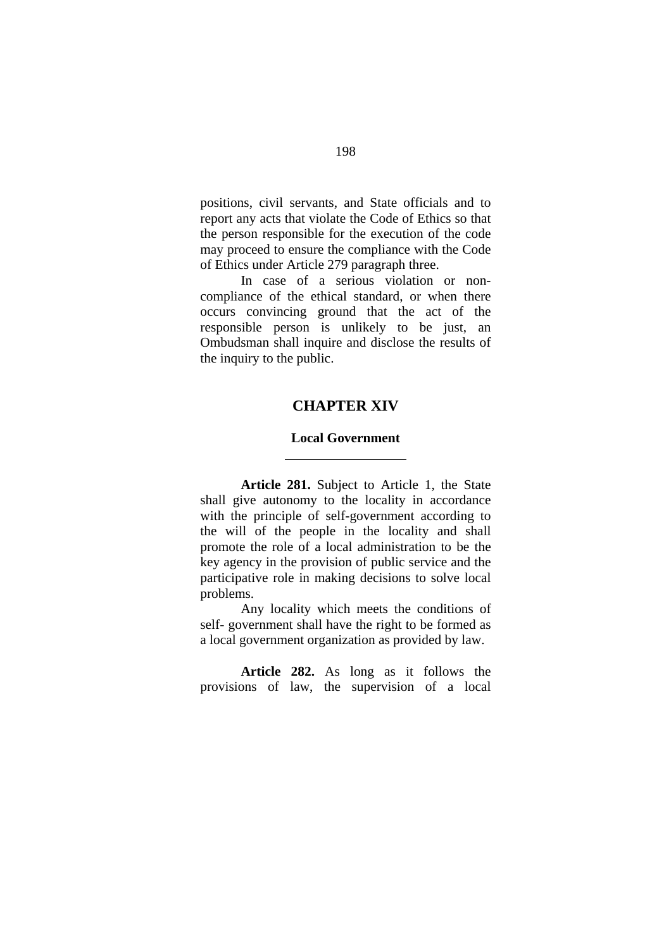positions, civil servants, and State officials and to report any acts that violate the Code of Ethics so that the person responsible for the execution of the code may proceed to ensure the compliance with the Code of Ethics under Article 279 paragraph three.

In case of a serious violation or noncompliance of the ethical standard, or when there occurs convincing ground that the act of the responsible person is unlikely to be just, an Ombudsman shall inquire and disclose the results of the inquiry to the public.

## **CHAPTER XIV**

### **Local Government**

 $\overline{a}$ 

**Article 281.** Subject to Article 1, the State shall give autonomy to the locality in accordance with the principle of self-government according to the will of the people in the locality and shall promote the role of a local administration to be the key agency in the provision of public service and the participative role in making decisions to solve local problems.

Any locality which meets the conditions of self- government shall have the right to be formed as a local government organization as provided by law.

**Article 282.** As long as it follows the provisions of law, the supervision of a local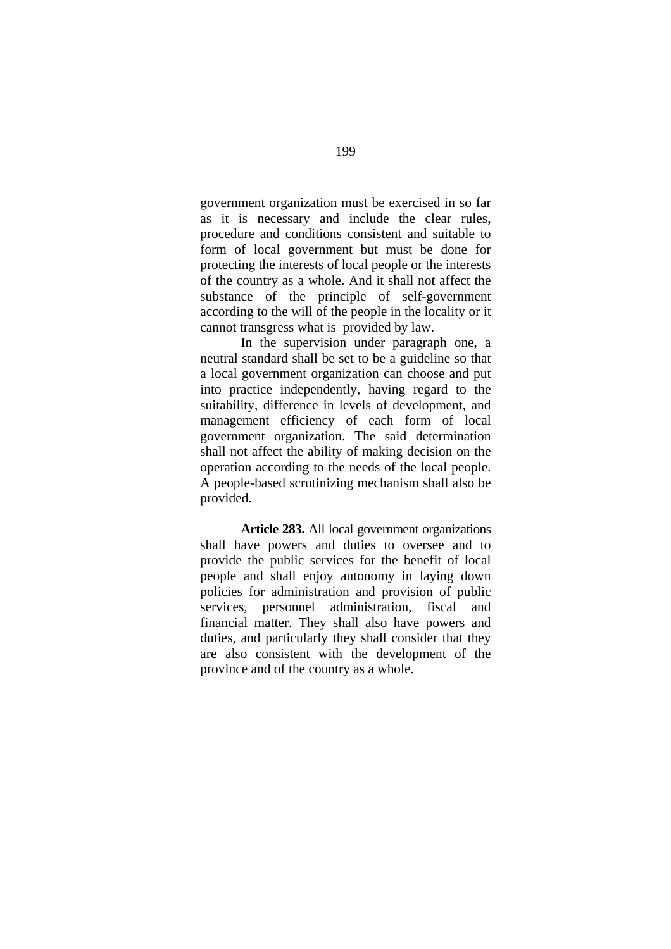government organization must be exercised in so far as it is necessary and include the clear rules, procedure and conditions consistent and suitable to form of local government but must be done for protecting the interests of local people or the interests of the country as a whole. And it shall not affect the substance of the principle of self-government according to the will of the people in the locality or it cannot transgress what is provided by law.

In the supervision under paragraph one, a neutral standard shall be set to be a guideline so that a local government organization can choose and put into practice independently, having regard to the suitability, difference in levels of development, and management efficiency of each form of local government organization. The said determination shall not affect the ability of making decision on the operation according to the needs of the local people. A people-based scrutinizing mechanism shall also be provided.

**Article 283.** All local government organizations shall have powers and duties to oversee and to provide the public services for the benefit of local people and shall enjoy autonomy in laying down policies for administration and provision of public services, personnel administration, fiscal and financial matter. They shall also have powers and duties, and particularly they shall consider that they are also consistent with the development of the province and of the country as a whole.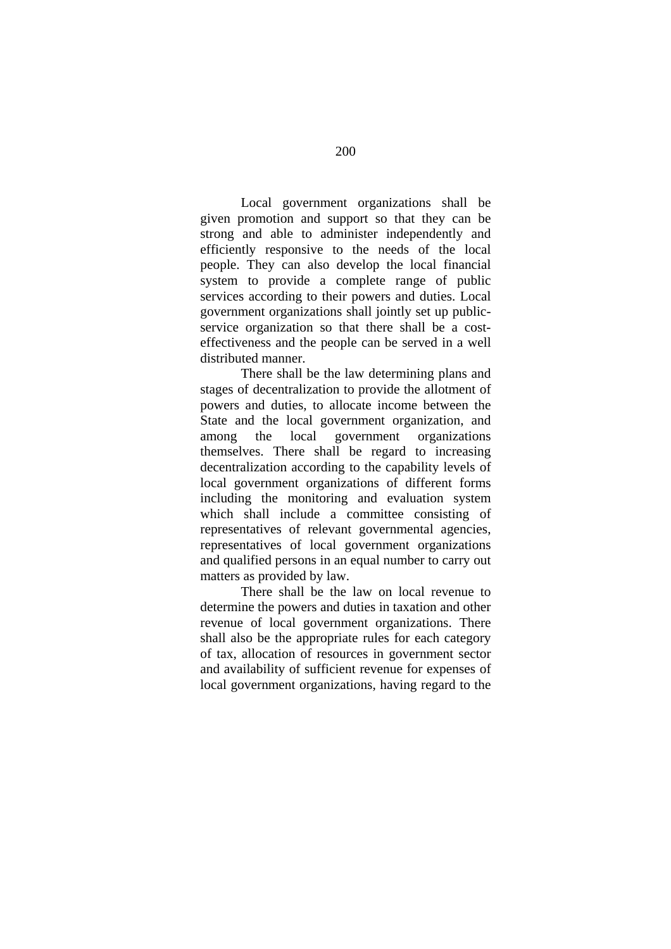Local government organizations shall be given promotion and support so that they can be strong and able to administer independently and efficiently responsive to the needs of the local people. They can also develop the local financial system to provide a complete range of public services according to their powers and duties. Local government organizations shall jointly set up publicservice organization so that there shall be a costeffectiveness and the people can be served in a well distributed manner.

There shall be the law determining plans and stages of decentralization to provide the allotment of powers and duties, to allocate income between the State and the local government organization, and among the local government organizations themselves. There shall be regard to increasing decentralization according to the capability levels of local government organizations of different forms including the monitoring and evaluation system which shall include a committee consisting of representatives of relevant governmental agencies, representatives of local government organizations and qualified persons in an equal number to carry out matters as provided by law.

 There shall be the law on local revenue to determine the powers and duties in taxation and other revenue of local government organizations. There shall also be the appropriate rules for each category of tax, allocation of resources in government sector and availability of sufficient revenue for expenses of local government organizations, having regard to the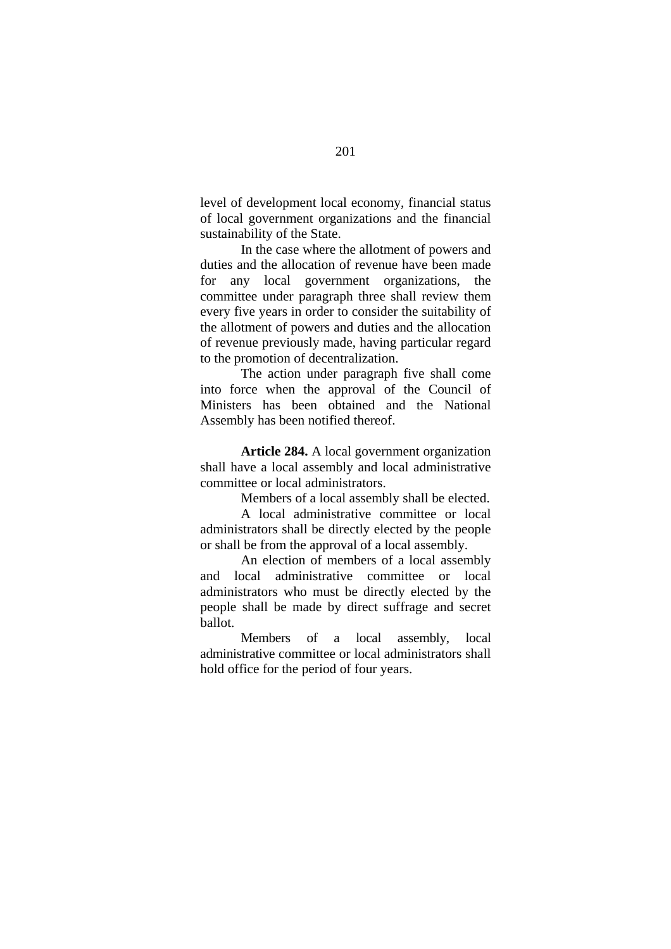level of development local economy, financial status of local government organizations and the financial sustainability of the State.

 In the case where the allotment of powers and duties and the allocation of revenue have been made for any local government organizations, the committee under paragraph three shall review them every five years in order to consider the suitability of the allotment of powers and duties and the allocation of revenue previously made, having particular regard to the promotion of decentralization.

 The action under paragraph five shall come into force when the approval of the Council of Ministers has been obtained and the National Assembly has been notified thereof.

**Article 284.** A local government organization shall have a local assembly and local administrative committee or local administrators.

Members of a local assembly shall be elected.

A local administrative committee or local administrators shall be directly elected by the people or shall be from the approval of a local assembly.

An election of members of a local assembly and local administrative committee or local administrators who must be directly elected by the people shall be made by direct suffrage and secret ballot.

Members of a local assembly, local administrative committee or local administrators shall hold office for the period of four years.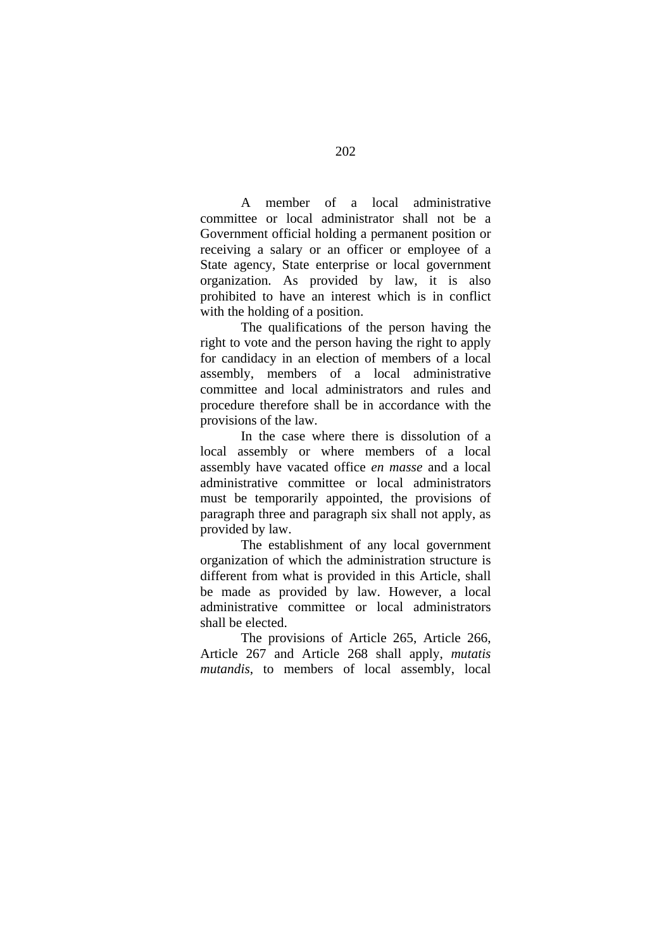A member of a local administrative committee or local administrator shall not be a Government official holding a permanent position or receiving a salary or an officer or employee of a State agency, State enterprise or local government organization. As provided by law, it is also prohibited to have an interest which is in conflict with the holding of a position.

The qualifications of the person having the right to vote and the person having the right to apply for candidacy in an election of members of a local assembly, members of a local administrative committee and local administrators and rules and procedure therefore shall be in accordance with the provisions of the law.

In the case where there is dissolution of a local assembly or where members of a local assembly have vacated office *en masse* and a local administrative committee or local administrators must be temporarily appointed, the provisions of paragraph three and paragraph six shall not apply, as provided by law.

 The establishment of any local government organization of which the administration structure is different from what is provided in this Article, shall be made as provided by law. However, a local administrative committee or local administrators shall be elected.

 The provisions of Article 265, Article 266, Article 267 and Article 268 shall apply, *mutatis mutandis*, to members of local assembly, local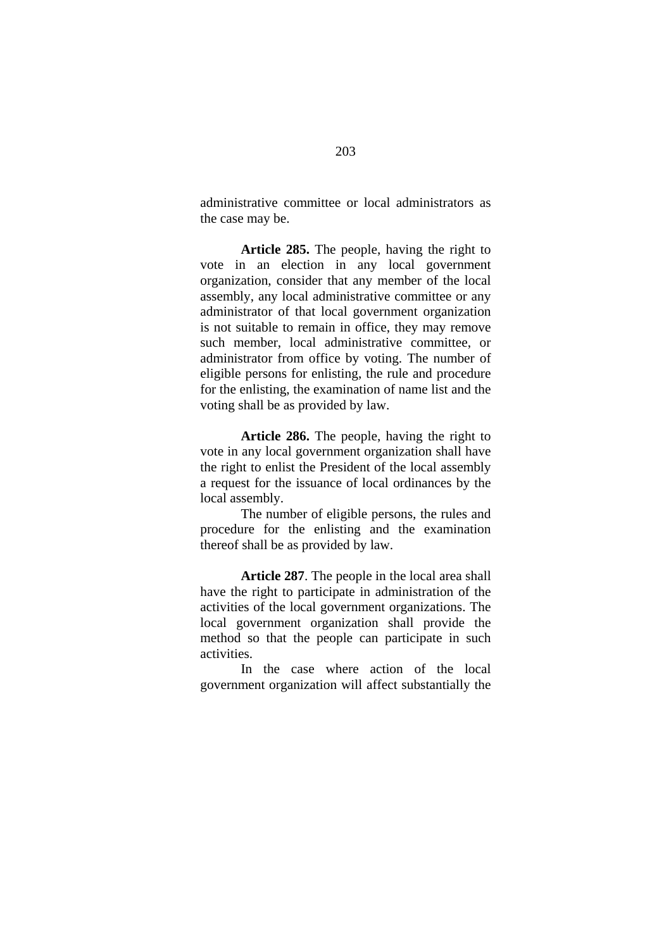administrative committee or local administrators as the case may be.

**Article 285.** The people, having the right to vote in an election in any local government organization, consider that any member of the local assembly, any local administrative committee or any administrator of that local government organization is not suitable to remain in office, they may remove such member, local administrative committee, or administrator from office by voting. The number of eligible persons for enlisting, the rule and procedure for the enlisting, the examination of name list and the voting shall be as provided by law.

**Article 286.** The people, having the right to vote in any local government organization shall have the right to enlist the President of the local assembly a request for the issuance of local ordinances by the local assembly.

 The number of eligible persons, the rules and procedure for the enlisting and the examination thereof shall be as provided by law.

**Article 287**. The people in the local area shall have the right to participate in administration of the activities of the local government organizations. The local government organization shall provide the method so that the people can participate in such activities.

In the case where action of the local government organization will affect substantially the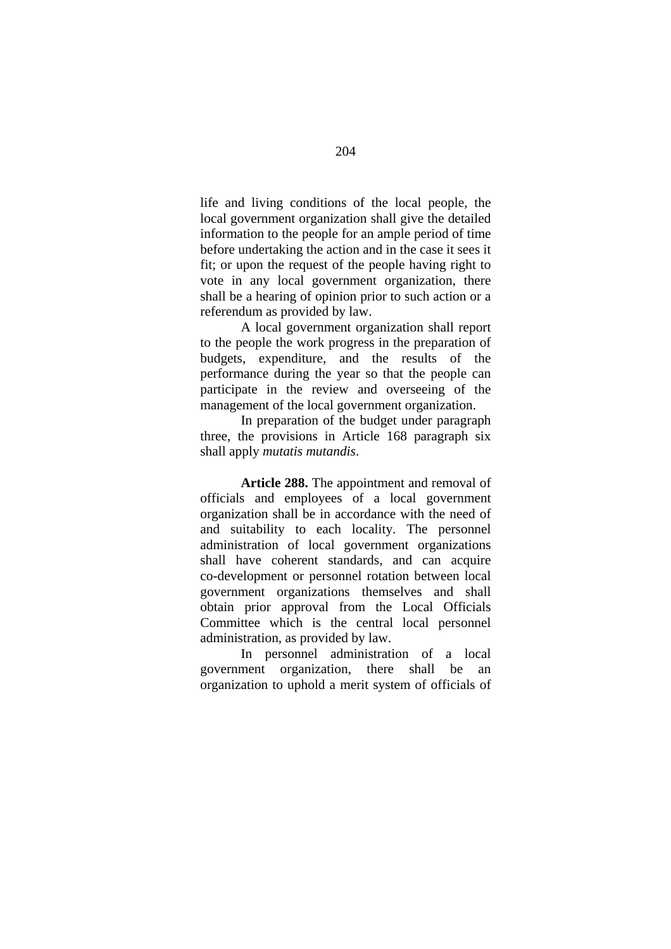life and living conditions of the local people, the local government organization shall give the detailed information to the people for an ample period of time before undertaking the action and in the case it sees it fit; or upon the request of the people having right to vote in any local government organization, there shall be a hearing of opinion prior to such action or a referendum as provided by law.

A local government organization shall report to the people the work progress in the preparation of budgets, expenditure, and the results of the performance during the year so that the people can participate in the review and overseeing of the management of the local government organization.

In preparation of the budget under paragraph three, the provisions in Article 168 paragraph six shall apply *mutatis mutandis*.

**Article 288.** The appointment and removal of officials and employees of a local government organization shall be in accordance with the need of and suitability to each locality. The personnel administration of local government organizations shall have coherent standards, and can acquire co-development or personnel rotation between local government organizations themselves and shall obtain prior approval from the Local Officials Committee which is the central local personnel administration, as provided by law.

 In personnel administration of a local government organization, there shall be an organization to uphold a merit system of officials of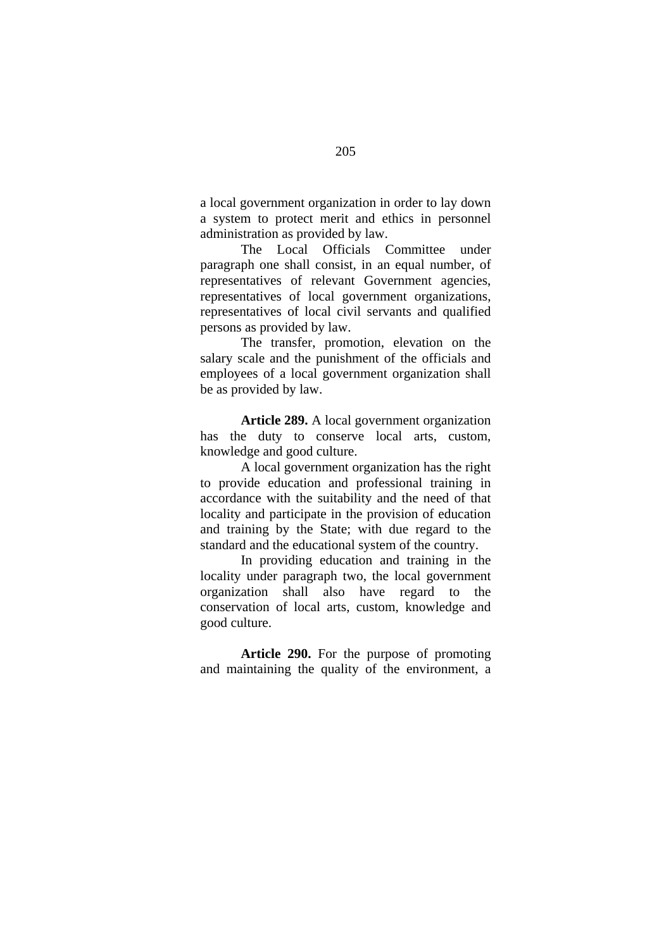a local government organization in order to lay down a system to protect merit and ethics in personnel administration as provided by law.

The Local Officials Committee under paragraph one shall consist, in an equal number, of representatives of relevant Government agencies, representatives of local government organizations, representatives of local civil servants and qualified persons as provided by law.

The transfer, promotion, elevation on the salary scale and the punishment of the officials and employees of a local government organization shall be as provided by law.

**Article 289.** A local government organization has the duty to conserve local arts, custom, knowledge and good culture.

A local government organization has the right to provide education and professional training in accordance with the suitability and the need of that locality and participate in the provision of education and training by the State; with due regard to the standard and the educational system of the country.

In providing education and training in the locality under paragraph two, the local government organization shall also have regard to the conservation of local arts, custom, knowledge and good culture.

**Article 290.** For the purpose of promoting and maintaining the quality of the environment, a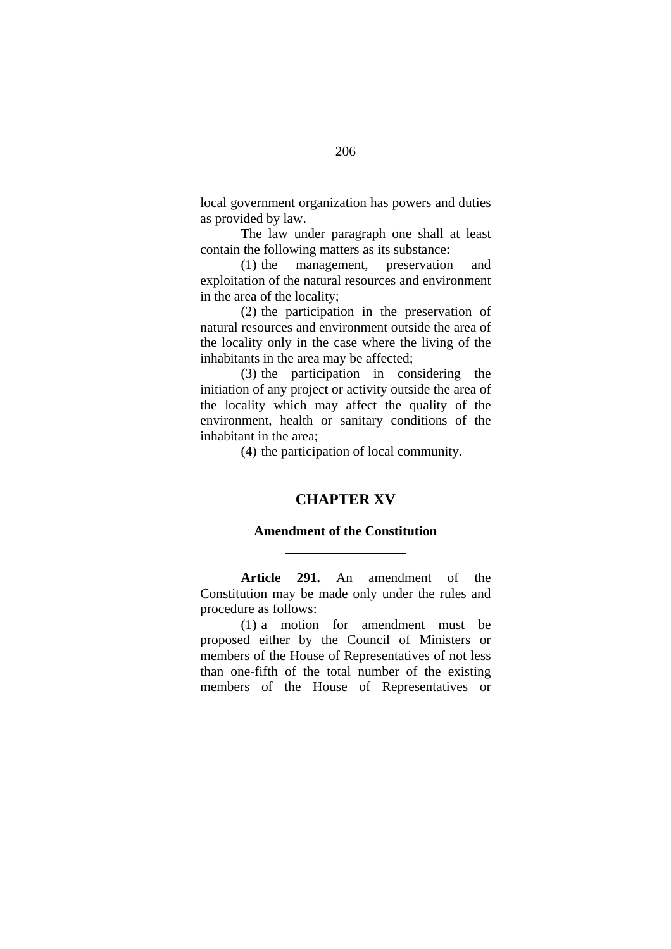local government organization has powers and duties as provided by law.

The law under paragraph one shall at least contain the following matters as its substance:

(1) the management, preservation and exploitation of the natural resources and environment in the area of the locality;

(2) the participation in the preservation of natural resources and environment outside the area of the locality only in the case where the living of the inhabitants in the area may be affected;

(3) the participation in considering the initiation of any project or activity outside the area of the locality which may affect the quality of the environment, health or sanitary conditions of the inhabitant in the area;

(4) the participation of local community.

# **CHAPTER XV**

#### **Amendment of the Constitution**

 $\overline{a}$ 

**Article 291.** An amendment of the Constitution may be made only under the rules and procedure as follows:

(1) a motion for amendment must be proposed either by the Council of Ministers or members of the House of Representatives of not less than one-fifth of the total number of the existing members of the House of Representatives or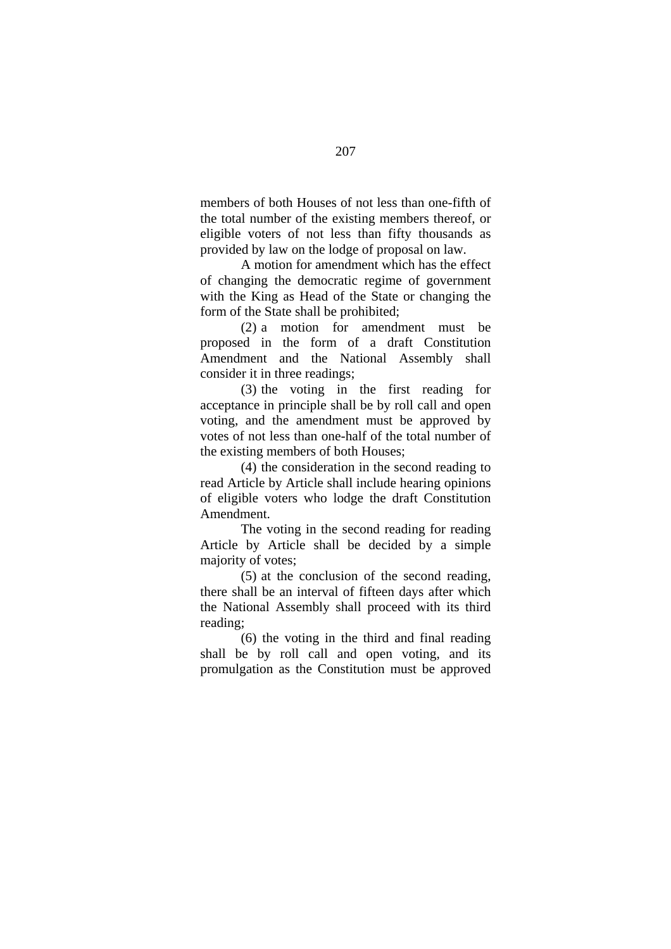members of both Houses of not less than one-fifth of the total number of the existing members thereof, or eligible voters of not less than fifty thousands as provided by law on the lodge of proposal on law.

A motion for amendment which has the effect of changing the democratic regime of government with the King as Head of the State or changing the form of the State shall be prohibited;

(2) a motion for amendment must be proposed in the form of a draft Constitution Amendment and the National Assembly shall consider it in three readings;

(3) the voting in the first reading for acceptance in principle shall be by roll call and open voting, and the amendment must be approved by votes of not less than one-half of the total number of the existing members of both Houses;

(4) the consideration in the second reading to read Article by Article shall include hearing opinions of eligible voters who lodge the draft Constitution Amendment.

The voting in the second reading for reading Article by Article shall be decided by a simple majority of votes;

(5) at the conclusion of the second reading, there shall be an interval of fifteen days after which the National Assembly shall proceed with its third reading;

(6) the voting in the third and final reading shall be by roll call and open voting, and its promulgation as the Constitution must be approved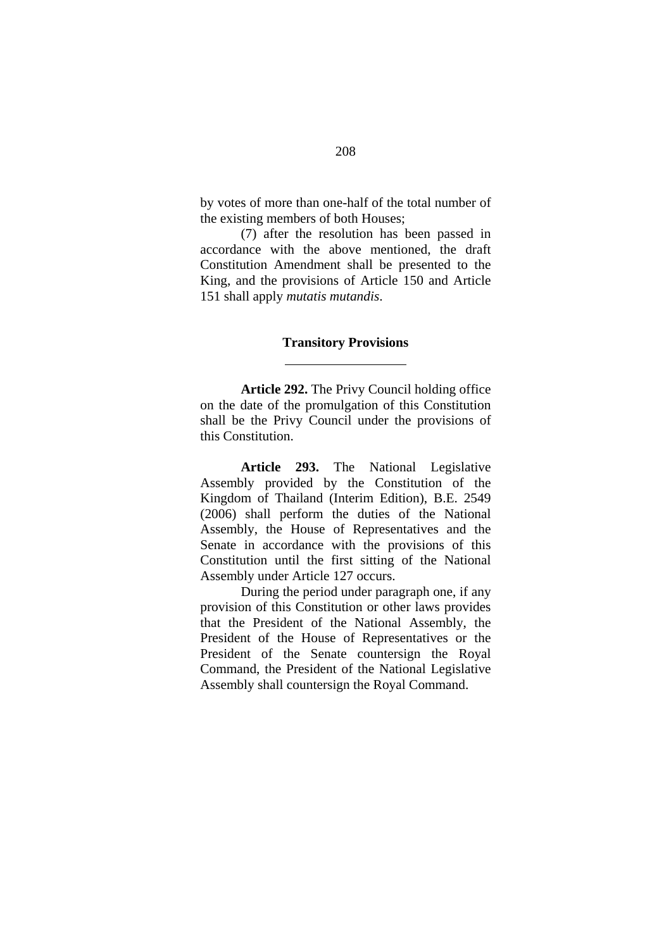by votes of more than one-half of the total number of the existing members of both Houses;

(7) after the resolution has been passed in accordance with the above mentioned, the draft Constitution Amendment shall be presented to the King, and the provisions of Article 150 and Article 151 shall apply *mutatis mutandis*.

#### **Transitory Provisions**

 $\overline{a}$ 

**Article 292.** The Privy Council holding office on the date of the promulgation of this Constitution shall be the Privy Council under the provisions of this Constitution.

**Article 293.** The National Legislative Assembly provided by the Constitution of the Kingdom of Thailand (Interim Edition), B.E. 2549 (2006) shall perform the duties of the National Assembly, the House of Representatives and the Senate in accordance with the provisions of this Constitution until the first sitting of the National Assembly under Article 127 occurs.

During the period under paragraph one, if any provision of this Constitution or other laws provides that the President of the National Assembly, the President of the House of Representatives or the President of the Senate countersign the Royal Command, the President of the National Legislative Assembly shall countersign the Royal Command.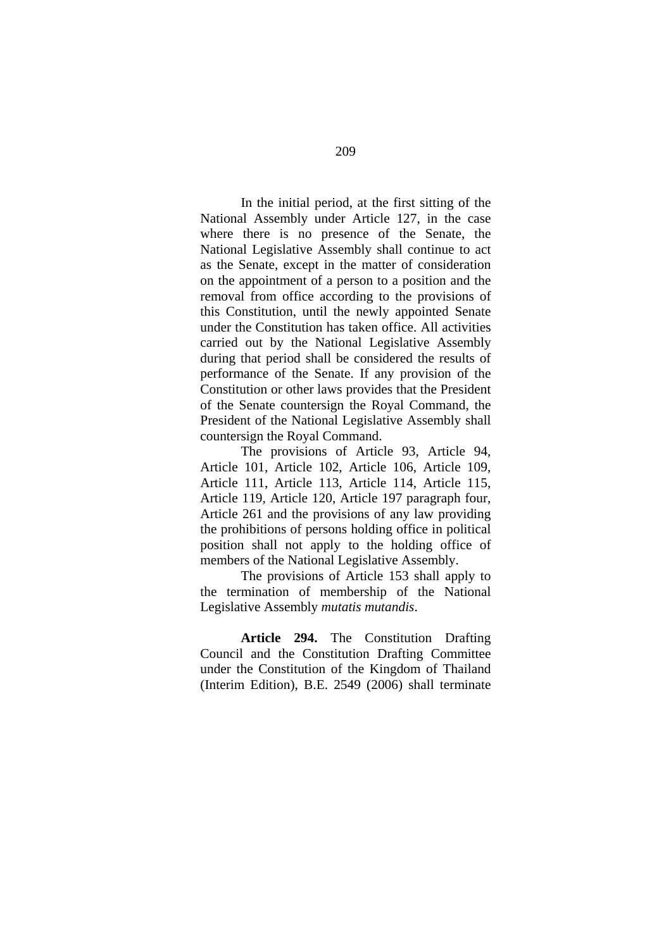In the initial period, at the first sitting of the National Assembly under Article 127, in the case where there is no presence of the Senate, the National Legislative Assembly shall continue to act as the Senate, except in the matter of consideration on the appointment of a person to a position and the removal from office according to the provisions of this Constitution, until the newly appointed Senate under the Constitution has taken office. All activities carried out by the National Legislative Assembly during that period shall be considered the results of performance of the Senate. If any provision of the Constitution or other laws provides that the President of the Senate countersign the Royal Command, the President of the National Legislative Assembly shall countersign the Royal Command.

The provisions of Article 93, Article 94, Article 101, Article 102, Article 106, Article 109, Article 111, Article 113, Article 114, Article 115, Article 119, Article 120, Article 197 paragraph four, Article 261 and the provisions of any law providing the prohibitions of persons holding office in political position shall not apply to the holding office of members of the National Legislative Assembly.

The provisions of Article 153 shall apply to the termination of membership of the National Legislative Assembly *mutatis mutandis*.

**Article 294.** The Constitution Drafting Council and the Constitution Drafting Committee under the Constitution of the Kingdom of Thailand (Interim Edition), B.E. 2549 (2006) shall terminate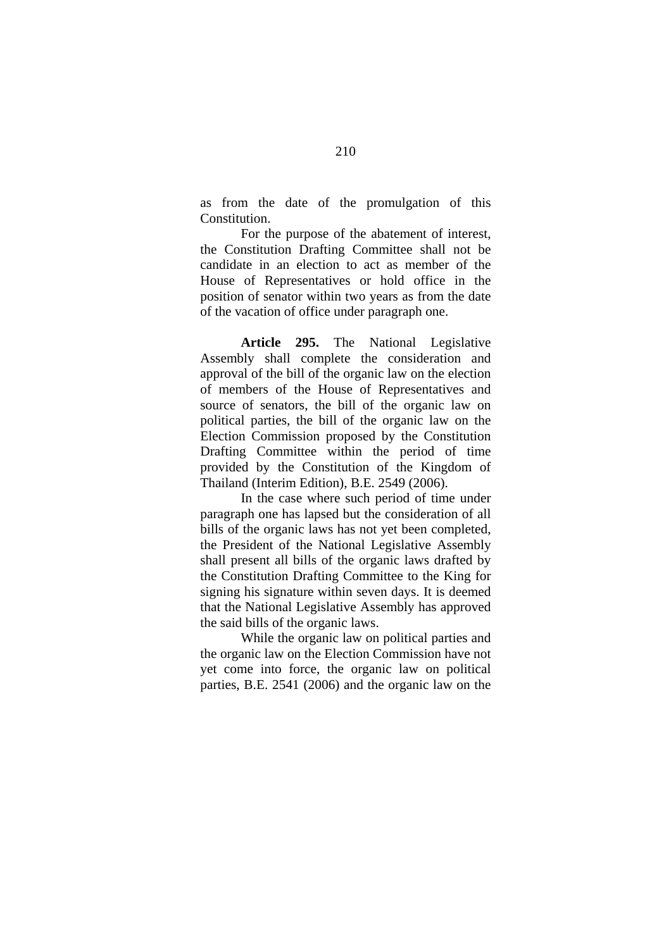as from the date of the promulgation of this Constitution.

For the purpose of the abatement of interest, the Constitution Drafting Committee shall not be candidate in an election to act as member of the House of Representatives or hold office in the position of senator within two years as from the date of the vacation of office under paragraph one.

**Article 295.** The National Legislative Assembly shall complete the consideration and approval of the bill of the organic law on the election of members of the House of Representatives and source of senators, the bill of the organic law on political parties, the bill of the organic law on the Election Commission proposed by the Constitution Drafting Committee within the period of time provided by the Constitution of the Kingdom of Thailand (Interim Edition), B.E. 2549 (2006).

In the case where such period of time under paragraph one has lapsed but the consideration of all bills of the organic laws has not yet been completed, the President of the National Legislative Assembly shall present all bills of the organic laws drafted by the Constitution Drafting Committee to the King for signing his signature within seven days. It is deemed that the National Legislative Assembly has approved the said bills of the organic laws.

While the organic law on political parties and the organic law on the Election Commission have not yet come into force, the organic law on political parties, B.E. 2541 (2006) and the organic law on the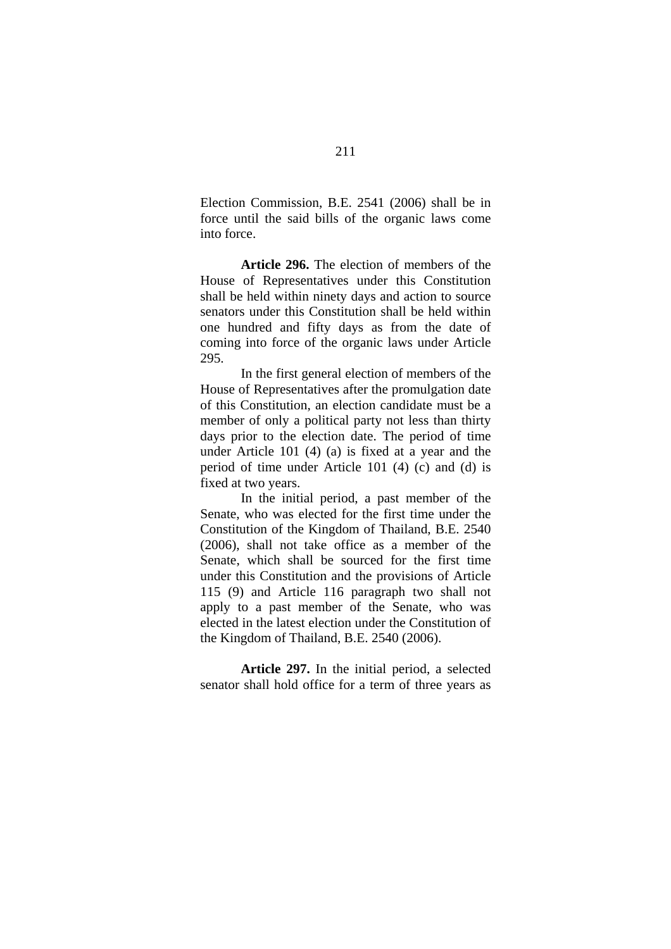Election Commission, B.E. 2541 (2006) shall be in force until the said bills of the organic laws come into force.

**Article 296.** The election of members of the House of Representatives under this Constitution shall be held within ninety days and action to source senators under this Constitution shall be held within one hundred and fifty days as from the date of coming into force of the organic laws under Article 295.

In the first general election of members of the House of Representatives after the promulgation date of this Constitution, an election candidate must be a member of only a political party not less than thirty days prior to the election date. The period of time under Article 101 (4) (a) is fixed at a year and the period of time under Article 101 (4) (c) and (d) is fixed at two years.

In the initial period, a past member of the Senate, who was elected for the first time under the Constitution of the Kingdom of Thailand, B.E. 2540 (2006), shall not take office as a member of the Senate, which shall be sourced for the first time under this Constitution and the provisions of Article 115 (9) and Article 116 paragraph two shall not apply to a past member of the Senate, who was elected in the latest election under the Constitution of the Kingdom of Thailand, B.E. 2540 (2006).

**Article 297.** In the initial period, a selected senator shall hold office for a term of three years as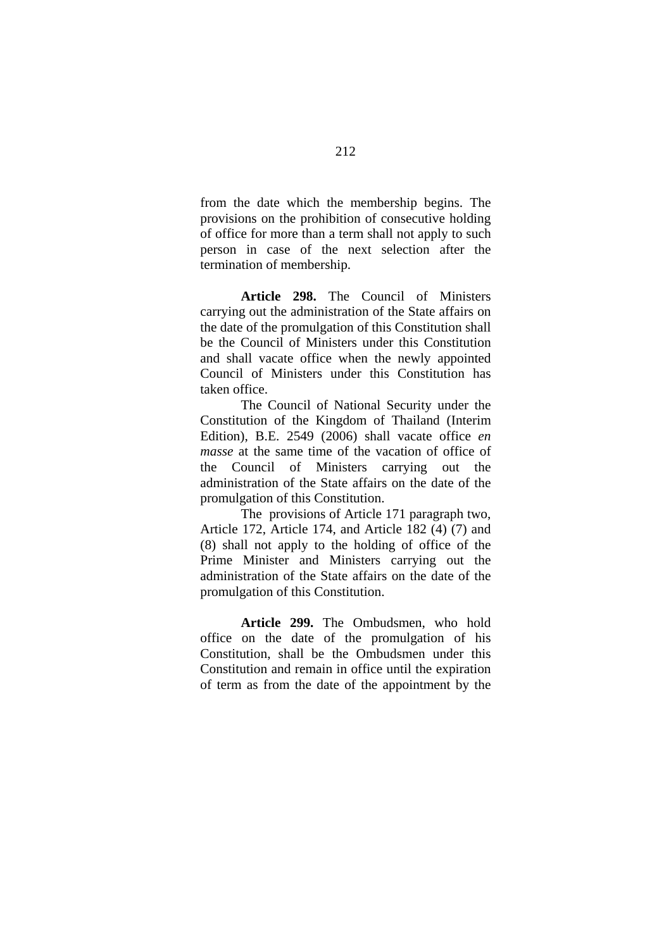from the date which the membership begins. The provisions on the prohibition of consecutive holding of office for more than a term shall not apply to such person in case of the next selection after the termination of membership.

**Article 298.** The Council of Ministers carrying out the administration of the State affairs on the date of the promulgation of this Constitution shall be the Council of Ministers under this Constitution and shall vacate office when the newly appointed Council of Ministers under this Constitution has taken office.

The Council of National Security under the Constitution of the Kingdom of Thailand (Interim Edition), B.E. 2549 (2006) shall vacate office *en masse* at the same time of the vacation of office of the Council of Ministers carrying out the administration of the State affairs on the date of the promulgation of this Constitution.

The provisions of Article 171 paragraph two, Article 172, Article 174, and Article 182 (4) (7) and (8) shall not apply to the holding of office of the Prime Minister and Ministers carrying out the administration of the State affairs on the date of the promulgation of this Constitution.

**Article 299.** The Ombudsmen, who hold office on the date of the promulgation of his Constitution, shall be the Ombudsmen under this Constitution and remain in office until the expiration of term as from the date of the appointment by the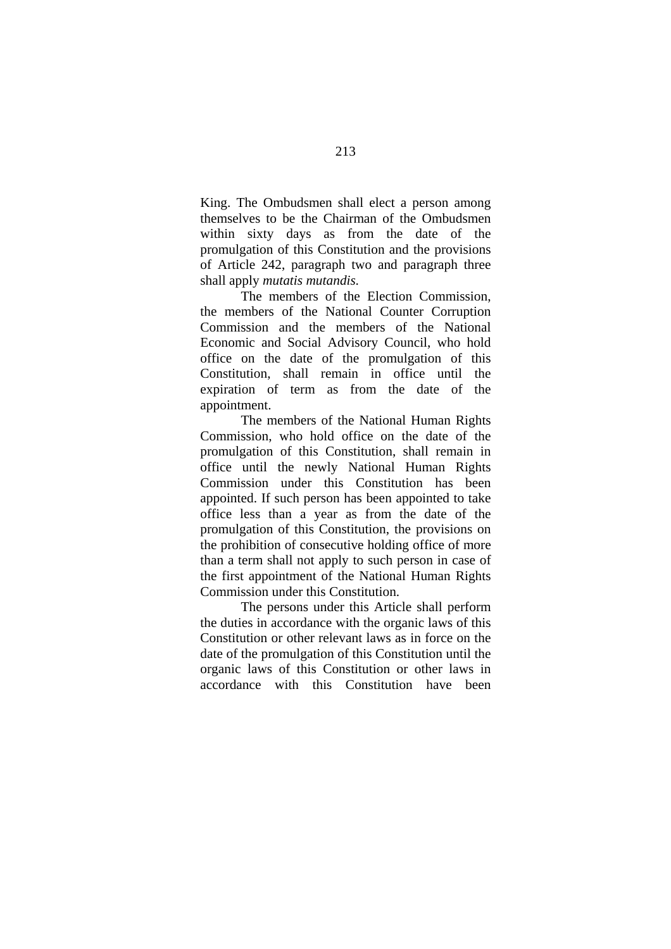King. The Ombudsmen shall elect a person among themselves to be the Chairman of the Ombudsmen within sixty days as from the date of the promulgation of this Constitution and the provisions of Article 242, paragraph two and paragraph three shall apply *mutatis mutandis.*

The members of the Election Commission, the members of the National Counter Corruption Commission and the members of the National Economic and Social Advisory Council, who hold office on the date of the promulgation of this Constitution, shall remain in office until the expiration of term as from the date of the appointment.

The members of the National Human Rights Commission, who hold office on the date of the promulgation of this Constitution, shall remain in office until the newly National Human Rights Commission under this Constitution has been appointed. If such person has been appointed to take office less than a year as from the date of the promulgation of this Constitution, the provisions on the prohibition of consecutive holding office of more than a term shall not apply to such person in case of the first appointment of the National Human Rights Commission under this Constitution.

The persons under this Article shall perform the duties in accordance with the organic laws of this Constitution or other relevant laws as in force on the date of the promulgation of this Constitution until the organic laws of this Constitution or other laws in accordance with this Constitution have been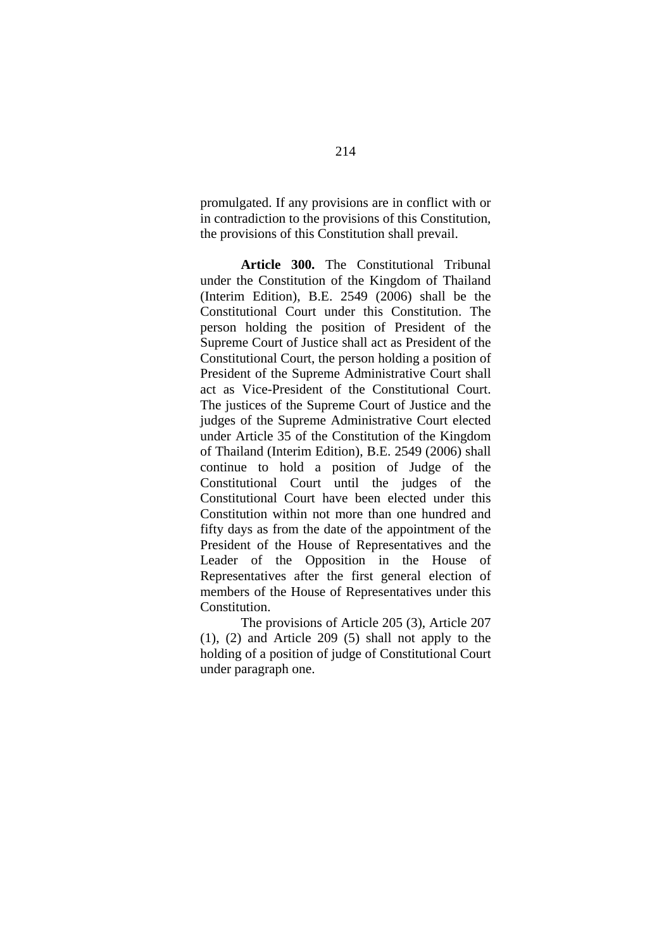promulgated. If any provisions are in conflict with or in contradiction to the provisions of this Constitution, the provisions of this Constitution shall prevail.

**Article 300.** The Constitutional Tribunal under the Constitution of the Kingdom of Thailand (Interim Edition), B.E. 2549 (2006) shall be the Constitutional Court under this Constitution. The person holding the position of President of the Supreme Court of Justice shall act as President of the Constitutional Court, the person holding a position of President of the Supreme Administrative Court shall act as Vice-President of the Constitutional Court. The justices of the Supreme Court of Justice and the judges of the Supreme Administrative Court elected under Article 35 of the Constitution of the Kingdom of Thailand (Interim Edition), B.E. 2549 (2006) shall continue to hold a position of Judge of the Constitutional Court until the judges of the Constitutional Court have been elected under this Constitution within not more than one hundred and fifty days as from the date of the appointment of the President of the House of Representatives and the Leader of the Opposition in the House of Representatives after the first general election of members of the House of Representatives under this Constitution.

The provisions of Article 205 (3), Article 207 (1), (2) and Article 209 (5) shall not apply to the holding of a position of judge of Constitutional Court under paragraph one.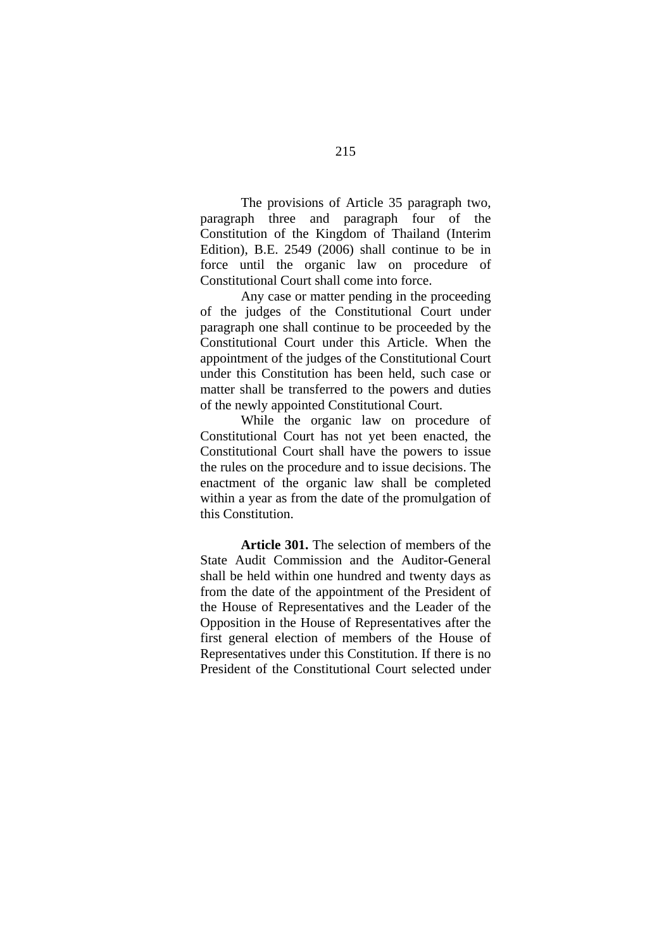The provisions of Article 35 paragraph two, paragraph three and paragraph four of the Constitution of the Kingdom of Thailand (Interim Edition), B.E. 2549 (2006) shall continue to be in force until the organic law on procedure of Constitutional Court shall come into force.

Any case or matter pending in the proceeding of the judges of the Constitutional Court under paragraph one shall continue to be proceeded by the Constitutional Court under this Article. When the appointment of the judges of the Constitutional Court under this Constitution has been held, such case or matter shall be transferred to the powers and duties of the newly appointed Constitutional Court.

While the organic law on procedure of Constitutional Court has not yet been enacted, the Constitutional Court shall have the powers to issue the rules on the procedure and to issue decisions. The enactment of the organic law shall be completed within a year as from the date of the promulgation of this Constitution.

**Article 301.** The selection of members of the State Audit Commission and the Auditor-General shall be held within one hundred and twenty days as from the date of the appointment of the President of the House of Representatives and the Leader of the Opposition in the House of Representatives after the first general election of members of the House of Representatives under this Constitution. If there is no President of the Constitutional Court selected under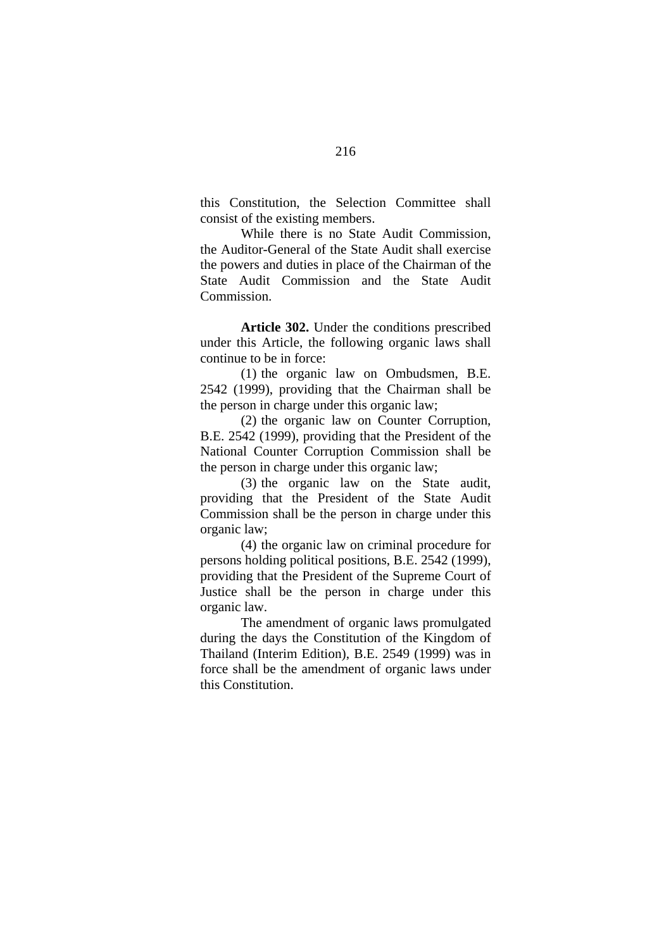this Constitution, the Selection Committee shall consist of the existing members.

While there is no State Audit Commission, the Auditor-General of the State Audit shall exercise the powers and duties in place of the Chairman of the State Audit Commission and the State Audit Commission.

**Article 302.** Under the conditions prescribed under this Article, the following organic laws shall continue to be in force:

(1) the organic law on Ombudsmen, B.E. 2542 (1999), providing that the Chairman shall be the person in charge under this organic law;

(2) the organic law on Counter Corruption, B.E. 2542 (1999), providing that the President of the National Counter Corruption Commission shall be the person in charge under this organic law;

(3) the organic law on the State audit, providing that the President of the State Audit Commission shall be the person in charge under this organic law;

(4) the organic law on criminal procedure for persons holding political positions, B.E. 2542 (1999), providing that the President of the Supreme Court of Justice shall be the person in charge under this organic law.

The amendment of organic laws promulgated during the days the Constitution of the Kingdom of Thailand (Interim Edition), B.E. 2549 (1999) was in force shall be the amendment of organic laws under this Constitution.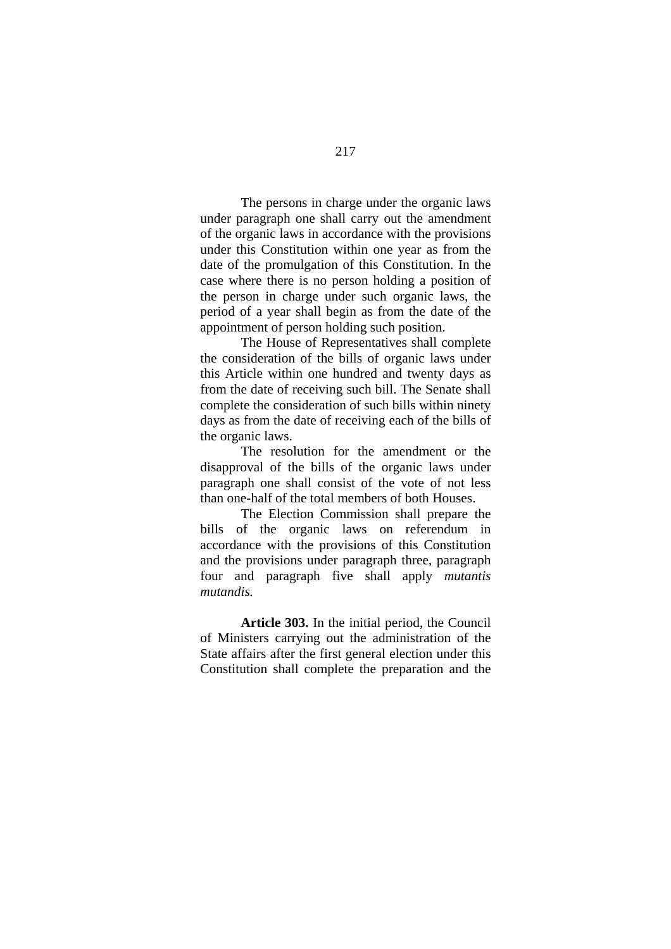The persons in charge under the organic laws under paragraph one shall carry out the amendment of the organic laws in accordance with the provisions under this Constitution within one year as from the date of the promulgation of this Constitution. In the case where there is no person holding a position of the person in charge under such organic laws, the period of a year shall begin as from the date of the appointment of person holding such position.

The House of Representatives shall complete the consideration of the bills of organic laws under this Article within one hundred and twenty days as from the date of receiving such bill. The Senate shall complete the consideration of such bills within ninety days as from the date of receiving each of the bills of the organic laws.

The resolution for the amendment or the disapproval of the bills of the organic laws under paragraph one shall consist of the vote of not less than one-half of the total members of both Houses.

The Election Commission shall prepare the bills of the organic laws on referendum in accordance with the provisions of this Constitution and the provisions under paragraph three, paragraph four and paragraph five shall apply *mutantis mutandis.*

**Article 303.** In the initial period, the Council of Ministers carrying out the administration of the State affairs after the first general election under this Constitution shall complete the preparation and the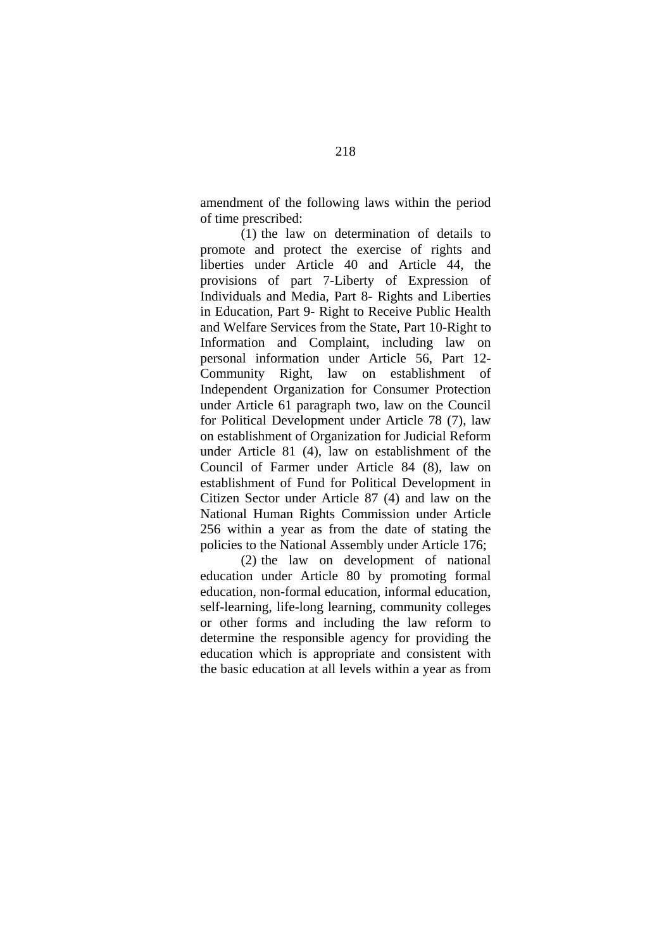amendment of the following laws within the period of time prescribed:

(1) the law on determination of details to promote and protect the exercise of rights and liberties under Article 40 and Article 44, the provisions of part 7-Liberty of Expression of Individuals and Media, Part 8- Rights and Liberties in Education, Part 9- Right to Receive Public Health and Welfare Services from the State, Part 10-Right to Information and Complaint, including law on personal information under Article 56, Part 12- Community Right, law on establishment of Independent Organization for Consumer Protection under Article 61 paragraph two, law on the Council for Political Development under Article 78 (7), law on establishment of Organization for Judicial Reform under Article 81 (4), law on establishment of the Council of Farmer under Article 84 (8), law on establishment of Fund for Political Development in Citizen Sector under Article 87 (4) and law on the National Human Rights Commission under Article 256 within a year as from the date of stating the policies to the National Assembly under Article 176;

(2) the law on development of national education under Article 80 by promoting formal education, non-formal education, informal education, self-learning, life-long learning, community colleges or other forms and including the law reform to determine the responsible agency for providing the education which is appropriate and consistent with the basic education at all levels within a year as from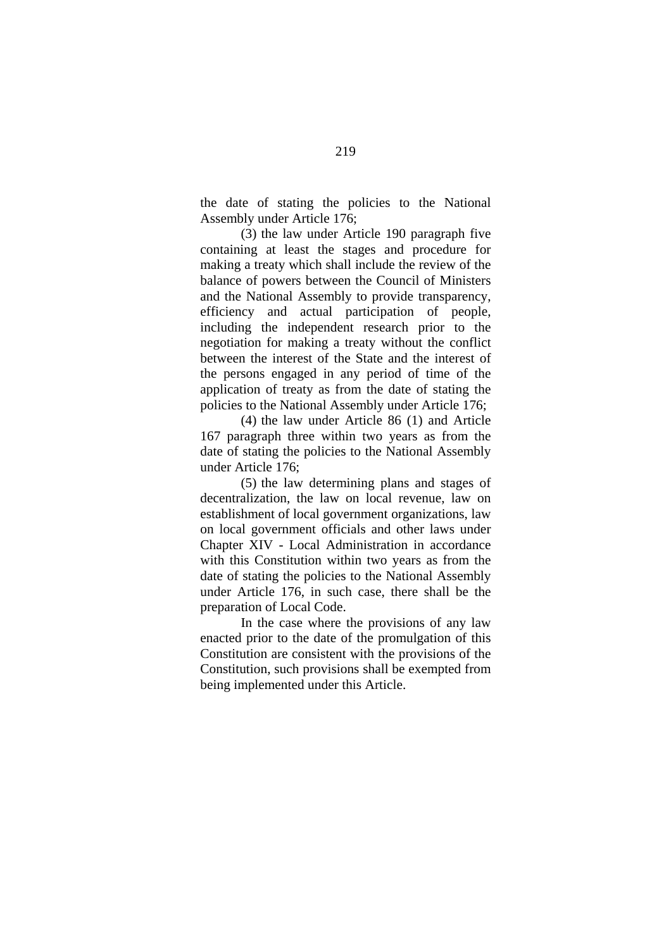the date of stating the policies to the National Assembly under Article 176;

(3) the law under Article 190 paragraph five containing at least the stages and procedure for making a treaty which shall include the review of the balance of powers between the Council of Ministers and the National Assembly to provide transparency, efficiency and actual participation of people, including the independent research prior to the negotiation for making a treaty without the conflict between the interest of the State and the interest of the persons engaged in any period of time of the application of treaty as from the date of stating the policies to the National Assembly under Article 176;

(4) the law under Article 86 (1) and Article 167 paragraph three within two years as from the date of stating the policies to the National Assembly under Article 176;

(5) the law determining plans and stages of decentralization, the law on local revenue, law on establishment of local government organizations, law on local government officials and other laws under Chapter XIV - Local Administration in accordance with this Constitution within two years as from the date of stating the policies to the National Assembly under Article 176, in such case, there shall be the preparation of Local Code.

In the case where the provisions of any law enacted prior to the date of the promulgation of this Constitution are consistent with the provisions of the Constitution, such provisions shall be exempted from being implemented under this Article.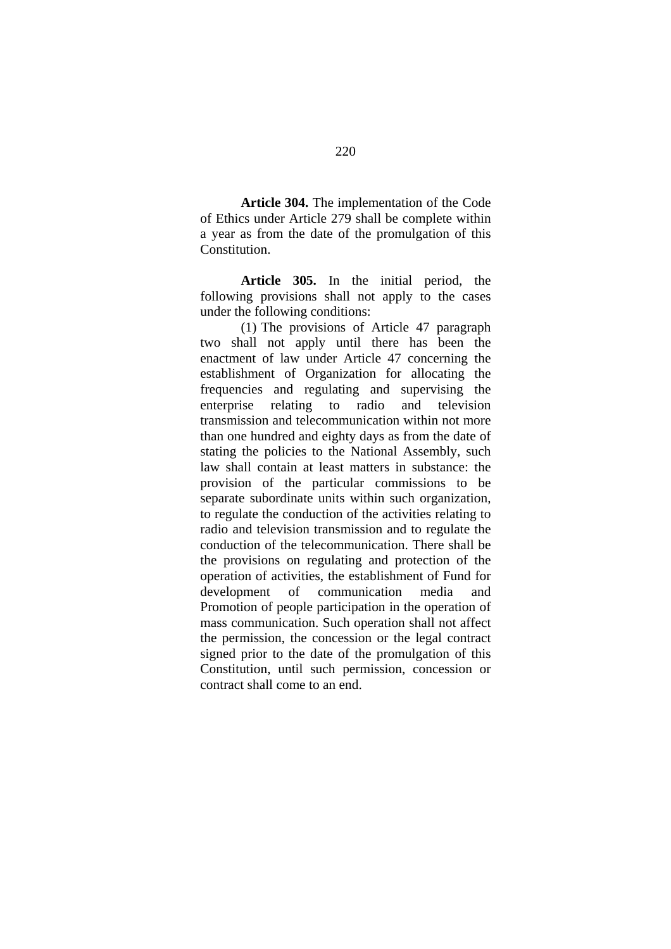**Article 304.** The implementation of the Code of Ethics under Article 279 shall be complete within a year as from the date of the promulgation of this Constitution.

**Article 305.** In the initial period, the following provisions shall not apply to the cases under the following conditions:

(1) The provisions of Article 47 paragraph two shall not apply until there has been the enactment of law under Article 47 concerning the establishment of Organization for allocating the frequencies and regulating and supervising the enterprise relating to radio and television transmission and telecommunication within not more than one hundred and eighty days as from the date of stating the policies to the National Assembly, such law shall contain at least matters in substance: the provision of the particular commissions to be separate subordinate units within such organization, to regulate the conduction of the activities relating to radio and television transmission and to regulate the conduction of the telecommunication. There shall be the provisions on regulating and protection of the operation of activities, the establishment of Fund for development of communication media and Promotion of people participation in the operation of mass communication. Such operation shall not affect the permission, the concession or the legal contract signed prior to the date of the promulgation of this Constitution, until such permission, concession or contract shall come to an end.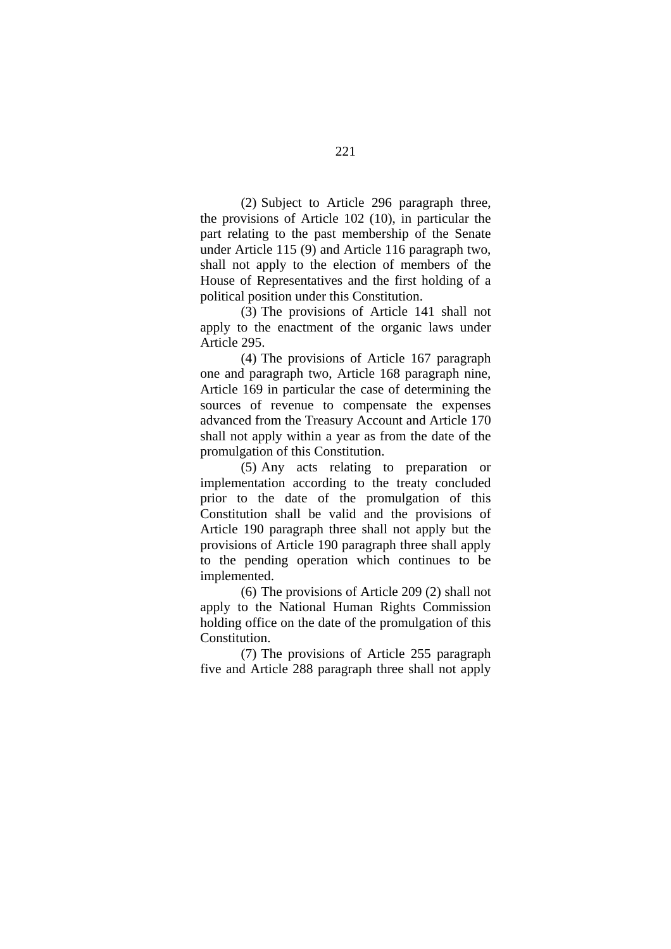(2) Subject to Article 296 paragraph three, the provisions of Article 102 (10), in particular the part relating to the past membership of the Senate under Article 115 (9) and Article 116 paragraph two, shall not apply to the election of members of the House of Representatives and the first holding of a political position under this Constitution.

(3) The provisions of Article 141 shall not apply to the enactment of the organic laws under Article 295.

(4) The provisions of Article 167 paragraph one and paragraph two, Article 168 paragraph nine, Article 169 in particular the case of determining the sources of revenue to compensate the expenses advanced from the Treasury Account and Article 170 shall not apply within a year as from the date of the promulgation of this Constitution.

(5) Any acts relating to preparation or implementation according to the treaty concluded prior to the date of the promulgation of this Constitution shall be valid and the provisions of Article 190 paragraph three shall not apply but the provisions of Article 190 paragraph three shall apply to the pending operation which continues to be implemented.

(6) The provisions of Article 209 (2) shall not apply to the National Human Rights Commission holding office on the date of the promulgation of this Constitution.

(7) The provisions of Article 255 paragraph five and Article 288 paragraph three shall not apply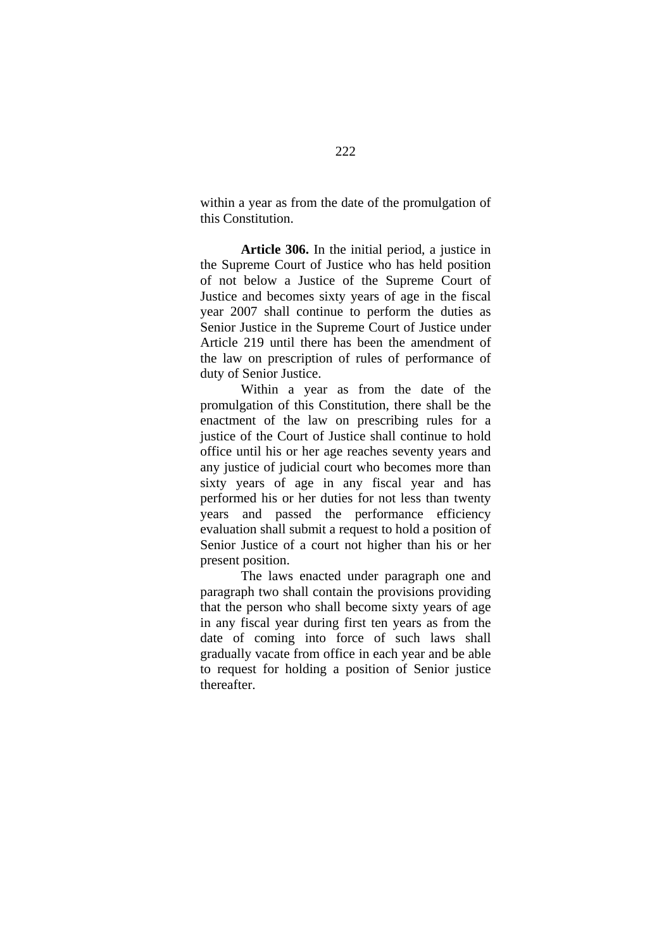within a year as from the date of the promulgation of this Constitution.

**Article 306.** In the initial period, a justice in the Supreme Court of Justice who has held position of not below a Justice of the Supreme Court of Justice and becomes sixty years of age in the fiscal year 2007 shall continue to perform the duties as Senior Justice in the Supreme Court of Justice under Article 219 until there has been the amendment of the law on prescription of rules of performance of duty of Senior Justice.

Within a year as from the date of the promulgation of this Constitution, there shall be the enactment of the law on prescribing rules for a justice of the Court of Justice shall continue to hold office until his or her age reaches seventy years and any justice of judicial court who becomes more than sixty years of age in any fiscal year and has performed his or her duties for not less than twenty years and passed the performance efficiency evaluation shall submit a request to hold a position of Senior Justice of a court not higher than his or her present position.

The laws enacted under paragraph one and paragraph two shall contain the provisions providing that the person who shall become sixty years of age in any fiscal year during first ten years as from the date of coming into force of such laws shall gradually vacate from office in each year and be able to request for holding a position of Senior justice thereafter.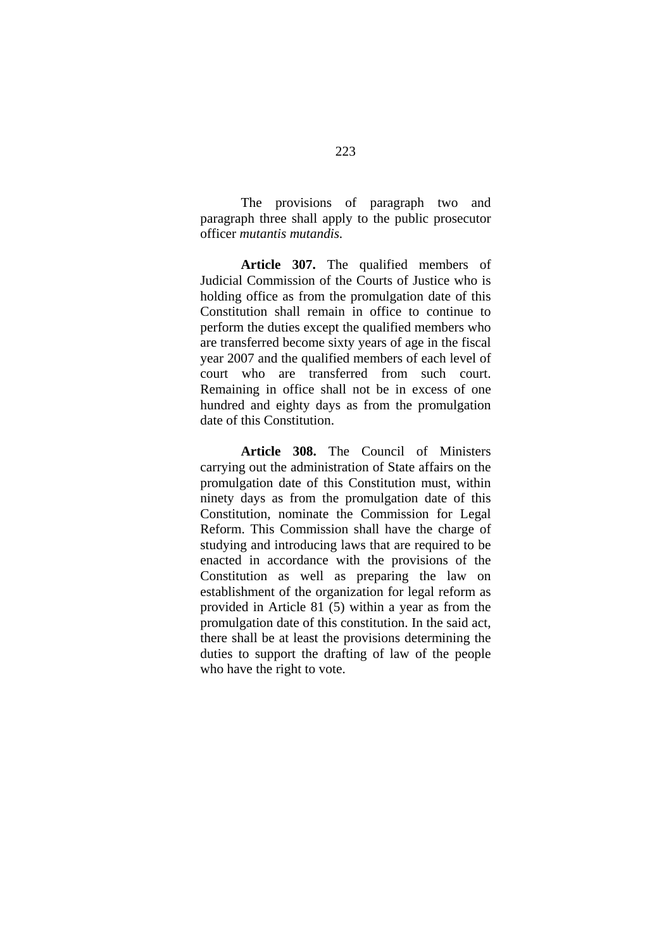The provisions of paragraph two and paragraph three shall apply to the public prosecutor officer *mutantis mutandis.*

**Article 307.** The qualified members of Judicial Commission of the Courts of Justice who is holding office as from the promulgation date of this Constitution shall remain in office to continue to perform the duties except the qualified members who are transferred become sixty years of age in the fiscal year 2007 and the qualified members of each level of court who are transferred from such court. Remaining in office shall not be in excess of one hundred and eighty days as from the promulgation date of this Constitution.

**Article 308.** The Council of Ministers carrying out the administration of State affairs on the promulgation date of this Constitution must, within ninety days as from the promulgation date of this Constitution, nominate the Commission for Legal Reform. This Commission shall have the charge of studying and introducing laws that are required to be enacted in accordance with the provisions of the Constitution as well as preparing the law on establishment of the organization for legal reform as provided in Article 81 (5) within a year as from the promulgation date of this constitution. In the said act, there shall be at least the provisions determining the duties to support the drafting of law of the people who have the right to vote.